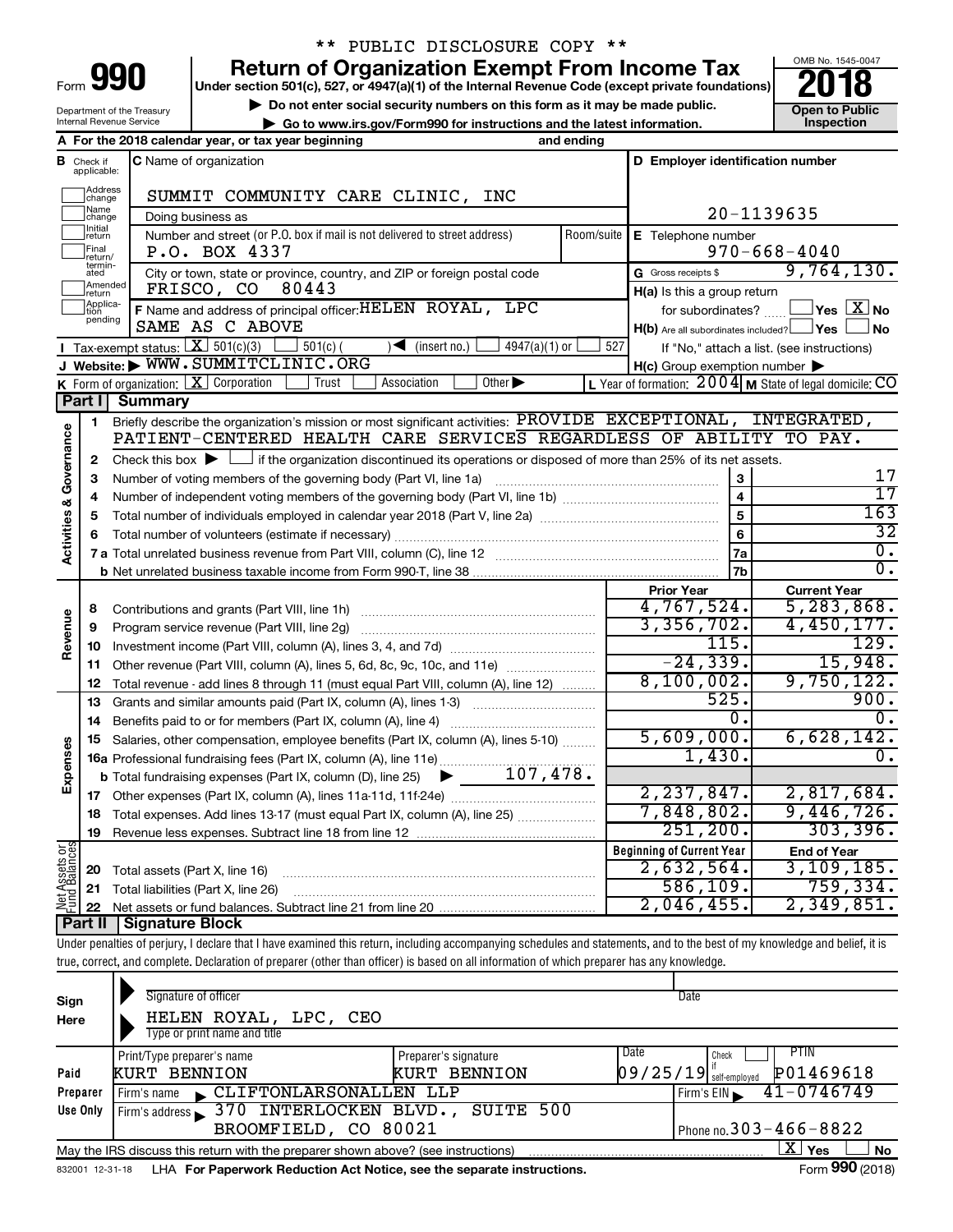| Form |  |
|------|--|

Department of the Treasury Internal Revenue Service

## \*\* PUBLIC DISCLOSURE COPY \*\*

**990** Return of Organization Exempt From Income Tax **Punce 1845-004 Puncer section 501(c), 527, or 4947(a)(1)** of the Internal Revenue Code (except private foundations) **2018** 

▶ Do not enter social security numbers on this form as it may be made public. <br>**● Go to www.irs.gov/Form990 for instructions and the latest information.** Inspection **| Go to www.irs.gov/Form990 for instructions and the latest information. Inspection**



|                                    |                               | A For the 2018 calendar year, or tax year beginning                                                                                                                                 | and ending          |                                                     |                                                                   |  |
|------------------------------------|-------------------------------|-------------------------------------------------------------------------------------------------------------------------------------------------------------------------------------|---------------------|-----------------------------------------------------|-------------------------------------------------------------------|--|
|                                    | <b>B</b> Check if applicable: | <b>C</b> Name of organization                                                                                                                                                       |                     | D Employer identification number                    |                                                                   |  |
|                                    | Address<br>change             | SUMMIT COMMUNITY CARE CLINIC, INC                                                                                                                                                   |                     |                                                     |                                                                   |  |
|                                    | Name<br>change                | Doing business as                                                                                                                                                                   |                     | 20-1139635                                          |                                                                   |  |
|                                    | Initial<br> return            | Number and street (or P.O. box if mail is not delivered to street address)                                                                                                          | Room/suite          | E Telephone number                                  |                                                                   |  |
|                                    | Final<br>return/              | P.O. BOX 4337                                                                                                                                                                       |                     |                                                     | $970 - 668 - 4040$                                                |  |
|                                    | termin-<br>ated               | City or town, state or province, country, and ZIP or foreign postal code                                                                                                            |                     | G Gross receipts \$                                 | 9,764,130.                                                        |  |
|                                    | Amended<br>return             | 80443<br>FRISCO, CO                                                                                                                                                                 |                     | H(a) Is this a group return                         |                                                                   |  |
|                                    | Applica-<br>pending           | F Name and address of principal officer: HELEN ROYAL, LPC                                                                                                                           |                     |                                                     | for subordinates? $\Box$ Yes $X$ No                               |  |
|                                    |                               | SAME AS C ABOVE                                                                                                                                                                     |                     | $H(b)$ Are all subordinates included? $\Box$ Yes    | No                                                                |  |
|                                    |                               | Tax-exempt status: $X \overline{301(c)(3)}$<br>$\sqrt{\frac{1}{1}}$ (insert no.)<br>4947(a)(1) or<br>$501(c)$ (                                                                     | 527                 |                                                     | If "No," attach a list. (see instructions)                        |  |
|                                    |                               | J Website: WWW.SUMMITCLINIC.ORG                                                                                                                                                     |                     | $H(c)$ Group exemption number $\blacktriangleright$ |                                                                   |  |
|                                    |                               | <b>K</b> Form of organization: $X$ Corporation<br>Association<br>Other $\blacktriangleright$<br>Trust                                                                               |                     |                                                     | L Year of formation: $2004 \text{ m}$ State of legal domicile: CO |  |
|                                    | Part I                        | Summary                                                                                                                                                                             |                     |                                                     |                                                                   |  |
|                                    | 1                             | Briefly describe the organization's mission or most significant activities: PROVIDE EXCEPTIONAL, INTEGRATED,<br>PATIENT-CENTERED HEALTH CARE SERVICES REGARDLESS OF ABILITY TO PAY. |                     |                                                     |                                                                   |  |
| <b>Activities &amp; Governance</b> |                               |                                                                                                                                                                                     |                     |                                                     |                                                                   |  |
|                                    | $\mathbf{2}$                  | Check this box $\blacktriangleright$ $\Box$ if the organization discontinued its operations or disposed of more than 25% of its net assets.                                         |                     |                                                     | 17                                                                |  |
|                                    | 3                             | Number of voting members of the governing body (Part VI, line 1a)                                                                                                                   | 3<br>$\overline{4}$ | $\overline{17}$                                     |                                                                   |  |
|                                    | 4                             |                                                                                                                                                                                     |                     |                                                     |                                                                   |  |
|                                    | 5<br>6                        |                                                                                                                                                                                     |                     |                                                     |                                                                   |  |
|                                    |                               |                                                                                                                                                                                     |                     | 6<br>7a                                             | 32<br>$\overline{0}$ .                                            |  |
|                                    |                               |                                                                                                                                                                                     |                     | 7b                                                  | $\overline{0}$ .                                                  |  |
|                                    |                               |                                                                                                                                                                                     |                     | <b>Prior Year</b>                                   | <b>Current Year</b>                                               |  |
|                                    | 8                             | Contributions and grants (Part VIII, line 1h)                                                                                                                                       |                     | 4,767,524.                                          | 5, 283, 868.                                                      |  |
|                                    | 9                             | Program service revenue (Part VIII, line 2g)                                                                                                                                        |                     | 3,356,702.                                          | 4,450,177.                                                        |  |
| Revenue                            | 10                            |                                                                                                                                                                                     |                     | 115.                                                | 129.                                                              |  |
|                                    | 11                            | Other revenue (Part VIII, column (A), lines 5, 6d, 8c, 9c, 10c, and 11e)                                                                                                            |                     | $-24, 339.$                                         | 15,948.                                                           |  |
|                                    | 12                            | Total revenue - add lines 8 through 11 (must equal Part VIII, column (A), line 12)                                                                                                  |                     | 8,100,002.                                          | 9,750,122.                                                        |  |
|                                    | 13                            | Grants and similar amounts paid (Part IX, column (A), lines 1-3) <i></i>                                                                                                            |                     | 525.                                                | 900.                                                              |  |
|                                    | 14                            |                                                                                                                                                                                     |                     | 0.                                                  | $\overline{0}$ .                                                  |  |
|                                    | 15                            | Salaries, other compensation, employee benefits (Part IX, column (A), lines 5-10)                                                                                                   |                     | 5,609,000.                                          | 6,628,142.                                                        |  |
| Expenses                           |                               | 16a Professional fundraising fees (Part IX, column (A), line 11e)                                                                                                                   |                     | 1,430.                                              | 0.                                                                |  |
|                                    |                               | $\blacktriangleright$ 107,478.<br><b>b</b> Total fundraising expenses (Part IX, column (D), line 25)                                                                                |                     |                                                     |                                                                   |  |
|                                    |                               |                                                                                                                                                                                     |                     | 2, 237, 847.                                        | 2,817,684.                                                        |  |
|                                    | 18                            | Total expenses. Add lines 13-17 (must equal Part IX, column (A), line 25)                                                                                                           |                     | 7,848,802.                                          | 9,446,726.                                                        |  |
|                                    | 19                            |                                                                                                                                                                                     |                     | 251, 200.                                           | 303,396.                                                          |  |
| Net Assets or<br>Fund Balances     |                               |                                                                                                                                                                                     |                     | <b>Beginning of Current Year</b><br>2,632,564.      | <b>End of Year</b><br>3,109,185.                                  |  |
|                                    | 20                            | Total assets (Part X, line 16)                                                                                                                                                      |                     | 586, 109.                                           | 759, 334.                                                         |  |
|                                    | 21                            | Total liabilities (Part X, line 26)                                                                                                                                                 |                     | 2,046,455.                                          | 2,349,851.                                                        |  |
|                                    | 22                            | <b>Part II   Signature Block</b>                                                                                                                                                    |                     |                                                     |                                                                   |  |

**Part II Signature Block**

Under penalties of perjury, I declare that I have examined this return, including accompanying schedules and statements, and to the best of my knowledge and belief, it is true, correct, and complete. Declaration of preparer (other than officer) is based on all information of which preparer has any knowledge.

| Sign<br>Here | Signature of officer<br>HELEN ROYAL,<br>LPC, CEO<br>Type or print name and title                             |                      | Date                                               |  |  |  |  |  |  |
|--------------|--------------------------------------------------------------------------------------------------------------|----------------------|----------------------------------------------------|--|--|--|--|--|--|
|              | Print/Type preparer's name                                                                                   | Preparer's signature | Date<br><b>PTIN</b><br>Check                       |  |  |  |  |  |  |
| Paid         | <b>KURT BENNION</b>                                                                                          | KURT BENNION         | P01469618<br>$\left[09/25/19\right]$ self-employed |  |  |  |  |  |  |
| Preparer     | CLIFTONLARSONALLEN LLP<br>Firm's name                                                                        |                      | $41 - 0746749$<br>Firm's $EIN$                     |  |  |  |  |  |  |
| Use Only     | Firm's address 370 INTERLOCKEN BLVD.,                                                                        | SUITE 500            |                                                    |  |  |  |  |  |  |
|              | BROOMFIELD, CO 80021                                                                                         |                      | Phone no. $303 - 466 - 8822$                       |  |  |  |  |  |  |
|              | X  <br>Yes<br><b>No</b><br>May the IRS discuss this return with the preparer shown above? (see instructions) |                      |                                                    |  |  |  |  |  |  |
|              | Form 990 (2018)<br>LHA For Paperwork Reduction Act Notice, see the separate instructions.<br>832001 12-31-18 |                      |                                                    |  |  |  |  |  |  |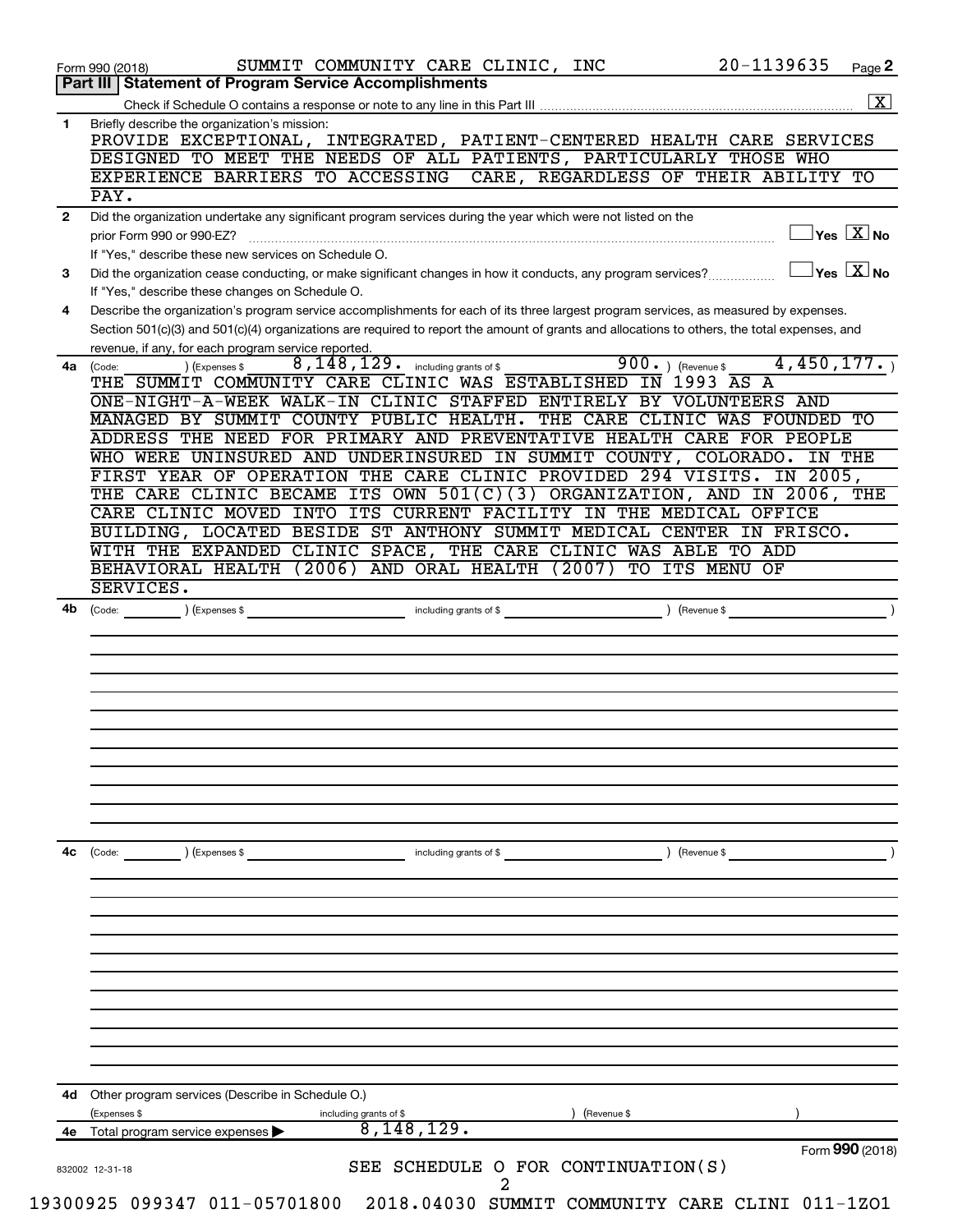|              | 20-1139635<br>SUMMIT COMMUNITY CARE CLINIC, INC<br>Page 2<br>Form 990 (2018)<br><b>Statement of Program Service Accomplishments</b><br>Part III                                         |
|--------------|-----------------------------------------------------------------------------------------------------------------------------------------------------------------------------------------|
|              | $\boxed{\textbf{X}}$                                                                                                                                                                    |
| 1            | Briefly describe the organization's mission:<br>PROVIDE EXCEPTIONAL, INTEGRATED, PATIENT-CENTERED HEALTH CARE SERVICES                                                                  |
|              | DESIGNED TO MEET THE NEEDS OF ALL PATIENTS, PARTICULARLY THOSE WHO<br>EXPERIENCE BARRIERS TO ACCESSING<br>CARE, REGARDLESS OF THEIR ABILITY TO                                          |
|              | $\overline{PAY}$ .                                                                                                                                                                      |
| $\mathbf{2}$ | Did the organization undertake any significant program services during the year which were not listed on the                                                                            |
|              | $\sqrt{\mathsf{Yes}\ \mathbf{X}}$ No<br>prior Form 990 or 990-EZ?<br>If "Yes," describe these new services on Schedule O.                                                               |
| 3            | $\overline{\ }$ Yes $\overline{\phantom{a}X}$ No<br>Did the organization cease conducting, or make significant changes in how it conducts, any program services?                        |
| 4            | If "Yes," describe these changes on Schedule O.<br>Describe the organization's program service accomplishments for each of its three largest program services, as measured by expenses. |
|              | Section 501(c)(3) and 501(c)(4) organizations are required to report the amount of grants and allocations to others, the total expenses, and                                            |
| 4a           | revenue, if any, for each program service reported.<br>4,450,177.<br>$900.$ (Revenue \$<br>$8,148,129$ $\cdot$ including grants of \$<br>) (Expenses \$<br>(Code:                       |
|              | THE SUMMIT COMMUNITY CARE CLINIC WAS ESTABLISHED IN 1993 AS A<br>ONE-NIGHT-A-WEEK WALK-IN CLINIC STAFFED ENTIRELY BY VOLUNTEERS AND                                                     |
|              | MANAGED BY SUMMIT COUNTY PUBLIC HEALTH.<br>THE CARE CLINIC WAS<br>FOUNDED TO                                                                                                            |
|              | ADDRESS THE NEED FOR PRIMARY AND PREVENTATIVE HEALTH CARE FOR PEOPLE                                                                                                                    |
|              | WHO WERE UNINSURED AND UNDERINSURED IN SUMMIT COUNTY, COLORADO.<br>IN THE                                                                                                               |
|              | FIRST YEAR OF OPERATION THE CARE CLINIC PROVIDED 294 VISITS.<br>IN 2005,                                                                                                                |
|              | THE CARE CLINIC BECAME ITS OWN $501(C)(3)$<br>ORGANIZATION, AND IN 2006, THE                                                                                                            |
|              | CARE CLINIC MOVED INTO ITS CURRENT FACILITY<br>IN THE MEDICAL OFFICE                                                                                                                    |
|              | BUILDING, LOCATED BESIDE ST ANTHONY SUMMIT MEDICAL CENTER IN FRISCO.                                                                                                                    |
|              | WITH THE EXPANDED CLINIC SPACE, THE CARE CLINIC WAS ABLE TO ADD                                                                                                                         |
|              | BEHAVIORAL HEALTH<br>(2006) AND ORAL HEALTH<br>(2007)<br>TO ITS MENU OF                                                                                                                 |
| 4b           | SERVICES.<br>including grants of \$<br>(Revenue \$<br>(Code: ) (Expenses \$                                                                                                             |
|              |                                                                                                                                                                                         |
|              |                                                                                                                                                                                         |
|              |                                                                                                                                                                                         |
|              |                                                                                                                                                                                         |
|              |                                                                                                                                                                                         |
|              |                                                                                                                                                                                         |
| 4с           | ) (Revenue \$<br>(Code:<br>) (Expenses \$<br>including grants of \$                                                                                                                     |
|              |                                                                                                                                                                                         |
|              |                                                                                                                                                                                         |
|              |                                                                                                                                                                                         |
|              |                                                                                                                                                                                         |
|              |                                                                                                                                                                                         |
|              |                                                                                                                                                                                         |
| 4d           | Other program services (Describe in Schedule O.)                                                                                                                                        |
|              | (Expenses \$<br>(Revenue \$<br>including grants of \$<br>8,148,129.<br>4e Total program service expenses                                                                                |
|              | Form 990 (2018)<br>SEE SCHEDULE O FOR CONTINUATION(S)<br>832002 12-31-18                                                                                                                |
|              | 19300925 099347 011-05701800 2018.04030 SUMMIT COMMUNITY CARE CLINI 011-1ZO1                                                                                                            |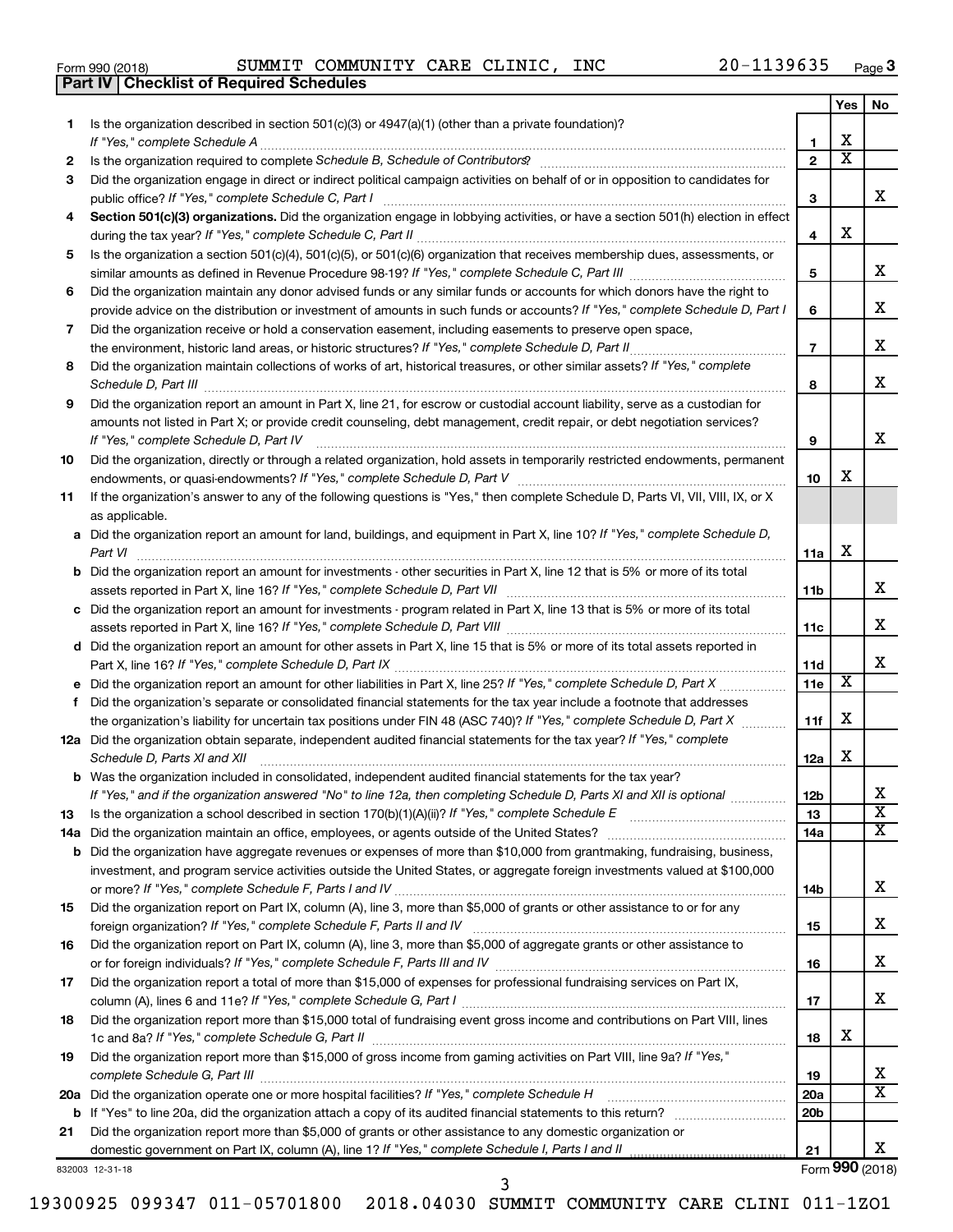|  | Form 990 (2018) |  |
|--|-----------------|--|
|  |                 |  |

**Part IV Checklist of Required Schedules**

Form 990 (2018) SUMMIT COMMUNITY CARE CLINIC, INC 20-1139635 <sub>Page</sub>

|    |                                                                                                                                                                                                                                                   |                        | Yes                     | No                         |
|----|---------------------------------------------------------------------------------------------------------------------------------------------------------------------------------------------------------------------------------------------------|------------------------|-------------------------|----------------------------|
| 1  | Is the organization described in section $501(c)(3)$ or $4947(a)(1)$ (other than a private foundation)?                                                                                                                                           |                        |                         |                            |
|    | If "Yes," complete Schedule A                                                                                                                                                                                                                     | 1                      | х                       |                            |
| 2  | Is the organization required to complete Schedule B, Schedule of Contributors? [11] The organization required to complete Schedule B, Schedule of Contributors?                                                                                   | $\overline{2}$         | $\overline{\textbf{x}}$ |                            |
| 3  | Did the organization engage in direct or indirect political campaign activities on behalf of or in opposition to candidates for                                                                                                                   |                        |                         |                            |
|    | public office? If "Yes," complete Schedule C, Part I                                                                                                                                                                                              | 3                      |                         | x                          |
| 4  | Section 501(c)(3) organizations. Did the organization engage in lobbying activities, or have a section 501(h) election in effect                                                                                                                  |                        |                         |                            |
|    |                                                                                                                                                                                                                                                   | 4                      | х                       |                            |
| 5  | Is the organization a section 501(c)(4), 501(c)(5), or 501(c)(6) organization that receives membership dues, assessments, or                                                                                                                      |                        |                         | x                          |
|    |                                                                                                                                                                                                                                                   | 5                      |                         |                            |
| 6  | Did the organization maintain any donor advised funds or any similar funds or accounts for which donors have the right to                                                                                                                         | 6                      |                         | x                          |
| 7  | provide advice on the distribution or investment of amounts in such funds or accounts? If "Yes," complete Schedule D, Part I<br>Did the organization receive or hold a conservation easement, including easements to preserve open space,         |                        |                         |                            |
|    |                                                                                                                                                                                                                                                   | $\overline{7}$         |                         | х                          |
| 8  | Did the organization maintain collections of works of art, historical treasures, or other similar assets? If "Yes," complete                                                                                                                      |                        |                         |                            |
|    |                                                                                                                                                                                                                                                   | 8                      |                         | х                          |
| 9  | Did the organization report an amount in Part X, line 21, for escrow or custodial account liability, serve as a custodian for                                                                                                                     |                        |                         |                            |
|    | amounts not listed in Part X; or provide credit counseling, debt management, credit repair, or debt negotiation services?                                                                                                                         |                        |                         |                            |
|    | If "Yes," complete Schedule D, Part IV                                                                                                                                                                                                            | 9                      |                         | х                          |
| 10 | Did the organization, directly or through a related organization, hold assets in temporarily restricted endowments, permanent                                                                                                                     |                        |                         |                            |
|    |                                                                                                                                                                                                                                                   | 10                     | x                       |                            |
| 11 | If the organization's answer to any of the following questions is "Yes," then complete Schedule D, Parts VI, VII, VIII, IX, or X                                                                                                                  |                        |                         |                            |
|    | as applicable.                                                                                                                                                                                                                                    |                        |                         |                            |
|    | a Did the organization report an amount for land, buildings, and equipment in Part X, line 10? If "Yes," complete Schedule D,                                                                                                                     |                        |                         |                            |
|    | Part VI                                                                                                                                                                                                                                           | 11a                    | х                       |                            |
|    | <b>b</b> Did the organization report an amount for investments - other securities in Part X, line 12 that is 5% or more of its total                                                                                                              |                        |                         |                            |
|    |                                                                                                                                                                                                                                                   | 11b                    |                         | x                          |
|    | c Did the organization report an amount for investments - program related in Part X, line 13 that is 5% or more of its total                                                                                                                      |                        |                         |                            |
|    |                                                                                                                                                                                                                                                   | 11c                    |                         | х                          |
|    | d Did the organization report an amount for other assets in Part X, line 15 that is 5% or more of its total assets reported in                                                                                                                    |                        |                         |                            |
|    |                                                                                                                                                                                                                                                   | 11d                    | $\overline{\textbf{x}}$ | х                          |
|    |                                                                                                                                                                                                                                                   | 11e                    |                         |                            |
| f  | Did the organization's separate or consolidated financial statements for the tax year include a footnote that addresses<br>the organization's liability for uncertain tax positions under FIN 48 (ASC 740)? If "Yes," complete Schedule D, Part X | 11f                    | х                       |                            |
|    | 12a Did the organization obtain separate, independent audited financial statements for the tax year? If "Yes," complete                                                                                                                           |                        |                         |                            |
|    | Schedule D, Parts XI and XII                                                                                                                                                                                                                      | 12a                    | x                       |                            |
|    | <b>b</b> Was the organization included in consolidated, independent audited financial statements for the tax year?                                                                                                                                |                        |                         |                            |
|    | If "Yes," and if the organization answered "No" to line 12a, then completing Schedule D, Parts XI and XII is optional <i>www.</i>                                                                                                                 | 12 <sub>b</sub>        |                         | ∡⊾                         |
| 13 | Is the organization a school described in section $170(b)(1)(A)(ii)?$ If "Yes," complete Schedule E                                                                                                                                               | 13                     |                         | $\overline{\mathbf{X}}$    |
|    | 14a Did the organization maintain an office, employees, or agents outside of the United States?                                                                                                                                                   | 14a                    |                         | х                          |
|    | <b>b</b> Did the organization have aggregate revenues or expenses of more than \$10,000 from grantmaking, fundraising, business,                                                                                                                  |                        |                         |                            |
|    | investment, and program service activities outside the United States, or aggregate foreign investments valued at \$100,000                                                                                                                        |                        |                         |                            |
|    |                                                                                                                                                                                                                                                   | 14b                    |                         | x                          |
| 15 | Did the organization report on Part IX, column (A), line 3, more than \$5,000 of grants or other assistance to or for any                                                                                                                         |                        |                         |                            |
|    |                                                                                                                                                                                                                                                   | 15                     |                         | x                          |
| 16 | Did the organization report on Part IX, column (A), line 3, more than \$5,000 of aggregate grants or other assistance to                                                                                                                          |                        |                         |                            |
|    |                                                                                                                                                                                                                                                   | 16                     |                         | х                          |
| 17 | Did the organization report a total of more than \$15,000 of expenses for professional fundraising services on Part IX,                                                                                                                           |                        |                         |                            |
|    |                                                                                                                                                                                                                                                   | 17                     |                         | x                          |
| 18 | Did the organization report more than \$15,000 total of fundraising event gross income and contributions on Part VIII, lines                                                                                                                      |                        |                         |                            |
|    |                                                                                                                                                                                                                                                   | 18                     | x                       |                            |
| 19 | Did the organization report more than \$15,000 of gross income from gaming activities on Part VIII, line 9a? If "Yes,"                                                                                                                            |                        |                         |                            |
|    |                                                                                                                                                                                                                                                   | 19                     |                         | x<br>$\overline{\text{X}}$ |
|    | 20a Did the organization operate one or more hospital facilities? If "Yes," complete Schedule H                                                                                                                                                   | 20a<br>20 <sub>b</sub> |                         |                            |
| 21 | <b>b</b> If "Yes" to line 20a, did the organization attach a copy of its audited financial statements to this return?<br>Did the organization report more than \$5,000 of grants or other assistance to any domestic organization or              |                        |                         |                            |
|    |                                                                                                                                                                                                                                                   | 21                     |                         | x                          |
|    |                                                                                                                                                                                                                                                   |                        |                         |                            |

832003 12-31-18

Form (2018) **990**

19300925 099347 011-05701800 2018.04030 SUMMIT COMMUNITY CARE CLINI 011-1ZO1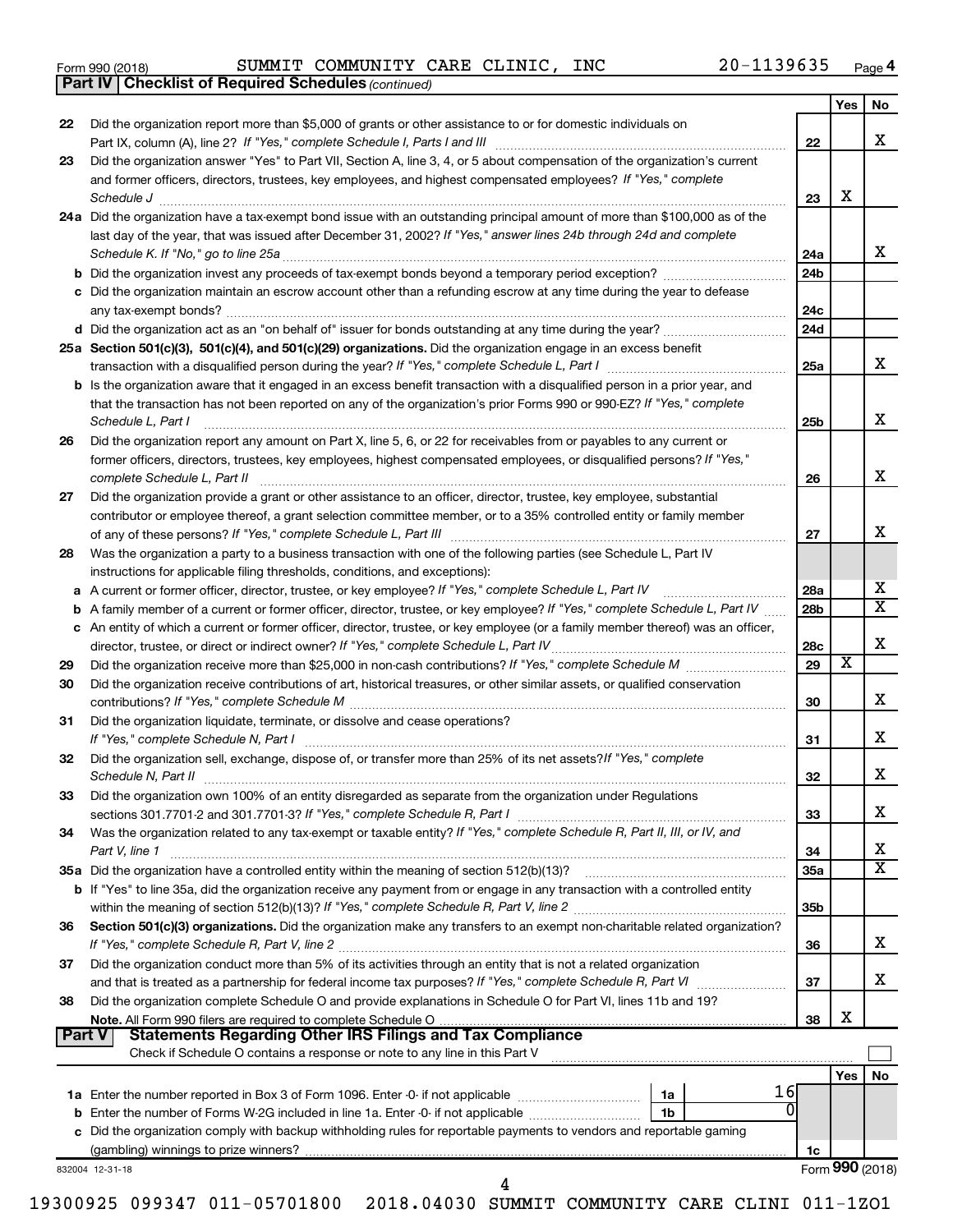|  | Form 990 (2018) |
|--|-----------------|
|  |                 |

*(continued)* **Part IV Checklist of Required Schedules**

|               |                                                                                                                                                                                                                                |                 | Yes             | <b>No</b> |
|---------------|--------------------------------------------------------------------------------------------------------------------------------------------------------------------------------------------------------------------------------|-----------------|-----------------|-----------|
| 22            | Did the organization report more than \$5,000 of grants or other assistance to or for domestic individuals on                                                                                                                  |                 |                 |           |
|               |                                                                                                                                                                                                                                | 22              |                 | х         |
| 23            | Did the organization answer "Yes" to Part VII, Section A, line 3, 4, or 5 about compensation of the organization's current                                                                                                     |                 |                 |           |
|               | and former officers, directors, trustees, key employees, and highest compensated employees? If "Yes," complete                                                                                                                 |                 |                 |           |
|               |                                                                                                                                                                                                                                | 23              | х               |           |
|               | 24a Did the organization have a tax-exempt bond issue with an outstanding principal amount of more than \$100,000 as of the                                                                                                    |                 |                 |           |
|               | last day of the year, that was issued after December 31, 2002? If "Yes," answer lines 24b through 24d and complete                                                                                                             |                 |                 |           |
|               | Schedule K. If "No," go to line 25a                                                                                                                                                                                            | 24a             |                 | х         |
|               |                                                                                                                                                                                                                                | 24 <sub>b</sub> |                 |           |
|               | c Did the organization maintain an escrow account other than a refunding escrow at any time during the year to defease                                                                                                         |                 |                 |           |
|               |                                                                                                                                                                                                                                | 24c             |                 |           |
|               |                                                                                                                                                                                                                                | 24d             |                 |           |
|               | 25a Section 501(c)(3), 501(c)(4), and 501(c)(29) organizations. Did the organization engage in an excess benefit                                                                                                               |                 |                 |           |
|               |                                                                                                                                                                                                                                | 25a             |                 | x         |
|               | <b>b</b> Is the organization aware that it engaged in an excess benefit transaction with a disqualified person in a prior year, and                                                                                            |                 |                 |           |
|               | that the transaction has not been reported on any of the organization's prior Forms 990 or 990-EZ? If "Yes," complete                                                                                                          |                 |                 |           |
|               | Schedule L, Part I                                                                                                                                                                                                             | 25b             |                 | X         |
| 26            | Did the organization report any amount on Part X, line 5, 6, or 22 for receivables from or payables to any current or                                                                                                          |                 |                 |           |
|               | former officers, directors, trustees, key employees, highest compensated employees, or disqualified persons? If "Yes,"                                                                                                         |                 |                 |           |
|               | complete Schedule L, Part II                                                                                                                                                                                                   | 26              |                 | X         |
| 27            | Did the organization provide a grant or other assistance to an officer, director, trustee, key employee, substantial                                                                                                           |                 |                 |           |
|               | contributor or employee thereof, a grant selection committee member, or to a 35% controlled entity or family member                                                                                                            |                 |                 |           |
|               |                                                                                                                                                                                                                                | 27              |                 | х         |
| 28            | Was the organization a party to a business transaction with one of the following parties (see Schedule L, Part IV                                                                                                              |                 |                 |           |
|               | instructions for applicable filing thresholds, conditions, and exceptions):                                                                                                                                                    |                 |                 |           |
| a             | A current or former officer, director, trustee, or key employee? If "Yes," complete Schedule L, Part IV                                                                                                                        | 28a             |                 | х         |
| b             | A family member of a current or former officer, director, trustee, or key employee? If "Yes," complete Schedule L, Part IV                                                                                                     | 28 <sub>b</sub> |                 | х         |
|               | c An entity of which a current or former officer, director, trustee, or key employee (or a family member thereof) was an officer,                                                                                              |                 |                 | X         |
|               |                                                                                                                                                                                                                                | 28c             | х               |           |
| 29            |                                                                                                                                                                                                                                | 29              |                 |           |
| 30            | Did the organization receive contributions of art, historical treasures, or other similar assets, or qualified conservation                                                                                                    |                 |                 | х         |
|               |                                                                                                                                                                                                                                | 30              |                 |           |
| 31            | Did the organization liquidate, terminate, or dissolve and cease operations?                                                                                                                                                   |                 |                 | X         |
|               | If "Yes," complete Schedule N, Part I manufactured and a series of the series of the series of the series of the series of the series of the series of the series of the series of the series of the series of the series of t | 31              |                 |           |
| 32            | Did the organization sell, exchange, dispose of, or transfer more than 25% of its net assets? If "Yes," complete                                                                                                               | 32              |                 | X         |
|               | Did the organization own 100% of an entity disregarded as separate from the organization under Regulations                                                                                                                     |                 |                 |           |
| 33            |                                                                                                                                                                                                                                | 33              |                 | х         |
| 34            | Was the organization related to any tax-exempt or taxable entity? If "Yes," complete Schedule R, Part II, III, or IV, and                                                                                                      |                 |                 |           |
|               | Part V, line 1                                                                                                                                                                                                                 | 34              |                 | х         |
|               |                                                                                                                                                                                                                                | <b>35a</b>      |                 | х         |
|               | <b>b</b> If "Yes" to line 35a, did the organization receive any payment from or engage in any transaction with a controlled entity                                                                                             |                 |                 |           |
|               |                                                                                                                                                                                                                                | 35b             |                 |           |
| 36            | Section 501(c)(3) organizations. Did the organization make any transfers to an exempt non-charitable related organization?                                                                                                     |                 |                 |           |
|               |                                                                                                                                                                                                                                | 36              |                 | х         |
| 37            | Did the organization conduct more than 5% of its activities through an entity that is not a related organization                                                                                                               |                 |                 |           |
|               |                                                                                                                                                                                                                                | 37              |                 | х         |
| 38            | Did the organization complete Schedule O and provide explanations in Schedule O for Part VI, lines 11b and 19?                                                                                                                 |                 |                 |           |
|               |                                                                                                                                                                                                                                | 38              | X               |           |
| <b>Part V</b> | <b>Statements Regarding Other IRS Filings and Tax Compliance</b>                                                                                                                                                               |                 |                 |           |
|               | Check if Schedule O contains a response or note to any line in this Part V                                                                                                                                                     |                 |                 |           |
|               |                                                                                                                                                                                                                                |                 | Yes             | No        |
|               | 16<br>1a                                                                                                                                                                                                                       |                 |                 |           |
|               | O<br>1b                                                                                                                                                                                                                        |                 |                 |           |
|               | c Did the organization comply with backup withholding rules for reportable payments to vendors and reportable gaming                                                                                                           |                 |                 |           |
|               |                                                                                                                                                                                                                                | 1c              |                 |           |
|               | 832004 12-31-18                                                                                                                                                                                                                |                 | Form 990 (2018) |           |
|               | 4                                                                                                                                                                                                                              |                 |                 |           |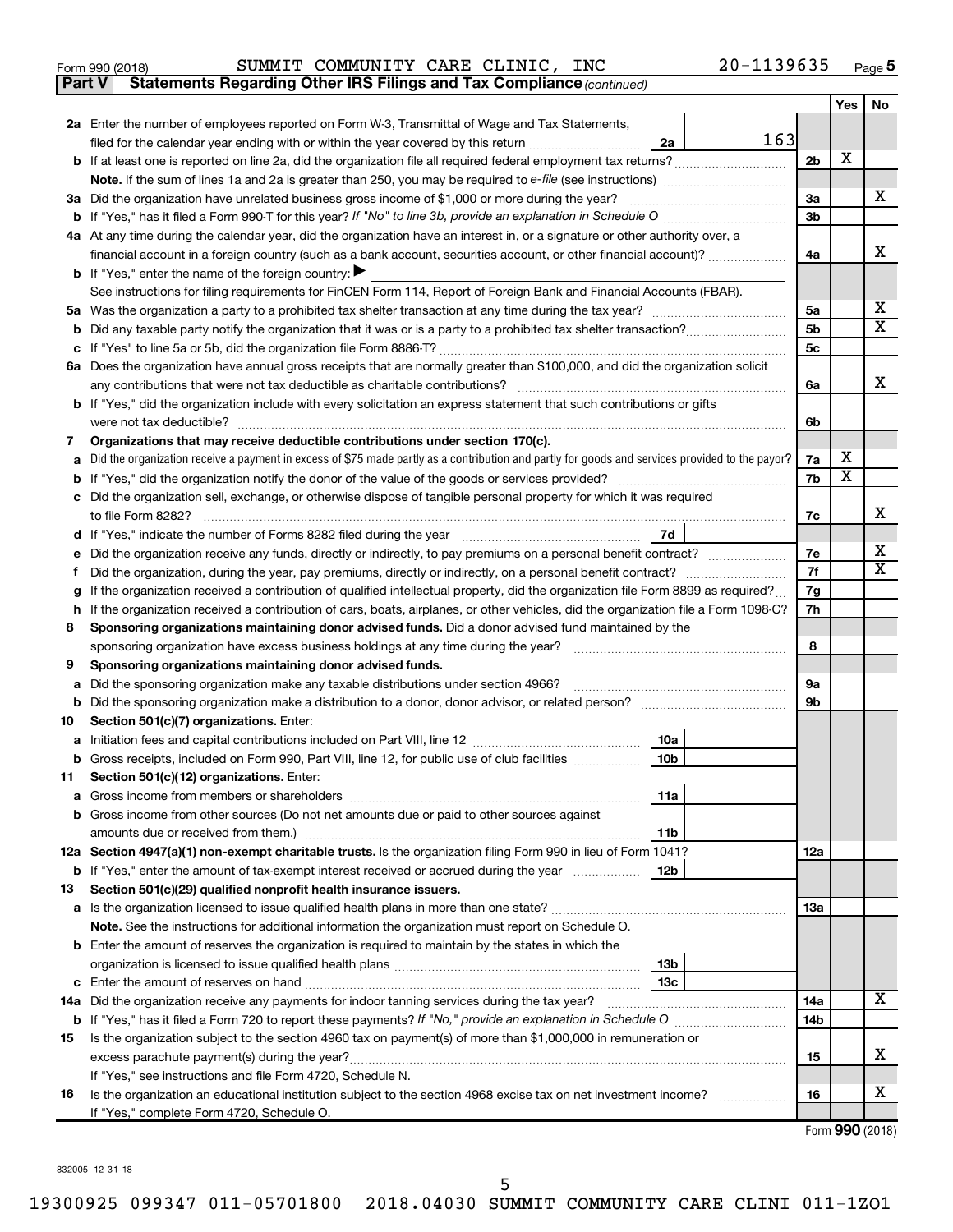| Form 990 (2018) |  |  | SUMMIT COMMUNITY CARE CLINIC, |  |  | INC | 20-1139635 | Page |  |
|-----------------|--|--|-------------------------------|--|--|-----|------------|------|--|
|-----------------|--|--|-------------------------------|--|--|-----|------------|------|--|

**Part V Statements Regarding Other IRS Filings and Tax Compliance**

*(continued)*

|         |                                                                                                                                                                                                      |                | <b>Yes</b>              | No                           |
|---------|------------------------------------------------------------------------------------------------------------------------------------------------------------------------------------------------------|----------------|-------------------------|------------------------------|
|         | 2a Enter the number of employees reported on Form W-3, Transmittal of Wage and Tax Statements,                                                                                                       |                |                         |                              |
|         | 163<br>filed for the calendar year ending with or within the year covered by this return<br>2a                                                                                                       |                |                         |                              |
|         |                                                                                                                                                                                                      | 2b             | x                       |                              |
|         |                                                                                                                                                                                                      |                |                         |                              |
|         | 3a Did the organization have unrelated business gross income of \$1,000 or more during the year?                                                                                                     | За             |                         | x                            |
|         |                                                                                                                                                                                                      | 3 <sub>b</sub> |                         |                              |
|         | 4a At any time during the calendar year, did the organization have an interest in, or a signature or other authority over, a                                                                         |                |                         |                              |
|         | financial account in a foreign country (such as a bank account, securities account, or other financial account)?                                                                                     | 4a             |                         | x                            |
|         | <b>b</b> If "Yes," enter the name of the foreign country: $\blacktriangleright$                                                                                                                      |                |                         |                              |
|         | See instructions for filing requirements for FinCEN Form 114, Report of Foreign Bank and Financial Accounts (FBAR).                                                                                  |                |                         |                              |
|         |                                                                                                                                                                                                      | 5a             |                         | х<br>$\overline{\mathbf{X}}$ |
| b       |                                                                                                                                                                                                      | 5 <sub>b</sub> |                         |                              |
|         | 6a Does the organization have annual gross receipts that are normally greater than \$100,000, and did the organization solicit                                                                       | 5 <sub>c</sub> |                         |                              |
|         | any contributions that were not tax deductible as charitable contributions?                                                                                                                          | 6a             |                         | x                            |
|         | b If "Yes," did the organization include with every solicitation an express statement that such contributions or gifts                                                                               |                |                         |                              |
|         | were not tax deductible?                                                                                                                                                                             | 6b             |                         |                              |
| 7       | Organizations that may receive deductible contributions under section 170(c).                                                                                                                        |                |                         |                              |
| a       | Did the organization receive a payment in excess of \$75 made partly as a contribution and partly for goods and services provided to the payor?                                                      | 7a             | х                       |                              |
| b       |                                                                                                                                                                                                      | 7b             | $\overline{\textbf{x}}$ |                              |
|         | c Did the organization sell, exchange, or otherwise dispose of tangible personal property for which it was required                                                                                  |                |                         |                              |
|         | to file Form 8282?                                                                                                                                                                                   | 7с             |                         | x                            |
| d       | 7d                                                                                                                                                                                                   |                |                         |                              |
|         | Did the organization receive any funds, directly or indirectly, to pay premiums on a personal benefit contract?                                                                                      | 7е             |                         | x                            |
|         |                                                                                                                                                                                                      | 7f             |                         | $\overline{\mathbf{X}}$      |
| g       | If the organization received a contribution of qualified intellectual property, did the organization file Form 8899 as required?                                                                     | 7g             |                         |                              |
| h.      | If the organization received a contribution of cars, boats, airplanes, or other vehicles, did the organization file a Form 1098-C?                                                                   | 7h             |                         |                              |
| 8       | Sponsoring organizations maintaining donor advised funds. Did a donor advised fund maintained by the                                                                                                 |                |                         |                              |
|         | sponsoring organization have excess business holdings at any time during the year?<br>and a series of the contract of the contract of the contract of the contract of the contract of the contract o | 8              |                         |                              |
| 9       | Sponsoring organizations maintaining donor advised funds.                                                                                                                                            |                |                         |                              |
| a       | Did the sponsoring organization make any taxable distributions under section 4966?                                                                                                                   | 9а             |                         |                              |
| b       |                                                                                                                                                                                                      | 9b             |                         |                              |
| 10      | Section 501(c)(7) organizations. Enter:                                                                                                                                                              |                |                         |                              |
| а       | 10a<br>10 <sub>b</sub>                                                                                                                                                                               |                |                         |                              |
| b<br>11 | Gross receipts, included on Form 990, Part VIII, line 12, for public use of club facilities<br>Section 501(c)(12) organizations. Enter:                                                              |                |                         |                              |
|         | 11a                                                                                                                                                                                                  |                |                         |                              |
|         | <b>b</b> Gross income from other sources (Do not net amounts due or paid to other sources against                                                                                                    |                |                         |                              |
|         | amounts due or received from them.)<br>11b                                                                                                                                                           |                |                         |                              |
|         | 12a Section 4947(a)(1) non-exempt charitable trusts. Is the organization filing Form 990 in lieu of Form 1041?                                                                                       | 12a            |                         |                              |
|         | <b>b</b> If "Yes," enter the amount of tax-exempt interest received or accrued during the year<br>12b                                                                                                |                |                         |                              |
| 13      | Section 501(c)(29) qualified nonprofit health insurance issuers.                                                                                                                                     |                |                         |                              |
|         | <b>a</b> Is the organization licensed to issue qualified health plans in more than one state?                                                                                                        | 1За            |                         |                              |
|         | Note. See the instructions for additional information the organization must report on Schedule O.                                                                                                    |                |                         |                              |
|         | <b>b</b> Enter the amount of reserves the organization is required to maintain by the states in which the                                                                                            |                |                         |                              |
|         | 13 <sub>b</sub>                                                                                                                                                                                      |                |                         |                              |
|         | 13с                                                                                                                                                                                                  |                |                         |                              |
|         | 14a Did the organization receive any payments for indoor tanning services during the tax year?                                                                                                       | 14a            |                         | x                            |
|         |                                                                                                                                                                                                      | 14b            |                         |                              |
| 15      | Is the organization subject to the section 4960 tax on payment(s) of more than \$1,000,000 in remuneration or                                                                                        |                |                         |                              |
|         |                                                                                                                                                                                                      | 15             |                         | x                            |
|         | If "Yes," see instructions and file Form 4720, Schedule N.                                                                                                                                           |                |                         | x                            |
| 16      | Is the organization an educational institution subject to the section 4968 excise tax on net investment income?                                                                                      | 16             |                         |                              |
|         | If "Yes," complete Form 4720, Schedule O.                                                                                                                                                            |                |                         |                              |

Form (2018) **990**

832005 12-31-18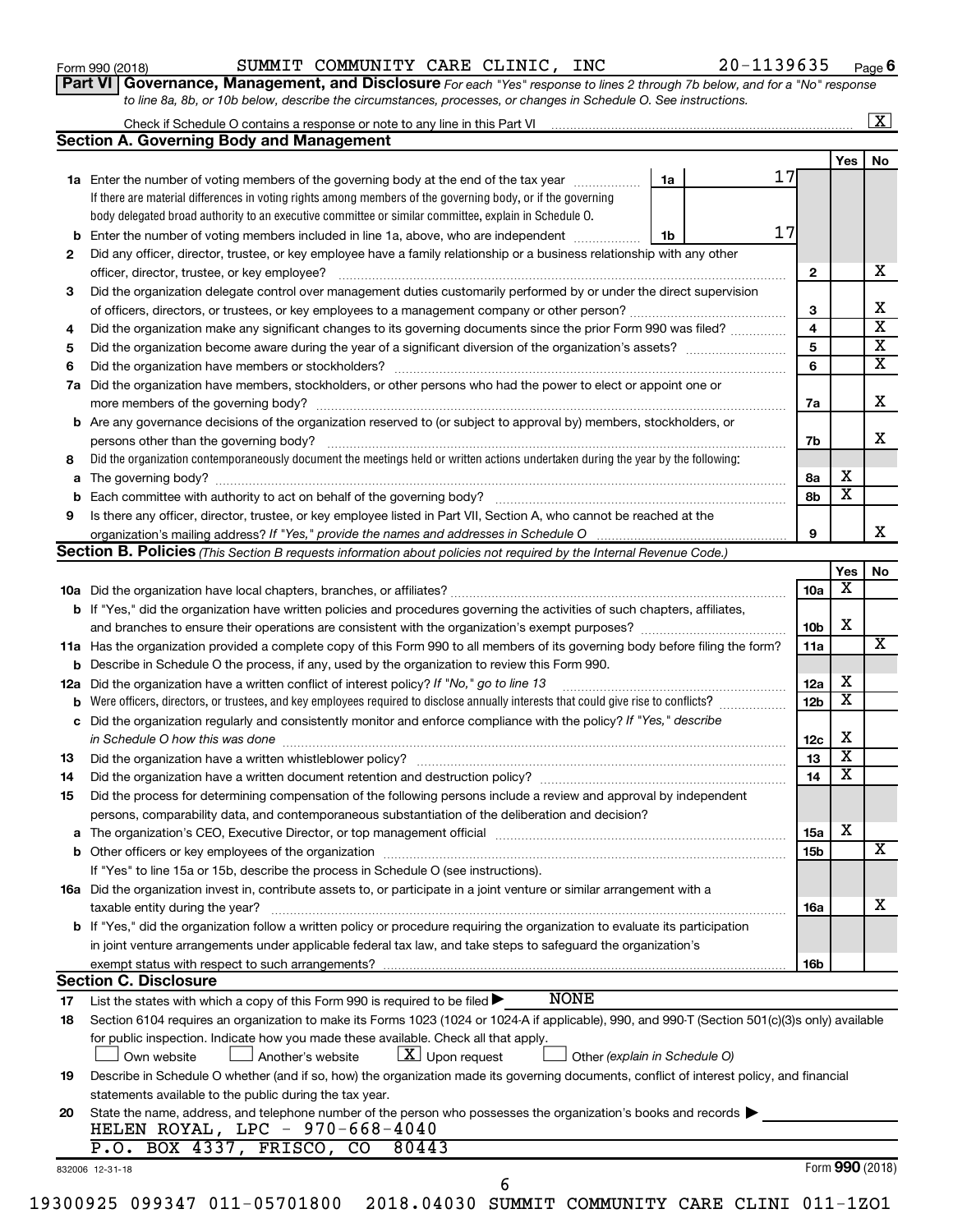|  |  | Form 990 (2018) |  |
|--|--|-----------------|--|
|--|--|-----------------|--|

### Form 990 (2018) SUMMIT COMMUNITY CARE CLINIC, INC 20-1139635 <sub>Page</sub>

**Part VI** Governance, Management, and Disclosure For each "Yes" response to lines 2 through 7b below, and for a "No" response *to line 8a, 8b, or 10b below, describe the circumstances, processes, or changes in Schedule O. See instructions.*

|     |                                                                                                                                                 |                 |                         | $\mathbf{X}$            |
|-----|-------------------------------------------------------------------------------------------------------------------------------------------------|-----------------|-------------------------|-------------------------|
|     | <b>Section A. Governing Body and Management</b>                                                                                                 |                 |                         |                         |
|     |                                                                                                                                                 |                 | Yes                     | No                      |
|     | 17<br><b>1a</b> Enter the number of voting members of the governing body at the end of the tax year<br>1a                                       |                 |                         |                         |
|     | If there are material differences in voting rights among members of the governing body, or if the governing                                     |                 |                         |                         |
|     | body delegated broad authority to an executive committee or similar committee, explain in Schedule O.                                           |                 |                         |                         |
| b   | 17<br>Enter the number of voting members included in line 1a, above, who are independent <i>manume</i><br>1b                                    |                 |                         |                         |
| 2   | Did any officer, director, trustee, or key employee have a family relationship or a business relationship with any other                        |                 |                         |                         |
|     | officer, director, trustee, or key employee?                                                                                                    | 2               |                         | x                       |
| 3   | Did the organization delegate control over management duties customarily performed by or under the direct supervision                           |                 |                         |                         |
|     |                                                                                                                                                 | 3               |                         | х                       |
| 4   | Did the organization make any significant changes to its governing documents since the prior Form 990 was filed?                                | 4               |                         | $\overline{\mathbf{x}}$ |
| 5   |                                                                                                                                                 | 5               |                         | $\overline{\mathbf{x}}$ |
| 6   |                                                                                                                                                 | 6               |                         | X                       |
|     | 7a Did the organization have members, stockholders, or other persons who had the power to elect or appoint one or                               |                 |                         |                         |
|     |                                                                                                                                                 | 7a              |                         | x                       |
|     | <b>b</b> Are any governance decisions of the organization reserved to (or subject to approval by) members, stockholders, or                     |                 |                         |                         |
|     |                                                                                                                                                 | 7b              |                         | x                       |
| 8   | Did the organization contemporaneously document the meetings held or written actions undertaken during the year by the following:               |                 |                         |                         |
| a   |                                                                                                                                                 | 8а              | х                       |                         |
| b   |                                                                                                                                                 | 8b              | $\overline{\textbf{x}}$ |                         |
| 9   | Is there any officer, director, trustee, or key employee listed in Part VII, Section A, who cannot be reached at the                            |                 |                         |                         |
|     |                                                                                                                                                 | 9               |                         | x                       |
|     | <b>Section B. Policies</b> (This Section B requests information about policies not required by the Internal Revenue Code.)                      |                 |                         |                         |
|     |                                                                                                                                                 |                 | Yes                     | No                      |
|     |                                                                                                                                                 | 10a             | х                       |                         |
|     | <b>b</b> If "Yes," did the organization have written policies and procedures governing the activities of such chapters, affiliates,             |                 |                         |                         |
|     | and branches to ensure their operations are consistent with the organization's exempt purposes? www.www.www.www.                                | 10 <sub>b</sub> | х                       |                         |
|     | 11a Has the organization provided a complete copy of this Form 990 to all members of its governing body before filing the form?                 | 11a             |                         | x                       |
|     | <b>b</b> Describe in Schedule O the process, if any, used by the organization to review this Form 990.                                          |                 |                         |                         |
| 12a | Did the organization have a written conflict of interest policy? If "No," go to line 13                                                         | 12a             | х                       |                         |
| b   | Were officers, directors, or trustees, and key employees required to disclose annually interests that could give rise to conflicts?             | 12 <sub>b</sub> | X                       |                         |
| с   | Did the organization regularly and consistently monitor and enforce compliance with the policy? If "Yes," describe                              |                 |                         |                         |
|     | in Schedule O how this was done                                                                                                                 | 12c             | х                       |                         |
| 13  |                                                                                                                                                 | 13              | $\overline{\textbf{x}}$ |                         |
| 14  | Did the organization have a written document retention and destruction policy? manufaction manufaction manufaction.                             | 14              | $\overline{\textbf{x}}$ |                         |
| 15  | Did the process for determining compensation of the following persons include a review and approval by independent                              |                 |                         |                         |
|     | persons, comparability data, and contemporaneous substantiation of the deliberation and decision?                                               |                 |                         |                         |
| а   |                                                                                                                                                 | 15a             | х                       |                         |
|     |                                                                                                                                                 | 15b             |                         | X                       |
|     | If "Yes" to line 15a or 15b, describe the process in Schedule O (see instructions).                                                             |                 |                         |                         |
|     | 16a Did the organization invest in, contribute assets to, or participate in a joint venture or similar arrangement with a                       |                 |                         |                         |
|     | taxable entity during the year?                                                                                                                 | 16a             |                         | x                       |
|     | b If "Yes," did the organization follow a written policy or procedure requiring the organization to evaluate its participation                  |                 |                         |                         |
|     | in joint venture arrangements under applicable federal tax law, and take steps to safequard the organization's                                  |                 |                         |                         |
|     | exempt status with respect to such arrangements?                                                                                                | 16b             |                         |                         |
|     | <b>Section C. Disclosure</b>                                                                                                                    |                 |                         |                         |
| 17  | <b>NONE</b><br>List the states with which a copy of this Form 990 is required to be filed $\blacktriangleright$                                 |                 |                         |                         |
| 18  | Section 6104 requires an organization to make its Forms 1023 (1024 or 1024 A if applicable), 990, and 990-T (Section 501(c)(3)s only) available |                 |                         |                         |
|     | for public inspection. Indicate how you made these available. Check all that apply.                                                             |                 |                         |                         |
|     | $\lfloor x \rfloor$ Upon request<br>Another's website<br>Other (explain in Schedule O)<br>Own website                                           |                 |                         |                         |
| 19  | Describe in Schedule O whether (and if so, how) the organization made its governing documents, conflict of interest policy, and financial       |                 |                         |                         |
|     | statements available to the public during the tax year.                                                                                         |                 |                         |                         |
| 20  | State the name, address, and telephone number of the person who possesses the organization's books and records                                  |                 |                         |                         |
|     | HELEN ROYAL, LPC - 970-668-4040                                                                                                                 |                 |                         |                         |
|     | P.O. BOX 4337, FRISCO,<br>80443<br>CO                                                                                                           |                 |                         |                         |
|     | 832006 12-31-18                                                                                                                                 |                 |                         | Form 990 (2018)         |
|     | 6                                                                                                                                               |                 |                         |                         |
|     |                                                                                                                                                 |                 |                         |                         |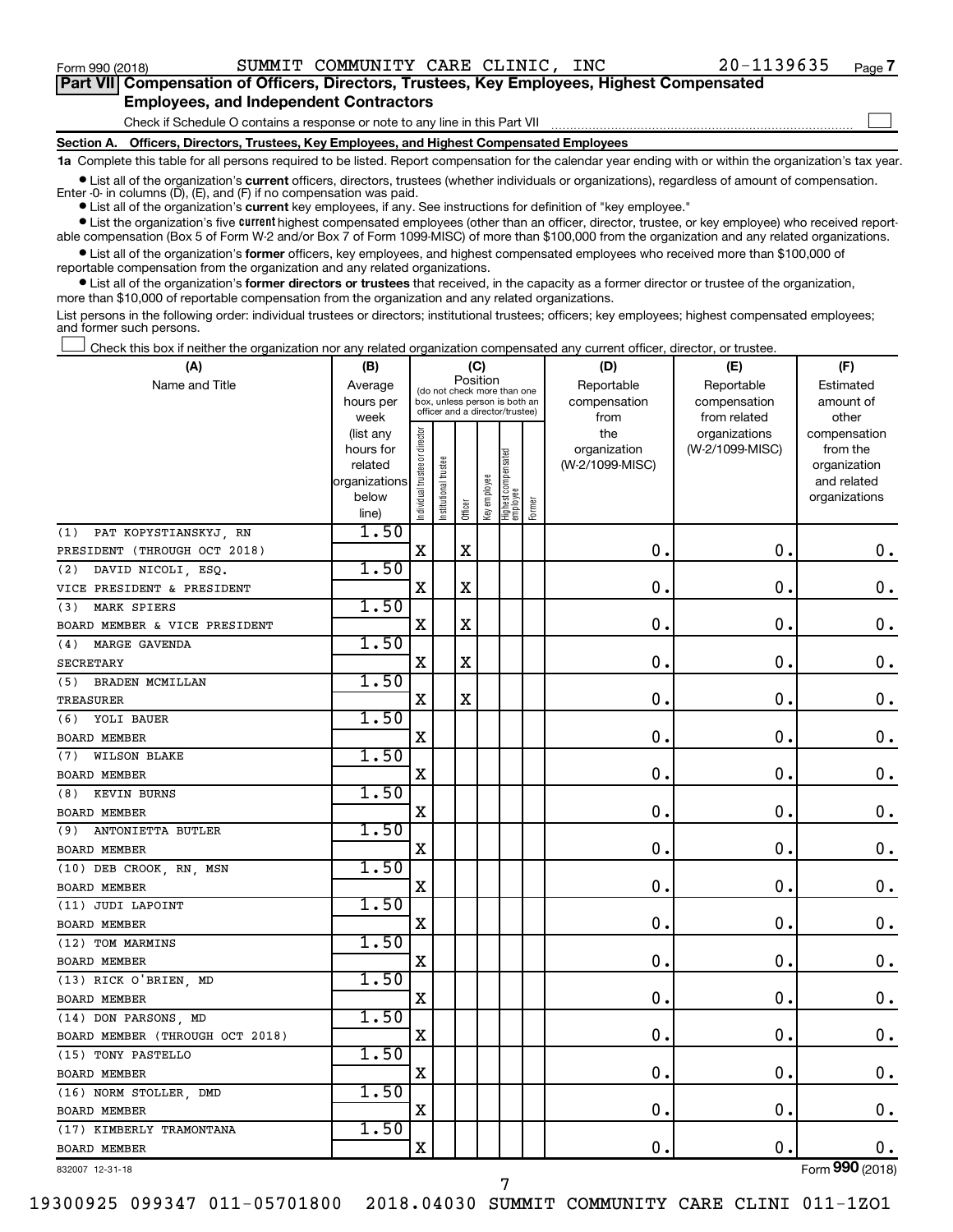$\Box$ 

| Part VII Compensation of Officers, Directors, Trustees, Key Employees, Highest Compensated |  |  |  |  |
|--------------------------------------------------------------------------------------------|--|--|--|--|
| <b>Employees, and Independent Contractors</b>                                              |  |  |  |  |

Check if Schedule O contains a response or note to any line in this Part VII

**Section A. Officers, Directors, Trustees, Key Employees, and Highest Compensated Employees**

**1a**  Complete this table for all persons required to be listed. Report compensation for the calendar year ending with or within the organization's tax year.

**•** List all of the organization's current officers, directors, trustees (whether individuals or organizations), regardless of amount of compensation. Enter -0- in columns  $(D)$ ,  $(E)$ , and  $(F)$  if no compensation was paid.

**•** List all of the organization's **current** key employees, if any. See instructions for definition of "key employee."

**•** List the organization's five current highest compensated employees (other than an officer, director, trustee, or key employee) who received reportable compensation (Box 5 of Form W-2 and/or Box 7 of Form 1099-MISC) of more than \$100,000 from the organization and any related organizations.

**•** List all of the organization's former officers, key employees, and highest compensated employees who received more than \$100,000 of reportable compensation from the organization and any related organizations.

**•** List all of the organization's former directors or trustees that received, in the capacity as a former director or trustee of the organization, more than \$10,000 of reportable compensation from the organization and any related organizations.

List persons in the following order: individual trustees or directors; institutional trustees; officers; key employees; highest compensated employees; and former such persons.

Check this box if neither the organization nor any related organization compensated any current officer, director, or trustee.  $\Box$ 

| (A)                             | (C)<br>(B)                                                                   |                                |                                                                                                 |             |              |                                 |        | (D)                                            | (E)                                              | (F)                                                                               |  |  |
|---------------------------------|------------------------------------------------------------------------------|--------------------------------|-------------------------------------------------------------------------------------------------|-------------|--------------|---------------------------------|--------|------------------------------------------------|--------------------------------------------------|-----------------------------------------------------------------------------------|--|--|
| Name and Title                  | Average<br>hours per                                                         |                                | (do not check more than one<br>box, unless person is both an<br>officer and a director/trustee) | Position    |              |                                 |        | Reportable<br>compensation                     | Reportable<br>compensation                       | Estimated<br>amount of                                                            |  |  |
|                                 | week<br>(list any<br>hours for<br>related<br>organizations<br>below<br>line) | Individual trustee or director | trustee<br>Institutional t                                                                      | Officer     | Key employee | Highest compensated<br>employee | Former | from<br>the<br>organization<br>(W-2/1099-MISC) | from related<br>organizations<br>(W-2/1099-MISC) | other<br>compensation<br>from the<br>organization<br>and related<br>organizations |  |  |
| (1)<br>PAT KOPYSTIANSKYJ, RN    | 1.50                                                                         |                                |                                                                                                 |             |              |                                 |        |                                                |                                                  |                                                                                   |  |  |
| PRESIDENT (THROUGH OCT 2018)    |                                                                              | $\mathbf X$                    |                                                                                                 | $\mathbf X$ |              |                                 |        | 0.                                             | $\mathbf 0$ .                                    | $\mathbf 0$ .                                                                     |  |  |
| (2)<br>DAVID NICOLI, ESQ.       | 1.50                                                                         |                                |                                                                                                 |             |              |                                 |        |                                                |                                                  |                                                                                   |  |  |
| VICE PRESIDENT & PRESIDENT      |                                                                              | $\mathbf X$                    |                                                                                                 | X           |              |                                 |        | $\mathbf 0$ .                                  | $\mathbf 0$ .                                    | $\mathbf 0$ .                                                                     |  |  |
| MARK SPIERS<br>(3)              | 1.50                                                                         |                                |                                                                                                 |             |              |                                 |        |                                                |                                                  |                                                                                   |  |  |
| BOARD MEMBER & VICE PRESIDENT   |                                                                              | X                              |                                                                                                 | X           |              |                                 |        | $\mathbf 0$ .                                  | $\mathbf 0$ .                                    | $\boldsymbol{0}$ .                                                                |  |  |
| (4) MARGE GAVENDA               | 1.50                                                                         |                                |                                                                                                 |             |              |                                 |        |                                                |                                                  |                                                                                   |  |  |
| <b>SECRETARY</b>                |                                                                              | $\mathbf X$                    |                                                                                                 | X           |              |                                 |        | $\mathbf 0$ .                                  | $\mathbf 0$ .                                    | $\mathbf 0$ .                                                                     |  |  |
| (5) BRADEN MCMILLAN             | 1.50                                                                         |                                |                                                                                                 |             |              |                                 |        |                                                |                                                  |                                                                                   |  |  |
| TREASURER                       |                                                                              | $\mathbf X$                    |                                                                                                 | $\mathbf X$ |              |                                 |        | $\mathbf 0$ .                                  | $\mathbf 0$ .                                    | $\boldsymbol{0}$ .                                                                |  |  |
| (6) YOLI BAUER                  | 1.50                                                                         |                                |                                                                                                 |             |              |                                 |        |                                                |                                                  |                                                                                   |  |  |
| <b>BOARD MEMBER</b>             |                                                                              | $\mathbf X$                    |                                                                                                 |             |              |                                 |        | 0.                                             | $\mathbf 0$ .                                    | $\mathbf 0$ .                                                                     |  |  |
| (7) WILSON BLAKE                | 1.50                                                                         |                                |                                                                                                 |             |              |                                 |        |                                                |                                                  |                                                                                   |  |  |
| <b>BOARD MEMBER</b>             |                                                                              | $\mathbf X$                    |                                                                                                 |             |              |                                 |        | 0.                                             | $\mathbf 0$                                      | $\mathbf 0$ .                                                                     |  |  |
| (8) KEVIN BURNS                 | 1.50                                                                         |                                |                                                                                                 |             |              |                                 |        |                                                |                                                  |                                                                                   |  |  |
| <b>BOARD MEMBER</b>             |                                                                              | X                              |                                                                                                 |             |              |                                 |        | $\mathbf 0$ .                                  | $\mathbf 0$ .                                    | $\mathbf 0$ .                                                                     |  |  |
| (9) ANTONIETTA BUTLER           | 1.50                                                                         |                                |                                                                                                 |             |              |                                 |        |                                                |                                                  |                                                                                   |  |  |
| <b>BOARD MEMBER</b>             |                                                                              | X                              |                                                                                                 |             |              |                                 |        | 0.                                             | $\mathbf 0$ .                                    | $\mathbf 0$ .                                                                     |  |  |
| $(10)$ DEB CROOK, RN, MSN       | 1.50                                                                         |                                |                                                                                                 |             |              |                                 |        |                                                |                                                  |                                                                                   |  |  |
| <b>BOARD MEMBER</b>             |                                                                              | X                              |                                                                                                 |             |              |                                 |        | 0                                              | $\mathbf 0$                                      | $\mathbf 0$ .                                                                     |  |  |
| (11) JUDI LAPOINT               | 1.50                                                                         |                                |                                                                                                 |             |              |                                 |        |                                                |                                                  |                                                                                   |  |  |
| <b>BOARD MEMBER</b>             |                                                                              | $\mathbf X$                    |                                                                                                 |             |              |                                 |        | 0.                                             | 0.                                               | $\mathbf 0$ .                                                                     |  |  |
| (12) TOM MARMINS                | 1.50                                                                         |                                |                                                                                                 |             |              |                                 |        |                                                |                                                  |                                                                                   |  |  |
| BOARD MEMBER                    |                                                                              | $\mathbf X$                    |                                                                                                 |             |              |                                 |        | $\mathbf 0$ .                                  | $\mathbf 0$ .                                    | $\mathbf 0$ .                                                                     |  |  |
| (13) RICK O'BRIEN, MD           | 1.50                                                                         |                                |                                                                                                 |             |              |                                 |        |                                                |                                                  |                                                                                   |  |  |
| <b>BOARD MEMBER</b>             |                                                                              | $\mathbf X$                    |                                                                                                 |             |              |                                 |        | $\mathbf 0$ .                                  | $\mathbf 0$ .                                    | $\mathbf 0$ .                                                                     |  |  |
| (14) DON PARSONS, MD            | 1.50                                                                         |                                |                                                                                                 |             |              |                                 |        |                                                |                                                  |                                                                                   |  |  |
| BOARD MEMBER (THROUGH OCT 2018) |                                                                              | X                              |                                                                                                 |             |              |                                 |        | $\mathbf 0$ .                                  | $\mathbf 0$ .                                    | $0$ .                                                                             |  |  |
| (15) TONY PASTELLO              | 1.50                                                                         |                                |                                                                                                 |             |              |                                 |        |                                                |                                                  |                                                                                   |  |  |
| <b>BOARD MEMBER</b>             |                                                                              | $\overline{\mathbf{X}}$        |                                                                                                 |             |              |                                 |        | 0.                                             | $\mathbf 0$ .                                    | $\mathbf 0$ .                                                                     |  |  |
| (16) NORM STOLLER DMD           | 1.50                                                                         |                                |                                                                                                 |             |              |                                 |        |                                                |                                                  |                                                                                   |  |  |
| <b>BOARD MEMBER</b>             |                                                                              | $\mathbf X$                    |                                                                                                 |             |              |                                 |        | 0.                                             | $\mathbf 0$ .                                    | 0.                                                                                |  |  |
| (17) KIMBERLY TRAMONTANA        | 1.50                                                                         |                                |                                                                                                 |             |              |                                 |        |                                                |                                                  |                                                                                   |  |  |
| <b>BOARD MEMBER</b>             |                                                                              | X                              |                                                                                                 |             |              |                                 |        | 0.                                             | О.                                               | 0.                                                                                |  |  |

832007 12-31-18

Form (2018) **990**

19300925 099347 011-05701800 2018.04030 SUMMIT COMMUNITY CARE CLINI 011-1ZO1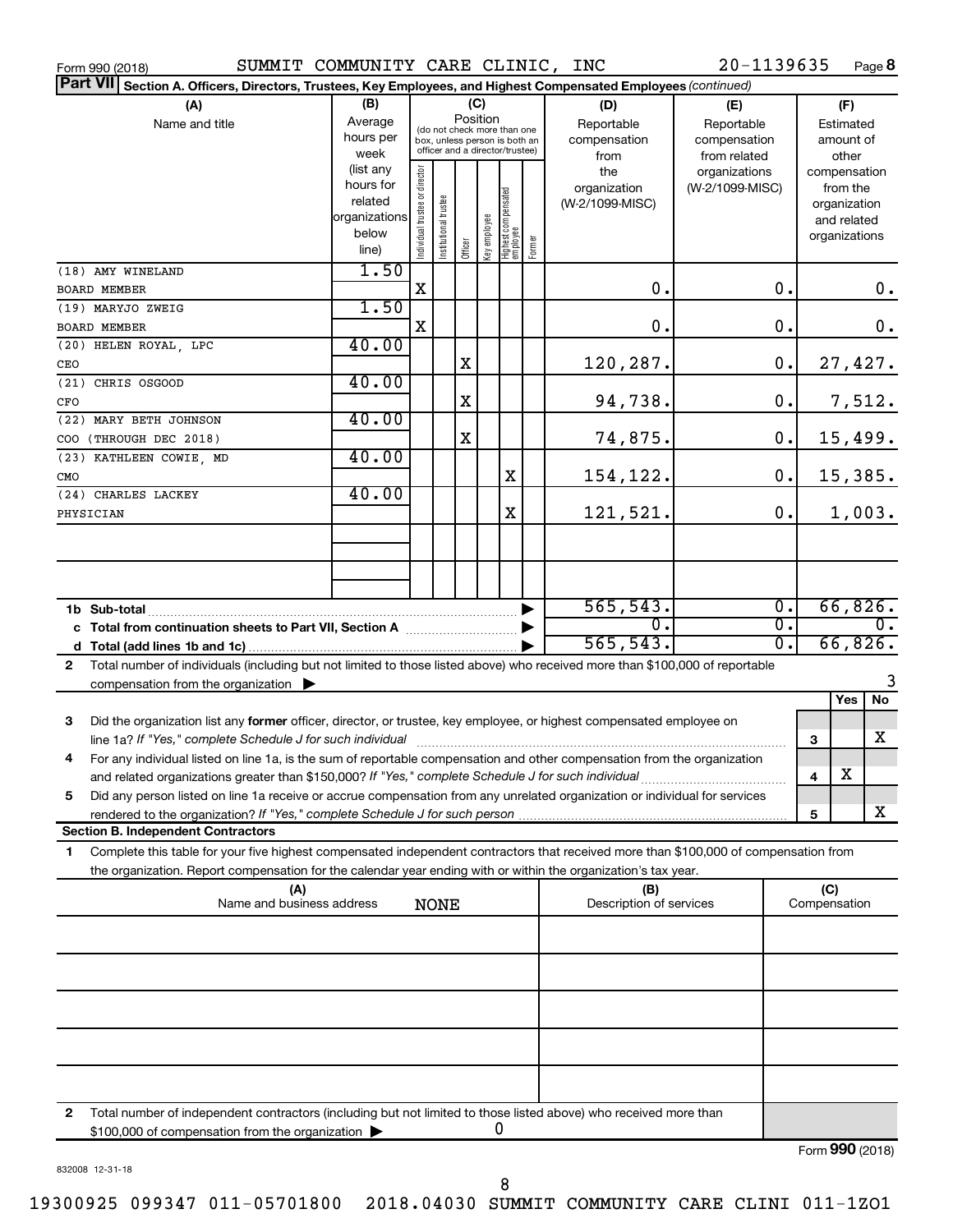| SUMMIT COMMUNITY CARE CLINIC, INC<br>Form 990 (2018)                                                                                                                                          |                   |                                |                       |         |              |                                                                  |        |                         | 20-1139635                       |              |                          | Page 8  |
|-----------------------------------------------------------------------------------------------------------------------------------------------------------------------------------------------|-------------------|--------------------------------|-----------------------|---------|--------------|------------------------------------------------------------------|--------|-------------------------|----------------------------------|--------------|--------------------------|---------|
| Part VII Section A. Officers, Directors, Trustees, Key Employees, and Highest Compensated Employees (continued)                                                                               |                   |                                |                       |         |              |                                                                  |        |                         |                                  |              |                          |         |
| (A)                                                                                                                                                                                           | (B)               |                                |                       |         | (C)          |                                                                  |        | (D)                     | (E)                              |              | (F)                      |         |
| Name and title                                                                                                                                                                                | Average           |                                |                       |         | Position     | (do not check more than one                                      |        | Reportable              | Reportable                       |              | Estimated                |         |
|                                                                                                                                                                                               | hours per         |                                |                       |         |              | box, unless person is both an<br>officer and a director/trustee) |        | compensation            | compensation                     |              | amount of                |         |
|                                                                                                                                                                                               | week<br>(list any |                                |                       |         |              |                                                                  |        | from                    | from related                     |              | other                    |         |
|                                                                                                                                                                                               | hours for         |                                |                       |         |              |                                                                  |        | the<br>organization     | organizations<br>(W-2/1099-MISC) |              | compensation<br>from the |         |
|                                                                                                                                                                                               | related           |                                |                       |         |              |                                                                  |        | (W-2/1099-MISC)         |                                  |              | organization             |         |
|                                                                                                                                                                                               | organizations     |                                |                       |         |              |                                                                  |        |                         |                                  |              | and related              |         |
|                                                                                                                                                                                               | below             | Individual trustee or director | Institutional trustee |         | Key employee | Highest compensated<br>employee                                  | Former |                         |                                  |              | organizations            |         |
|                                                                                                                                                                                               | line)             |                                |                       | Officer |              |                                                                  |        |                         |                                  |              |                          |         |
| (18) AMY WINELAND                                                                                                                                                                             | 1.50              | X                              |                       |         |              |                                                                  |        | 0.                      | 0.                               |              |                          | 0.      |
| <b>BOARD MEMBER</b><br>(19) MARYJO ZWEIG                                                                                                                                                      | 1.50              |                                |                       |         |              |                                                                  |        |                         |                                  |              |                          |         |
| <b>BOARD MEMBER</b>                                                                                                                                                                           |                   | X                              |                       |         |              |                                                                  |        | 0.                      | 0.                               |              |                          | 0.      |
| (20) HELEN ROYAL, LPC                                                                                                                                                                         | 40.00             |                                |                       |         |              |                                                                  |        |                         |                                  |              |                          |         |
| CEO                                                                                                                                                                                           |                   |                                |                       | X       |              |                                                                  |        | 120,287.                | 0.                               |              |                          | 27,427. |
| (21) CHRIS OSGOOD                                                                                                                                                                             | 40.00             |                                |                       |         |              |                                                                  |        |                         |                                  |              |                          |         |
| CFO                                                                                                                                                                                           |                   |                                |                       | X       |              |                                                                  |        | 94,738.                 | 0.                               |              |                          | 7,512.  |
| (22) MARY BETH JOHNSON                                                                                                                                                                        | 40.00             |                                |                       |         |              |                                                                  |        |                         |                                  |              |                          |         |
| COO (THROUGH DEC 2018)                                                                                                                                                                        |                   |                                |                       | X       |              |                                                                  |        | 74,875.                 | 0.                               |              |                          | 15,499. |
| (23) KATHLEEN COWIE, MD                                                                                                                                                                       | 40.00             |                                |                       |         |              |                                                                  |        |                         |                                  |              |                          |         |
| <b>CMO</b><br>(24) CHARLES LACKEY                                                                                                                                                             | 40.00             |                                |                       |         |              | X                                                                |        | 154,122.                | 0.                               |              |                          | 15,385. |
| PHYSICIAN                                                                                                                                                                                     |                   |                                |                       |         |              | X                                                                |        | 121,521.                | 0.                               |              |                          | 1,003.  |
|                                                                                                                                                                                               |                   |                                |                       |         |              |                                                                  |        |                         |                                  |              |                          |         |
|                                                                                                                                                                                               |                   |                                |                       |         |              |                                                                  |        |                         |                                  |              |                          |         |
|                                                                                                                                                                                               |                   |                                |                       |         |              |                                                                  |        |                         |                                  |              |                          |         |
| 1b Sub-total                                                                                                                                                                                  |                   |                                |                       |         |              |                                                                  |        | 565, 543.               | $\overline{0}$ .                 |              |                          | 66,826. |
| c Total from continuation sheets to Part VII, Section A [111] [2000]                                                                                                                          |                   |                                |                       |         |              |                                                                  |        | σ.                      | $\overline{0}$ .                 |              |                          | $0$ .   |
|                                                                                                                                                                                               |                   |                                |                       |         |              |                                                                  |        | 565, 543.               | $\overline{0}$ .                 |              |                          | 66,826. |
| Total number of individuals (including but not limited to those listed above) who received more than \$100,000 of reportable<br>$\mathbf{2}$                                                  |                   |                                |                       |         |              |                                                                  |        |                         |                                  |              |                          |         |
| compensation from the organization $\blacktriangleright$                                                                                                                                      |                   |                                |                       |         |              |                                                                  |        |                         |                                  |              |                          |         |
|                                                                                                                                                                                               |                   |                                |                       |         |              |                                                                  |        |                         |                                  |              | Yes                      | No      |
| Did the organization list any former officer, director, or trustee, key employee, or highest compensated employee on<br>3                                                                     |                   |                                |                       |         |              |                                                                  |        |                         |                                  | 3            |                          | х       |
| 4<br>For any individual listed on line 1a, is the sum of reportable compensation and other compensation from the organization                                                                 |                   |                                |                       |         |              |                                                                  |        |                         |                                  |              |                          |         |
| and related organizations greater than \$150,000? If "Yes," complete Schedule J for such individual                                                                                           |                   |                                |                       |         |              |                                                                  |        |                         |                                  | 4            | X                        |         |
| Did any person listed on line 1a receive or accrue compensation from any unrelated organization or individual for services<br>5                                                               |                   |                                |                       |         |              |                                                                  |        |                         |                                  |              |                          |         |
| rendered to the organization? If "Yes," complete Schedule J for such person manufactured to the organization? If "Yes," complete Schedule J for such person manufactured to the organization? |                   |                                |                       |         |              |                                                                  |        |                         |                                  | 5            |                          | x       |
| <b>Section B. Independent Contractors</b>                                                                                                                                                     |                   |                                |                       |         |              |                                                                  |        |                         |                                  |              |                          |         |
| Complete this table for your five highest compensated independent contractors that received more than \$100,000 of compensation from<br>1                                                     |                   |                                |                       |         |              |                                                                  |        |                         |                                  |              |                          |         |
| the organization. Report compensation for the calendar year ending with or within the organization's tax year.<br>(A)                                                                         |                   |                                |                       |         |              |                                                                  |        | (B)                     |                                  | (C)          |                          |         |
| Name and business address                                                                                                                                                                     |                   |                                | <b>NONE</b>           |         |              |                                                                  |        | Description of services |                                  | Compensation |                          |         |
|                                                                                                                                                                                               |                   |                                |                       |         |              |                                                                  |        |                         |                                  |              |                          |         |
|                                                                                                                                                                                               |                   |                                |                       |         |              |                                                                  |        |                         |                                  |              |                          |         |
|                                                                                                                                                                                               |                   |                                |                       |         |              |                                                                  |        |                         |                                  |              |                          |         |
|                                                                                                                                                                                               |                   |                                |                       |         |              |                                                                  |        |                         |                                  |              |                          |         |
|                                                                                                                                                                                               |                   |                                |                       |         |              |                                                                  |        |                         |                                  |              |                          |         |
|                                                                                                                                                                                               |                   |                                |                       |         |              |                                                                  |        |                         |                                  |              |                          |         |
|                                                                                                                                                                                               |                   |                                |                       |         |              |                                                                  |        |                         |                                  |              |                          |         |
|                                                                                                                                                                                               |                   |                                |                       |         |              |                                                                  |        |                         |                                  |              |                          |         |
| Total number of independent contractors (including but not limited to those listed above) who received more than<br>2                                                                         |                   |                                |                       |         |              |                                                                  |        |                         |                                  |              |                          |         |
| \$100,000 of compensation from the organization                                                                                                                                               |                   |                                |                       |         |              | U                                                                |        |                         |                                  |              |                          |         |

832008 12-31-18

Form (2018) **990**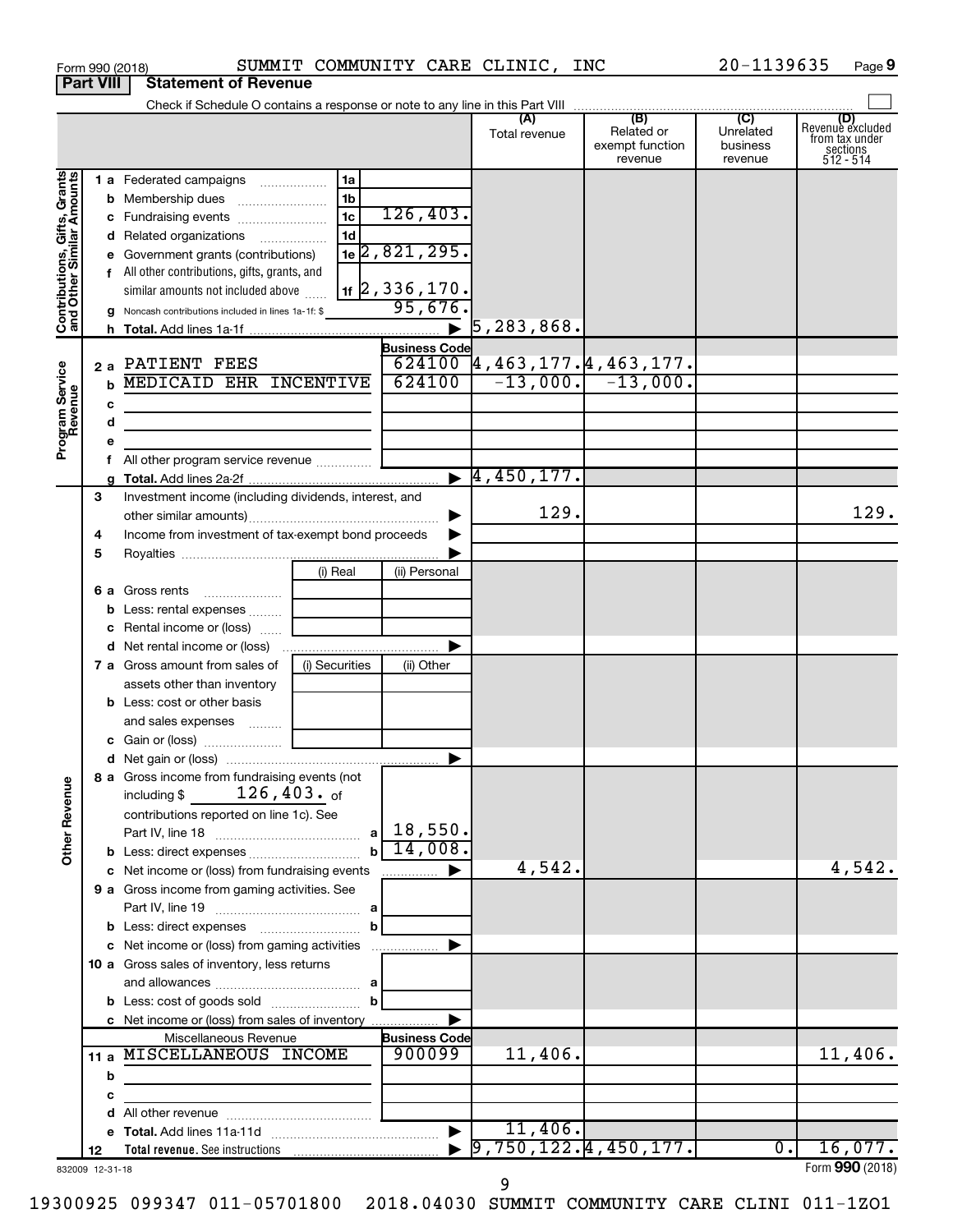|                                                           | <b>Part VIII</b><br><b>Statement of Revenue</b> |             |                                                                                                                                                                                                                                |                                           |                                                                                                                                     |                                                 |                                         |                                                                    |  |  |  |
|-----------------------------------------------------------|-------------------------------------------------|-------------|--------------------------------------------------------------------------------------------------------------------------------------------------------------------------------------------------------------------------------|-------------------------------------------|-------------------------------------------------------------------------------------------------------------------------------------|-------------------------------------------------|-----------------------------------------|--------------------------------------------------------------------|--|--|--|
|                                                           |                                                 |             |                                                                                                                                                                                                                                |                                           |                                                                                                                                     |                                                 |                                         |                                                                    |  |  |  |
|                                                           |                                                 |             |                                                                                                                                                                                                                                |                                           | (A)<br>Total revenue                                                                                                                | (B)<br>Related or<br>exempt function<br>revenue | (C)<br>Unrelated<br>business<br>revenue | (D)<br>Revenue excluded<br>from tax under<br>sections<br>512 - 514 |  |  |  |
| Contributions, Gifts, Grants<br>and Other Similar Amounts |                                                 |             | 1 a Federated campaigns<br>1a<br>1 <sub>b</sub><br>1 <sub>c</sub><br>c Fundraising events<br>1 <sub>d</sub><br>d Related organizations<br>e Government grants (contributions)<br>f All other contributions, gifts, grants, and | 126,403.<br>$1e$ 2,821,295.               |                                                                                                                                     |                                                 |                                         |                                                                    |  |  |  |
|                                                           |                                                 |             | similar amounts not included above<br>g Noncash contributions included in lines 1a-1f: \$                                                                                                                                      | $\vert$ 1f $\vert$ 2, 336, 170.<br>95,676 |                                                                                                                                     |                                                 |                                         |                                                                    |  |  |  |
|                                                           |                                                 |             |                                                                                                                                                                                                                                | $\blacktriangleright$                     | 5, 283, 868.                                                                                                                        |                                                 |                                         |                                                                    |  |  |  |
|                                                           |                                                 |             |                                                                                                                                                                                                                                | <b>Business Code</b>                      |                                                                                                                                     |                                                 |                                         |                                                                    |  |  |  |
|                                                           |                                                 |             | 2 a PATIENT FEES                                                                                                                                                                                                               |                                           | $\begin{array}{ c c c c c c }\n\hline\n624100 & 4,463,177.4,463,177. \\ \hline\n624100 & -13,000. & -13,000. \\\hline\n\end{array}$ |                                                 |                                         |                                                                    |  |  |  |
|                                                           |                                                 | $\mathbf b$ | <b>MEDICAID EHR INCENTIVE</b>                                                                                                                                                                                                  |                                           |                                                                                                                                     |                                                 |                                         |                                                                    |  |  |  |
|                                                           |                                                 | с           |                                                                                                                                                                                                                                |                                           |                                                                                                                                     |                                                 |                                         |                                                                    |  |  |  |
|                                                           |                                                 | d           | the control of the control of the control of the control of the control of                                                                                                                                                     |                                           |                                                                                                                                     |                                                 |                                         |                                                                    |  |  |  |
| Program Service<br>Revenue                                |                                                 |             | <u> 1990 - Johann Barbara, martxa alemaniar a</u>                                                                                                                                                                              |                                           |                                                                                                                                     |                                                 |                                         |                                                                    |  |  |  |
|                                                           |                                                 |             |                                                                                                                                                                                                                                |                                           |                                                                                                                                     |                                                 |                                         |                                                                    |  |  |  |
|                                                           |                                                 |             |                                                                                                                                                                                                                                |                                           | $\blacktriangleright$ 4,450,177.                                                                                                    |                                                 |                                         |                                                                    |  |  |  |
|                                                           | 3                                               |             | Investment income (including dividends, interest, and                                                                                                                                                                          |                                           |                                                                                                                                     |                                                 |                                         |                                                                    |  |  |  |
|                                                           |                                                 |             |                                                                                                                                                                                                                                |                                           | 129.                                                                                                                                |                                                 |                                         | 129.                                                               |  |  |  |
|                                                           | 4                                               |             | Income from investment of tax-exempt bond proceeds                                                                                                                                                                             |                                           |                                                                                                                                     |                                                 |                                         |                                                                    |  |  |  |
|                                                           | 5                                               |             |                                                                                                                                                                                                                                |                                           |                                                                                                                                     |                                                 |                                         |                                                                    |  |  |  |
|                                                           |                                                 |             | (i) Real                                                                                                                                                                                                                       | (ii) Personal                             |                                                                                                                                     |                                                 |                                         |                                                                    |  |  |  |
|                                                           |                                                 |             | 6 a Gross rents                                                                                                                                                                                                                |                                           |                                                                                                                                     |                                                 |                                         |                                                                    |  |  |  |
|                                                           |                                                 | b           | Less: rental expenses                                                                                                                                                                                                          |                                           |                                                                                                                                     |                                                 |                                         |                                                                    |  |  |  |
|                                                           |                                                 |             | c Rental income or (loss)                                                                                                                                                                                                      |                                           |                                                                                                                                     |                                                 |                                         |                                                                    |  |  |  |
|                                                           |                                                 |             |                                                                                                                                                                                                                                | ▶                                         |                                                                                                                                     |                                                 |                                         |                                                                    |  |  |  |
|                                                           |                                                 |             |                                                                                                                                                                                                                                |                                           |                                                                                                                                     |                                                 |                                         |                                                                    |  |  |  |
|                                                           |                                                 |             | <b>7 a</b> Gross amount from sales of<br>(i) Securities                                                                                                                                                                        | (ii) Other                                |                                                                                                                                     |                                                 |                                         |                                                                    |  |  |  |
|                                                           |                                                 |             | assets other than inventory                                                                                                                                                                                                    |                                           |                                                                                                                                     |                                                 |                                         |                                                                    |  |  |  |
|                                                           |                                                 |             | <b>b</b> Less: cost or other basis                                                                                                                                                                                             |                                           |                                                                                                                                     |                                                 |                                         |                                                                    |  |  |  |
|                                                           |                                                 |             | and sales expenses                                                                                                                                                                                                             |                                           |                                                                                                                                     |                                                 |                                         |                                                                    |  |  |  |
|                                                           |                                                 |             |                                                                                                                                                                                                                                |                                           |                                                                                                                                     |                                                 |                                         |                                                                    |  |  |  |
|                                                           |                                                 |             | 8 a Gross income from fundraising events (not                                                                                                                                                                                  | ▶                                         |                                                                                                                                     |                                                 |                                         |                                                                    |  |  |  |
| <b>Other Revenue</b>                                      |                                                 |             | $126$ ,403. $_{\sf of}$<br>including \$                                                                                                                                                                                        |                                           |                                                                                                                                     |                                                 |                                         |                                                                    |  |  |  |
|                                                           |                                                 |             | contributions reported on line 1c). See                                                                                                                                                                                        |                                           |                                                                                                                                     |                                                 |                                         |                                                                    |  |  |  |
|                                                           |                                                 |             |                                                                                                                                                                                                                                | 14,008.                                   |                                                                                                                                     |                                                 |                                         |                                                                    |  |  |  |
|                                                           |                                                 |             | $\mathbf{h}$                                                                                                                                                                                                                   |                                           | 4,542.                                                                                                                              |                                                 |                                         | 4,542.                                                             |  |  |  |
|                                                           |                                                 |             | c Net income or (loss) from fundraising events                                                                                                                                                                                 | ▶<br>.                                    |                                                                                                                                     |                                                 |                                         |                                                                    |  |  |  |
|                                                           |                                                 |             | 9 a Gross income from gaming activities. See                                                                                                                                                                                   |                                           |                                                                                                                                     |                                                 |                                         |                                                                    |  |  |  |
|                                                           |                                                 |             |                                                                                                                                                                                                                                |                                           |                                                                                                                                     |                                                 |                                         |                                                                    |  |  |  |
|                                                           |                                                 |             | b                                                                                                                                                                                                                              |                                           |                                                                                                                                     |                                                 |                                         |                                                                    |  |  |  |
|                                                           |                                                 |             | c Net income or (loss) from gaming activities                                                                                                                                                                                  |                                           |                                                                                                                                     |                                                 |                                         |                                                                    |  |  |  |
|                                                           |                                                 |             | 10 a Gross sales of inventory, less returns                                                                                                                                                                                    |                                           |                                                                                                                                     |                                                 |                                         |                                                                    |  |  |  |
|                                                           |                                                 |             |                                                                                                                                                                                                                                |                                           |                                                                                                                                     |                                                 |                                         |                                                                    |  |  |  |
|                                                           |                                                 |             | b                                                                                                                                                                                                                              |                                           |                                                                                                                                     |                                                 |                                         |                                                                    |  |  |  |
|                                                           |                                                 |             | c Net income or (loss) from sales of inventory                                                                                                                                                                                 |                                           |                                                                                                                                     |                                                 |                                         |                                                                    |  |  |  |
|                                                           |                                                 |             | Miscellaneous Revenue                                                                                                                                                                                                          | <b>Business Code</b>                      |                                                                                                                                     |                                                 |                                         |                                                                    |  |  |  |
|                                                           | 11 a                                            |             | <b>MISCELLANEOUS INCOME</b>                                                                                                                                                                                                    | 900099                                    | 11,406.                                                                                                                             |                                                 |                                         | 11,406.                                                            |  |  |  |
|                                                           |                                                 | b           | the control of the control of the control of the control of the                                                                                                                                                                |                                           |                                                                                                                                     |                                                 |                                         |                                                                    |  |  |  |
|                                                           |                                                 | с           |                                                                                                                                                                                                                                |                                           |                                                                                                                                     |                                                 |                                         |                                                                    |  |  |  |
|                                                           |                                                 | d           |                                                                                                                                                                                                                                |                                           |                                                                                                                                     |                                                 |                                         |                                                                    |  |  |  |
|                                                           |                                                 |             |                                                                                                                                                                                                                                | $\blacktriangleright$                     | 11,406.<br>9,750,122.4,450,177.                                                                                                     |                                                 | $\overline{0}$ .                        | 16,077.                                                            |  |  |  |
| $022000 + 223 + 10$                                       | 12                                              |             |                                                                                                                                                                                                                                |                                           |                                                                                                                                     |                                                 |                                         | $Form$ 990 (2018)                                                  |  |  |  |

Form 990 (2018) SUMMIT COMMUNITY CARE CLINIC, INC 20-1139635 Page

832009 12-31-18

Form **990** (2018) **990**

20-1139635 Page 9

19300925 099347 011-05701800 2018.04030 SUMMIT COMMUNITY CARE CLINI 011-1ZO1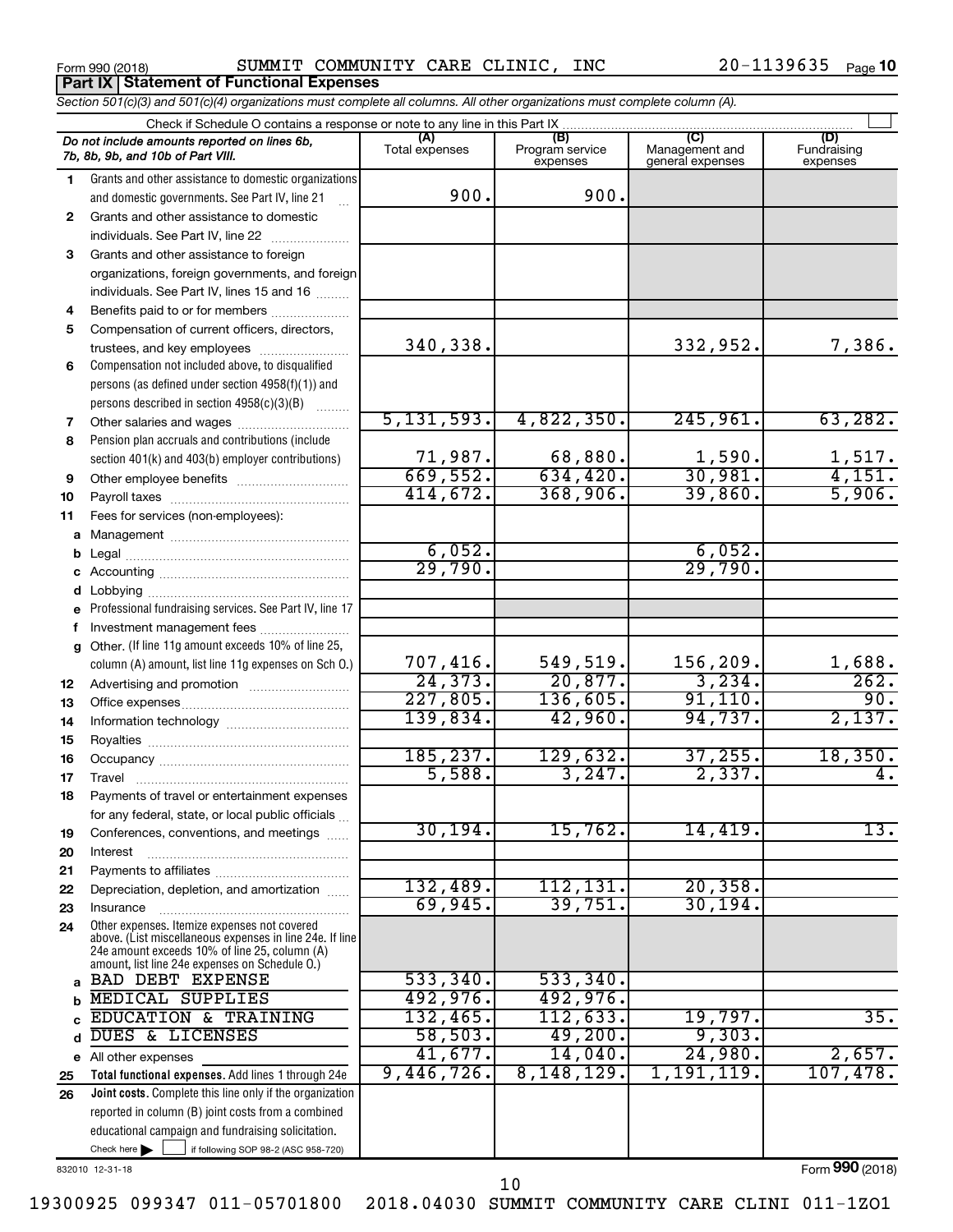Form 990 (2018) SUMMIT COMMUNITY CARE CLINIC, INC 20-1139635 Page **Part IX Statement of Functional Expenses**

*Section 501(c)(3) and 501(c)(4) organizations must complete all columns. All other organizations must complete column (A).*

|              | Check if Schedule O contains a response or note to any line in this Part IX.                                                                              |                          |                                    |                                           |                                |  |  |  |  |  |  |
|--------------|-----------------------------------------------------------------------------------------------------------------------------------------------------------|--------------------------|------------------------------------|-------------------------------------------|--------------------------------|--|--|--|--|--|--|
|              | Do not include amounts reported on lines 6b,<br>7b, 8b, 9b, and 10b of Part VIII.                                                                         | (A)<br>Total expenses    | (B)<br>Program service<br>expenses | TC)<br>Management and<br>general expenses | (D)<br>Fundraising<br>expenses |  |  |  |  |  |  |
| 1.           | Grants and other assistance to domestic organizations                                                                                                     |                          |                                    |                                           |                                |  |  |  |  |  |  |
|              | and domestic governments. See Part IV, line 21                                                                                                            | 900.                     | 900.                               |                                           |                                |  |  |  |  |  |  |
| $\mathbf{2}$ | Grants and other assistance to domestic                                                                                                                   |                          |                                    |                                           |                                |  |  |  |  |  |  |
|              | individuals. See Part IV, line 22                                                                                                                         |                          |                                    |                                           |                                |  |  |  |  |  |  |
| 3            | Grants and other assistance to foreign                                                                                                                    |                          |                                    |                                           |                                |  |  |  |  |  |  |
|              | organizations, foreign governments, and foreign                                                                                                           |                          |                                    |                                           |                                |  |  |  |  |  |  |
|              | individuals. See Part IV, lines 15 and 16                                                                                                                 |                          |                                    |                                           |                                |  |  |  |  |  |  |
| 4            | Benefits paid to or for members                                                                                                                           |                          |                                    |                                           |                                |  |  |  |  |  |  |
| 5            | Compensation of current officers, directors,                                                                                                              |                          |                                    |                                           |                                |  |  |  |  |  |  |
|              | trustees, and key employees                                                                                                                               | 340,338.                 |                                    | 332,952.                                  | 7,386.                         |  |  |  |  |  |  |
| 6            | Compensation not included above, to disqualified                                                                                                          |                          |                                    |                                           |                                |  |  |  |  |  |  |
|              | persons (as defined under section 4958(f)(1)) and                                                                                                         |                          |                                    |                                           |                                |  |  |  |  |  |  |
|              | persons described in section 4958(c)(3)(B)                                                                                                                |                          |                                    |                                           |                                |  |  |  |  |  |  |
| 7            |                                                                                                                                                           | 5, 131, 593.             | 4,822,350.                         | 245,961.                                  | 63, 282.                       |  |  |  |  |  |  |
| 8            | Pension plan accruals and contributions (include                                                                                                          |                          |                                    |                                           |                                |  |  |  |  |  |  |
|              | section 401(k) and 403(b) employer contributions)                                                                                                         | $\frac{71,987}{669,552}$ |                                    | $\frac{1,590}{30,981}$                    | $\frac{1,517.}{4,151.}$        |  |  |  |  |  |  |
| 9            | Other employee benefits                                                                                                                                   | 414,672.                 | 368,906.                           | 39,860.                                   | 5,906.                         |  |  |  |  |  |  |
| 10           |                                                                                                                                                           |                          |                                    |                                           |                                |  |  |  |  |  |  |
| 11           | Fees for services (non-employees):                                                                                                                        |                          |                                    |                                           |                                |  |  |  |  |  |  |
| a            |                                                                                                                                                           |                          |                                    |                                           |                                |  |  |  |  |  |  |
|              |                                                                                                                                                           | $\frac{6,052}{29,790}$   |                                    | $\frac{6,052}{29,790}$                    |                                |  |  |  |  |  |  |
| c            |                                                                                                                                                           |                          |                                    |                                           |                                |  |  |  |  |  |  |
| е            | Professional fundraising services. See Part IV, line 17                                                                                                   |                          |                                    |                                           |                                |  |  |  |  |  |  |
|              | Investment management fees                                                                                                                                |                          |                                    |                                           |                                |  |  |  |  |  |  |
| g            | Other. (If line 11g amount exceeds 10% of line 25,                                                                                                        |                          |                                    |                                           |                                |  |  |  |  |  |  |
|              | column (A) amount, list line 11g expenses on Sch O.)                                                                                                      |                          | 549,519.                           | 156,209.                                  |                                |  |  |  |  |  |  |
| 12           |                                                                                                                                                           | $\frac{707,416}{24,373}$ | 20,877.                            | 3,234.                                    | $\frac{1,688}{262}$            |  |  |  |  |  |  |
| 13           |                                                                                                                                                           | 227,805.                 | 136,605.                           | 91,110.                                   | 90.                            |  |  |  |  |  |  |
| 14           |                                                                                                                                                           | 139,834.                 | 42,960.                            | 94,737.                                   | 2,137.                         |  |  |  |  |  |  |
| 15           |                                                                                                                                                           |                          |                                    |                                           |                                |  |  |  |  |  |  |
| 16           |                                                                                                                                                           | 185, 237.                | 129,632.                           | $\frac{37,255}{2,337}$                    | 18,350.                        |  |  |  |  |  |  |
| 17           |                                                                                                                                                           | 5,588.                   | 3,247.                             |                                           | 4.                             |  |  |  |  |  |  |
| 18           | Payments of travel or entertainment expenses                                                                                                              |                          |                                    |                                           |                                |  |  |  |  |  |  |
|              | for any federal, state, or local public officials                                                                                                         |                          |                                    |                                           |                                |  |  |  |  |  |  |
| 19           | Conferences, conventions, and meetings                                                                                                                    | 30, 194.                 | 15,762.                            | 14,419.                                   | 13.                            |  |  |  |  |  |  |
| 20           | Interest                                                                                                                                                  |                          |                                    |                                           |                                |  |  |  |  |  |  |
| 21           |                                                                                                                                                           |                          |                                    |                                           |                                |  |  |  |  |  |  |
| 22           | Depreciation, depletion, and amortization                                                                                                                 | 132,489.                 | 112,131.                           | 20, 358.                                  |                                |  |  |  |  |  |  |
| 23           | Insurance                                                                                                                                                 | 69,945.                  | 39,751.                            | 30, 194.                                  |                                |  |  |  |  |  |  |
| 24           | Other expenses. Itemize expenses not covered<br>above. (List miscellaneous expenses in line 24e. If line<br>24e amount exceeds 10% of line 25, column (A) |                          |                                    |                                           |                                |  |  |  |  |  |  |
|              | amount, list line 24e expenses on Schedule O.)                                                                                                            |                          |                                    |                                           |                                |  |  |  |  |  |  |
| a            | <b>BAD DEBT EXPENSE</b>                                                                                                                                   | 533,340.                 | 533,340.                           |                                           |                                |  |  |  |  |  |  |
|              | <b>MEDICAL SUPPLIES</b>                                                                                                                                   | 492,976.                 | 492,976.                           |                                           |                                |  |  |  |  |  |  |
|              | <b>EDUCATION &amp; TRAINING</b>                                                                                                                           | 132,465.                 | 112,633.                           | 19,797.                                   | 35.                            |  |  |  |  |  |  |
|              | DUES & LICENSES                                                                                                                                           | 58,503.                  | 49,200.                            | 9,303.                                    |                                |  |  |  |  |  |  |
| е            | All other expenses                                                                                                                                        | 41,677.<br>9,446,726.    | 14,040.<br>8,148,129.              | 24,980.<br>1,191,119.                     | 2,657.<br>107,478.             |  |  |  |  |  |  |
| 25           | Total functional expenses. Add lines 1 through 24e                                                                                                        |                          |                                    |                                           |                                |  |  |  |  |  |  |
| 26           | Joint costs. Complete this line only if the organization<br>reported in column (B) joint costs from a combined                                            |                          |                                    |                                           |                                |  |  |  |  |  |  |
|              | educational campaign and fundraising solicitation.                                                                                                        |                          |                                    |                                           |                                |  |  |  |  |  |  |
|              | Check here $\blacktriangleright$<br>if following SOP 98-2 (ASC 958-720)                                                                                   |                          |                                    |                                           |                                |  |  |  |  |  |  |
|              |                                                                                                                                                           |                          |                                    |                                           |                                |  |  |  |  |  |  |

832010 12-31-18

Form (2018) **990**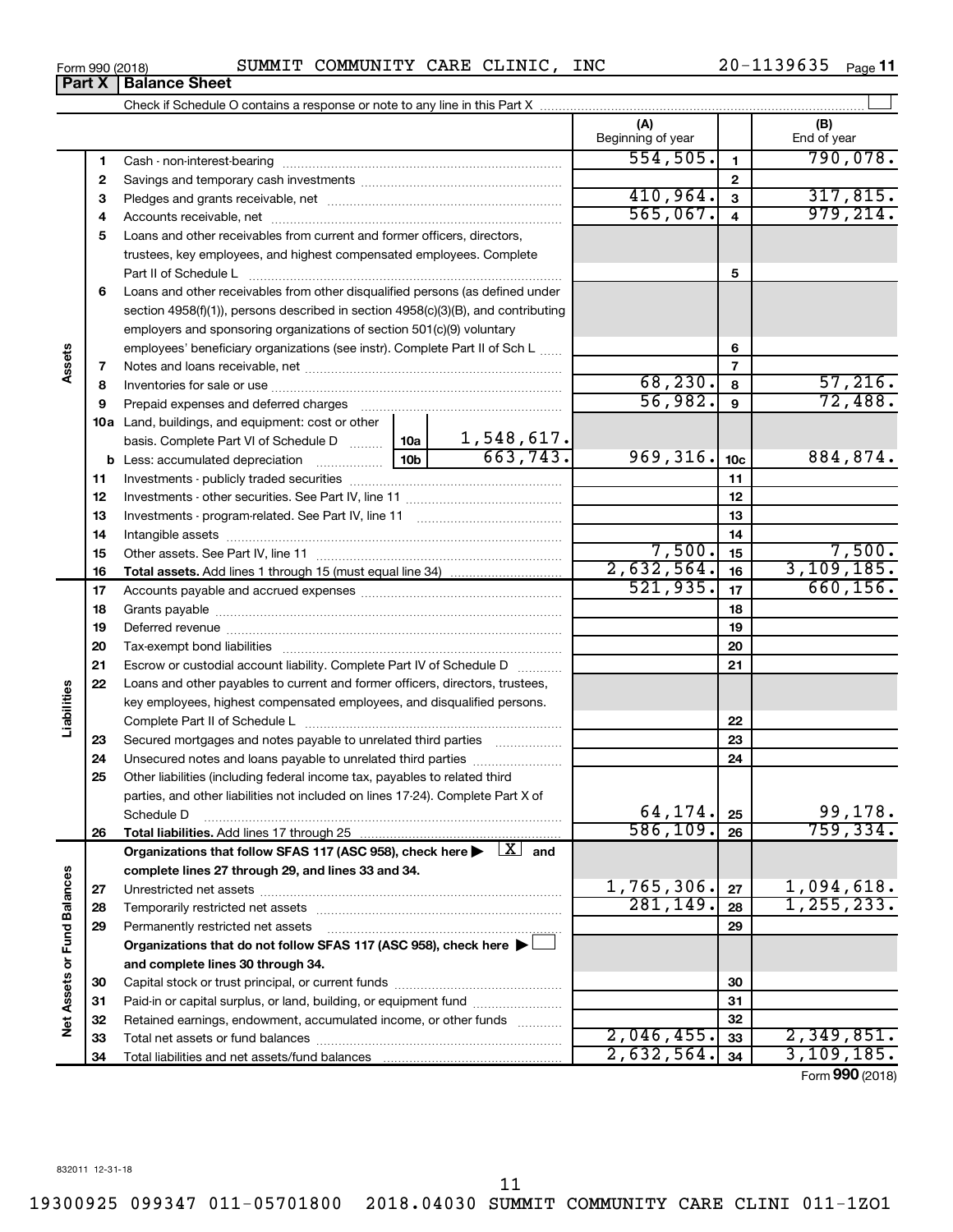**Part X Balance Sheet**

 $\overline{a}$ 

| Form 990 (2018) |  | SUMMIT COMMUNITY CARE CLINIC, |  |  | INC | $20 - 1139635$ Page 11 |  |  |
|-----------------|--|-------------------------------|--|--|-----|------------------------|--|--|
|-----------------|--|-------------------------------|--|--|-----|------------------------|--|--|

|                             |    |                                                                                                                                                                                                                                |  |                               | (A)<br>Beginning of year |                         | (B)<br>End of year         |
|-----------------------------|----|--------------------------------------------------------------------------------------------------------------------------------------------------------------------------------------------------------------------------------|--|-------------------------------|--------------------------|-------------------------|----------------------------|
|                             | 1  |                                                                                                                                                                                                                                |  |                               | 554, 505.                | $\mathbf{1}$            | 790,078.                   |
|                             | 2  |                                                                                                                                                                                                                                |  |                               |                          | $\mathbf{2}$            |                            |
|                             | 3  |                                                                                                                                                                                                                                |  |                               | 410,964.                 | $\overline{\mathbf{3}}$ | 317,815.                   |
|                             | 4  |                                                                                                                                                                                                                                |  |                               | 565,067.                 | $\overline{\mathbf{4}}$ | 979, 214.                  |
|                             | 5  | Loans and other receivables from current and former officers, directors,                                                                                                                                                       |  |                               |                          |                         |                            |
|                             |    | trustees, key employees, and highest compensated employees. Complete                                                                                                                                                           |  |                               |                          |                         |                            |
|                             |    |                                                                                                                                                                                                                                |  |                               |                          | 5                       |                            |
|                             | 6  | Loans and other receivables from other disqualified persons (as defined under                                                                                                                                                  |  |                               |                          |                         |                            |
|                             |    | section 4958(f)(1)), persons described in section 4958(c)(3)(B), and contributing                                                                                                                                              |  |                               |                          |                         |                            |
|                             |    | employers and sponsoring organizations of section 501(c)(9) voluntary                                                                                                                                                          |  |                               |                          |                         |                            |
|                             |    | employees' beneficiary organizations (see instr). Complete Part II of Sch L                                                                                                                                                    |  |                               |                          | 6                       |                            |
| Assets                      | 7  |                                                                                                                                                                                                                                |  |                               |                          | $\overline{7}$          |                            |
|                             | 8  |                                                                                                                                                                                                                                |  |                               | 68, 230.                 | 8                       | 57,216.                    |
|                             | 9  |                                                                                                                                                                                                                                |  |                               | 56,982.                  | $\mathbf{9}$            | 72,488.                    |
|                             |    | Prepaid expenses and deferred charges [11] matter continuum matter and referred charges [11] matter continuum matter continuum matter and continuum matter continuum matter continuum matter continuum matter continuum matter |  |                               |                          |                         |                            |
|                             |    | 10a Land, buildings, and equipment: cost or other                                                                                                                                                                              |  |                               |                          |                         |                            |
|                             |    | basis. Complete Part VI of Schedule D  10a                                                                                                                                                                                     |  | $\frac{1,548,617.}{663,743.}$ | 969, 316.                |                         | 884,874.                   |
|                             |    |                                                                                                                                                                                                                                |  |                               |                          | 10 <sub>c</sub><br>11   |                            |
|                             | 11 |                                                                                                                                                                                                                                |  |                               |                          |                         |                            |
|                             | 12 |                                                                                                                                                                                                                                |  |                               | 12                       |                         |                            |
|                             | 13 |                                                                                                                                                                                                                                |  | 13                            |                          |                         |                            |
|                             | 14 |                                                                                                                                                                                                                                |  | 7,500.                        | 14                       | 7,500.                  |                            |
|                             | 15 |                                                                                                                                                                                                                                |  |                               | 2,632,564.               | 15                      | 3, 109, 185.               |
|                             | 16 |                                                                                                                                                                                                                                |  |                               | 521,935.                 | 16                      | 660, 156.                  |
|                             | 17 |                                                                                                                                                                                                                                |  |                               |                          | 17                      |                            |
|                             | 18 |                                                                                                                                                                                                                                |  | 18                            |                          |                         |                            |
|                             | 19 |                                                                                                                                                                                                                                |  |                               |                          | 19                      |                            |
|                             | 20 |                                                                                                                                                                                                                                |  |                               |                          | 20                      |                            |
|                             | 21 | Escrow or custodial account liability. Complete Part IV of Schedule D                                                                                                                                                          |  |                               |                          | 21                      |                            |
| abilities                   | 22 | Loans and other payables to current and former officers, directors, trustees,                                                                                                                                                  |  |                               |                          |                         |                            |
|                             |    | key employees, highest compensated employees, and disqualified persons.                                                                                                                                                        |  |                               |                          |                         |                            |
|                             |    |                                                                                                                                                                                                                                |  |                               |                          | 22                      |                            |
|                             | 23 | Secured mortgages and notes payable to unrelated third parties                                                                                                                                                                 |  |                               |                          | 23                      |                            |
|                             | 24 | Unsecured notes and loans payable to unrelated third parties                                                                                                                                                                   |  |                               |                          | 24                      |                            |
|                             | 25 | Other liabilities (including federal income tax, payables to related third                                                                                                                                                     |  |                               |                          |                         |                            |
|                             |    | parties, and other liabilities not included on lines 17-24). Complete Part X of                                                                                                                                                |  |                               | 64,174.                  |                         | 99,178.                    |
|                             |    | Schedule D                                                                                                                                                                                                                     |  |                               | 586,109.                 | 25                      | 759, 334.                  |
|                             | 26 |                                                                                                                                                                                                                                |  |                               |                          | 26                      |                            |
|                             |    | Organizations that follow SFAS 117 (ASC 958), check here $\blacktriangleright \begin{array}{c} \perp X \end{array}$ and                                                                                                        |  |                               |                          |                         |                            |
|                             |    | complete lines 27 through 29, and lines 33 and 34.                                                                                                                                                                             |  |                               | 1,765,306.               |                         |                            |
|                             | 27 |                                                                                                                                                                                                                                |  |                               | 281,149.                 | 27                      | 1,094,618.<br>1, 255, 233. |
|                             | 28 |                                                                                                                                                                                                                                |  |                               |                          | 28                      |                            |
|                             | 29 | Permanently restricted net assets                                                                                                                                                                                              |  |                               |                          | 29                      |                            |
|                             |    | Organizations that do not follow SFAS 117 (ASC 958), check here $\blacktriangleright$                                                                                                                                          |  |                               |                          |                         |                            |
| Net Assets or Fund Balances |    | and complete lines 30 through 34.                                                                                                                                                                                              |  |                               |                          |                         |                            |
|                             | 30 |                                                                                                                                                                                                                                |  |                               | 30                       |                         |                            |
|                             | 31 | Paid-in or capital surplus, or land, building, or equipment fund                                                                                                                                                               |  |                               |                          | 31                      |                            |
|                             | 32 | Retained earnings, endowment, accumulated income, or other funds                                                                                                                                                               |  |                               |                          | 32                      |                            |
|                             | 33 |                                                                                                                                                                                                                                |  |                               | 2,046,455.               | 33                      | 2,349,851.                 |
|                             | 34 |                                                                                                                                                                                                                                |  |                               | 2,632,564.               | 34                      | 3,109,185.                 |

Form (2018) **990**

11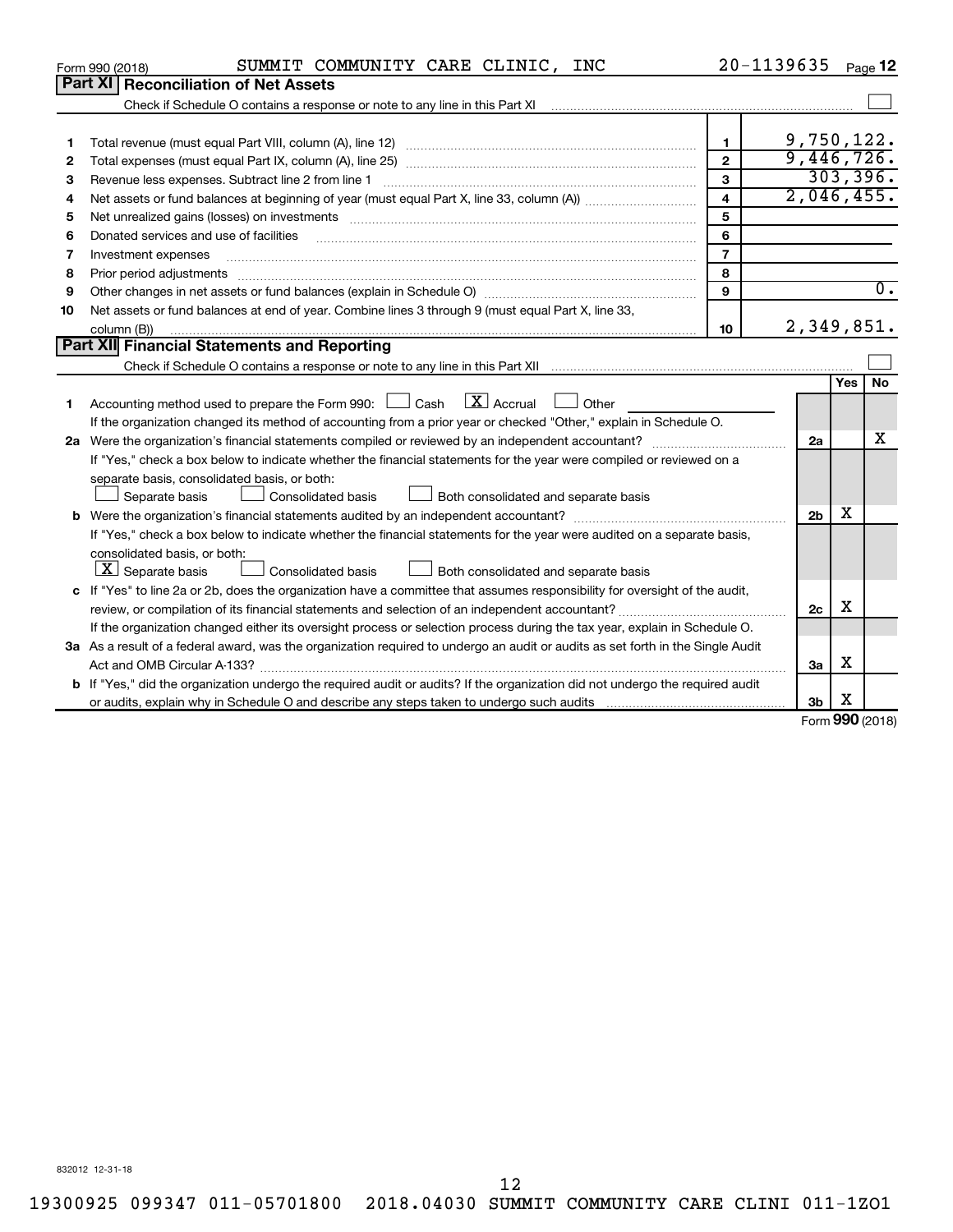|    | SUMMIT COMMUNITY CARE CLINIC, INC<br>Form 990 (2018)                                                                                                                                                                           | 20-1139635     |                |              | Page 12          |  |  |  |
|----|--------------------------------------------------------------------------------------------------------------------------------------------------------------------------------------------------------------------------------|----------------|----------------|--------------|------------------|--|--|--|
|    | Part XI Reconciliation of Net Assets                                                                                                                                                                                           |                |                |              |                  |  |  |  |
|    |                                                                                                                                                                                                                                |                |                |              |                  |  |  |  |
|    |                                                                                                                                                                                                                                |                |                |              |                  |  |  |  |
| 1  |                                                                                                                                                                                                                                | $\mathbf{1}$   | 9,750,122.     |              |                  |  |  |  |
| 2  |                                                                                                                                                                                                                                | $\overline{2}$ | 9,446,726.     |              |                  |  |  |  |
| 3  |                                                                                                                                                                                                                                | 3              | 2,046,455.     |              | 303,396.         |  |  |  |
| 4  | $\overline{4}$                                                                                                                                                                                                                 |                |                |              |                  |  |  |  |
| 5  | Net unrealized gains (losses) on investments [111] matter in the contract of the contract of the contract of the contract of the contract of the contract of the contract of the contract of the contract of the contract of t | 5              |                |              |                  |  |  |  |
| 6  | Donated services and use of facilities                                                                                                                                                                                         | 6              |                |              |                  |  |  |  |
| 7  | Investment expenses                                                                                                                                                                                                            | $\overline{7}$ |                |              |                  |  |  |  |
| 8  | Prior period adjustments                                                                                                                                                                                                       | 8              |                |              |                  |  |  |  |
| 9  |                                                                                                                                                                                                                                | 9              |                |              | $\overline{0}$ . |  |  |  |
| 10 | Net assets or fund balances at end of year. Combine lines 3 through 9 (must equal Part X, line 33,                                                                                                                             |                |                |              |                  |  |  |  |
|    | column (B))                                                                                                                                                                                                                    | 10             | 2,349,851.     |              |                  |  |  |  |
|    | <b>Part XII</b> Financial Statements and Reporting                                                                                                                                                                             |                |                |              |                  |  |  |  |
|    |                                                                                                                                                                                                                                |                |                |              |                  |  |  |  |
|    |                                                                                                                                                                                                                                |                |                | Yes          | No               |  |  |  |
| 1  | Accounting method used to prepare the Form 990: $\Box$ Cash $\Box X$ Accrual<br>Other                                                                                                                                          |                |                |              |                  |  |  |  |
|    | If the organization changed its method of accounting from a prior year or checked "Other," explain in Schedule O.                                                                                                              |                |                |              |                  |  |  |  |
|    |                                                                                                                                                                                                                                |                | 2a             |              | x                |  |  |  |
|    | If "Yes," check a box below to indicate whether the financial statements for the year were compiled or reviewed on a                                                                                                           |                |                |              |                  |  |  |  |
|    | separate basis, consolidated basis, or both:                                                                                                                                                                                   |                |                |              |                  |  |  |  |
|    | Both consolidated and separate basis<br>Separate basis<br><b>Consolidated basis</b>                                                                                                                                            |                |                |              |                  |  |  |  |
|    |                                                                                                                                                                                                                                |                | 2 <sub>b</sub> | x            |                  |  |  |  |
|    | If "Yes," check a box below to indicate whether the financial statements for the year were audited on a separate basis,                                                                                                        |                |                |              |                  |  |  |  |
|    | consolidated basis, or both:                                                                                                                                                                                                   |                |                |              |                  |  |  |  |
|    | $X$ Separate basis<br>Consolidated basis<br>Both consolidated and separate basis                                                                                                                                               |                |                |              |                  |  |  |  |
|    | c If "Yes" to line 2a or 2b, does the organization have a committee that assumes responsibility for oversight of the audit,                                                                                                    |                |                |              |                  |  |  |  |
|    |                                                                                                                                                                                                                                |                | 2c             | х            |                  |  |  |  |
|    | If the organization changed either its oversight process or selection process during the tax year, explain in Schedule O.                                                                                                      |                |                |              |                  |  |  |  |
|    | 3a As a result of a federal award, was the organization required to undergo an audit or audits as set forth in the Single Audit                                                                                                |                |                |              |                  |  |  |  |
|    | Act and OMB Circular A-133?                                                                                                                                                                                                    |                | 3a             | X            |                  |  |  |  |
|    | <b>b</b> If "Yes," did the organization undergo the required audit or audits? If the organization did not undergo the required audit                                                                                           |                |                |              |                  |  |  |  |
|    |                                                                                                                                                                                                                                |                | 3b             | X<br>000(00) |                  |  |  |  |
|    |                                                                                                                                                                                                                                |                |                |              |                  |  |  |  |

Form (2018) **990**

832012 12-31-18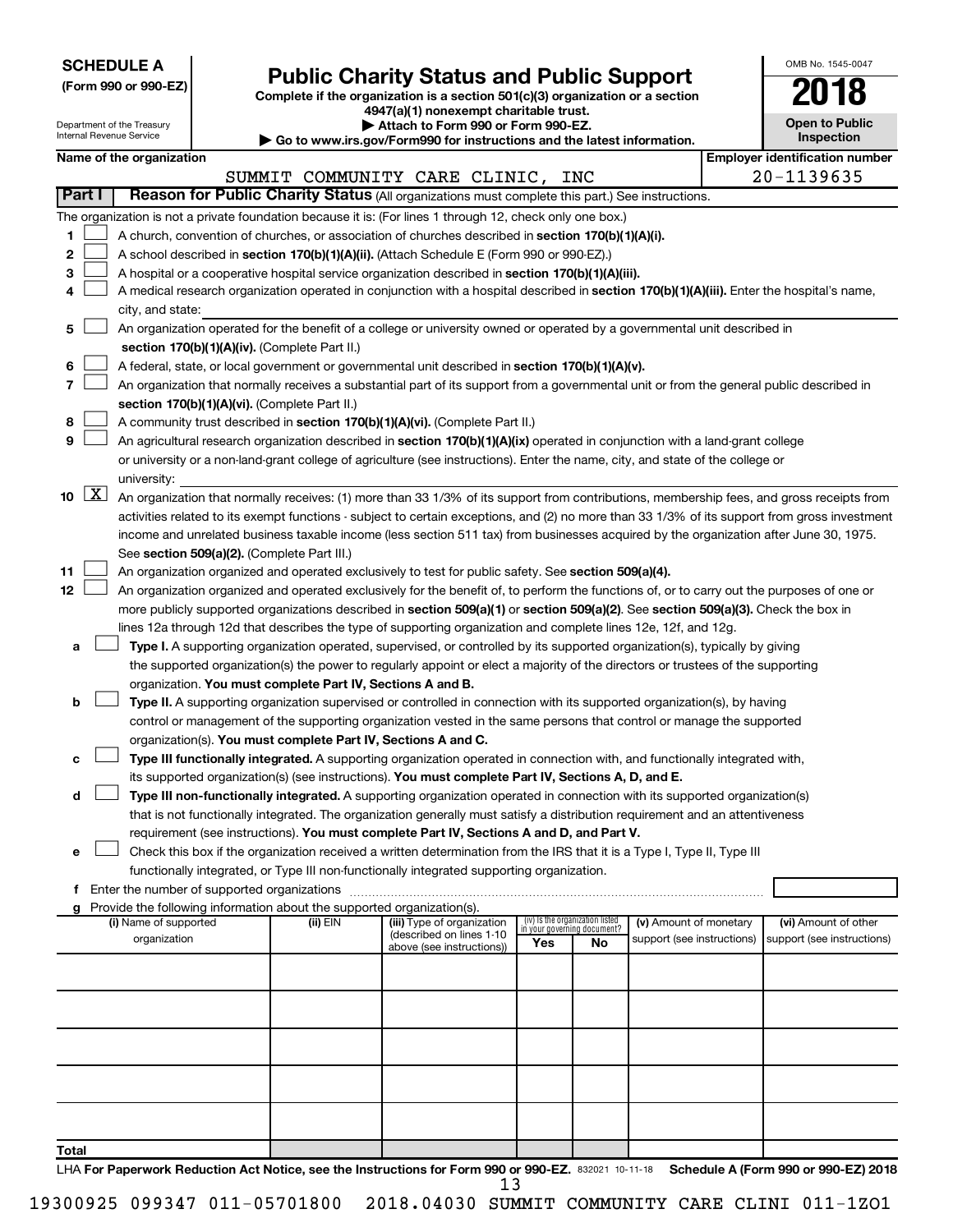| <b>SCHEDULE A</b> |  |
|-------------------|--|
|-------------------|--|

|  |  | (Form 990 or 990-EZ) |
|--|--|----------------------|
|  |  |                      |

# Form 990 or 990-EZ)<br>
Complete if the organization is a section 501(c)(3) organization or a section<br> **Public Charity Status and Public Support**

**4947(a)(1) nonexempt charitable trust.**

| OMB No. 1545-0047                   |
|-------------------------------------|
| '018                                |
| <b>Open to Public</b><br>Inspection |

| Department of the Treasury<br>Internal Revenue Service |                     |                                                                                                                                                   |                                               | Attach to Form 990 or Form 990-EZ.<br>$\blacktriangleright$ Go to www.irs.gov/Form990 for instructions and the latest information. | <b>Open to Public</b><br>Inspection                                                                                                           |                             |                                 |                            |  |                                       |
|--------------------------------------------------------|---------------------|---------------------------------------------------------------------------------------------------------------------------------------------------|-----------------------------------------------|------------------------------------------------------------------------------------------------------------------------------------|-----------------------------------------------------------------------------------------------------------------------------------------------|-----------------------------|---------------------------------|----------------------------|--|---------------------------------------|
|                                                        |                     | Name of the organization                                                                                                                          |                                               |                                                                                                                                    |                                                                                                                                               |                             |                                 |                            |  | <b>Employer identification number</b> |
|                                                        |                     |                                                                                                                                                   |                                               |                                                                                                                                    | SUMMIT COMMUNITY CARE CLINIC, INC                                                                                                             |                             |                                 |                            |  | 20-1139635                            |
|                                                        | Part I              |                                                                                                                                                   |                                               |                                                                                                                                    | Reason for Public Charity Status (All organizations must complete this part.) See instructions.                                               |                             |                                 |                            |  |                                       |
|                                                        |                     |                                                                                                                                                   |                                               |                                                                                                                                    | The organization is not a private foundation because it is: (For lines 1 through 12, check only one box.)                                     |                             |                                 |                            |  |                                       |
| 1.                                                     |                     |                                                                                                                                                   |                                               |                                                                                                                                    | A church, convention of churches, or association of churches described in section 170(b)(1)(A)(i).                                            |                             |                                 |                            |  |                                       |
| 2                                                      |                     |                                                                                                                                                   |                                               |                                                                                                                                    | A school described in section 170(b)(1)(A)(ii). (Attach Schedule E (Form 990 or 990-EZ).)                                                     |                             |                                 |                            |  |                                       |
| 3                                                      |                     |                                                                                                                                                   |                                               |                                                                                                                                    | A hospital or a cooperative hospital service organization described in section 170(b)(1)(A)(iii).                                             |                             |                                 |                            |  |                                       |
| 4                                                      |                     |                                                                                                                                                   |                                               |                                                                                                                                    | A medical research organization operated in conjunction with a hospital described in section 170(b)(1)(A)(iii). Enter the hospital's name,    |                             |                                 |                            |  |                                       |
|                                                        |                     | city, and state:                                                                                                                                  |                                               |                                                                                                                                    |                                                                                                                                               |                             |                                 |                            |  |                                       |
| 5                                                      |                     |                                                                                                                                                   |                                               |                                                                                                                                    | An organization operated for the benefit of a college or university owned or operated by a governmental unit described in                     |                             |                                 |                            |  |                                       |
|                                                        |                     |                                                                                                                                                   |                                               |                                                                                                                                    |                                                                                                                                               |                             |                                 |                            |  |                                       |
|                                                        |                     | section 170(b)(1)(A)(iv). (Complete Part II.)<br>A federal, state, or local government or governmental unit described in section 170(b)(1)(A)(v). |                                               |                                                                                                                                    |                                                                                                                                               |                             |                                 |                            |  |                                       |
| 6                                                      |                     |                                                                                                                                                   |                                               |                                                                                                                                    |                                                                                                                                               |                             |                                 |                            |  |                                       |
| 7                                                      |                     |                                                                                                                                                   |                                               |                                                                                                                                    | An organization that normally receives a substantial part of its support from a governmental unit or from the general public described in     |                             |                                 |                            |  |                                       |
|                                                        |                     |                                                                                                                                                   |                                               | section 170(b)(1)(A)(vi). (Complete Part II.)                                                                                      |                                                                                                                                               |                             |                                 |                            |  |                                       |
| 8                                                      |                     |                                                                                                                                                   |                                               |                                                                                                                                    | A community trust described in section 170(b)(1)(A)(vi). (Complete Part II.)                                                                  |                             |                                 |                            |  |                                       |
| 9                                                      |                     |                                                                                                                                                   |                                               |                                                                                                                                    | An agricultural research organization described in section 170(b)(1)(A)(ix) operated in conjunction with a land-grant college                 |                             |                                 |                            |  |                                       |
|                                                        |                     |                                                                                                                                                   |                                               |                                                                                                                                    | or university or a non-land-grant college of agriculture (see instructions). Enter the name, city, and state of the college or                |                             |                                 |                            |  |                                       |
|                                                        |                     | university:                                                                                                                                       |                                               |                                                                                                                                    |                                                                                                                                               |                             |                                 |                            |  |                                       |
|                                                        | $10 \quad \text{X}$ |                                                                                                                                                   |                                               |                                                                                                                                    | An organization that normally receives: (1) more than 33 1/3% of its support from contributions, membership fees, and gross receipts from     |                             |                                 |                            |  |                                       |
|                                                        |                     |                                                                                                                                                   |                                               |                                                                                                                                    | activities related to its exempt functions - subject to certain exceptions, and (2) no more than 33 1/3% of its support from gross investment |                             |                                 |                            |  |                                       |
|                                                        |                     |                                                                                                                                                   |                                               |                                                                                                                                    | income and unrelated business taxable income (less section 511 tax) from businesses acquired by the organization after June 30, 1975.         |                             |                                 |                            |  |                                       |
|                                                        |                     |                                                                                                                                                   |                                               | See section 509(a)(2). (Complete Part III.)                                                                                        |                                                                                                                                               |                             |                                 |                            |  |                                       |
| 11                                                     |                     |                                                                                                                                                   |                                               |                                                                                                                                    | An organization organized and operated exclusively to test for public safety. See section 509(a)(4).                                          |                             |                                 |                            |  |                                       |
| 12                                                     |                     |                                                                                                                                                   |                                               |                                                                                                                                    | An organization organized and operated exclusively for the benefit of, to perform the functions of, or to carry out the purposes of one or    |                             |                                 |                            |  |                                       |
|                                                        |                     |                                                                                                                                                   |                                               |                                                                                                                                    | more publicly supported organizations described in section 509(a)(1) or section 509(a)(2). See section 509(a)(3). Check the box in            |                             |                                 |                            |  |                                       |
|                                                        |                     |                                                                                                                                                   |                                               |                                                                                                                                    | lines 12a through 12d that describes the type of supporting organization and complete lines 12e, 12f, and 12g.                                |                             |                                 |                            |  |                                       |
| a                                                      |                     |                                                                                                                                                   |                                               |                                                                                                                                    | Type I. A supporting organization operated, supervised, or controlled by its supported organization(s), typically by giving                   |                             |                                 |                            |  |                                       |
|                                                        |                     |                                                                                                                                                   |                                               |                                                                                                                                    | the supported organization(s) the power to regularly appoint or elect a majority of the directors or trustees of the supporting               |                             |                                 |                            |  |                                       |
|                                                        |                     |                                                                                                                                                   |                                               | organization. You must complete Part IV, Sections A and B.                                                                         |                                                                                                                                               |                             |                                 |                            |  |                                       |
| b                                                      |                     |                                                                                                                                                   |                                               |                                                                                                                                    | Type II. A supporting organization supervised or controlled in connection with its supported organization(s), by having                       |                             |                                 |                            |  |                                       |
|                                                        |                     |                                                                                                                                                   |                                               |                                                                                                                                    | control or management of the supporting organization vested in the same persons that control or manage the supported                          |                             |                                 |                            |  |                                       |
|                                                        |                     |                                                                                                                                                   |                                               | organization(s). You must complete Part IV, Sections A and C.                                                                      |                                                                                                                                               |                             |                                 |                            |  |                                       |
| c                                                      |                     |                                                                                                                                                   |                                               |                                                                                                                                    | Type III functionally integrated. A supporting organization operated in connection with, and functionally integrated with,                    |                             |                                 |                            |  |                                       |
|                                                        |                     |                                                                                                                                                   |                                               |                                                                                                                                    | its supported organization(s) (see instructions). You must complete Part IV, Sections A, D, and E.                                            |                             |                                 |                            |  |                                       |
| d                                                      |                     |                                                                                                                                                   |                                               |                                                                                                                                    | Type III non-functionally integrated. A supporting organization operated in connection with its supported organization(s)                     |                             |                                 |                            |  |                                       |
|                                                        |                     |                                                                                                                                                   |                                               |                                                                                                                                    | that is not functionally integrated. The organization generally must satisfy a distribution requirement and an attentiveness                  |                             |                                 |                            |  |                                       |
|                                                        |                     |                                                                                                                                                   |                                               |                                                                                                                                    | requirement (see instructions). You must complete Part IV, Sections A and D, and Part V.                                                      |                             |                                 |                            |  |                                       |
| е                                                      |                     |                                                                                                                                                   |                                               |                                                                                                                                    | Check this box if the organization received a written determination from the IRS that it is a Type I, Type II, Type III                       |                             |                                 |                            |  |                                       |
|                                                        |                     |                                                                                                                                                   |                                               |                                                                                                                                    | functionally integrated, or Type III non-functionally integrated supporting organization.                                                     |                             |                                 |                            |  |                                       |
|                                                        |                     |                                                                                                                                                   | f Enter the number of supported organizations |                                                                                                                                    |                                                                                                                                               |                             |                                 |                            |  |                                       |
| a                                                      |                     |                                                                                                                                                   |                                               | Provide the following information about the supported organization(s).                                                             |                                                                                                                                               |                             |                                 |                            |  |                                       |
|                                                        |                     | (i) Name of supported                                                                                                                             |                                               | (ii) EIN                                                                                                                           | (iii) Type of organization                                                                                                                    | in your governing document? | (iv) Is the organization listed | (v) Amount of monetary     |  | (vi) Amount of other                  |
|                                                        |                     | organization                                                                                                                                      |                                               |                                                                                                                                    | (described on lines 1-10<br>above (see instructions))                                                                                         | Yes                         | No                              | support (see instructions) |  | support (see instructions)            |
|                                                        |                     |                                                                                                                                                   |                                               |                                                                                                                                    |                                                                                                                                               |                             |                                 |                            |  |                                       |
|                                                        |                     |                                                                                                                                                   |                                               |                                                                                                                                    |                                                                                                                                               |                             |                                 |                            |  |                                       |
|                                                        |                     |                                                                                                                                                   |                                               |                                                                                                                                    |                                                                                                                                               |                             |                                 |                            |  |                                       |
|                                                        |                     |                                                                                                                                                   |                                               |                                                                                                                                    |                                                                                                                                               |                             |                                 |                            |  |                                       |
|                                                        |                     |                                                                                                                                                   |                                               |                                                                                                                                    |                                                                                                                                               |                             |                                 |                            |  |                                       |
|                                                        |                     |                                                                                                                                                   |                                               |                                                                                                                                    |                                                                                                                                               |                             |                                 |                            |  |                                       |
|                                                        |                     |                                                                                                                                                   |                                               |                                                                                                                                    |                                                                                                                                               |                             |                                 |                            |  |                                       |
|                                                        |                     |                                                                                                                                                   |                                               |                                                                                                                                    |                                                                                                                                               |                             |                                 |                            |  |                                       |
|                                                        |                     |                                                                                                                                                   |                                               |                                                                                                                                    |                                                                                                                                               |                             |                                 |                            |  |                                       |
|                                                        |                     |                                                                                                                                                   |                                               |                                                                                                                                    |                                                                                                                                               |                             |                                 |                            |  |                                       |
| Total                                                  |                     |                                                                                                                                                   |                                               |                                                                                                                                    |                                                                                                                                               |                             |                                 |                            |  |                                       |

LHA For Paperwork Reduction Act Notice, see the Instructions for Form 990 or 990-EZ. 832021 10-11-18 Schedule A (Form 990 or 990-EZ) 2018 13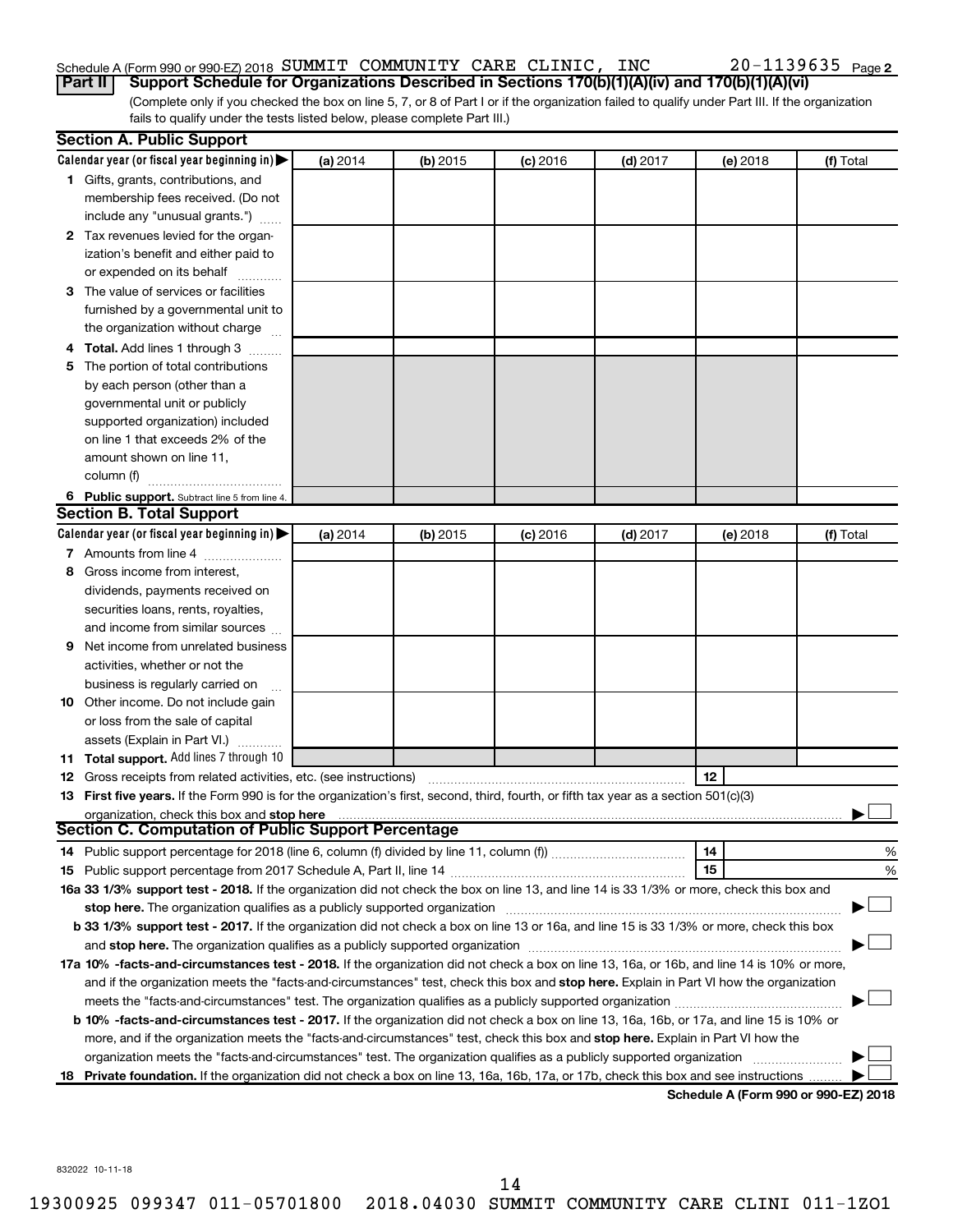### Schedule A (Form 990 or 990-EZ) 2018 Page SUMMIT COMMUNITY CARE CLINIC, INC 20-1139635

(Complete only if you checked the box on line 5, 7, or 8 of Part I or if the organization failed to qualify under Part III. If the organization fails to qualify under the tests listed below, please complete Part III.) **Part II Support Schedule for Organizations Described in Sections 170(b)(1)(A)(iv) and 170(b)(1)(A)(vi)**

|   | <b>Section A. Public Support</b>                                                                                                                                                                                               |          |          |            |            |                                      |           |
|---|--------------------------------------------------------------------------------------------------------------------------------------------------------------------------------------------------------------------------------|----------|----------|------------|------------|--------------------------------------|-----------|
|   | Calendar year (or fiscal year beginning in)                                                                                                                                                                                    | (a) 2014 | (b) 2015 | $(c)$ 2016 | $(d)$ 2017 | (e) 2018                             | (f) Total |
|   | 1 Gifts, grants, contributions, and                                                                                                                                                                                            |          |          |            |            |                                      |           |
|   | membership fees received. (Do not                                                                                                                                                                                              |          |          |            |            |                                      |           |
|   | include any "unusual grants.")                                                                                                                                                                                                 |          |          |            |            |                                      |           |
|   | 2 Tax revenues levied for the organ-                                                                                                                                                                                           |          |          |            |            |                                      |           |
|   | ization's benefit and either paid to                                                                                                                                                                                           |          |          |            |            |                                      |           |
|   | or expended on its behalf                                                                                                                                                                                                      |          |          |            |            |                                      |           |
|   | 3 The value of services or facilities                                                                                                                                                                                          |          |          |            |            |                                      |           |
|   | furnished by a governmental unit to                                                                                                                                                                                            |          |          |            |            |                                      |           |
|   | the organization without charge                                                                                                                                                                                                |          |          |            |            |                                      |           |
|   | 4 Total. Add lines 1 through 3                                                                                                                                                                                                 |          |          |            |            |                                      |           |
|   | 5 The portion of total contributions                                                                                                                                                                                           |          |          |            |            |                                      |           |
|   | by each person (other than a                                                                                                                                                                                                   |          |          |            |            |                                      |           |
|   | governmental unit or publicly                                                                                                                                                                                                  |          |          |            |            |                                      |           |
|   | supported organization) included                                                                                                                                                                                               |          |          |            |            |                                      |           |
|   | on line 1 that exceeds 2% of the                                                                                                                                                                                               |          |          |            |            |                                      |           |
|   | amount shown on line 11,                                                                                                                                                                                                       |          |          |            |            |                                      |           |
|   | column (f)                                                                                                                                                                                                                     |          |          |            |            |                                      |           |
|   | 6 Public support. Subtract line 5 from line 4.                                                                                                                                                                                 |          |          |            |            |                                      |           |
|   | <b>Section B. Total Support</b>                                                                                                                                                                                                |          |          |            |            |                                      |           |
|   | Calendar year (or fiscal year beginning in)                                                                                                                                                                                    | (a) 2014 | (b) 2015 | $(c)$ 2016 | $(d)$ 2017 | (e) 2018                             | (f) Total |
|   | 7 Amounts from line 4                                                                                                                                                                                                          |          |          |            |            |                                      |           |
|   | 8 Gross income from interest.                                                                                                                                                                                                  |          |          |            |            |                                      |           |
|   | dividends, payments received on                                                                                                                                                                                                |          |          |            |            |                                      |           |
|   | securities loans, rents, royalties,                                                                                                                                                                                            |          |          |            |            |                                      |           |
|   | and income from similar sources                                                                                                                                                                                                |          |          |            |            |                                      |           |
| 9 | Net income from unrelated business                                                                                                                                                                                             |          |          |            |            |                                      |           |
|   | activities, whether or not the                                                                                                                                                                                                 |          |          |            |            |                                      |           |
|   | business is regularly carried on                                                                                                                                                                                               |          |          |            |            |                                      |           |
|   | 10 Other income. Do not include gain                                                                                                                                                                                           |          |          |            |            |                                      |           |
|   | or loss from the sale of capital                                                                                                                                                                                               |          |          |            |            |                                      |           |
|   | assets (Explain in Part VI.)                                                                                                                                                                                                   |          |          |            |            |                                      |           |
|   | 11 Total support. Add lines 7 through 10                                                                                                                                                                                       |          |          |            |            |                                      |           |
|   | <b>12</b> Gross receipts from related activities, etc. (see instructions)                                                                                                                                                      |          |          |            |            | 12                                   |           |
|   | 13 First five years. If the Form 990 is for the organization's first, second, third, fourth, or fifth tax year as a section 501(c)(3)                                                                                          |          |          |            |            |                                      |           |
|   | organization, check this box and stop here                                                                                                                                                                                     |          |          |            |            |                                      |           |
|   | Section C. Computation of Public Support Percentage                                                                                                                                                                            |          |          |            |            |                                      |           |
|   |                                                                                                                                                                                                                                |          |          |            |            | 14                                   | %         |
|   |                                                                                                                                                                                                                                |          |          |            |            | 15                                   | %         |
|   | 16a 33 1/3% support test - 2018. If the organization did not check the box on line 13, and line 14 is 33 1/3% or more, check this box and                                                                                      |          |          |            |            |                                      |           |
|   |                                                                                                                                                                                                                                |          |          |            |            |                                      |           |
|   | b 33 1/3% support test - 2017. If the organization did not check a box on line 13 or 16a, and line 15 is 33 1/3% or more, check this box                                                                                       |          |          |            |            |                                      |           |
|   | and stop here. The organization qualifies as a publicly supported organization [11] manuscription [11] and stop here. The organization [11] and stop here. The organization [11] and stop here. The organization [11] and stop |          |          |            |            |                                      |           |
|   | 17a 10% -facts-and-circumstances test - 2018. If the organization did not check a box on line 13, 16a, or 16b, and line 14 is 10% or more,                                                                                     |          |          |            |            |                                      |           |
|   | and if the organization meets the "facts-and-circumstances" test, check this box and stop here. Explain in Part VI how the organization                                                                                        |          |          |            |            |                                      |           |
|   | meets the "facts-and-circumstances" test. The organization qualifies as a publicly supported organization <i>manumumumumum</i>                                                                                                 |          |          |            |            |                                      |           |
|   | b 10% -facts-and-circumstances test - 2017. If the organization did not check a box on line 13, 16a, 16b, or 17a, and line 15 is 10% or                                                                                        |          |          |            |            |                                      |           |
|   | more, and if the organization meets the "facts-and-circumstances" test, check this box and stop here. Explain in Part VI how the                                                                                               |          |          |            |            |                                      |           |
|   | organization meets the "facts-and-circumstances" test. The organization qualifies as a publicly supported organization                                                                                                         |          |          |            |            |                                      |           |
|   | 18 Private foundation. If the organization did not check a box on line 13, 16a, 16b, 17a, or 17b, check this box and see instructions                                                                                          |          |          |            |            | Schodule A (Form 000 or 000 E7) 2010 |           |

**Schedule A (Form 990 or 990-EZ) 2018**

832022 10-11-18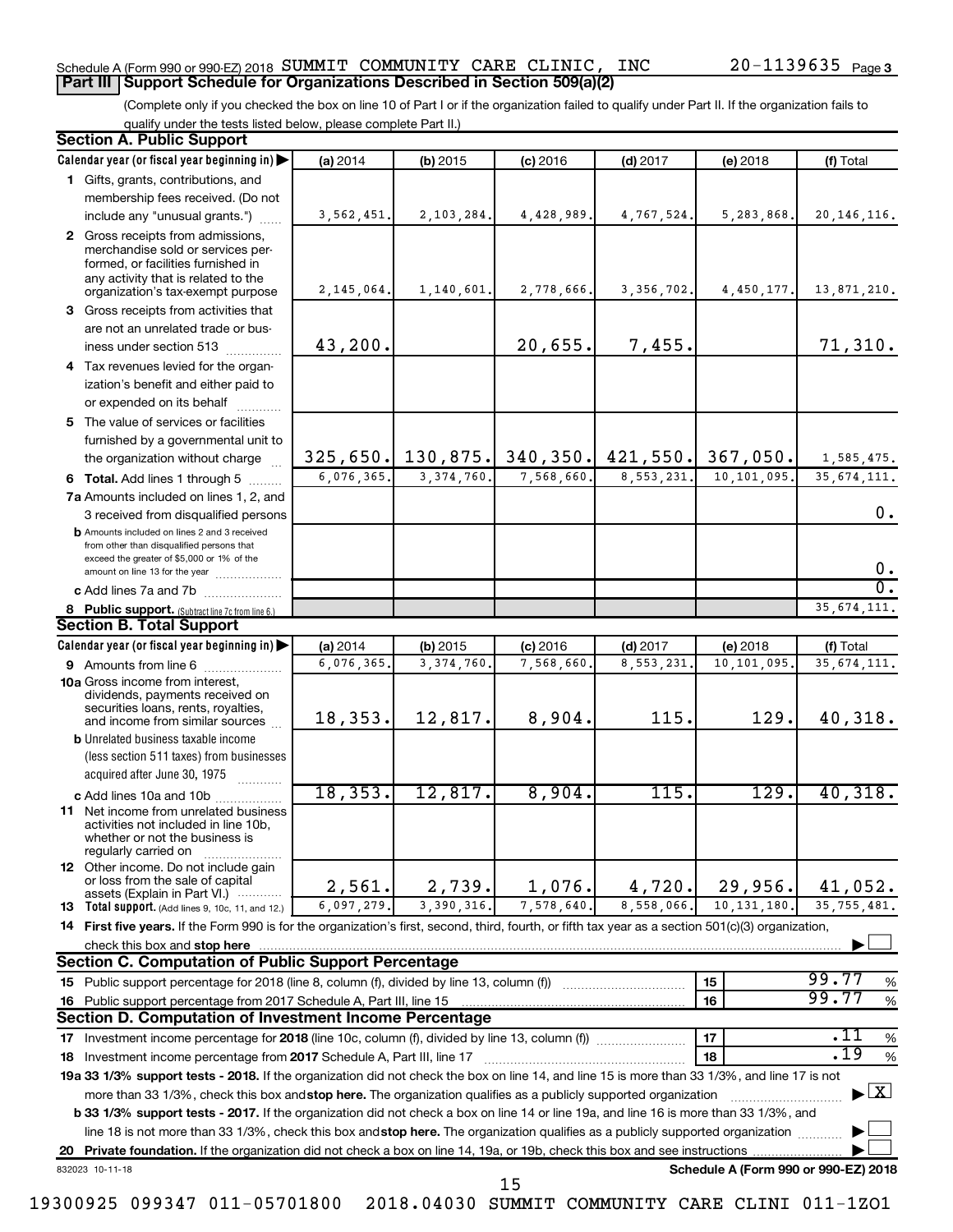### Schedule A (Form 990 or 990-EZ) 2018 Page SUMMIT COMMUNITY CARE CLINIC, INC 20-1139635 **Part III Support Schedule for Organizations Described in Section 509(a)(2)**

(Complete only if you checked the box on line 10 of Part I or if the organization failed to qualify under Part II. If the organization fails to qualify under the tests listed below, please complete Part II.)

| <b>Section A. Public Support</b>                                                                                                                                                                                         |            |                     |            |                         |                                      |                                          |
|--------------------------------------------------------------------------------------------------------------------------------------------------------------------------------------------------------------------------|------------|---------------------|------------|-------------------------|--------------------------------------|------------------------------------------|
| Calendar year (or fiscal year beginning in)                                                                                                                                                                              | (a) 2014   | $(b)$ 2015          | $(c)$ 2016 | $(d)$ 2017              | (e) 2018                             | (f) Total                                |
| 1 Gifts, grants, contributions, and                                                                                                                                                                                      |            |                     |            |                         |                                      |                                          |
| membership fees received. (Do not                                                                                                                                                                                        |            |                     |            |                         |                                      |                                          |
| include any "unusual grants.")                                                                                                                                                                                           | 3,562,451. | 2,103,284.          | 4,428,989. | 4,767,524.              | 5,283,868.                           | 20, 146, 116.                            |
| 2 Gross receipts from admissions,<br>merchandise sold or services per-<br>formed, or facilities furnished in<br>any activity that is related to the                                                                      |            |                     |            |                         |                                      |                                          |
| organization's tax-exempt purpose                                                                                                                                                                                        | 2,145,064. | 1,140,601.          | 2,778,666. | 3, 356, 702.            | 4,450,177.                           | 13,871,210.                              |
| 3 Gross receipts from activities that                                                                                                                                                                                    |            |                     |            |                         |                                      |                                          |
| are not an unrelated trade or bus-                                                                                                                                                                                       |            |                     |            |                         |                                      |                                          |
| iness under section 513                                                                                                                                                                                                  | 43,200.    |                     | 20,655.    | 7,455.                  |                                      | 71,310.                                  |
| 4 Tax revenues levied for the organ-                                                                                                                                                                                     |            |                     |            |                         |                                      |                                          |
| ization's benefit and either paid to                                                                                                                                                                                     |            |                     |            |                         |                                      |                                          |
| or expended on its behalf                                                                                                                                                                                                |            |                     |            |                         |                                      |                                          |
| 5 The value of services or facilities                                                                                                                                                                                    |            |                     |            |                         |                                      |                                          |
| furnished by a governmental unit to<br>the organization without charge                                                                                                                                                   |            | $325,650.$ 130,875. | 340, 350.  | 421,550.                | 367,050.                             | 1,585,475.                               |
|                                                                                                                                                                                                                          | 6,076,365. | 3, 374, 760.        | 7,568,660  | 8,553,231.              | 10,101,095                           | 35, 674, 111.                            |
| 6 Total. Add lines 1 through 5                                                                                                                                                                                           |            |                     |            |                         |                                      |                                          |
| 7a Amounts included on lines 1, 2, and                                                                                                                                                                                   |            |                     |            |                         |                                      | 0.                                       |
| 3 received from disqualified persons<br><b>b</b> Amounts included on lines 2 and 3 received<br>from other than disqualified persons that<br>exceed the greater of \$5,000 or 1% of the<br>amount on line 13 for the year |            |                     |            |                         |                                      | 0.                                       |
| c Add lines 7a and 7b                                                                                                                                                                                                    |            |                     |            |                         |                                      | σ.                                       |
| 8 Public support. (Subtract line 7c from line 6.)                                                                                                                                                                        |            |                     |            |                         |                                      | 35, 674, 111.                            |
| <b>Section B. Total Support</b>                                                                                                                                                                                          |            |                     |            |                         |                                      |                                          |
| Calendar year (or fiscal year beginning in)                                                                                                                                                                              | (a) 2014   | $(b)$ 2015          | $(c)$ 2016 | $(d)$ 2017              | (e) 2018                             | (f) Total                                |
| 9 Amounts from line 6                                                                                                                                                                                                    | 6,076,365  | 3, 374, 760         | 7,568,660  | $\overline{8,}553,231.$ | 10,101,095                           | 35, 674, 111.                            |
| <b>10a</b> Gross income from interest,<br>dividends, payments received on<br>securities loans, rents, royalties,                                                                                                         | 18,353.    | 12,817.             | 8,904.     | 115.                    | 129.                                 | 40,318.                                  |
| and income from similar sources<br><b>b</b> Unrelated business taxable income                                                                                                                                            |            |                     |            |                         |                                      |                                          |
| (less section 511 taxes) from businesses<br>acquired after June 30, 1975                                                                                                                                                 |            |                     |            |                         |                                      |                                          |
| c Add lines 10a and 10b                                                                                                                                                                                                  | 18, 353.   | 12,817.             | 8,904.     | 115.                    | 129.                                 | 40,318.                                  |
| 11 Net income from unrelated business<br>activities not included in line 10b.<br>whether or not the business is<br>regularly carried on                                                                                  |            |                     |            |                         |                                      |                                          |
| <b>12</b> Other income. Do not include gain<br>or loss from the sale of capital<br>assets (Explain in Part VI.)                                                                                                          | 2,561.     | 2,739.              | 1,076.     | 4,720.                  | 29,956.                              | 41,052.                                  |
| 13 Total support. (Add lines 9, 10c, 11, and 12.)                                                                                                                                                                        | 6,097,279. | 3,390,316           | 7,578,640. | 8,558,066.              | 10, 131, 180                         | 35, 755, 481.                            |
| 14 First five years. If the Form 990 is for the organization's first, second, third, fourth, or fifth tax year as a section 501(c)(3) organization,                                                                      |            |                     |            |                         |                                      |                                          |
| check this box and stop here                                                                                                                                                                                             |            |                     |            |                         |                                      |                                          |
| <b>Section C. Computation of Public Support Percentage</b>                                                                                                                                                               |            |                     |            |                         |                                      |                                          |
|                                                                                                                                                                                                                          |            |                     |            |                         | 15                                   | 99.77<br>%                               |
| 16 Public support percentage from 2017 Schedule A, Part III, line 15                                                                                                                                                     |            |                     |            |                         | 16                                   | 99.77<br>$\%$                            |
| Section D. Computation of Investment Income Percentage                                                                                                                                                                   |            |                     |            |                         |                                      |                                          |
| 17 Investment income percentage for 2018 (line 10c, column (f), divided by line 13, column (f))                                                                                                                          |            |                     |            |                         | 17                                   | .11<br>$\%$                              |
| 18 Investment income percentage from 2017 Schedule A, Part III, line 17                                                                                                                                                  |            |                     |            |                         | 18                                   | .19<br>$\%$                              |
| 19a 33 1/3% support tests - 2018. If the organization did not check the box on line 14, and line 15 is more than 33 1/3%, and line 17 is not                                                                             |            |                     |            |                         |                                      |                                          |
| more than 33 1/3%, check this box and stop here. The organization qualifies as a publicly supported organization                                                                                                         |            |                     |            |                         |                                      | $\blacktriangleright$ $\boxed{\text{X}}$ |
| b 33 1/3% support tests - 2017. If the organization did not check a box on line 14 or line 19a, and line 16 is more than 33 1/3%, and                                                                                    |            |                     |            |                         |                                      |                                          |
| line 18 is not more than 33 1/3%, check this box and stop here. The organization qualifies as a publicly supported organization                                                                                          |            |                     |            |                         |                                      |                                          |
|                                                                                                                                                                                                                          |            |                     |            |                         |                                      |                                          |
| 832023 10-11-18                                                                                                                                                                                                          |            |                     | 15         |                         | Schedule A (Form 990 or 990-EZ) 2018 |                                          |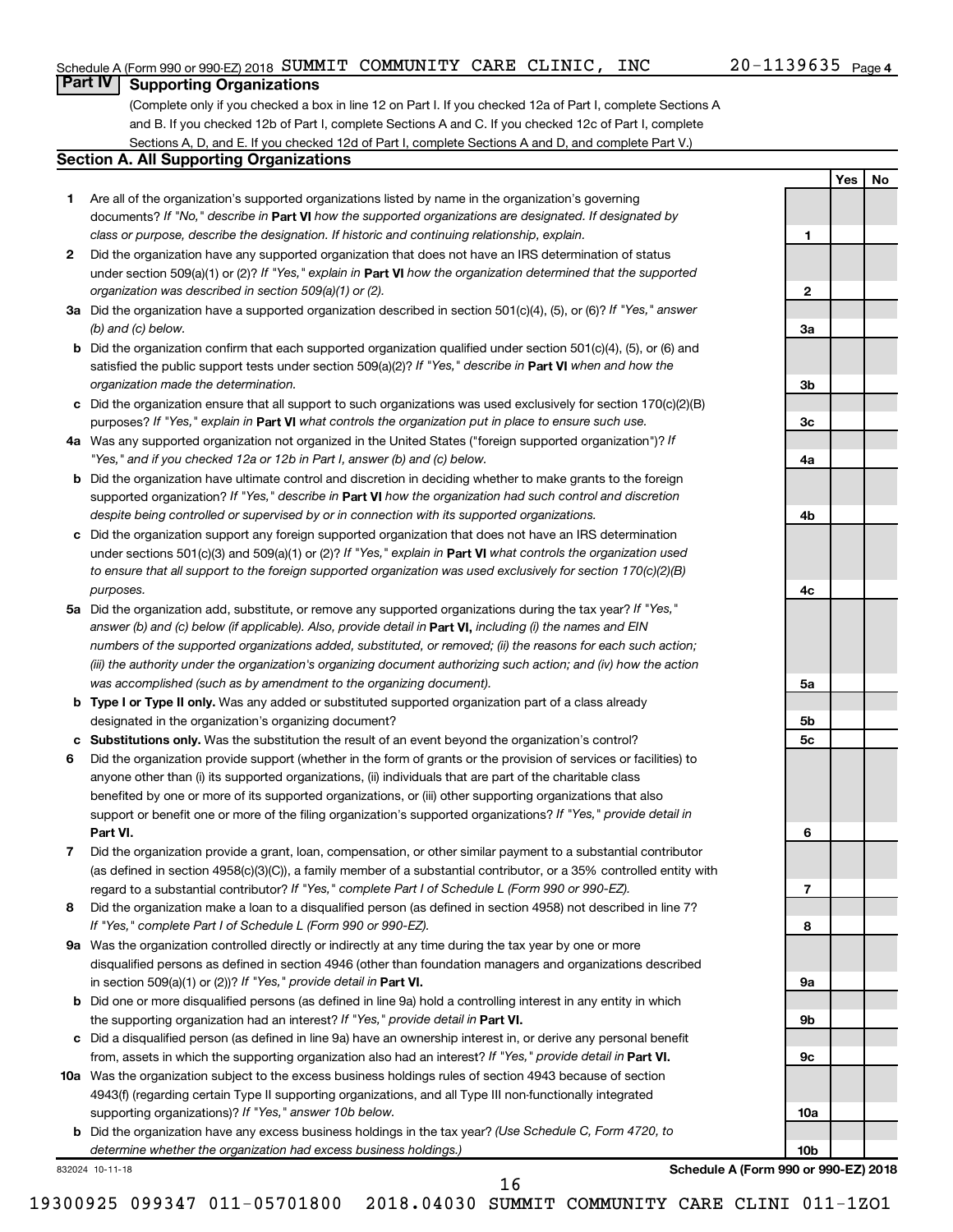**1**

**2**

**3a**

**3b**

**3c**

**4a**

**4b**

**4c**

**5a**

**5b 5c**

**6**

**7**

**8**

**9a**

**9b**

**9c**

**10a**

**10b**

**Yes No**

### **Part IV Supporting Organizations**

(Complete only if you checked a box in line 12 on Part I. If you checked 12a of Part I, complete Sections A and B. If you checked 12b of Part I, complete Sections A and C. If you checked 12c of Part I, complete Sections A, D, and E. If you checked 12d of Part I, complete Sections A and D, and complete Part V.)

### **Section A. All Supporting Organizations**

- **1** Are all of the organization's supported organizations listed by name in the organization's governing documents? If "No," describe in Part VI how the supported organizations are designated. If designated by *class or purpose, describe the designation. If historic and continuing relationship, explain.*
- **2** Did the organization have any supported organization that does not have an IRS determination of status under section 509(a)(1) or (2)? If "Yes," explain in Part **VI** how the organization determined that the supported *organization was described in section 509(a)(1) or (2).*
- **3a** Did the organization have a supported organization described in section 501(c)(4), (5), or (6)? If "Yes," answer *(b) and (c) below.*
- **b** Did the organization confirm that each supported organization qualified under section 501(c)(4), (5), or (6) and satisfied the public support tests under section 509(a)(2)? If "Yes," describe in Part VI when and how the *organization made the determination.*
- **c** Did the organization ensure that all support to such organizations was used exclusively for section 170(c)(2)(B) purposes? If "Yes," explain in Part VI what controls the organization put in place to ensure such use.
- **4 a** *If* Was any supported organization not organized in the United States ("foreign supported organization")? *"Yes," and if you checked 12a or 12b in Part I, answer (b) and (c) below.*
- **b** Did the organization have ultimate control and discretion in deciding whether to make grants to the foreign supported organization? If "Yes," describe in Part VI how the organization had such control and discretion *despite being controlled or supervised by or in connection with its supported organizations.*
- **c** Did the organization support any foreign supported organization that does not have an IRS determination under sections 501(c)(3) and 509(a)(1) or (2)? If "Yes," explain in Part VI what controls the organization used *to ensure that all support to the foreign supported organization was used exclusively for section 170(c)(2)(B) purposes.*
- **5a** Did the organization add, substitute, or remove any supported organizations during the tax year? If "Yes," answer (b) and (c) below (if applicable). Also, provide detail in **Part VI,** including (i) the names and EIN *numbers of the supported organizations added, substituted, or removed; (ii) the reasons for each such action; (iii) the authority under the organization's organizing document authorizing such action; and (iv) how the action was accomplished (such as by amendment to the organizing document).*
- **b Type I or Type II only.** Was any added or substituted supported organization part of a class already designated in the organization's organizing document?
- **c Substitutions only.**  Was the substitution the result of an event beyond the organization's control?
- **6** Did the organization provide support (whether in the form of grants or the provision of services or facilities) to **Part VI.** support or benefit one or more of the filing organization's supported organizations? If "Yes," provide detail in anyone other than (i) its supported organizations, (ii) individuals that are part of the charitable class benefited by one or more of its supported organizations, or (iii) other supporting organizations that also
- **7** Did the organization provide a grant, loan, compensation, or other similar payment to a substantial contributor regard to a substantial contributor? If "Yes," complete Part I of Schedule L (Form 990 or 990-EZ). (as defined in section 4958(c)(3)(C)), a family member of a substantial contributor, or a 35% controlled entity with
- **8** Did the organization make a loan to a disqualified person (as defined in section 4958) not described in line 7? *If "Yes," complete Part I of Schedule L (Form 990 or 990-EZ).*
- **9 a** Was the organization controlled directly or indirectly at any time during the tax year by one or more in section 509(a)(1) or (2))? If "Yes," provide detail in **Part VI.** disqualified persons as defined in section 4946 (other than foundation managers and organizations described
- **b** Did one or more disqualified persons (as defined in line 9a) hold a controlling interest in any entity in which the supporting organization had an interest? If "Yes," provide detail in Part VI.
- **c** Did a disqualified person (as defined in line 9a) have an ownership interest in, or derive any personal benefit from, assets in which the supporting organization also had an interest? If "Yes," provide detail in Part VI.
- **10 a** Was the organization subject to the excess business holdings rules of section 4943 because of section supporting organizations)? If "Yes," answer 10b below. 4943(f) (regarding certain Type II supporting organizations, and all Type III non-functionally integrated
	- **b** Did the organization have any excess business holdings in the tax year? (Use Schedule C, Form 4720, to *determine whether the organization had excess business holdings.)*

832024 10-11-18

**Schedule A (Form 990 or 990-EZ) 2018**

19300925 099347 011-05701800 2018.04030 SUMMIT COMMUNITY CARE CLINI 011-1ZO1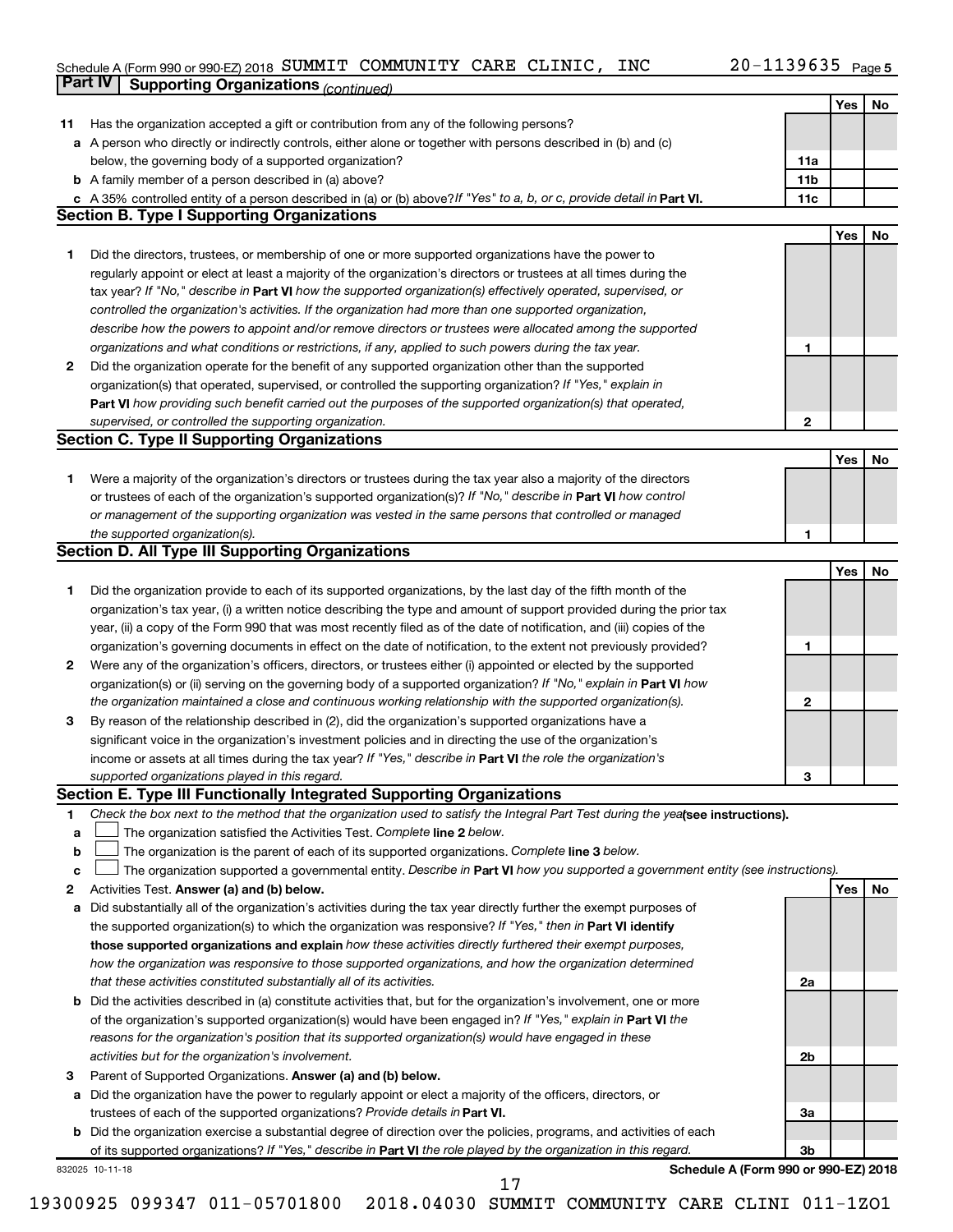### Schedule A (Form 990 or 990-EZ) 2018 Page SUMMIT COMMUNITY CARE CLINIC, INC 20-1139635

|             | Part IV<br><b>Supporting Organizations (continued)</b>                                                                          |                 |     |    |
|-------------|---------------------------------------------------------------------------------------------------------------------------------|-----------------|-----|----|
|             |                                                                                                                                 |                 | Yes | No |
| 11          | Has the organization accepted a gift or contribution from any of the following persons?                                         |                 |     |    |
|             | a A person who directly or indirectly controls, either alone or together with persons described in (b) and (c)                  |                 |     |    |
|             | below, the governing body of a supported organization?                                                                          | 11a             |     |    |
|             | <b>b</b> A family member of a person described in (a) above?                                                                    | 11 <sub>b</sub> |     |    |
|             | c A 35% controlled entity of a person described in (a) or (b) above? If "Yes" to a, b, or c, provide detail in Part VI.         | 11c             |     |    |
|             | <b>Section B. Type I Supporting Organizations</b>                                                                               |                 |     |    |
|             |                                                                                                                                 |                 | Yes | No |
|             |                                                                                                                                 |                 |     |    |
| 1           | Did the directors, trustees, or membership of one or more supported organizations have the power to                             |                 |     |    |
|             | regularly appoint or elect at least a majority of the organization's directors or trustees at all times during the              |                 |     |    |
|             | tax year? If "No," describe in Part VI how the supported organization(s) effectively operated, supervised, or                   |                 |     |    |
|             | controlled the organization's activities. If the organization had more than one supported organization,                         |                 |     |    |
|             | describe how the powers to appoint and/or remove directors or trustees were allocated among the supported                       |                 |     |    |
|             | organizations and what conditions or restrictions, if any, applied to such powers during the tax year.                          | 1               |     |    |
| 2           | Did the organization operate for the benefit of any supported organization other than the supported                             |                 |     |    |
|             | organization(s) that operated, supervised, or controlled the supporting organization? If "Yes," explain in                      |                 |     |    |
|             | Part VI how providing such benefit carried out the purposes of the supported organization(s) that operated,                     |                 |     |    |
|             | supervised, or controlled the supporting organization.                                                                          | $\mathbf{2}$    |     |    |
|             | <b>Section C. Type II Supporting Organizations</b>                                                                              |                 |     |    |
|             |                                                                                                                                 |                 | Yes | No |
| 1           | Were a majority of the organization's directors or trustees during the tax year also a majority of the directors                |                 |     |    |
|             | or trustees of each of the organization's supported organization(s)? If "No," describe in Part VI how control                   |                 |     |    |
|             | or management of the supporting organization was vested in the same persons that controlled or managed                          |                 |     |    |
|             | the supported organization(s).                                                                                                  | 1               |     |    |
|             | <b>Section D. All Type III Supporting Organizations</b>                                                                         |                 |     |    |
|             |                                                                                                                                 |                 | Yes | No |
| 1           | Did the organization provide to each of its supported organizations, by the last day of the fifth month of the                  |                 |     |    |
|             | organization's tax year, (i) a written notice describing the type and amount of support provided during the prior tax           |                 |     |    |
|             | year, (ii) a copy of the Form 990 that was most recently filed as of the date of notification, and (iii) copies of the          |                 |     |    |
|             |                                                                                                                                 | 1               |     |    |
|             | organization's governing documents in effect on the date of notification, to the extent not previously provided?                |                 |     |    |
| 2           | Were any of the organization's officers, directors, or trustees either (i) appointed or elected by the supported                |                 |     |    |
|             | organization(s) or (ii) serving on the governing body of a supported organization? If "No," explain in Part VI how              |                 |     |    |
|             | the organization maintained a close and continuous working relationship with the supported organization(s).                     | 2               |     |    |
| 3           | By reason of the relationship described in (2), did the organization's supported organizations have a                           |                 |     |    |
|             | significant voice in the organization's investment policies and in directing the use of the organization's                      |                 |     |    |
|             | income or assets at all times during the tax year? If "Yes," describe in Part VI the role the organization's                    |                 |     |    |
|             | supported organizations played in this regard.                                                                                  | з               |     |    |
|             | Section E. Type III Functionally Integrated Supporting Organizations                                                            |                 |     |    |
| 1           | Check the box next to the method that the organization used to satisfy the Integral Part Test during the yealsee instructions). |                 |     |    |
| a           | The organization satisfied the Activities Test. Complete line 2 below.                                                          |                 |     |    |
| $\mathbf b$ | The organization is the parent of each of its supported organizations. Complete line 3 below.                                   |                 |     |    |
| c           | The organization supported a governmental entity. Describe in Part VI how you supported a government entity (see instructions). |                 |     |    |
| 2           | Activities Test. Answer (a) and (b) below.                                                                                      |                 | Yes | No |
| а           | Did substantially all of the organization's activities during the tax year directly further the exempt purposes of              |                 |     |    |
|             | the supported organization(s) to which the organization was responsive? If "Yes," then in Part VI identify                      |                 |     |    |
|             | those supported organizations and explain how these activities directly furthered their exempt purposes,                        |                 |     |    |
|             | how the organization was responsive to those supported organizations, and how the organization determined                       |                 |     |    |
|             | that these activities constituted substantially all of its activities.                                                          | 2a              |     |    |
|             | <b>b</b> Did the activities described in (a) constitute activities that, but for the organization's involvement, one or more    |                 |     |    |
|             | of the organization's supported organization(s) would have been engaged in? If "Yes," explain in Part VI the                    |                 |     |    |
|             | reasons for the organization's position that its supported organization(s) would have engaged in these                          |                 |     |    |
|             | activities but for the organization's involvement.                                                                              | 2b              |     |    |
| з           | Parent of Supported Organizations. Answer (a) and (b) below.                                                                    |                 |     |    |
| а           | Did the organization have the power to regularly appoint or elect a majority of the officers, directors, or                     |                 |     |    |
|             | trustees of each of the supported organizations? Provide details in Part VI.                                                    | За              |     |    |
|             | <b>b</b> Did the organization exercise a substantial degree of direction over the policies, programs, and activities of each    |                 |     |    |
|             | of its supported organizations? If "Yes," describe in Part VI the role played by the organization in this regard.               | 3b              |     |    |
|             | Schedule A (Form 990 or 990-EZ) 2018<br>832025 10-11-18                                                                         |                 |     |    |
|             | 17                                                                                                                              |                 |     |    |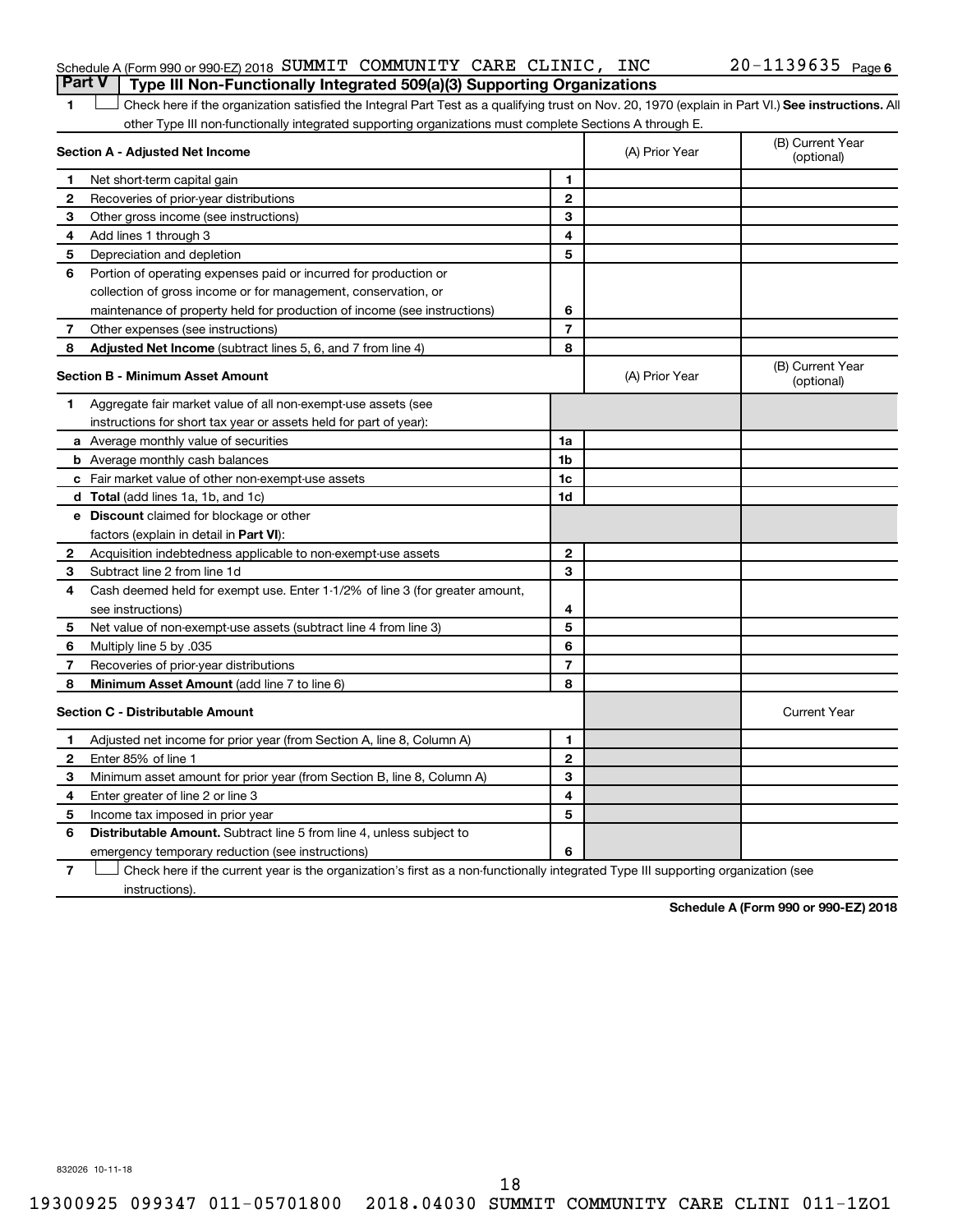### Schedule A (Form 990 or 990-EZ) 2018 Page SUMMIT COMMUNITY CARE CLINIC, INC 20-1139635 **Part V Type III Non-Functionally Integrated 509(a)(3) Supporting Organizations**

1 **Letter See instructions.** All Check here if the organization satisfied the Integral Part Test as a qualifying trust on Nov. 20, 1970 (explain in Part VI.) See instructions. All other Type III non-functionally integrated supporting organizations must complete Sections A through E.

|              | Section A - Adjusted Net Income                                              |                | (A) Prior Year | (B) Current Year<br>(optional) |
|--------------|------------------------------------------------------------------------------|----------------|----------------|--------------------------------|
| 1            | Net short-term capital gain                                                  | 1              |                |                                |
| 2            | Recoveries of prior-year distributions                                       | $\overline{2}$ |                |                                |
| 3            | Other gross income (see instructions)                                        | 3              |                |                                |
| 4            | Add lines 1 through 3                                                        | 4              |                |                                |
| 5            | Depreciation and depletion                                                   | 5              |                |                                |
| 6            | Portion of operating expenses paid or incurred for production or             |                |                |                                |
|              | collection of gross income or for management, conservation, or               |                |                |                                |
|              | maintenance of property held for production of income (see instructions)     | 6              |                |                                |
| 7            | Other expenses (see instructions)                                            | $\overline{7}$ |                |                                |
| 8            | Adjusted Net Income (subtract lines 5, 6, and 7 from line 4)                 | 8              |                |                                |
|              | <b>Section B - Minimum Asset Amount</b>                                      |                | (A) Prior Year | (B) Current Year<br>(optional) |
| 1.           | Aggregate fair market value of all non-exempt-use assets (see                |                |                |                                |
|              | instructions for short tax year or assets held for part of year):            |                |                |                                |
|              | a Average monthly value of securities                                        | 1a             |                |                                |
|              | <b>b</b> Average monthly cash balances                                       | 1 <sub>b</sub> |                |                                |
|              | c Fair market value of other non-exempt-use assets                           | 1c             |                |                                |
|              | <b>d</b> Total (add lines 1a, 1b, and 1c)                                    | 1d             |                |                                |
|              | e Discount claimed for blockage or other                                     |                |                |                                |
|              | factors (explain in detail in <b>Part VI</b> ):                              |                |                |                                |
| 2            | Acquisition indebtedness applicable to non-exempt-use assets                 | $\mathbf{2}$   |                |                                |
| 3            | Subtract line 2 from line 1d                                                 | 3              |                |                                |
| 4            | Cash deemed held for exempt use. Enter 1-1/2% of line 3 (for greater amount, |                |                |                                |
|              | see instructions)                                                            | 4              |                |                                |
| 5            | Net value of non-exempt-use assets (subtract line 4 from line 3)             | 5              |                |                                |
| 6            | Multiply line 5 by .035                                                      | 6              |                |                                |
| 7            | Recoveries of prior-year distributions                                       | $\overline{7}$ |                |                                |
| 8            | Minimum Asset Amount (add line 7 to line 6)                                  | 8              |                |                                |
|              | <b>Section C - Distributable Amount</b>                                      |                |                | <b>Current Year</b>            |
| 1            | Adjusted net income for prior year (from Section A, line 8, Column A)        | 1              |                |                                |
| $\mathbf{2}$ | Enter 85% of line 1                                                          | $\mathbf{2}$   |                |                                |
| 3            | Minimum asset amount for prior year (from Section B, line 8, Column A)       | 3              |                |                                |
| 4            | Enter greater of line 2 or line 3                                            | 4              |                |                                |
| 5            | Income tax imposed in prior year                                             | 5              |                |                                |
| 6            | Distributable Amount. Subtract line 5 from line 4, unless subject to         |                |                |                                |
|              | emergency temporary reduction (see instructions)                             | 6              |                |                                |
|              |                                                                              |                |                |                                |

**7** Check here if the current year is the organization's first as a non-functionally integrated Type III supporting organization (see † instructions).

**Schedule A (Form 990 or 990-EZ) 2018**

832026 10-11-18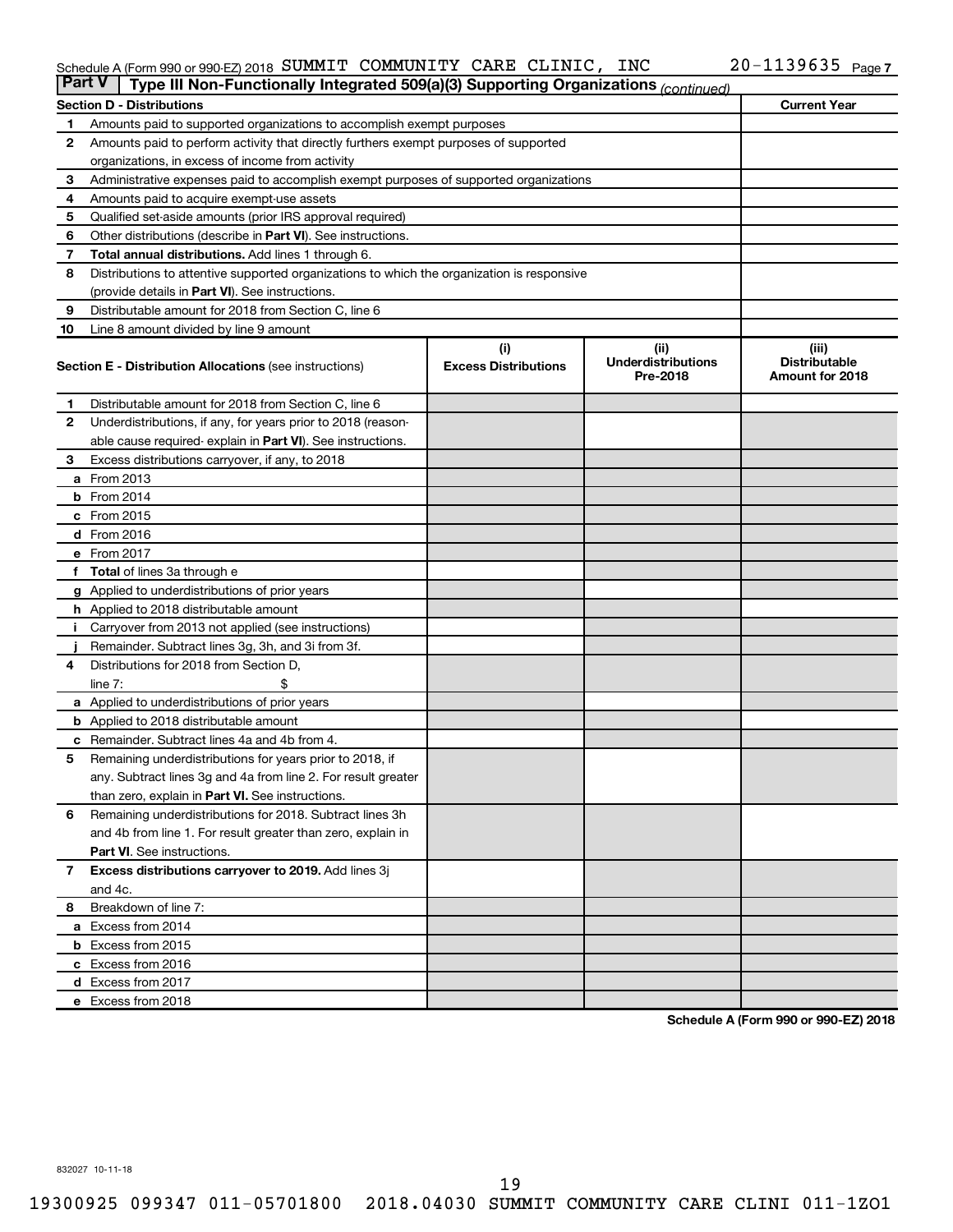### Schedule A (Form 990 or 990-EZ) 2018 Page SUMMIT COMMUNITY CARE CLINIC, INC 20-1139635

| <b>Part V</b> | Type III Non-Functionally Integrated 509(a)(3) Supporting Organizations (continued)        |                                    |                                               |                                                  |  |  |  |  |  |  |
|---------------|--------------------------------------------------------------------------------------------|------------------------------------|-----------------------------------------------|--------------------------------------------------|--|--|--|--|--|--|
|               | <b>Section D - Distributions</b>                                                           |                                    |                                               | <b>Current Year</b>                              |  |  |  |  |  |  |
| 1             | Amounts paid to supported organizations to accomplish exempt purposes                      |                                    |                                               |                                                  |  |  |  |  |  |  |
| $\mathbf{2}$  | Amounts paid to perform activity that directly furthers exempt purposes of supported       |                                    |                                               |                                                  |  |  |  |  |  |  |
|               | organizations, in excess of income from activity                                           |                                    |                                               |                                                  |  |  |  |  |  |  |
| 3             | Administrative expenses paid to accomplish exempt purposes of supported organizations      |                                    |                                               |                                                  |  |  |  |  |  |  |
| 4             | Amounts paid to acquire exempt-use assets                                                  |                                    |                                               |                                                  |  |  |  |  |  |  |
| 5             | Qualified set-aside amounts (prior IRS approval required)                                  |                                    |                                               |                                                  |  |  |  |  |  |  |
| 6             | Other distributions (describe in <b>Part VI</b> ). See instructions.                       |                                    |                                               |                                                  |  |  |  |  |  |  |
| 7             | <b>Total annual distributions.</b> Add lines 1 through 6.                                  |                                    |                                               |                                                  |  |  |  |  |  |  |
| 8             | Distributions to attentive supported organizations to which the organization is responsive |                                    |                                               |                                                  |  |  |  |  |  |  |
|               | (provide details in Part VI). See instructions.                                            |                                    |                                               |                                                  |  |  |  |  |  |  |
| 9             | Distributable amount for 2018 from Section C, line 6                                       |                                    |                                               |                                                  |  |  |  |  |  |  |
| 10            | Line 8 amount divided by line 9 amount                                                     |                                    |                                               |                                                  |  |  |  |  |  |  |
|               | <b>Section E - Distribution Allocations (see instructions)</b>                             | (i)<br><b>Excess Distributions</b> | (ii)<br><b>Underdistributions</b><br>Pre-2018 | (iii)<br><b>Distributable</b><br>Amount for 2018 |  |  |  |  |  |  |
| 1             | Distributable amount for 2018 from Section C, line 6                                       |                                    |                                               |                                                  |  |  |  |  |  |  |
| 2             | Underdistributions, if any, for years prior to 2018 (reason-                               |                                    |                                               |                                                  |  |  |  |  |  |  |
|               | able cause required-explain in Part VI). See instructions.                                 |                                    |                                               |                                                  |  |  |  |  |  |  |
| 3             | Excess distributions carryover, if any, to 2018                                            |                                    |                                               |                                                  |  |  |  |  |  |  |
|               | <b>a</b> From 2013                                                                         |                                    |                                               |                                                  |  |  |  |  |  |  |
|               | $b$ From 2014                                                                              |                                    |                                               |                                                  |  |  |  |  |  |  |
|               | c From 2015                                                                                |                                    |                                               |                                                  |  |  |  |  |  |  |
|               | d From 2016                                                                                |                                    |                                               |                                                  |  |  |  |  |  |  |
|               | e From 2017                                                                                |                                    |                                               |                                                  |  |  |  |  |  |  |
|               | f Total of lines 3a through e                                                              |                                    |                                               |                                                  |  |  |  |  |  |  |
|               | <b>g</b> Applied to underdistributions of prior years                                      |                                    |                                               |                                                  |  |  |  |  |  |  |
|               | <b>h</b> Applied to 2018 distributable amount                                              |                                    |                                               |                                                  |  |  |  |  |  |  |
| Ť.            | Carryover from 2013 not applied (see instructions)                                         |                                    |                                               |                                                  |  |  |  |  |  |  |
|               | Remainder. Subtract lines 3g, 3h, and 3i from 3f.                                          |                                    |                                               |                                                  |  |  |  |  |  |  |
| 4             | Distributions for 2018 from Section D,                                                     |                                    |                                               |                                                  |  |  |  |  |  |  |
|               | line $7:$                                                                                  |                                    |                                               |                                                  |  |  |  |  |  |  |
|               | a Applied to underdistributions of prior years                                             |                                    |                                               |                                                  |  |  |  |  |  |  |
|               | <b>b</b> Applied to 2018 distributable amount                                              |                                    |                                               |                                                  |  |  |  |  |  |  |
| c             | Remainder. Subtract lines 4a and 4b from 4.                                                |                                    |                                               |                                                  |  |  |  |  |  |  |
| 5             | Remaining underdistributions for years prior to 2018, if                                   |                                    |                                               |                                                  |  |  |  |  |  |  |
|               | any. Subtract lines 3g and 4a from line 2. For result greater                              |                                    |                                               |                                                  |  |  |  |  |  |  |
|               | than zero, explain in Part VI. See instructions.                                           |                                    |                                               |                                                  |  |  |  |  |  |  |
| 6             | Remaining underdistributions for 2018. Subtract lines 3h                                   |                                    |                                               |                                                  |  |  |  |  |  |  |
|               | and 4b from line 1. For result greater than zero, explain in                               |                                    |                                               |                                                  |  |  |  |  |  |  |
|               | <b>Part VI.</b> See instructions.                                                          |                                    |                                               |                                                  |  |  |  |  |  |  |
| $\mathbf{7}$  | Excess distributions carryover to 2019. Add lines 3j                                       |                                    |                                               |                                                  |  |  |  |  |  |  |
|               | and 4c.                                                                                    |                                    |                                               |                                                  |  |  |  |  |  |  |
| 8             | Breakdown of line 7:                                                                       |                                    |                                               |                                                  |  |  |  |  |  |  |
|               | a Excess from 2014                                                                         |                                    |                                               |                                                  |  |  |  |  |  |  |
|               | <b>b</b> Excess from 2015                                                                  |                                    |                                               |                                                  |  |  |  |  |  |  |
|               | c Excess from 2016                                                                         |                                    |                                               |                                                  |  |  |  |  |  |  |
|               | d Excess from 2017                                                                         |                                    |                                               |                                                  |  |  |  |  |  |  |
|               | e Excess from 2018                                                                         |                                    |                                               |                                                  |  |  |  |  |  |  |

**Schedule A (Form 990 or 990-EZ) 2018**

832027 10-11-18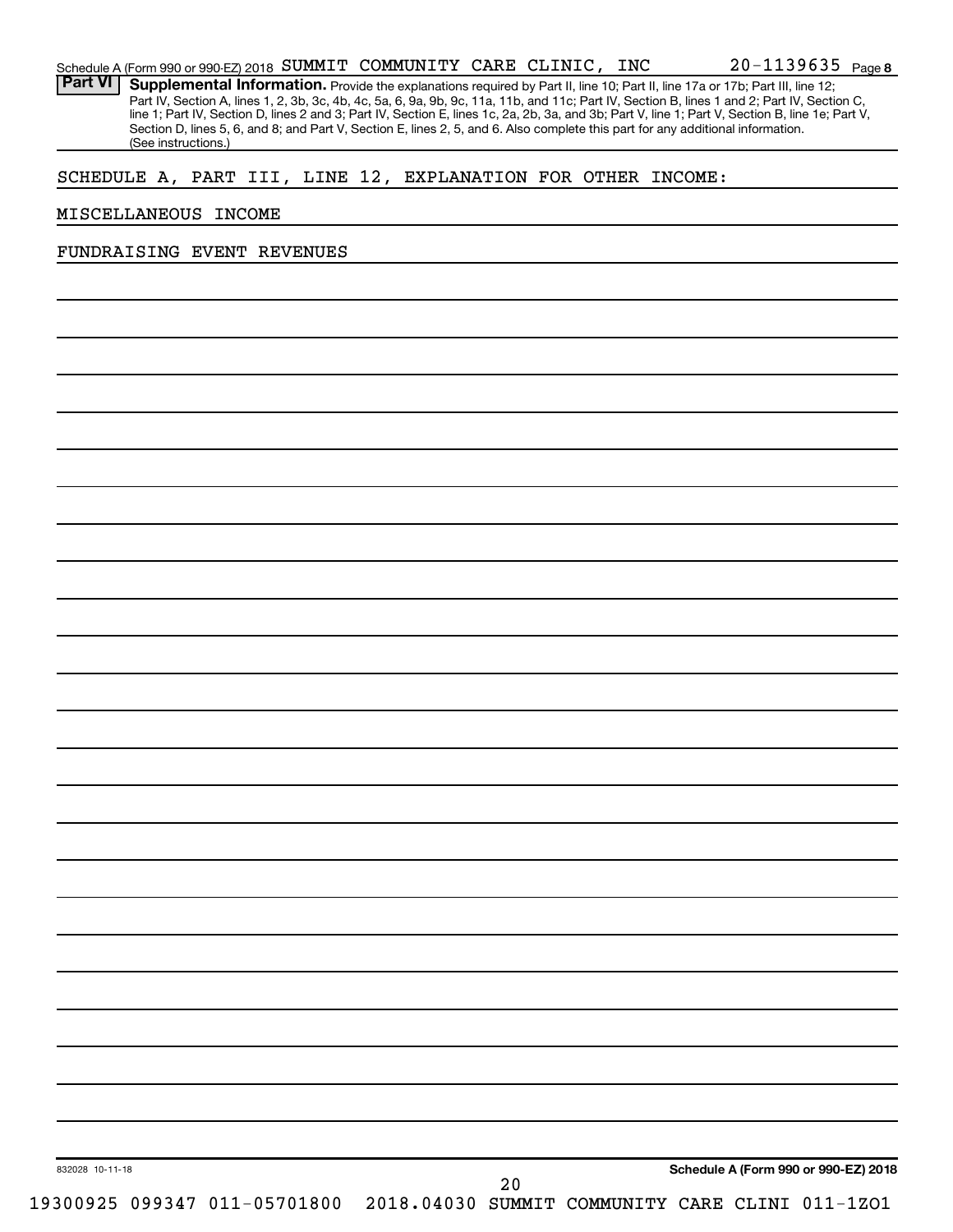| SCHEDULE A, PART III, LINE 12, EXPLANATION FOR OTHER INCOME: |  |                              |  |                                                 |    |  |  |                                      |
|--------------------------------------------------------------|--|------------------------------|--|-------------------------------------------------|----|--|--|--------------------------------------|
| MISCELLANEOUS INCOME                                         |  |                              |  |                                                 |    |  |  |                                      |
| FUNDRAISING EVENT REVENUES                                   |  |                              |  |                                                 |    |  |  |                                      |
|                                                              |  |                              |  |                                                 |    |  |  |                                      |
|                                                              |  |                              |  |                                                 |    |  |  |                                      |
|                                                              |  |                              |  |                                                 |    |  |  |                                      |
|                                                              |  |                              |  |                                                 |    |  |  |                                      |
|                                                              |  |                              |  |                                                 |    |  |  |                                      |
|                                                              |  |                              |  |                                                 |    |  |  |                                      |
|                                                              |  |                              |  |                                                 |    |  |  |                                      |
|                                                              |  |                              |  |                                                 |    |  |  |                                      |
|                                                              |  |                              |  |                                                 |    |  |  |                                      |
|                                                              |  |                              |  |                                                 |    |  |  |                                      |
|                                                              |  |                              |  |                                                 |    |  |  |                                      |
|                                                              |  |                              |  |                                                 |    |  |  |                                      |
|                                                              |  |                              |  |                                                 |    |  |  |                                      |
|                                                              |  |                              |  |                                                 |    |  |  |                                      |
|                                                              |  |                              |  |                                                 |    |  |  |                                      |
|                                                              |  |                              |  |                                                 |    |  |  |                                      |
|                                                              |  |                              |  |                                                 |    |  |  |                                      |
|                                                              |  |                              |  |                                                 |    |  |  |                                      |
|                                                              |  |                              |  |                                                 |    |  |  |                                      |
|                                                              |  |                              |  |                                                 |    |  |  |                                      |
|                                                              |  |                              |  |                                                 |    |  |  |                                      |
|                                                              |  |                              |  |                                                 |    |  |  |                                      |
|                                                              |  |                              |  |                                                 |    |  |  |                                      |
|                                                              |  |                              |  |                                                 |    |  |  |                                      |
|                                                              |  |                              |  |                                                 |    |  |  |                                      |
|                                                              |  |                              |  |                                                 |    |  |  |                                      |
|                                                              |  |                              |  |                                                 |    |  |  |                                      |
| 832028 10-11-18                                              |  |                              |  |                                                 |    |  |  | Schedule A (Form 990 or 990-EZ) 2018 |
|                                                              |  | 19300925 099347 011-05701800 |  | 2018.04030 SUMMIT COMMUNITY CARE CLINI 011-1ZO1 | 20 |  |  |                                      |

Provide the explanations required by Part II, line 10; Part II, line 17a or 17b; Part III, line 12; Part IV, Section A, lines 1, 2, 3b, 3c, 4b, 4c, 5a, 6, 9a, 9b, 9c, 11a, 11b, and 11c; Part IV, Section B, lines 1 and 2; Part IV, Section C, line 1; Part IV, Section D, lines 2 and 3; Part IV, Section E, lines 1c, 2a, 2b, 3a, and 3b; Part V, line 1; Part V, Section B, line 1e; Part V, **Part VI Supplemental Information.**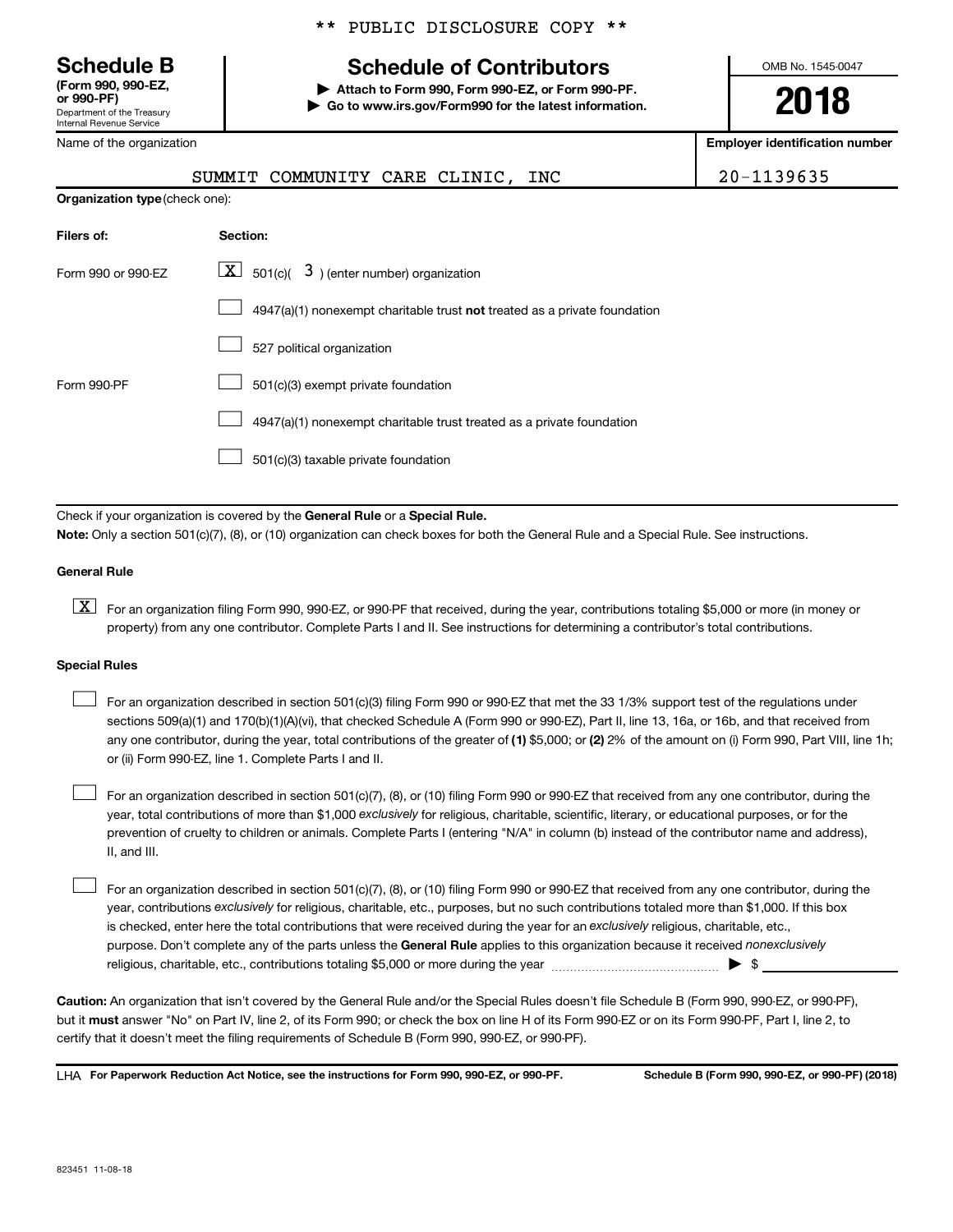**(Form 990, 990-EZ,**

Department of the Treasury Internal Revenue Service

Name of the organization

### \*\* PUBLIC DISCLOSURE COPY \*\*

## **Schedule B Schedule of Contributors**

**or 990-PF) | Attach to Form 990, Form 990-EZ, or Form 990-PF. | Go to www.irs.gov/Form990 for the latest information.** OMB No. 1545-0047

**2018**

**Employer identification number**

|                                       | SUMMIT COMMUNITY CARE CLINIC, INC                                         | 20-1139635 |
|---------------------------------------|---------------------------------------------------------------------------|------------|
| <b>Organization type (check one):</b> |                                                                           |            |
| Filers of:                            | Section:                                                                  |            |
| Form 990 or 990-EZ                    | $ \mathbf{X} $ 501(c)( 3) (enter number) organization                     |            |
|                                       | 4947(a)(1) nonexempt charitable trust not treated as a private foundation |            |
|                                       | 527 political organization                                                |            |
| Form 990-PF                           | 501(c)(3) exempt private foundation                                       |            |
|                                       | 4947(a)(1) nonexempt charitable trust treated as a private foundation     |            |

501(c)(3) taxable private foundation  $\Box$ 

Check if your organization is covered by the General Rule or a Special Rule.

**Note:**  Only a section 501(c)(7), (8), or (10) organization can check boxes for both the General Rule and a Special Rule. See instructions.

### **General Rule**

**K** For an organization filing Form 990, 990-EZ, or 990-PF that received, during the year, contributions totaling \$5,000 or more (in money or property) from any one contributor. Complete Parts I and II. See instructions for determining a contributor's total contributions.

### **Special Rules**

any one contributor, during the year, total contributions of the greater of (1) \$5,000; or (2) 2% of the amount on (i) Form 990, Part VIII, line 1h; For an organization described in section 501(c)(3) filing Form 990 or 990-EZ that met the 33 1/3% support test of the regulations under sections 509(a)(1) and 170(b)(1)(A)(vi), that checked Schedule A (Form 990 or 990-EZ), Part II, line 13, 16a, or 16b, and that received from or (ii) Form 990-EZ, line 1. Complete Parts I and II.  $\Box$ 

year, total contributions of more than \$1,000 *exclusively* for religious, charitable, scientific, literary, or educational purposes, or for the For an organization described in section 501(c)(7), (8), or (10) filing Form 990 or 990-EZ that received from any one contributor, during the prevention of cruelty to children or animals. Complete Parts I (entering "N/A" in column (b) instead of the contributor name and address), II, and III.  $\Box$ 

purpose. Don't complete any of the parts unless the General Rule applies to this organization because it received nonexclusively year, contributions exclusively for religious, charitable, etc., purposes, but no such contributions totaled more than \$1,000. If this box is checked, enter here the total contributions that were received during the year for an exclusively religious, charitable, etc., For an organization described in section 501(c)(7), (8), or (10) filing Form 990 or 990-EZ that received from any one contributor, during the religious, charitable, etc., contributions totaling \$5,000 or more during the year  $\ldots$  $\ldots$  $\ldots$  $\ldots$  $\ldots$  $\ldots$  $\Box$ 

**Caution:**  An organization that isn't covered by the General Rule and/or the Special Rules doesn't file Schedule B (Form 990, 990-EZ, or 990-PF),  **must** but it answer "No" on Part IV, line 2, of its Form 990; or check the box on line H of its Form 990-EZ or on its Form 990-PF, Part I, line 2, to certify that it doesn't meet the filing requirements of Schedule B (Form 990, 990-EZ, or 990-PF).

**For Paperwork Reduction Act Notice, see the instructions for Form 990, 990-EZ, or 990-PF. Schedule B (Form 990, 990-EZ, or 990-PF) (2018)** LHA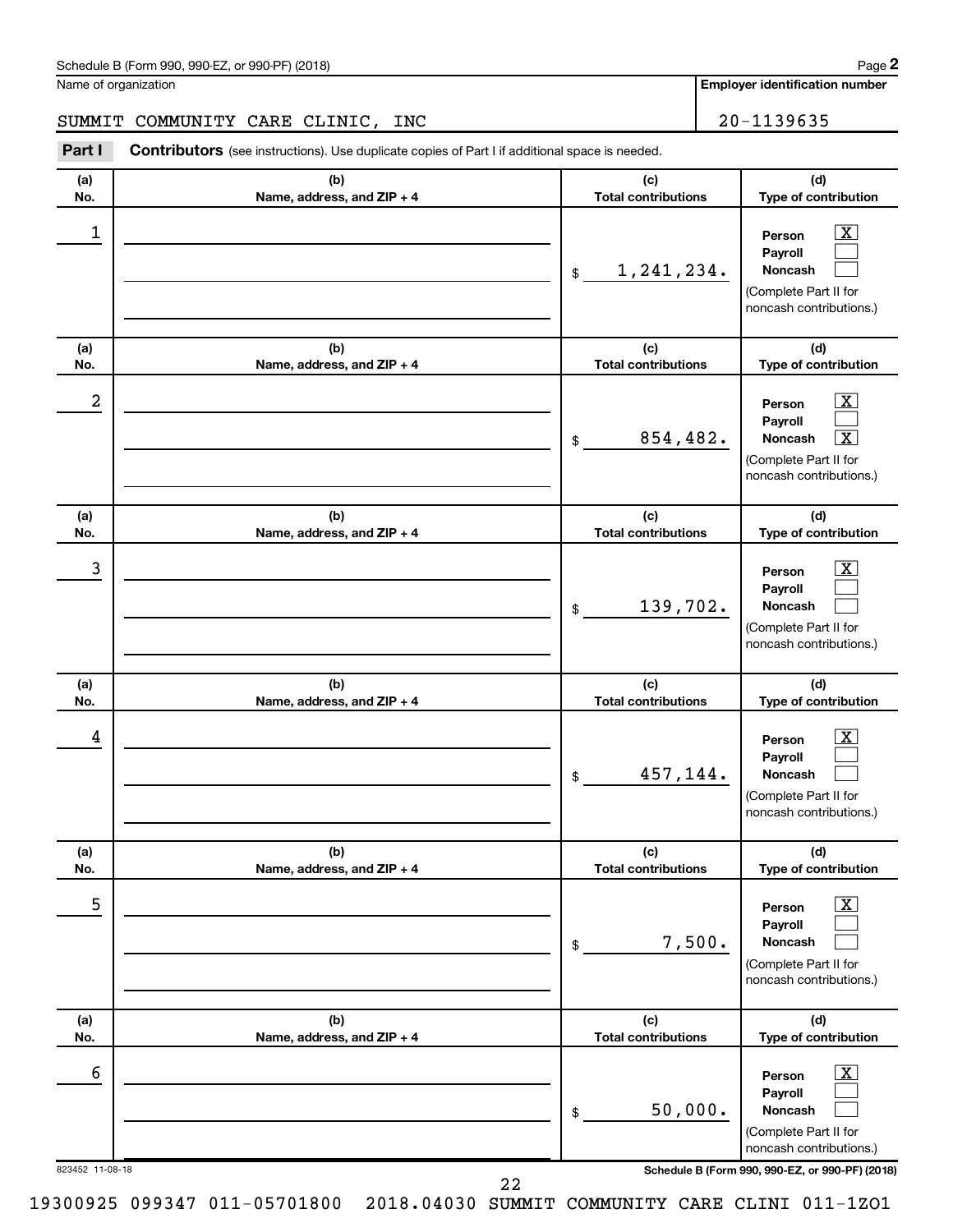Name of organization

**Employer identification number**

### SUMMIT COMMUNITY CARE CLINIC, INC 20-1139635

**Part I** Contributors (see instructions). Use duplicate copies of Part I if additional space is needed.

| (a)        | (b)                               | (c)<br><b>Total contributions</b> | (d)                                                                                                                                 |
|------------|-----------------------------------|-----------------------------------|-------------------------------------------------------------------------------------------------------------------------------------|
| No.<br>1   | Name, address, and ZIP + 4        | 1, 241, 234.<br>$\mathfrak{S}$    | Type of contribution<br>$\boxed{\text{X}}$<br>Person<br>Payroll<br><b>Noncash</b>                                                   |
| (a)<br>No. | (b)<br>Name, address, and ZIP + 4 | (c)<br><b>Total contributions</b> | (Complete Part II for<br>noncash contributions.)<br>(d)<br>Type of contribution                                                     |
| 2          |                                   | 854,482.<br>\$                    | $\boxed{\textbf{X}}$<br>Person<br>Payroll<br>$\overline{\mathbf{X}}$<br>Noncash<br>(Complete Part II for<br>noncash contributions.) |
| (a)<br>No. | (b)<br>Name, address, and ZIP + 4 | (c)<br><b>Total contributions</b> | (d)<br>Type of contribution                                                                                                         |
| 3          |                                   | 139,702.<br>\$                    | $\overline{\mathbf{X}}$<br>Person<br>Payroll<br>Noncash<br>(Complete Part II for<br>noncash contributions.)                         |
| (a)<br>No. | (b)<br>Name, address, and ZIP + 4 | (c)<br><b>Total contributions</b> | (d)<br>Type of contribution                                                                                                         |
| 4          |                                   | 457,144.<br>\$                    | $\overline{\mathbf{X}}$<br>Person<br>Payroll<br><b>Noncash</b><br>(Complete Part II for<br>noncash contributions.)                  |
| (a)<br>No. | (b)<br>Name, address, and ZIP + 4 | (c)<br><b>Total contributions</b> | (d)<br>Type of contribution                                                                                                         |
| 5          |                                   | 7,500.<br>\$                      | $\boxed{\text{X}}$<br>Person<br>Payroll<br>Noncash<br>(Complete Part II for<br>noncash contributions.)                              |
| (a)<br>No. | (b)<br>Name, address, and ZIP + 4 | (c)<br><b>Total contributions</b> | (d)<br>Type of contribution                                                                                                         |
| 6          |                                   |                                   | $\boxed{\text{X}}$<br>Person<br>Payroll                                                                                             |

19300925 099347 011-05701800 2018.04030 SUMMIT COMMUNITY CARE CLINI 011-1ZO1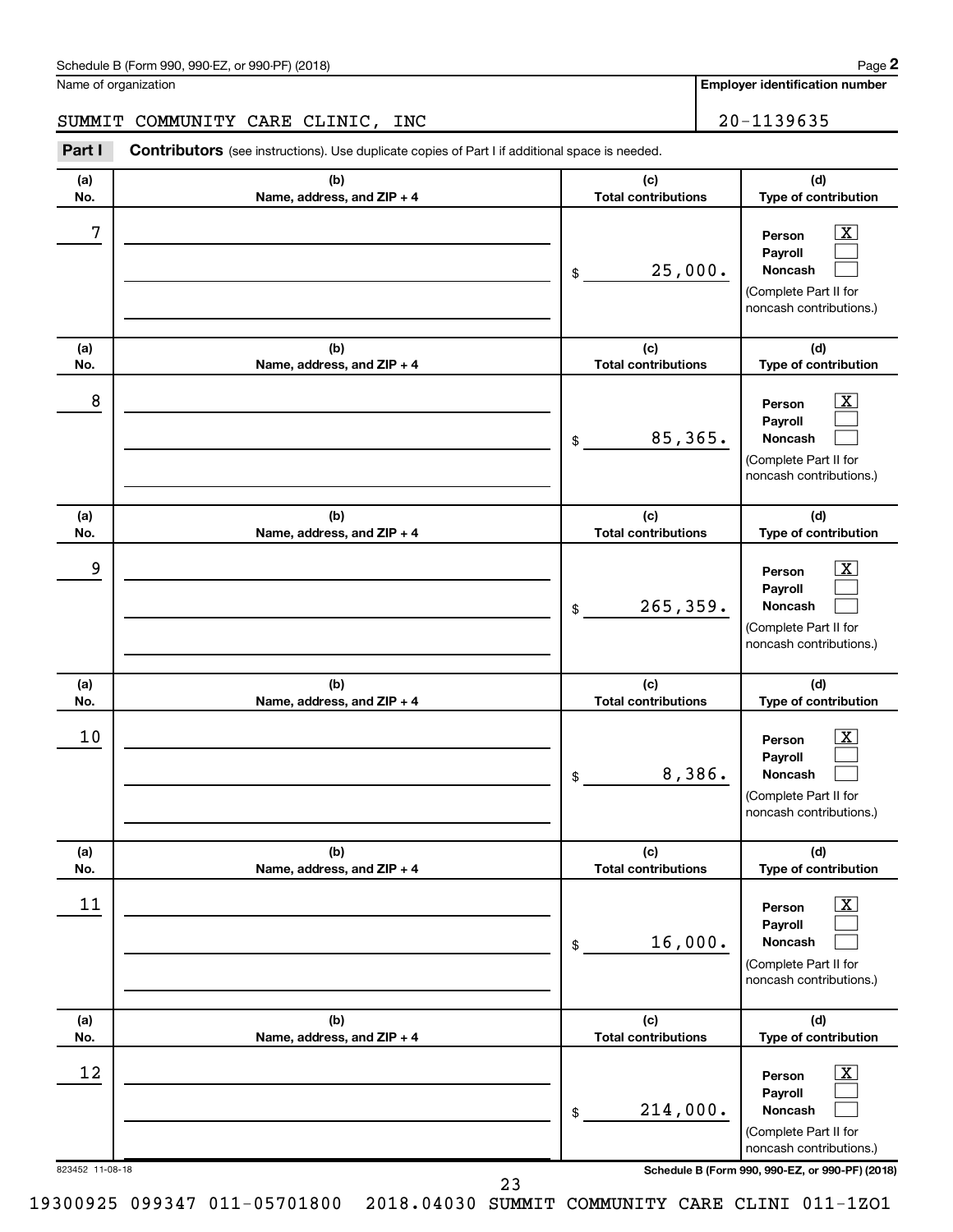**Employer identification number**

**(a) No. (b) Name, address, and ZIP + 4 (c) Total contributions (d) Type of contribution Person Payroll Noncash (a) No. (b) Name, address, and ZIP + 4 (c) Total contributions (d) Type of contribution Person Payroll Noncash (a) No. (b) Name, address, and ZIP + 4 (c) Total contributions (d) Type of contribution Person Payroll Noncash (a) No. (b) Name, address, and ZIP + 4 (c) Total contributions (d) Type of contribution Person Payroll Noncash (a) No. (b) Name, address, and ZIP + 4 (c) Total contributions (d) Type of contribution Person Payroll Noncash (a) No. (b) Name, address, and ZIP + 4 (c) Total contributions (d) Type of contribution Person Payroll Noncash Part I** Contributors (see instructions). Use duplicate copies of Part I if additional space is needed. \$ (Complete Part II for noncash contributions.) \$ (Complete Part II for noncash contributions.) \$ (Complete Part II for noncash contributions.) \$ (Complete Part II for noncash contributions.) \$ (Complete Part II for noncash contributions.) \$  $\lfloor x \rfloor$  $\Box$  $\Box$  $\overline{\mathbf{X}}$  $\Box$  $\Box$  $\boxed{\textbf{X}}$  $\Box$  $\Box$  $\boxed{\textbf{X}}$  $\Box$  $\Box$  $\boxed{\text{X}}$  $\Box$  $\Box$  $\boxed{\text{X}}$  $\Box$  $\Box$ SUMMIT COMMUNITY CARE CLINIC, INC  $\vert$  20-1139635  $7$   $|$  Person  $\overline{\text{X}}$ 25,000.  $8$  Person  $\overline{\text{X}}$ 85,365. 9 X 265,359.  $10$  Person  $\overline{\text{X}}$ 8,386.  $\begin{array}{|c|c|c|c|c|}\hline \text{11} & \text{Person} & \text{X} \\\hline \end{array}$ 16,000.  $\begin{array}{|c|c|c|c|c|}\hline \text{12} & \text{Person} & \text{X} \\\hline \end{array}$ 214,000.

823452 11-08-18 **Schedule B (Form 990, 990-EZ, or 990-PF) (2018)**

(Complete Part II for noncash contributions.)

19300925 099347 011-05701800 2018.04030 SUMMIT COMMUNITY CARE CLINI 011-1ZO1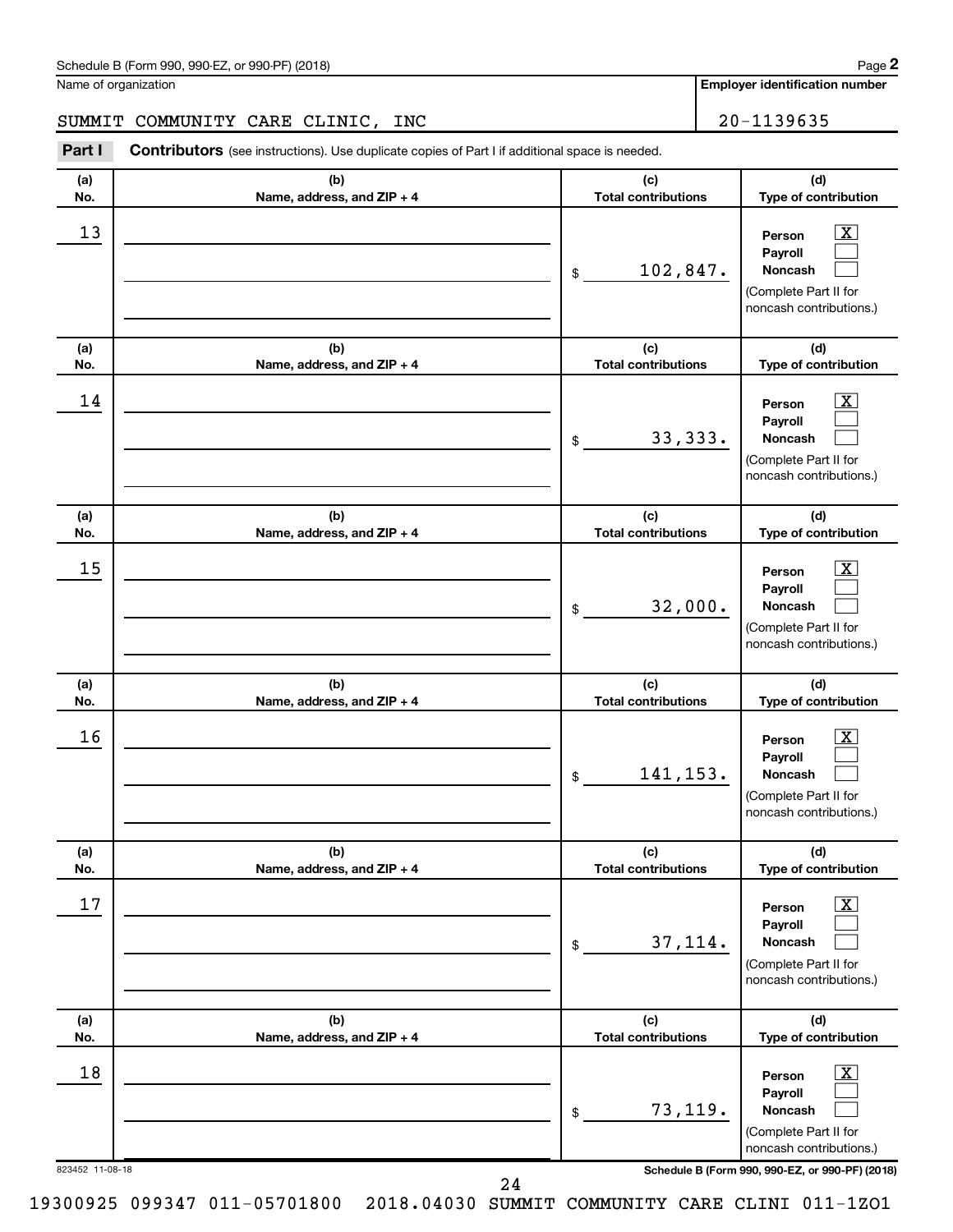**Employer identification number**

### SUMMIT COMMUNITY CARE CLINIC, INC | 20-1139635

823452 11-08-18 **Schedule B (Form 990, 990-EZ, or 990-PF) (2018) (a) No. (b) Name, address, and ZIP + 4 (c) Total contributions (d) Type of contribution Person Payroll Noncash (a) No. (b) Name, address, and ZIP + 4 (c) Total contributions (d) Type of contribution Person Payroll Noncash (a) No. (b) Name, address, and ZIP + 4 (c) Total contributions (d) Type of contribution Person Payroll Noncash (a) No. (b) Name, address, and ZIP + 4 (c) Total contributions (d) Type of contribution Person Payroll Noncash (a) No. (b) Name, address, and ZIP + 4 (c) Total contributions (d) Type of contribution Person Payroll Noncash (a) No. (b) Name, address, and ZIP + 4 (c) Total contributions (d) Type of contribution Person Payroll Noncash Part I** Contributors (see instructions). Use duplicate copies of Part I if additional space is needed. \$ (Complete Part II for noncash contributions.) \$ (Complete Part II for noncash contributions.) \$ (Complete Part II for noncash contributions.) \$ (Complete Part II for noncash contributions.) \$ (Complete Part II for noncash contributions.) \$ (Complete Part II for noncash contributions.)  $\lfloor x \rfloor$  $\Box$  $\Box$  $\boxed{\textbf{X}}$  $\Box$  $\Box$  $\boxed{\textbf{X}}$  $\Box$  $\Box$  $\boxed{\textbf{X}}$  $\Box$  $\Box$  $\boxed{\text{X}}$  $\Box$  $\Box$  $\boxed{\textbf{X}}$  $\Box$  $\Box$  $\begin{array}{|c|c|c|c|c|}\hline \text{13} & \text{Person} & \text{X} \\\hline \end{array}$ 102,847.  $\begin{array}{|c|c|c|c|c|}\hline \text{14} & \text{Person} & \text{X} \\\hline \end{array}$ 33,333.  $15$  Person  $\overline{\text{X}}$ 32,000.  $16$  Person  $\overline{\text{X}}$ 141,153.  $17$  Person  $\overline{\text{X}}$ 37,114.  $\begin{array}{|c|c|c|c|c|c|}\hline \text{18} & \text{Person} & \text{X} \\\hline \end{array}$ 73,119.

24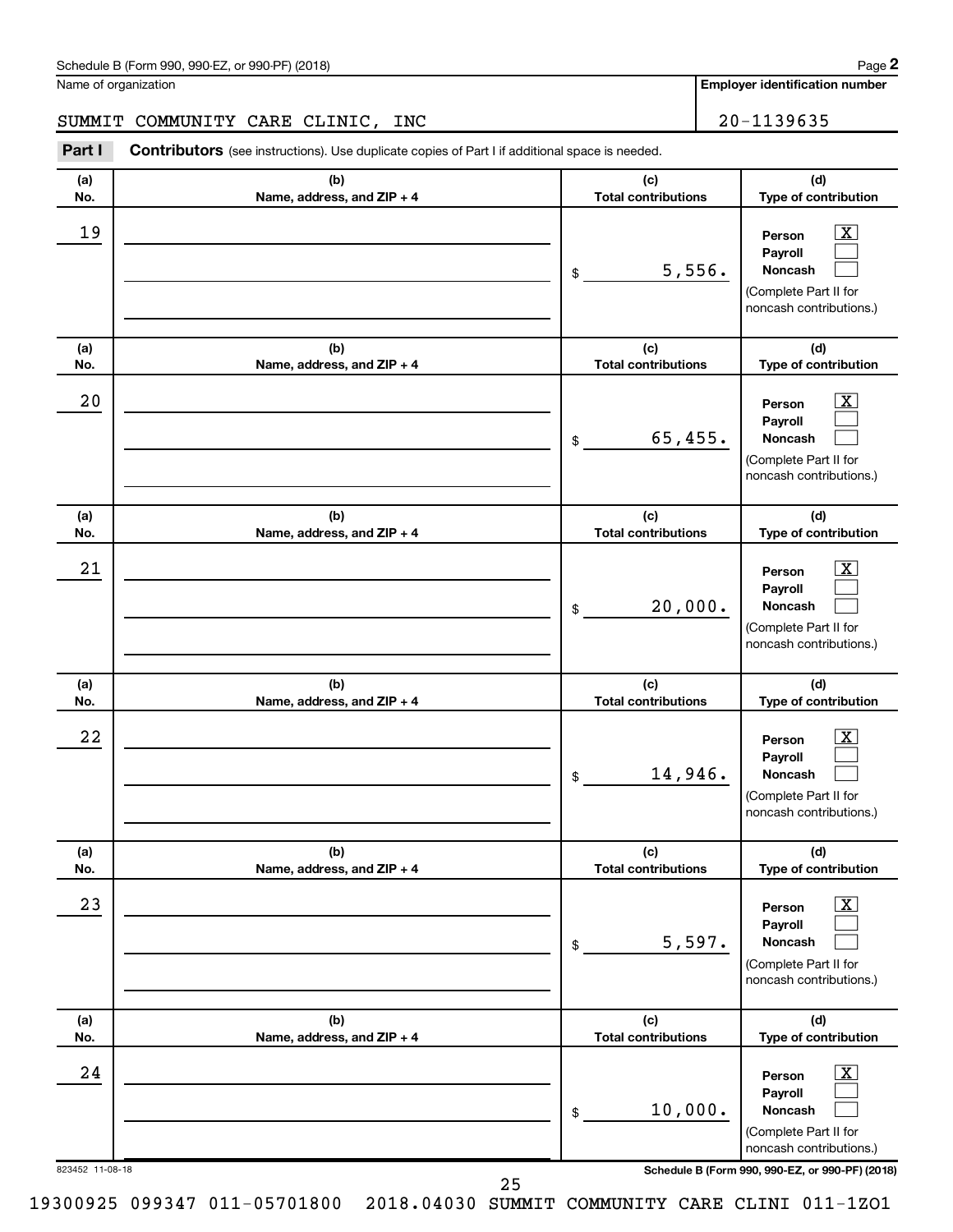Name of organization

**Employer identification number (a) No. (b) Name, address, and ZIP + 4 (c) Total contributions (d) Type of contribution Person Payroll Noncash (a) No. (b) Name, address, and ZIP + 4 (c) Total contributions (d) Type of contribution Person Payroll Noncash (a) No. (b) Name, address, and ZIP + 4 (c) Total contributions (d) Type of contribution Person Payroll Noncash (a) No. (b) Name, address, and ZIP + 4 (c) Total contributions (d) Type of contribution Person Payroll Noncash (a) No. (b) Name, address, and ZIP + 4 (c) Total contributions (d) Type of contribution Person Payroll Noncash (a) No. (b) Name, address, and ZIP + 4 (c) Total contributions (d) Type of contribution Person Payroll Noncash Part I** Contributors (see instructions). Use duplicate copies of Part I if additional space is needed. \$ (Complete Part II for noncash contributions.) \$ (Complete Part II for noncash contributions.) \$ (Complete Part II for noncash contributions.) \$ (Complete Part II for noncash contributions.) \$ (Complete Part II for noncash contributions.) \$  $\lfloor x \rfloor$  $\Box$  $\Box$  $\boxed{\textbf{X}}$  $\Box$  $\Box$  $\boxed{\textbf{X}}$  $\Box$  $\Box$  $\boxed{\textbf{X}}$  $\Box$  $\Box$  $\boxed{\text{X}}$  $\Box$  $\Box$  $\boxed{\text{X}}$  $\Box$  $\Box$ SUMMIT COMMUNITY CARE CLINIC, INC 20-1139635  $19$  Person  $\overline{\text{X}}$ 5,556.  $20$  Person  $\overline{\text{X}}$ 65,455.  $21$  Person  $\overline{\text{X}}$ 20,000.  $22$  Person  $\overline{\text{X}}$ 14,946.  $23$  Person  $\overline{\text{X}}$ 5,597.  $24$  Person  $\overline{\text{X}}$ 10,000.

823452 11-08-18 **Schedule B (Form 990, 990-EZ, or 990-PF) (2018)**

(Complete Part II for noncash contributions.)

**2**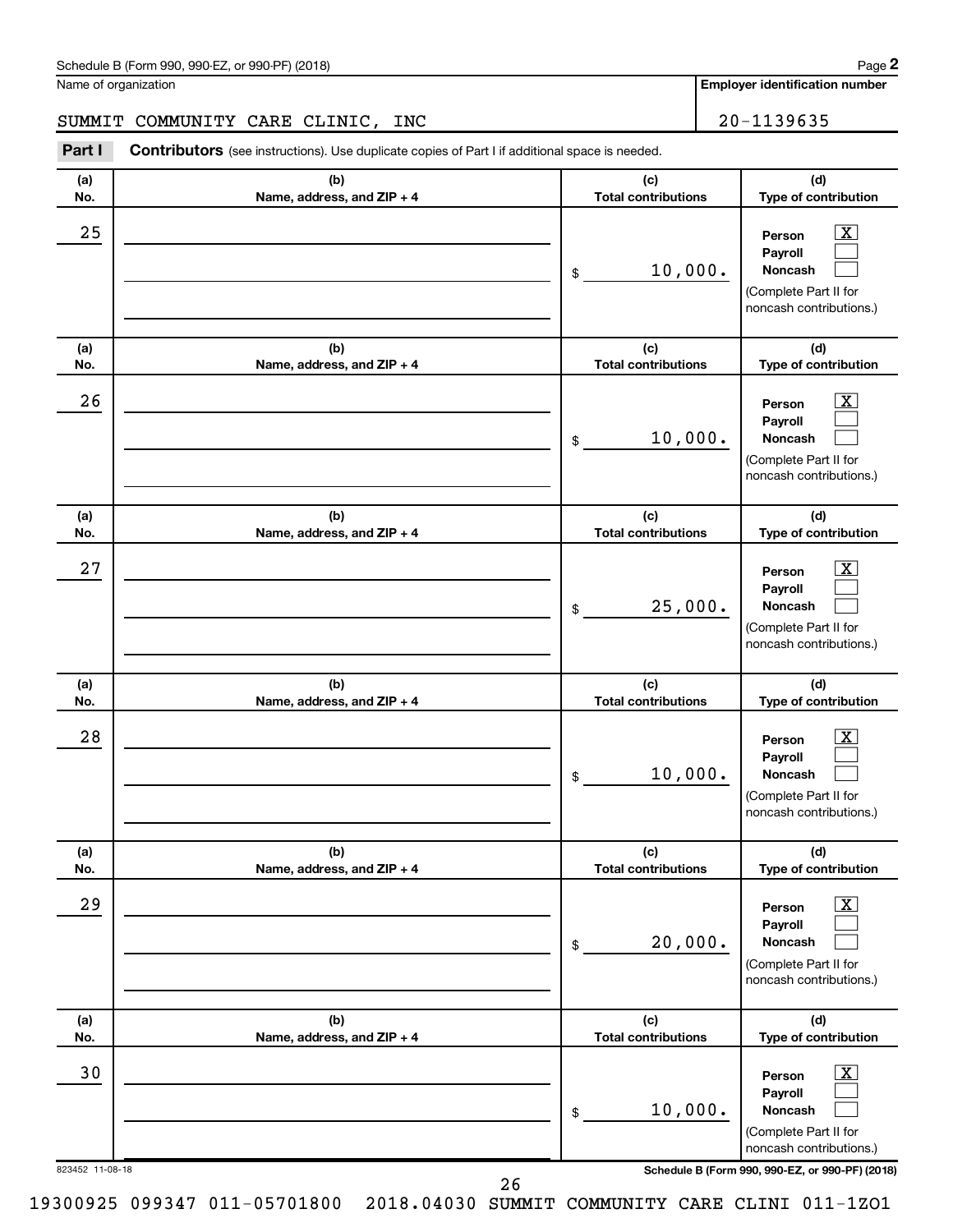**Employer identification number**

### SUMMIT COMMUNITY CARE CLINIC, INC | 20-1139635

823452 11-08-18 **Schedule B (Form 990, 990-EZ, or 990-PF) (2018) (a) No. (b) Name, address, and ZIP + 4 (c) Total contributions (d) Type of contribution Person Payroll Noncash (a) No. (b) Name, address, and ZIP + 4 (c) Total contributions (d) Type of contribution Person Payroll Noncash (a) No. (b) Name, address, and ZIP + 4 (c) Total contributions (d) Type of contribution Person Payroll Noncash (a) No. (b) Name, address, and ZIP + 4 (c) Total contributions (d) Type of contribution Person Payroll Noncash (a) No. (b) Name, address, and ZIP + 4 (c) Total contributions (d) Type of contribution Person Payroll Noncash (a) No. (b) Name, address, and ZIP + 4 (c) Total contributions (d) Type of contribution Person Payroll Noncash Part I** Contributors (see instructions). Use duplicate copies of Part I if additional space is needed. \$ (Complete Part II for noncash contributions.) \$ (Complete Part II for noncash contributions.) \$ (Complete Part II for noncash contributions.) \$ (Complete Part II for noncash contributions.) \$ (Complete Part II for noncash contributions.) \$ (Complete Part II for noncash contributions.)  $\lfloor x \rfloor$  $\Box$  $\Box$  $\overline{\mathbf{X}}$  $\Box$  $\Box$  $\boxed{\textbf{X}}$  $\Box$  $\Box$  $\boxed{\textbf{X}}$  $\Box$  $\Box$  $\boxed{\text{X}}$  $\Box$  $\Box$  $\boxed{\text{X}}$  $\Box$  $\Box$  $25$  Person  $\overline{\text{X}}$ 10,000.  $26$  Person  $\overline{\text{X}}$ 10,000.  $27$  Person  $\overline{\text{X}}$ 25,000.  $28$  Person  $\overline{\text{X}}$ 10,000.  $29$  Person  $\overline{\text{X}}$ 20,000.  $\overline{30}$  Person  $\overline{\text{X}}$ 10,000.

26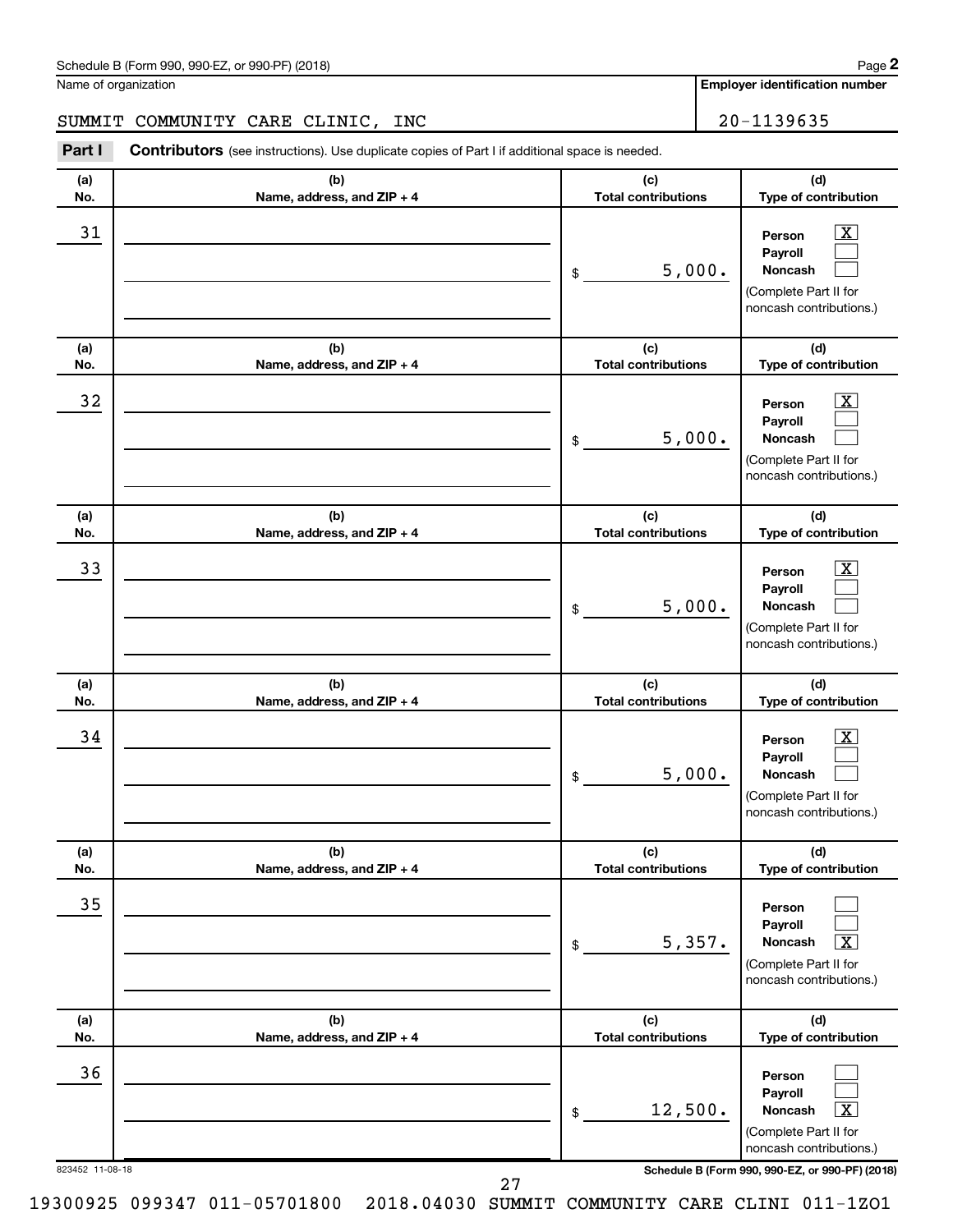36

**Employer identification number (a) No. (b) Name, address, and ZIP + 4 (c) Total contributions (d) Type of contribution Person Payroll Noncash (a) No. (b) Name, address, and ZIP + 4 (c) Total contributions (d) Type of contribution Person Payroll Noncash (a) No. (b) Name, address, and ZIP + 4 (c) Total contributions (d) Type of contribution Person Payroll Noncash (a) No. (b) Name, address, and ZIP + 4 (c) Total contributions (d) Type of contribution Person Payroll Noncash (a) No. (b) Name, address, and ZIP + 4 (c) Total contributions (d) Type of contribution Person Payroll Noncash (a) No. (b) Name, address, and ZIP + 4 (c) Total contributions (d) Type of contribution** Name of organization **Part I** Contributors (see instructions). Use duplicate copies of Part I if additional space is needed. \$ (Complete Part II for noncash contributions.) \$ (Complete Part II for noncash contributions.) \$ (Complete Part II for noncash contributions.) \$ (Complete Part II for noncash contributions.) \$ (Complete Part II for noncash contributions.)  $\lfloor x \rfloor$  $\Box$  $\Box$  $\boxed{\textbf{X}}$  $\Box$  $\Box$  $\boxed{\textbf{X}}$  $\Box$  $\Box$  $\boxed{\textbf{X}}$  $\Box$  $\Box$  $\Box$  $\Box$  $\boxed{\text{X}}$ SUMMIT COMMUNITY CARE CLINIC, INC 20-1139635  $\begin{array}{|c|c|c|c|c|}\hline \text{31} & \text{Person} & \text{X} \\\hline \end{array}$ 5,000.  $\begin{array}{|c|c|c|c|c|}\hline \text{32} & \text{Person} & \text{X} \ \hline \end{array}$ 5,000.  $\overline{33}$  Person  $\overline{\text{X}}$ 5,000.  $\begin{array}{|c|c|c|c|c|}\hline \text{34} & \text{Person} & \text{X} \\\hline \end{array}$ 5,000. 35  $5,357.$ 

> **Person Payroll Noncash** \$ (Complete Part II for noncash contributions.)  $\Box$  $\Box$  $\boxed{\textbf{X}}$  $12,500.$

823452 11-08-18 **Schedule B (Form 990, 990-EZ, or 990-PF) (2018)**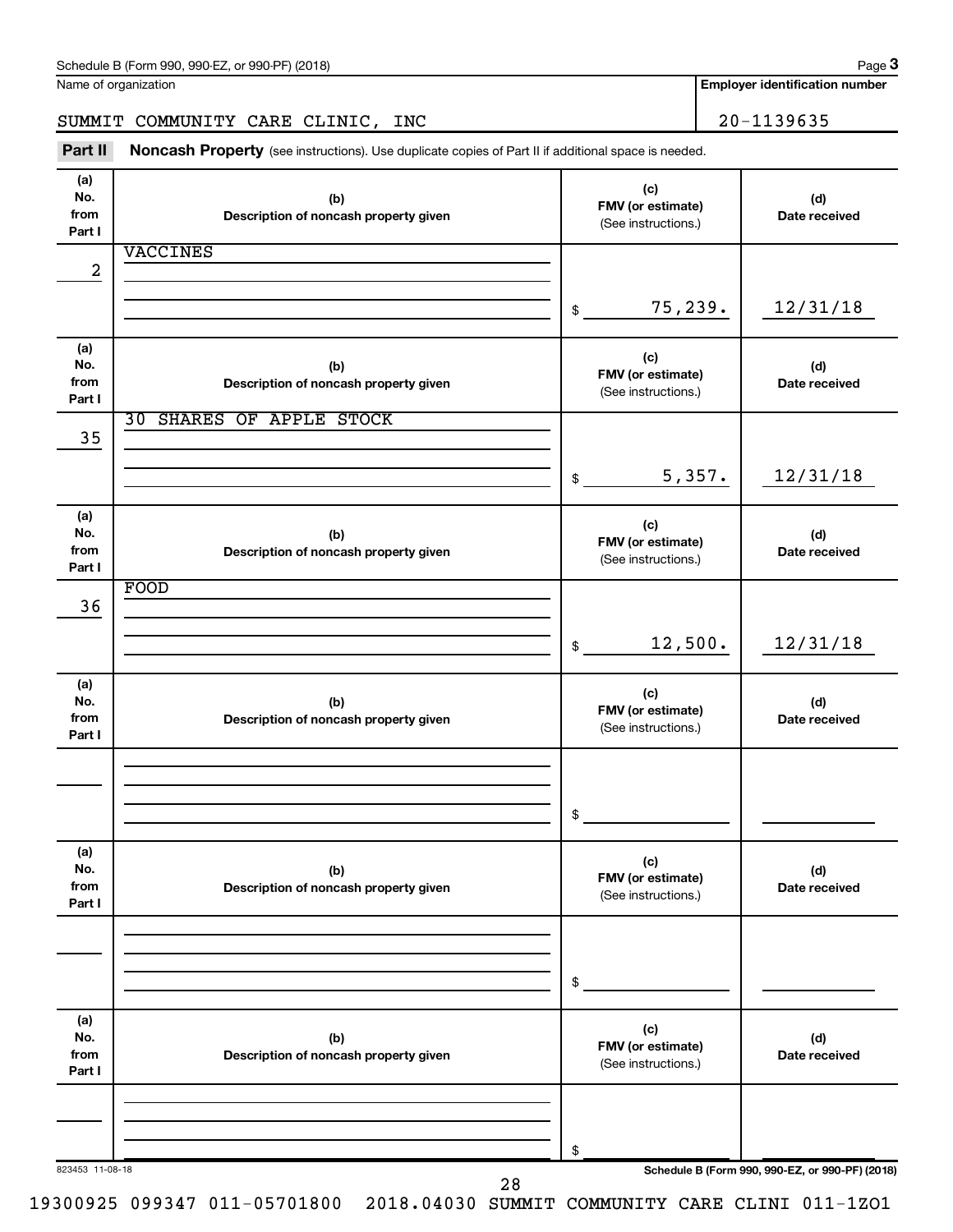**3**

**Employer identification number**

SUMMIT COMMUNITY CARE CLINIC, INC 20-1139635

Part II Noncash Property (see instructions). Use duplicate copies of Part II if additional space is needed.

| (a)<br>No.<br>from<br>Part I | (b)<br>Description of noncash property given | (c)<br>FMV (or estimate)<br>(See instructions.) | (d)<br>Date received                            |
|------------------------------|----------------------------------------------|-------------------------------------------------|-------------------------------------------------|
|                              | <b>VACCINES</b>                              |                                                 |                                                 |
| 2                            |                                              |                                                 |                                                 |
|                              |                                              |                                                 |                                                 |
|                              |                                              | 75,239.<br>$\$$                                 | 12/31/18                                        |
|                              |                                              |                                                 |                                                 |
| (a)                          |                                              | (c)                                             |                                                 |
| No.<br>from                  | (b)<br>Description of noncash property given | FMV (or estimate)                               | (d)<br>Date received                            |
| Part I                       |                                              | (See instructions.)                             |                                                 |
|                              | <b>30 SHARES OF APPLE STOCK</b>              |                                                 |                                                 |
| 35                           |                                              |                                                 |                                                 |
|                              |                                              |                                                 |                                                 |
|                              |                                              | 5,357.<br>\$                                    | 12/31/18                                        |
|                              |                                              |                                                 |                                                 |
| (a)                          |                                              | (c)                                             |                                                 |
| No.                          | (b)                                          | FMV (or estimate)                               | (d)                                             |
| from<br>Part I               | Description of noncash property given        | (See instructions.)                             | Date received                                   |
|                              | FOOD                                         |                                                 |                                                 |
| 36                           |                                              |                                                 |                                                 |
|                              |                                              |                                                 |                                                 |
|                              |                                              | 12,500.<br>$\$$                                 | 12/31/18                                        |
|                              |                                              |                                                 |                                                 |
| (a)                          |                                              | (c)                                             |                                                 |
| No.<br>from                  | (b)                                          | FMV (or estimate)                               | (d)                                             |
| Part I                       | Description of noncash property given        | (See instructions.)                             | Date received                                   |
|                              |                                              |                                                 |                                                 |
|                              |                                              |                                                 |                                                 |
|                              |                                              |                                                 |                                                 |
|                              |                                              | \$                                              |                                                 |
|                              |                                              |                                                 |                                                 |
| (a)                          |                                              | (c)                                             |                                                 |
| No.<br>from                  | (b)                                          | FMV (or estimate)                               | (d)                                             |
| Part I                       | Description of noncash property given        | (See instructions.)                             | Date received                                   |
|                              |                                              |                                                 |                                                 |
|                              |                                              |                                                 |                                                 |
|                              |                                              |                                                 |                                                 |
|                              |                                              | \$                                              |                                                 |
|                              |                                              |                                                 |                                                 |
| (a)                          |                                              | (c)                                             |                                                 |
| No.                          | (b)                                          | FMV (or estimate)                               | (d)                                             |
| from<br>Part I               | Description of noncash property given        | (See instructions.)                             | Date received                                   |
|                              |                                              |                                                 |                                                 |
|                              |                                              |                                                 |                                                 |
|                              |                                              |                                                 |                                                 |
|                              |                                              | \$                                              |                                                 |
| 823453 11-08-18              |                                              |                                                 | Schedule B (Form 990, 990-EZ, or 990-PF) (2018) |
|                              | 28                                           |                                                 |                                                 |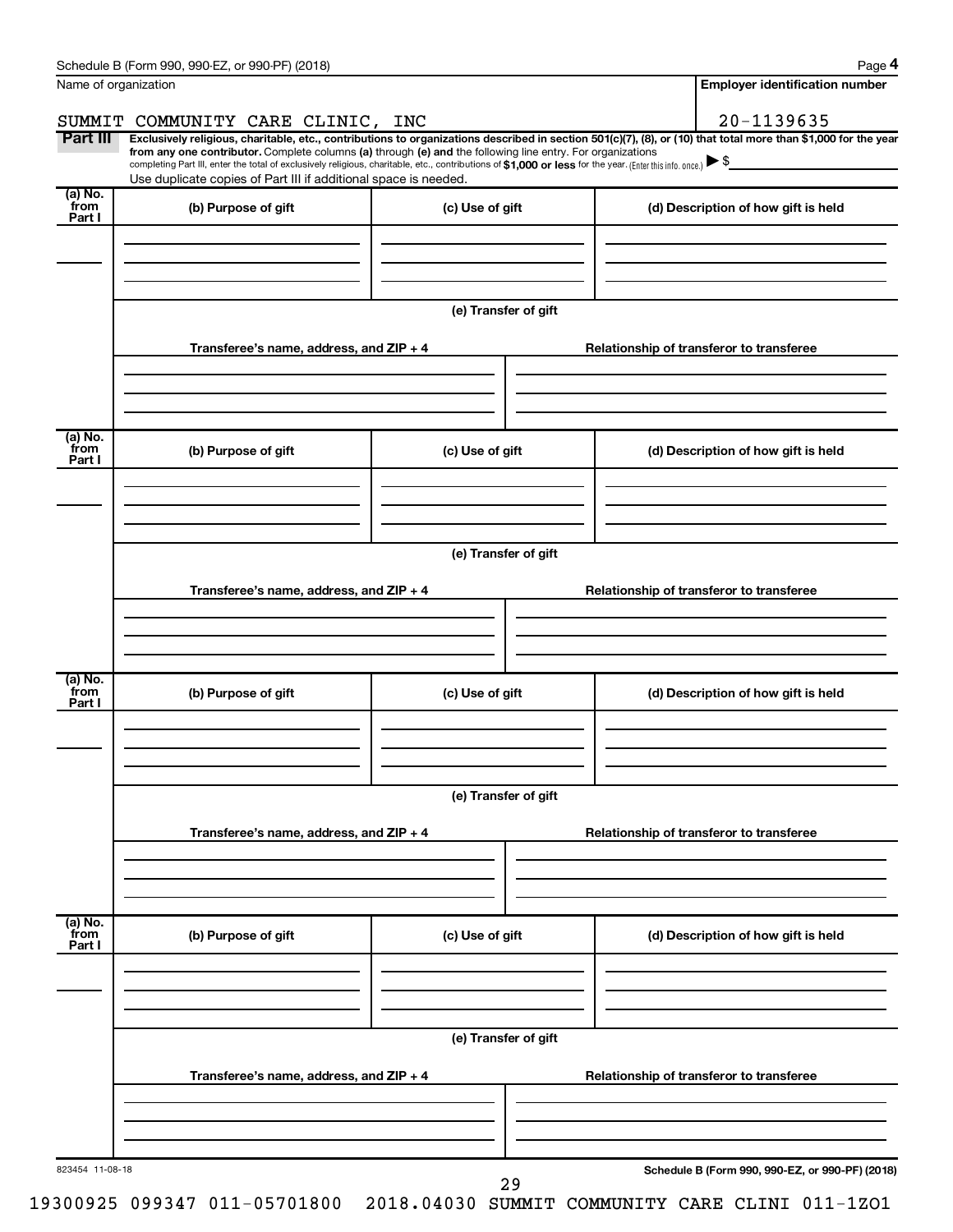|                      | Schedule B (Form 990, 990-EZ, or 990-PF) (2018)                                                                                                                                                                                                                              |                      |                                          | Page 4                                          |  |  |  |  |
|----------------------|------------------------------------------------------------------------------------------------------------------------------------------------------------------------------------------------------------------------------------------------------------------------------|----------------------|------------------------------------------|-------------------------------------------------|--|--|--|--|
| Name of organization |                                                                                                                                                                                                                                                                              |                      |                                          | <b>Employer identification number</b>           |  |  |  |  |
|                      | SUMMIT COMMUNITY CARE CLINIC, INC                                                                                                                                                                                                                                            |                      |                                          | 20-1139635                                      |  |  |  |  |
| Part III             | Exclusively religious, charitable, etc., contributions to organizations described in section 501(c)(7), (8), or (10) that total more than \$1,000 for the year<br>from any one contributor. Complete columns (a) through (e) and the following line entry. For organizations |                      |                                          |                                                 |  |  |  |  |
|                      | completing Part III, enter the total of exclusively religious, charitable, etc., contributions of \$1,000 or less for the year. (Enter this info. once.)                                                                                                                     |                      |                                          |                                                 |  |  |  |  |
| (a) No.              | Use duplicate copies of Part III if additional space is needed.                                                                                                                                                                                                              |                      |                                          |                                                 |  |  |  |  |
| from<br>Part I       | (b) Purpose of gift                                                                                                                                                                                                                                                          | (c) Use of gift      |                                          | (d) Description of how gift is held             |  |  |  |  |
|                      |                                                                                                                                                                                                                                                                              |                      |                                          |                                                 |  |  |  |  |
|                      |                                                                                                                                                                                                                                                                              |                      |                                          |                                                 |  |  |  |  |
|                      |                                                                                                                                                                                                                                                                              |                      |                                          |                                                 |  |  |  |  |
|                      |                                                                                                                                                                                                                                                                              | (e) Transfer of gift |                                          |                                                 |  |  |  |  |
|                      | Transferee's name, address, and ZIP + 4                                                                                                                                                                                                                                      |                      |                                          | Relationship of transferor to transferee        |  |  |  |  |
|                      |                                                                                                                                                                                                                                                                              |                      |                                          |                                                 |  |  |  |  |
|                      |                                                                                                                                                                                                                                                                              |                      |                                          |                                                 |  |  |  |  |
|                      |                                                                                                                                                                                                                                                                              |                      |                                          |                                                 |  |  |  |  |
| (a) No.<br>from      | (b) Purpose of gift                                                                                                                                                                                                                                                          | (c) Use of gift      |                                          | (d) Description of how gift is held             |  |  |  |  |
| Part I               |                                                                                                                                                                                                                                                                              |                      |                                          |                                                 |  |  |  |  |
|                      |                                                                                                                                                                                                                                                                              |                      |                                          |                                                 |  |  |  |  |
|                      |                                                                                                                                                                                                                                                                              |                      |                                          |                                                 |  |  |  |  |
|                      | (e) Transfer of gift                                                                                                                                                                                                                                                         |                      |                                          |                                                 |  |  |  |  |
|                      |                                                                                                                                                                                                                                                                              |                      |                                          |                                                 |  |  |  |  |
|                      | Transferee's name, address, and ZIP + 4                                                                                                                                                                                                                                      |                      |                                          | Relationship of transferor to transferee        |  |  |  |  |
|                      |                                                                                                                                                                                                                                                                              |                      |                                          |                                                 |  |  |  |  |
|                      |                                                                                                                                                                                                                                                                              |                      |                                          |                                                 |  |  |  |  |
| (a) No.              |                                                                                                                                                                                                                                                                              |                      |                                          |                                                 |  |  |  |  |
| from<br>Part I       | (b) Purpose of gift                                                                                                                                                                                                                                                          | (c) Use of gift      |                                          | (d) Description of how gift is held             |  |  |  |  |
|                      |                                                                                                                                                                                                                                                                              |                      |                                          |                                                 |  |  |  |  |
|                      |                                                                                                                                                                                                                                                                              |                      |                                          |                                                 |  |  |  |  |
|                      |                                                                                                                                                                                                                                                                              |                      |                                          |                                                 |  |  |  |  |
|                      | (e) Transfer of gift                                                                                                                                                                                                                                                         |                      |                                          |                                                 |  |  |  |  |
|                      | Transferee's name, address, and ZIP + 4                                                                                                                                                                                                                                      |                      | Relationship of transferor to transferee |                                                 |  |  |  |  |
|                      |                                                                                                                                                                                                                                                                              |                      |                                          |                                                 |  |  |  |  |
|                      |                                                                                                                                                                                                                                                                              |                      |                                          |                                                 |  |  |  |  |
| (a) No.              |                                                                                                                                                                                                                                                                              |                      |                                          |                                                 |  |  |  |  |
| from<br>Part I       | (b) Purpose of gift                                                                                                                                                                                                                                                          | (c) Use of gift      |                                          | (d) Description of how gift is held             |  |  |  |  |
|                      |                                                                                                                                                                                                                                                                              |                      |                                          |                                                 |  |  |  |  |
|                      |                                                                                                                                                                                                                                                                              |                      |                                          |                                                 |  |  |  |  |
|                      |                                                                                                                                                                                                                                                                              |                      |                                          |                                                 |  |  |  |  |
|                      |                                                                                                                                                                                                                                                                              | (e) Transfer of gift |                                          |                                                 |  |  |  |  |
|                      | Transferee's name, address, and ZIP + 4                                                                                                                                                                                                                                      |                      |                                          | Relationship of transferor to transferee        |  |  |  |  |
|                      |                                                                                                                                                                                                                                                                              |                      |                                          |                                                 |  |  |  |  |
|                      |                                                                                                                                                                                                                                                                              |                      |                                          |                                                 |  |  |  |  |
|                      |                                                                                                                                                                                                                                                                              |                      |                                          |                                                 |  |  |  |  |
| 823454 11-08-18      |                                                                                                                                                                                                                                                                              |                      |                                          | Schedule B (Form 990, 990-EZ, or 990-PF) (2018) |  |  |  |  |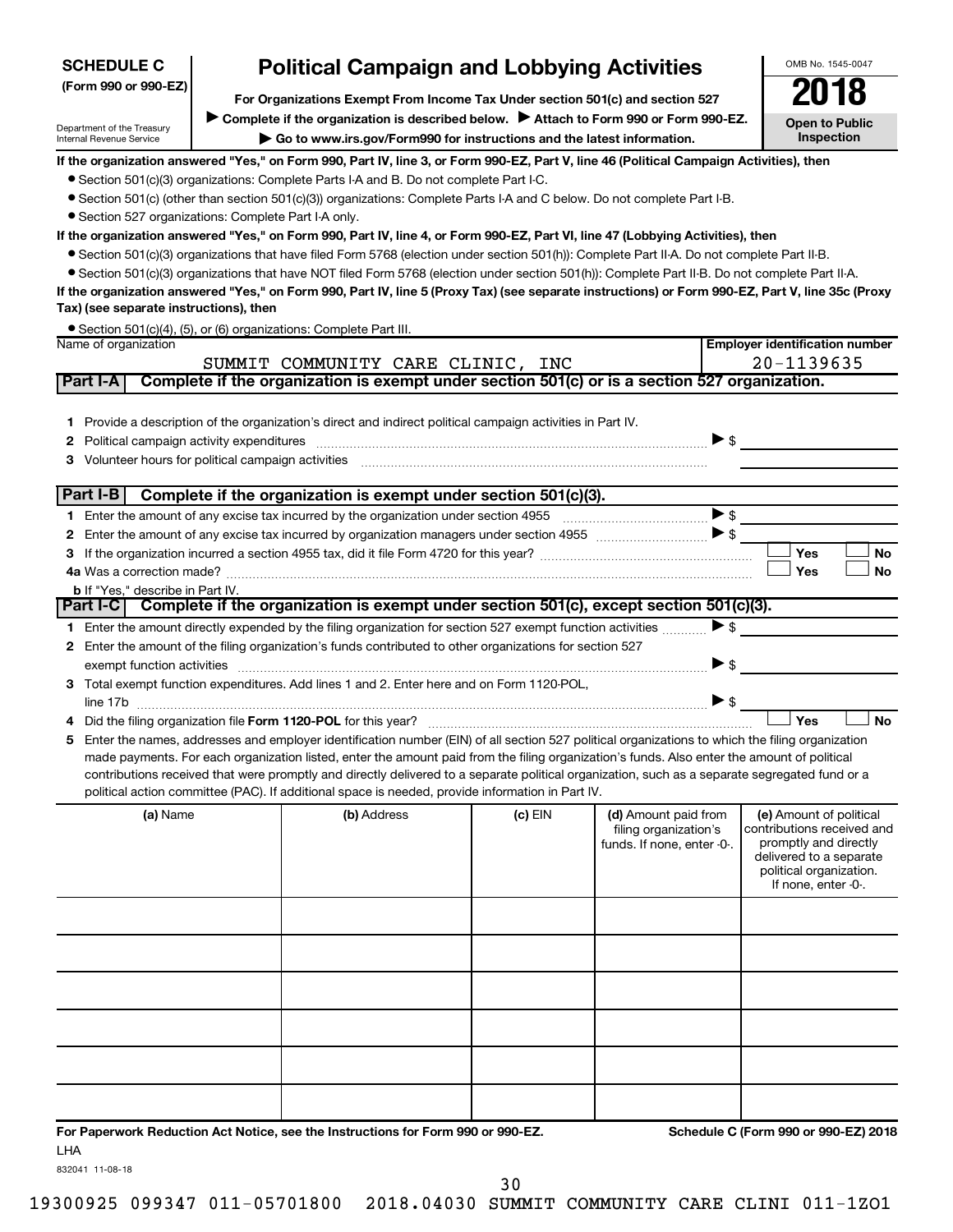| <b>Political Campaign and Lobbying Activities</b><br><b>SCHEDULE C</b>                                                                                                                                                                                     | OMB No. 1545-0047                                                                                                                                           |  |  |  |  |  |  |  |  |  |
|------------------------------------------------------------------------------------------------------------------------------------------------------------------------------------------------------------------------------------------------------------|-------------------------------------------------------------------------------------------------------------------------------------------------------------|--|--|--|--|--|--|--|--|--|
| (Form 990 or 990-EZ)<br>For Organizations Exempt From Income Tax Under section 501(c) and section 527                                                                                                                                                      | 2018                                                                                                                                                        |  |  |  |  |  |  |  |  |  |
| Complete if the organization is described below. Attach to Form 990 or Form 990-EZ.                                                                                                                                                                        |                                                                                                                                                             |  |  |  |  |  |  |  |  |  |
| Department of the Treasury<br>Go to www.irs.gov/Form990 for instructions and the latest information.<br>Internal Revenue Service                                                                                                                           | <b>Open to Public</b><br>Inspection                                                                                                                         |  |  |  |  |  |  |  |  |  |
| If the organization answered "Yes," on Form 990, Part IV, line 3, or Form 990-EZ, Part V, line 46 (Political Campaign Activities), then                                                                                                                    |                                                                                                                                                             |  |  |  |  |  |  |  |  |  |
| • Section 501(c)(3) organizations: Complete Parts I-A and B. Do not complete Part I-C.                                                                                                                                                                     |                                                                                                                                                             |  |  |  |  |  |  |  |  |  |
| • Section 501(c) (other than section 501(c)(3)) organizations: Complete Parts I-A and C below. Do not complete Part I-B.                                                                                                                                   |                                                                                                                                                             |  |  |  |  |  |  |  |  |  |
| • Section 527 organizations: Complete Part I-A only.<br>If the organization answered "Yes," on Form 990, Part IV, line 4, or Form 990-EZ, Part VI, line 47 (Lobbying Activities), then                                                                     |                                                                                                                                                             |  |  |  |  |  |  |  |  |  |
| • Section 501(c)(3) organizations that have filed Form 5768 (election under section 501(h)): Complete Part II-A. Do not complete Part II-B.                                                                                                                |                                                                                                                                                             |  |  |  |  |  |  |  |  |  |
| • Section 501(c)(3) organizations that have NOT filed Form 5768 (election under section 501(h)): Complete Part II-B. Do not complete Part II-A.                                                                                                            |                                                                                                                                                             |  |  |  |  |  |  |  |  |  |
| If the organization answered "Yes," on Form 990, Part IV, line 5 (Proxy Tax) (see separate instructions) or Form 990-EZ, Part V, line 35c (Proxy                                                                                                           |                                                                                                                                                             |  |  |  |  |  |  |  |  |  |
| Tax) (see separate instructions), then                                                                                                                                                                                                                     |                                                                                                                                                             |  |  |  |  |  |  |  |  |  |
| • Section 501(c)(4), (5), or (6) organizations: Complete Part III.                                                                                                                                                                                         |                                                                                                                                                             |  |  |  |  |  |  |  |  |  |
| <b>Employer identification number</b><br>Name of organization                                                                                                                                                                                              |                                                                                                                                                             |  |  |  |  |  |  |  |  |  |
| 20-1139635<br>SUMMIT COMMUNITY CARE CLINIC, INC<br>Complete if the organization is exempt under section 501(c) or is a section 527 organization.<br>Part I-A                                                                                               |                                                                                                                                                             |  |  |  |  |  |  |  |  |  |
|                                                                                                                                                                                                                                                            |                                                                                                                                                             |  |  |  |  |  |  |  |  |  |
| 1 Provide a description of the organization's direct and indirect political campaign activities in Part IV.                                                                                                                                                |                                                                                                                                                             |  |  |  |  |  |  |  |  |  |
| $\triangleright$ \$<br>Political campaign activity expenditures [111] production and the control of the control of the control of the control of the control of the control of the control of the control of the control of the control of the contro<br>2 |                                                                                                                                                             |  |  |  |  |  |  |  |  |  |
| Volunteer hours for political campaign activities<br>3                                                                                                                                                                                                     |                                                                                                                                                             |  |  |  |  |  |  |  |  |  |
|                                                                                                                                                                                                                                                            |                                                                                                                                                             |  |  |  |  |  |  |  |  |  |
| Part $I-B$<br>Complete if the organization is exempt under section 501(c)(3).                                                                                                                                                                              |                                                                                                                                                             |  |  |  |  |  |  |  |  |  |
| $\triangleright$ \$                                                                                                                                                                                                                                        |                                                                                                                                                             |  |  |  |  |  |  |  |  |  |
| 2                                                                                                                                                                                                                                                          |                                                                                                                                                             |  |  |  |  |  |  |  |  |  |
| Yes<br>з<br>Yes                                                                                                                                                                                                                                            | No<br>No                                                                                                                                                    |  |  |  |  |  |  |  |  |  |
| <b>b</b> If "Yes," describe in Part IV.                                                                                                                                                                                                                    |                                                                                                                                                             |  |  |  |  |  |  |  |  |  |
| Part I-C Complete if the organization is exempt under section 501(c), except section 501(c)(3).                                                                                                                                                            |                                                                                                                                                             |  |  |  |  |  |  |  |  |  |
| $\triangleright$ \$<br>1 Enter the amount directly expended by the filing organization for section 527 exempt function activities                                                                                                                          |                                                                                                                                                             |  |  |  |  |  |  |  |  |  |
| Enter the amount of the filing organization's funds contributed to other organizations for section 527<br>$\mathbf{2}$                                                                                                                                     |                                                                                                                                                             |  |  |  |  |  |  |  |  |  |
| ▶ \$<br>exempt function activities                                                                                                                                                                                                                         |                                                                                                                                                             |  |  |  |  |  |  |  |  |  |
| 3 Total exempt function expenditures. Add lines 1 and 2. Enter here and on Form 1120-POL,                                                                                                                                                                  |                                                                                                                                                             |  |  |  |  |  |  |  |  |  |
| $\blacktriangleright$ \$<br>Yes<br>Did the filing organization file Form 1120-POL for this year?                                                                                                                                                           | <b>No</b>                                                                                                                                                   |  |  |  |  |  |  |  |  |  |
| Enter the names, addresses and employer identification number (EIN) of all section 527 political organizations to which the filing organization<br>5                                                                                                       |                                                                                                                                                             |  |  |  |  |  |  |  |  |  |
| made payments. For each organization listed, enter the amount paid from the filing organization's funds. Also enter the amount of political                                                                                                                |                                                                                                                                                             |  |  |  |  |  |  |  |  |  |
| contributions received that were promptly and directly delivered to a separate political organization, such as a separate segregated fund or a                                                                                                             |                                                                                                                                                             |  |  |  |  |  |  |  |  |  |
| political action committee (PAC). If additional space is needed, provide information in Part IV.                                                                                                                                                           |                                                                                                                                                             |  |  |  |  |  |  |  |  |  |
| (b) Address<br>(a) Name<br>$(c)$ EIN<br>(d) Amount paid from<br>filing organization's<br>funds. If none, enter -0-.                                                                                                                                        | (e) Amount of political<br>contributions received and<br>promptly and directly<br>delivered to a separate<br>political organization.<br>If none, enter -0-. |  |  |  |  |  |  |  |  |  |
|                                                                                                                                                                                                                                                            |                                                                                                                                                             |  |  |  |  |  |  |  |  |  |
|                                                                                                                                                                                                                                                            |                                                                                                                                                             |  |  |  |  |  |  |  |  |  |
|                                                                                                                                                                                                                                                            |                                                                                                                                                             |  |  |  |  |  |  |  |  |  |
|                                                                                                                                                                                                                                                            |                                                                                                                                                             |  |  |  |  |  |  |  |  |  |
|                                                                                                                                                                                                                                                            |                                                                                                                                                             |  |  |  |  |  |  |  |  |  |
|                                                                                                                                                                                                                                                            |                                                                                                                                                             |  |  |  |  |  |  |  |  |  |
|                                                                                                                                                                                                                                                            |                                                                                                                                                             |  |  |  |  |  |  |  |  |  |

**For Paperwork Reduction Act Notice, see the Instructions for Form 990 or 990-EZ. Schedule C (Form 990 or 990-EZ) 2018** LHA

832041 11-08-18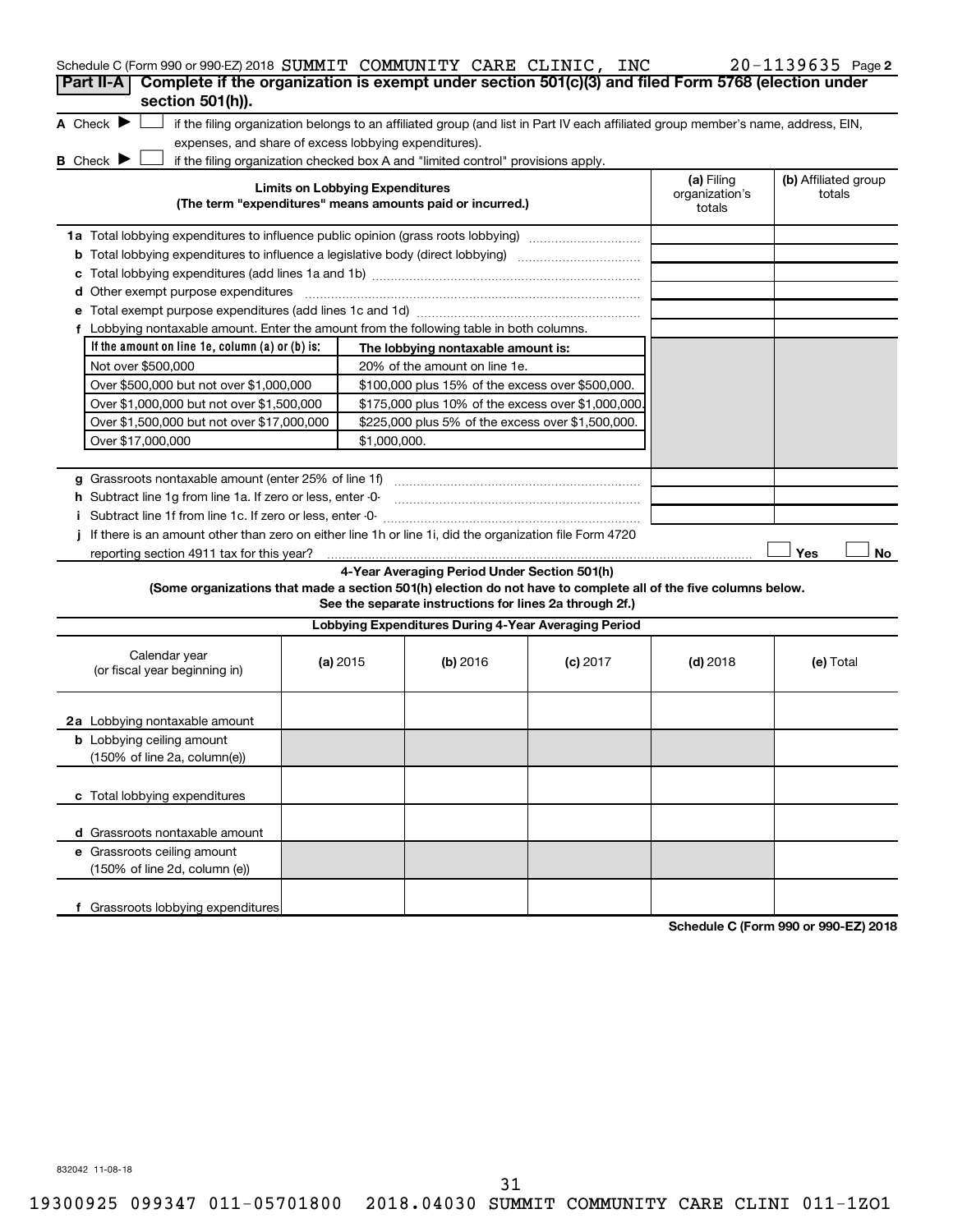| Schedule C (Form 990 or 990-EZ) 2018 SUMMIT COMMUNITY CARE CLINIC, INC                                                                                                                 |                                        |                                                         |            |                              | $20 - 1139635$ Page 2          |
|----------------------------------------------------------------------------------------------------------------------------------------------------------------------------------------|----------------------------------------|---------------------------------------------------------|------------|------------------------------|--------------------------------|
| Complete if the organization is exempt under section 501(c)(3) and filed Form 5768 (election under<br>Part II-A                                                                        |                                        |                                                         |            |                              |                                |
| section 501(h)).<br>A Check $\blacktriangleright$<br>if the filing organization belongs to an affiliated group (and list in Part IV each affiliated group member's name, address, EIN, |                                        |                                                         |            |                              |                                |
| expenses, and share of excess lobbying expenditures).                                                                                                                                  |                                        |                                                         |            |                              |                                |
| B Check P<br>if the filing organization checked box A and "limited control" provisions apply.                                                                                          | <b>Limits on Lobbying Expenditures</b> |                                                         |            | (a) Filing<br>organization's | (b) Affiliated group<br>totals |
| (The term "expenditures" means amounts paid or incurred.)                                                                                                                              |                                        |                                                         |            | totals                       |                                |
| 1a Total lobbying expenditures to influence public opinion (grass roots lobbying)                                                                                                      |                                        |                                                         |            |                              |                                |
|                                                                                                                                                                                        |                                        |                                                         |            |                              |                                |
| c                                                                                                                                                                                      |                                        |                                                         |            |                              |                                |
|                                                                                                                                                                                        |                                        |                                                         |            |                              |                                |
|                                                                                                                                                                                        |                                        |                                                         |            |                              |                                |
| f Lobbying nontaxable amount. Enter the amount from the following table in both columns.                                                                                               |                                        |                                                         |            |                              |                                |
| If the amount on line 1e, column (a) or (b) is:                                                                                                                                        |                                        | The lobbying nontaxable amount is:                      |            |                              |                                |
| Not over \$500,000                                                                                                                                                                     |                                        | 20% of the amount on line 1e.                           |            |                              |                                |
| Over \$500,000 but not over \$1,000,000                                                                                                                                                |                                        | \$100,000 plus 15% of the excess over \$500,000.        |            |                              |                                |
| Over \$1,000,000 but not over \$1,500,000                                                                                                                                              |                                        | \$175,000 plus 10% of the excess over \$1,000,000       |            |                              |                                |
| Over \$1,500,000 but not over \$17,000,000                                                                                                                                             |                                        | \$225,000 plus 5% of the excess over \$1,500,000.       |            |                              |                                |
| Over \$17,000,000                                                                                                                                                                      | \$1,000,000.                           |                                                         |            |                              |                                |
|                                                                                                                                                                                        |                                        |                                                         |            |                              |                                |
|                                                                                                                                                                                        |                                        |                                                         |            |                              |                                |
| h Subtract line 1g from line 1a. If zero or less, enter -0-                                                                                                                            |                                        |                                                         |            |                              |                                |
| If there is an amount other than zero on either line 1h or line 1i, did the organization file Form 4720                                                                                |                                        |                                                         |            |                              |                                |
| reporting section 4911 tax for this year?                                                                                                                                              |                                        |                                                         |            |                              | Yes<br>No                      |
|                                                                                                                                                                                        |                                        | 4-Year Averaging Period Under Section 501(h)            |            |                              |                                |
| (Some organizations that made a section 501(h) election do not have to complete all of the five columns below.                                                                         |                                        | See the separate instructions for lines 2a through 2f.) |            |                              |                                |
|                                                                                                                                                                                        |                                        | Lobbying Expenditures During 4-Year Averaging Period    |            |                              |                                |
| Calendar year<br>(or fiscal year beginning in)                                                                                                                                         | (a) 2015                               | (b) 2016                                                | $(c)$ 2017 | $(d)$ 2018                   | (e) Total                      |
| 2a Lobbying nontaxable amount                                                                                                                                                          |                                        |                                                         |            |                              |                                |
| <b>b</b> Lobbying ceiling amount<br>(150% of line 2a, column(e))                                                                                                                       |                                        |                                                         |            |                              |                                |
| c Total lobbying expenditures                                                                                                                                                          |                                        |                                                         |            |                              |                                |
| d Grassroots nontaxable amount                                                                                                                                                         |                                        |                                                         |            |                              |                                |
| e Grassroots ceiling amount<br>(150% of line 2d, column (e))                                                                                                                           |                                        |                                                         |            |                              |                                |
| f Grassroots lobbying expenditures                                                                                                                                                     |                                        |                                                         |            |                              |                                |

**Schedule C (Form 990 or 990-EZ) 2018**

832042 11-08-18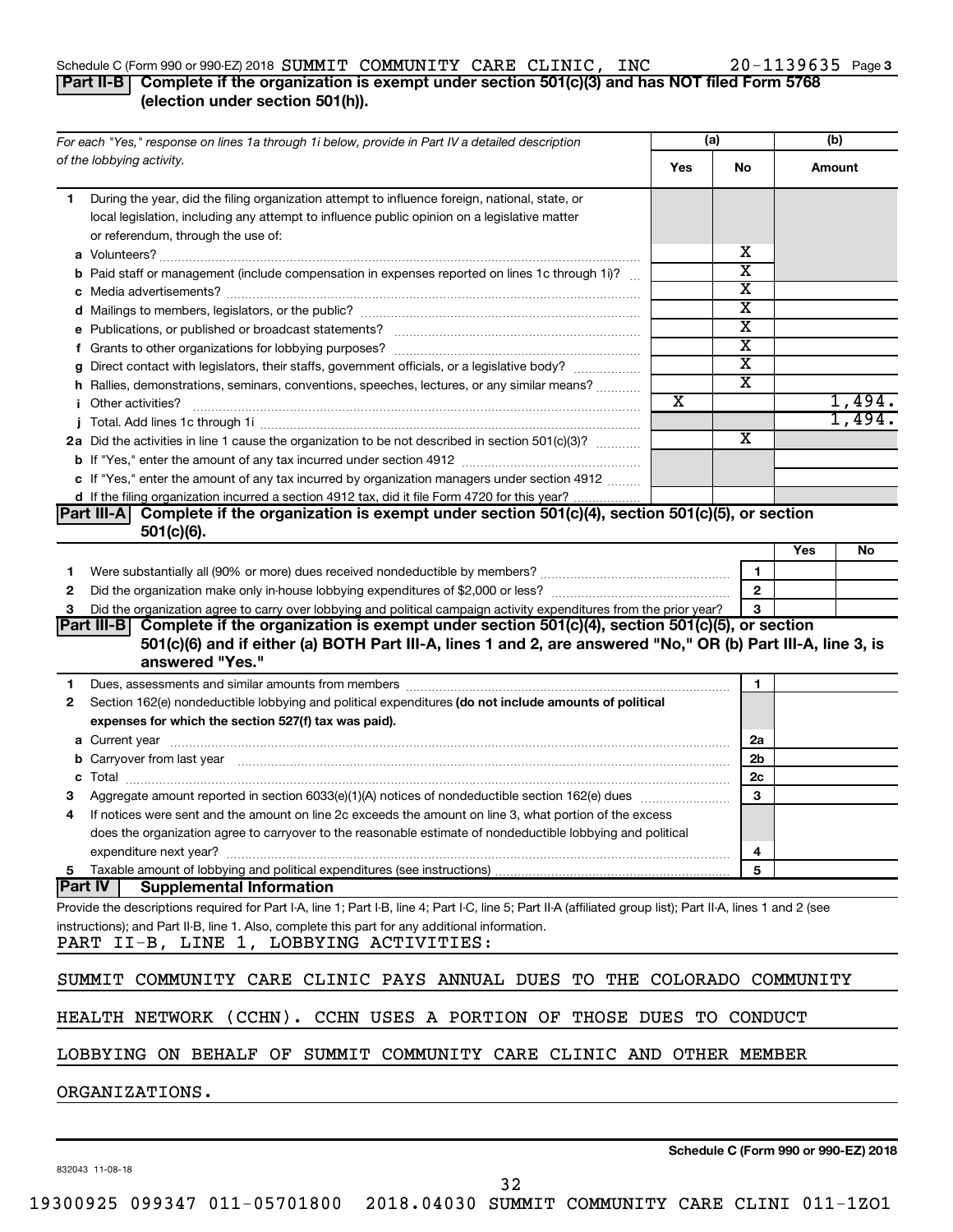### Schedule C (Form 990 or 990-EZ) 2018  $\bf SUMMIT$   $\bf COMMUNITY$   $\bf CARE$   $\bf CLINIC$ ,  $\bf INC$   $\bf 20-1139635$  Page

### 20-1139635 Page 3

### **Part II-B Complete if the organization is exempt under section 501(c)(3) and has NOT filed Form 5768 (election under section 501(h)).**

| For each "Yes," response on lines 1a through 1i below, provide in Part IV a detailed description                                                                                                                                    |  | (a)                   |                         | (b) |        |
|-------------------------------------------------------------------------------------------------------------------------------------------------------------------------------------------------------------------------------------|--|-----------------------|-------------------------|-----|--------|
| of the lobbying activity.                                                                                                                                                                                                           |  | Yes                   | No.                     |     | Amount |
| During the year, did the filing organization attempt to influence foreign, national, state, or<br>1.                                                                                                                                |  |                       |                         |     |        |
| local legislation, including any attempt to influence public opinion on a legislative matter                                                                                                                                        |  |                       |                         |     |        |
| or referendum, through the use of:                                                                                                                                                                                                  |  |                       |                         |     |        |
|                                                                                                                                                                                                                                     |  |                       | х                       |     |        |
| b Paid staff or management (include compensation in expenses reported on lines 1c through 1i)?                                                                                                                                      |  |                       | $\overline{\text{x}}$   |     |        |
|                                                                                                                                                                                                                                     |  |                       | X                       |     |        |
|                                                                                                                                                                                                                                     |  |                       | $\overline{\textbf{x}}$ |     |        |
|                                                                                                                                                                                                                                     |  |                       | $\overline{\text{x}}$   |     |        |
|                                                                                                                                                                                                                                     |  |                       | $\overline{\text{x}}$   |     |        |
| g Direct contact with legislators, their staffs, government officials, or a legislative body?                                                                                                                                       |  |                       | $\overline{\text{x}}$   |     |        |
| h Rallies, demonstrations, seminars, conventions, speeches, lectures, or any similar means?                                                                                                                                         |  |                       | X                       |     |        |
| <i>i</i> Other activities?                                                                                                                                                                                                          |  | $\overline{\text{x}}$ |                         |     | 1,494. |
|                                                                                                                                                                                                                                     |  |                       |                         |     | 1,494. |
| 2a Did the activities in line 1 cause the organization to be not described in section 501(c)(3)?                                                                                                                                    |  |                       | $\overline{\mathbf{X}}$ |     |        |
|                                                                                                                                                                                                                                     |  |                       |                         |     |        |
| c If "Yes," enter the amount of any tax incurred by organization managers under section 4912                                                                                                                                        |  |                       |                         |     |        |
| d If the filing organization incurred a section 4912 tax, did it file Form 4720 for this year?                                                                                                                                      |  |                       |                         |     |        |
| Part III-A Complete if the organization is exempt under section 501(c)(4), section 501(c)(5), or section                                                                                                                            |  |                       |                         |     |        |
| $501(c)(6)$ .                                                                                                                                                                                                                       |  |                       |                         |     |        |
|                                                                                                                                                                                                                                     |  |                       |                         | Yes | No     |
| 1                                                                                                                                                                                                                                   |  |                       | $\mathbf{1}$            |     |        |
| 2                                                                                                                                                                                                                                   |  |                       | $\mathbf{2}$            |     |        |
| Did the organization agree to carry over lobbying and political campaign activity expenditures from the prior year?<br>З                                                                                                            |  |                       | 3                       |     |        |
| Part III-B Complete if the organization is exempt under section 501(c)(4), section 501(c)(5), or section<br>501(c)(6) and if either (a) BOTH Part III-A, lines 1 and 2, are answered "No," OR (b) Part III-A, line 3, is            |  |                       |                         |     |        |
| answered "Yes."                                                                                                                                                                                                                     |  |                       |                         |     |        |
| Dues, assessments and similar amounts from members [111] Dues, assemination and similar and similar amounts from members [11] Dues, assessments and similar amounts from members [11] Dues and Superior and Superior and Super<br>1 |  |                       | 1                       |     |        |
| Section 162(e) nondeductible lobbying and political expenditures (do not include amounts of political<br>2                                                                                                                          |  |                       |                         |     |        |
| expenses for which the section 527(f) tax was paid).                                                                                                                                                                                |  |                       |                         |     |        |
|                                                                                                                                                                                                                                     |  |                       | 2a                      |     |        |
| b Carryover from last year manufactured and contract the contract of the contract of the contract of the contract of the contract of the contract of the contract of the contract of the contract of contract of contract of c      |  |                       | 2b                      |     |        |
| c                                                                                                                                                                                                                                   |  |                       | 2с                      |     |        |
|                                                                                                                                                                                                                                     |  |                       | 3                       |     |        |
| If notices were sent and the amount on line 2c exceeds the amount on line 3, what portion of the excess<br>4                                                                                                                        |  |                       |                         |     |        |
| does the organization agree to carryover to the reasonable estimate of nondeductible lobbying and political                                                                                                                         |  |                       |                         |     |        |
| expenditure next year?                                                                                                                                                                                                              |  |                       | 4                       |     |        |
|                                                                                                                                                                                                                                     |  |                       | 5                       |     |        |
| <b>Part IV</b><br><b>Supplemental Information</b>                                                                                                                                                                                   |  |                       |                         |     |        |
| Provide the descriptions required for Part I-A, line 1; Part I-B, line 4; Part I-C, line 5; Part II-A (affiliated group list); Part II-A, lines 1 and 2 (see                                                                        |  |                       |                         |     |        |
| instructions); and Part II-B, line 1. Also, complete this part for any additional information.<br>PART II-B, LINE 1, LOBBYING ACTIVITIES:                                                                                           |  |                       |                         |     |        |
| SUMMIT COMMUNITY CARE CLINIC PAYS ANNUAL DUES TO THE COLORADO COMMUNITY                                                                                                                                                             |  |                       |                         |     |        |
| HEALTH NETWORK (CCHN). CCHN USES A PORTION OF THOSE DUES TO CONDUCT                                                                                                                                                                 |  |                       |                         |     |        |
| LOBBYING ON BEHALF OF SUMMIT COMMUNITY CARE CLINIC AND OTHER MEMBER                                                                                                                                                                 |  |                       |                         |     |        |
| ORGANIZATIONS.                                                                                                                                                                                                                      |  |                       |                         |     |        |
|                                                                                                                                                                                                                                     |  |                       |                         |     |        |

832043 11-08-18

**Schedule C (Form 990 or 990-EZ) 2018**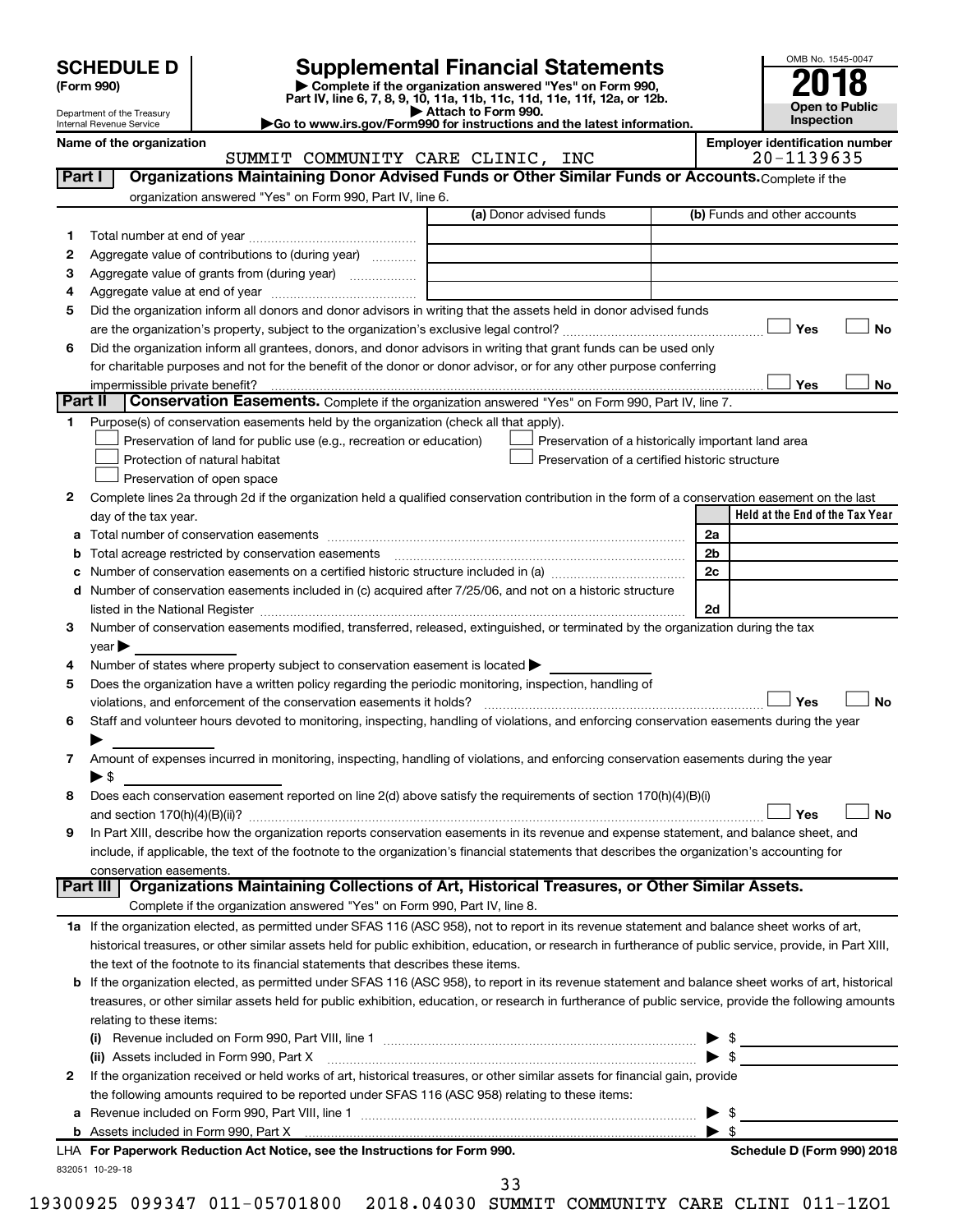| (Form 990) |  |
|------------|--|
|------------|--|

**6**

**1**

**3**

**d**

**4**

**6**

**7**

**8**

**9**

# **SCHEDULE D Supplemental Financial Statements**<br>(Form 990) **2018** Complete if the organization answered "Yes" on Form 990, **2018**

**(Form 990) | Complete if the organization answered "Yes" on Form 990,**



**Yes No**

**Yes No**

Department of the Treasury Internal Revenue Service **Held at the End of the Tax Year Part IV, line 6, 7, 8, 9, 10, 11a, 11b, 11c, 11d, 11e, 11f, 12a, or 12b.**<br>■ Attach to Form 990. **| Attach to Form 990. |Go to www.irs.gov/Form990 for instructions and the latest information. Name of the organization Employer identification number** (a) Donor advised funds **2** Complete lines 2a through 2d if the organization held a qualified conservation contribution in the form of a conservation easement on the last **5** Does the organization have a written policy regarding the periodic monitoring, inspection, handling of **a** Total number of conservation easements ~~~~~~~~~~~~~~~~~~~~~~~~~~~~~~~~ **b** Total acreage restricted by conservation easements ~~~~~~~~~~~~~~~~~~~~~~~~~~ **c** Number of conservation easements on a certified historic structure included in (a)  $\ldots$  $\ldots$  $\ldots$  $\ldots$  $\ldots$  $\ldots$ **2a 2b 2c 2d Yes No Yes No Part I** | Organizations Maintaining Donor Advised Funds or Other Similar Funds or Accounts. Complete if the organization answered "Yes" on Form 990, Part IV, line 6. (b) Funds and other accounts Total number at end of year ~~~~~~~~~~~~~~~ Aggregate value of contributions to (during year)  $\quad \quad \ldots \ldots \ldots$ Aggregate value of grants from (during year) will contain the Aggregate value of grants from (during year) Aggregate value at end of year ~~~~~~~~~~~~~ Did the organization inform all donors and donor advisors in writing that the assets held in donor advised funds are the organization's property, subject to the organization's exclusive legal control?~~~~~~~~~~~~~~~~~~ Did the organization inform all grantees, donors, and donor advisors in writing that grant funds can be used only for charitable purposes and not for the benefit of the donor or donor advisor, or for any other purpose conferring impermissible private benefit? **Part II** Conservation Easements. Complete if the organization answered "Yes" on Form 990, Part IV, line 7. Purpose(s) of conservation easements held by the organization (check all that apply). **Preservation of land for public use (e.g., recreation or education) Example 1** Protection of natural habitat Preservation of open space Preservation of a historically important land area Preservation of a certified historic structure day of the tax year. Number of conservation easements included in (c) acquired after 7/25/06, and not on a historic structure listed in the National Register ~~~~~~~~~~~~~~~~~~~~~~~~~~~~~~~~~~~~~~ Number of conservation easements modified, transferred, released, extinguished, or terminated by the organization during the tax  $year$ Number of states where property subject to conservation easement is located  $\blacktriangleright$ violations, and enforcement of the conservation easements it holds? ~~~~~~~~~~~~~~~~~~~~~~~~~ Staff and volunteer hours devoted to monitoring, inspecting, handling of violations, and enforcing conservation easements during the year  $\blacktriangleright$ Amount of expenses incurred in monitoring, inspecting, handling of violations, and enforcing conservation easements during the year  $\triangleright$  \$ Does each conservation easement reported on line 2(d) above satisfy the requirements of section 170(h)(4)(B)(i) and section 170(h)(4)(B)(ii)? ~~~~~~~~~~~~~~~~~~~~~~~~~~~~~~~~~~~~~~~~~~~~~~ In Part XIII, describe how the organization reports conservation easements in its revenue and expense statement, and balance sheet, and include, if applicable, the text of the footnote to the organization's financial statements that describes the organization's accounting for conservation easements. **Part III Organizations Maintaining Collections of Art, Historical Treasures, or Other Similar Assets.** Yes  $\lfloor \ \ \rfloor$  Yes  $\lfloor \ \ \rfloor$  $\Box$  $|$  Yes  $Y_{\mathsf{A}}$ SUMMIT COMMUNITY CARE CLINIC, INC  $\vert$  20-1139635

Complete if the organization answered "Yes" on Form 990, Part IV, line 8.

**1 a** If the organization elected, as permitted under SFAS 116 (ASC 958), not to report in its revenue statement and balance sheet works of art, historical treasures, or other similar assets held for public exhibition, education, or research in furtherance of public service, provide, in Part XIII, the text of the footnote to its financial statements that describes these items.

| <b>b</b> If the organization elected, as permitted under SFAS 116 (ASC 958), to report in its revenue statement and balance sheet works of art, historical |
|------------------------------------------------------------------------------------------------------------------------------------------------------------|
| treasures, or other similar assets held for public exhibition, education, or research in furtherance of public service, provide the following amounts      |
| relating to these items:                                                                                                                                   |

| Revenue included on Form 990, Part VIII, line 1 [2000] [2000] [2000] [2000] [2000] [2000] [2000] [2000] [2000<br>(i)           |
|--------------------------------------------------------------------------------------------------------------------------------|
| (ii) Assets included in Form 990, Part X                                                                                       |
| 2 If the organization received or held works of art, historical treasures, or other similar assets for financial gain, provide |
| the following amounts required to be reported under SFAS 116 (ASC 958) relating to these items:                                |
| a Revenue included on Form 990, Part VIII, line 1                                                                              |
| <b>b</b> Assets included in Form 990, Part X                                                                                   |

| LHA For Paperwork Reduction Act Notice, see the Instructions for Form 990. |  |
|----------------------------------------------------------------------------|--|
| 832051 10-29-18                                                            |  |

**Schedule D (Form 990) 2018**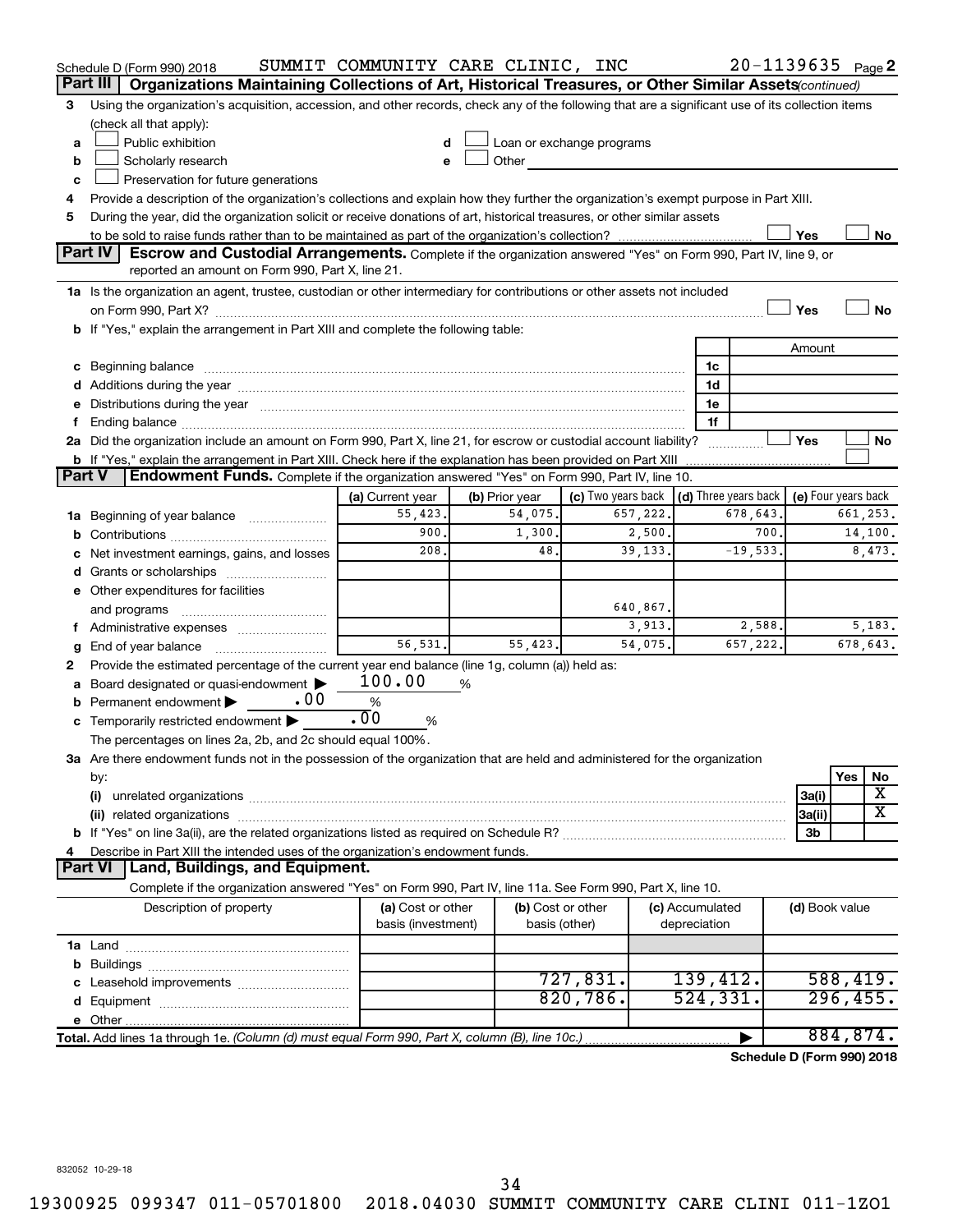|                                                                                                                                           | Schedule D (Form 990) 2018                                                                                                                                                                                                     | SUMMIT COMMUNITY CARE CLINIC, INC       |   |                                    |                           |          |                                 | $20 - 1139635$ Page 2      |                     |           |           |
|-------------------------------------------------------------------------------------------------------------------------------------------|--------------------------------------------------------------------------------------------------------------------------------------------------------------------------------------------------------------------------------|-----------------------------------------|---|------------------------------------|---------------------------|----------|---------------------------------|----------------------------|---------------------|-----------|-----------|
|                                                                                                                                           | Organizations Maintaining Collections of Art, Historical Treasures, or Other Similar Assets (continued)<br>Part III                                                                                                            |                                         |   |                                    |                           |          |                                 |                            |                     |           |           |
| 3                                                                                                                                         | Using the organization's acquisition, accession, and other records, check any of the following that are a significant use of its collection items                                                                              |                                         |   |                                    |                           |          |                                 |                            |                     |           |           |
|                                                                                                                                           | (check all that apply):                                                                                                                                                                                                        |                                         |   |                                    |                           |          |                                 |                            |                     |           |           |
| a                                                                                                                                         | Public exhibition                                                                                                                                                                                                              |                                         |   |                                    | Loan or exchange programs |          |                                 |                            |                     |           |           |
| b                                                                                                                                         | Scholarly research                                                                                                                                                                                                             | e                                       |   | Other                              |                           |          |                                 |                            |                     |           |           |
| c                                                                                                                                         | Preservation for future generations                                                                                                                                                                                            |                                         |   |                                    |                           |          |                                 |                            |                     |           |           |
| Provide a description of the organization's collections and explain how they further the organization's exempt purpose in Part XIII.<br>4 |                                                                                                                                                                                                                                |                                         |   |                                    |                           |          |                                 |                            |                     |           |           |
| During the year, did the organization solicit or receive donations of art, historical treasures, or other similar assets<br>5             |                                                                                                                                                                                                                                |                                         |   |                                    |                           |          |                                 |                            |                     |           |           |
|                                                                                                                                           |                                                                                                                                                                                                                                |                                         |   |                                    |                           |          |                                 |                            | Yes                 |           | No        |
|                                                                                                                                           | Part IV<br><b>Escrow and Custodial Arrangements.</b> Complete if the organization answered "Yes" on Form 990, Part IV, line 9, or                                                                                              |                                         |   |                                    |                           |          |                                 |                            |                     |           |           |
|                                                                                                                                           | reported an amount on Form 990, Part X, line 21.                                                                                                                                                                               |                                         |   |                                    |                           |          |                                 |                            |                     |           |           |
|                                                                                                                                           | 1a Is the organization an agent, trustee, custodian or other intermediary for contributions or other assets not included                                                                                                       |                                         |   |                                    |                           |          |                                 |                            |                     |           |           |
|                                                                                                                                           |                                                                                                                                                                                                                                |                                         |   |                                    |                           |          |                                 |                            | Yes                 |           | <b>No</b> |
|                                                                                                                                           | b If "Yes," explain the arrangement in Part XIII and complete the following table:                                                                                                                                             |                                         |   |                                    |                           |          |                                 |                            |                     |           |           |
|                                                                                                                                           |                                                                                                                                                                                                                                |                                         |   |                                    |                           |          |                                 |                            | Amount              |           |           |
|                                                                                                                                           | c Beginning balance measurements and the contract of the contract of the contract of the contract of the contract of the contract of the contract of the contract of the contract of the contract of the contract of the contr |                                         |   |                                    |                           |          | 1c                              |                            |                     |           |           |
|                                                                                                                                           |                                                                                                                                                                                                                                |                                         |   |                                    |                           |          | 1d                              |                            |                     |           |           |
|                                                                                                                                           | e Distributions during the year manufactured and continuum and contact the year manufactured and contact the year manufactured and contact the year manufactured and contact the year manufactured and contact the year manufa |                                         |   |                                    |                           |          | 1e<br>1f                        |                            |                     |           |           |
| f.                                                                                                                                        | 2a Did the organization include an amount on Form 990, Part X, line 21, for escrow or custodial account liability?                                                                                                             |                                         |   |                                    |                           |          |                                 |                            | Yes                 |           | No        |
|                                                                                                                                           | <b>b</b> If "Yes," explain the arrangement in Part XIII. Check here if the explanation has been provided on Part XIII                                                                                                          |                                         |   |                                    |                           |          |                                 |                            |                     |           |           |
| Part V                                                                                                                                    | Endowment Funds. Complete if the organization answered "Yes" on Form 990, Part IV, line 10.                                                                                                                                    |                                         |   |                                    |                           |          |                                 |                            |                     |           |           |
|                                                                                                                                           |                                                                                                                                                                                                                                | (a) Current year                        |   | (b) Prior year                     | (c) Two years back        |          |                                 | (d) Three years back       | (e) Four years back |           |           |
|                                                                                                                                           | 1a Beginning of year balance                                                                                                                                                                                                   | 55,423.                                 |   | 54,075.                            |                           | 657,222. |                                 | 678,643.                   |                     |           | 661,253.  |
| b                                                                                                                                         |                                                                                                                                                                                                                                | 900.                                    |   | 1,300.                             |                           | 2,500.   |                                 | 700.                       |                     |           | 14,100.   |
| c                                                                                                                                         | Net investment earnings, gains, and losses                                                                                                                                                                                     | 208.                                    |   | 48.                                |                           | 39, 133. |                                 | $-19,533.$                 |                     |           | 8,473.    |
| d                                                                                                                                         | Grants or scholarships                                                                                                                                                                                                         |                                         |   |                                    |                           |          |                                 |                            |                     |           |           |
|                                                                                                                                           | e Other expenditures for facilities                                                                                                                                                                                            |                                         |   |                                    |                           |          |                                 |                            |                     |           |           |
|                                                                                                                                           | and programs                                                                                                                                                                                                                   |                                         |   |                                    |                           | 640,867. |                                 |                            |                     |           |           |
|                                                                                                                                           |                                                                                                                                                                                                                                |                                         |   |                                    |                           | 3,913.   |                                 | 2,588.                     |                     |           | 5,183.    |
| g                                                                                                                                         |                                                                                                                                                                                                                                | 56,531.                                 |   | 55,423.                            |                           | 54,075.  |                                 | 657,222.                   |                     |           | 678,643.  |
| 2                                                                                                                                         | Provide the estimated percentage of the current year end balance (line 1g, column (a)) held as:                                                                                                                                |                                         |   |                                    |                           |          |                                 |                            |                     |           |           |
|                                                                                                                                           | a Board designated or quasi-endowment >                                                                                                                                                                                        | 100.00                                  | % |                                    |                           |          |                                 |                            |                     |           |           |
| b                                                                                                                                         | . 00<br>Permanent endowment                                                                                                                                                                                                    | %                                       |   |                                    |                           |          |                                 |                            |                     |           |           |
|                                                                                                                                           | c Temporarily restricted endowment $\blacktriangleright$                                                                                                                                                                       | .00<br>%                                |   |                                    |                           |          |                                 |                            |                     |           |           |
|                                                                                                                                           | The percentages on lines 2a, 2b, and 2c should equal 100%.                                                                                                                                                                     |                                         |   |                                    |                           |          |                                 |                            |                     |           |           |
|                                                                                                                                           | 3a Are there endowment funds not in the possession of the organization that are held and administered for the organization                                                                                                     |                                         |   |                                    |                           |          |                                 |                            |                     |           |           |
|                                                                                                                                           | by:                                                                                                                                                                                                                            |                                         |   |                                    |                           |          |                                 |                            |                     | Yes       | No        |
|                                                                                                                                           | (i)                                                                                                                                                                                                                            |                                         |   |                                    |                           |          |                                 |                            | 3a(i)               |           | х         |
|                                                                                                                                           |                                                                                                                                                                                                                                |                                         |   |                                    |                           |          |                                 |                            | 3a(ii)              |           | X         |
|                                                                                                                                           |                                                                                                                                                                                                                                |                                         |   |                                    |                           |          |                                 |                            | 3b                  |           |           |
| 4                                                                                                                                         | Describe in Part XIII the intended uses of the organization's endowment funds.                                                                                                                                                 |                                         |   |                                    |                           |          |                                 |                            |                     |           |           |
|                                                                                                                                           | Part VI   Land, Buildings, and Equipment.<br>Complete if the organization answered "Yes" on Form 990, Part IV, line 11a. See Form 990, Part X, line 10.                                                                        |                                         |   |                                    |                           |          |                                 |                            |                     |           |           |
|                                                                                                                                           |                                                                                                                                                                                                                                |                                         |   |                                    |                           |          |                                 |                            |                     |           |           |
|                                                                                                                                           | Description of property                                                                                                                                                                                                        | (a) Cost or other<br>basis (investment) |   | (b) Cost or other<br>basis (other) |                           |          | (c) Accumulated<br>depreciation |                            | (d) Book value      |           |           |
|                                                                                                                                           |                                                                                                                                                                                                                                |                                         |   |                                    |                           |          |                                 |                            |                     |           |           |
|                                                                                                                                           |                                                                                                                                                                                                                                |                                         |   |                                    |                           |          |                                 |                            |                     |           |           |
| b                                                                                                                                         |                                                                                                                                                                                                                                |                                         |   |                                    | 727,831.                  |          |                                 | 139,412.                   |                     | 588,419.  |           |
| d                                                                                                                                         |                                                                                                                                                                                                                                |                                         |   |                                    | 820,786.                  |          |                                 | 524, 331.                  |                     | 296, 455. |           |
|                                                                                                                                           |                                                                                                                                                                                                                                |                                         |   |                                    |                           |          |                                 |                            |                     |           |           |
|                                                                                                                                           | Total. Add lines 1a through 1e. (Column (d) must equal Form 990, Part X, column (B), line 10c.)                                                                                                                                |                                         |   |                                    |                           |          |                                 |                            |                     | 884,874.  |           |
|                                                                                                                                           |                                                                                                                                                                                                                                |                                         |   |                                    |                           |          |                                 | Schedule D (Form 990) 2018 |                     |           |           |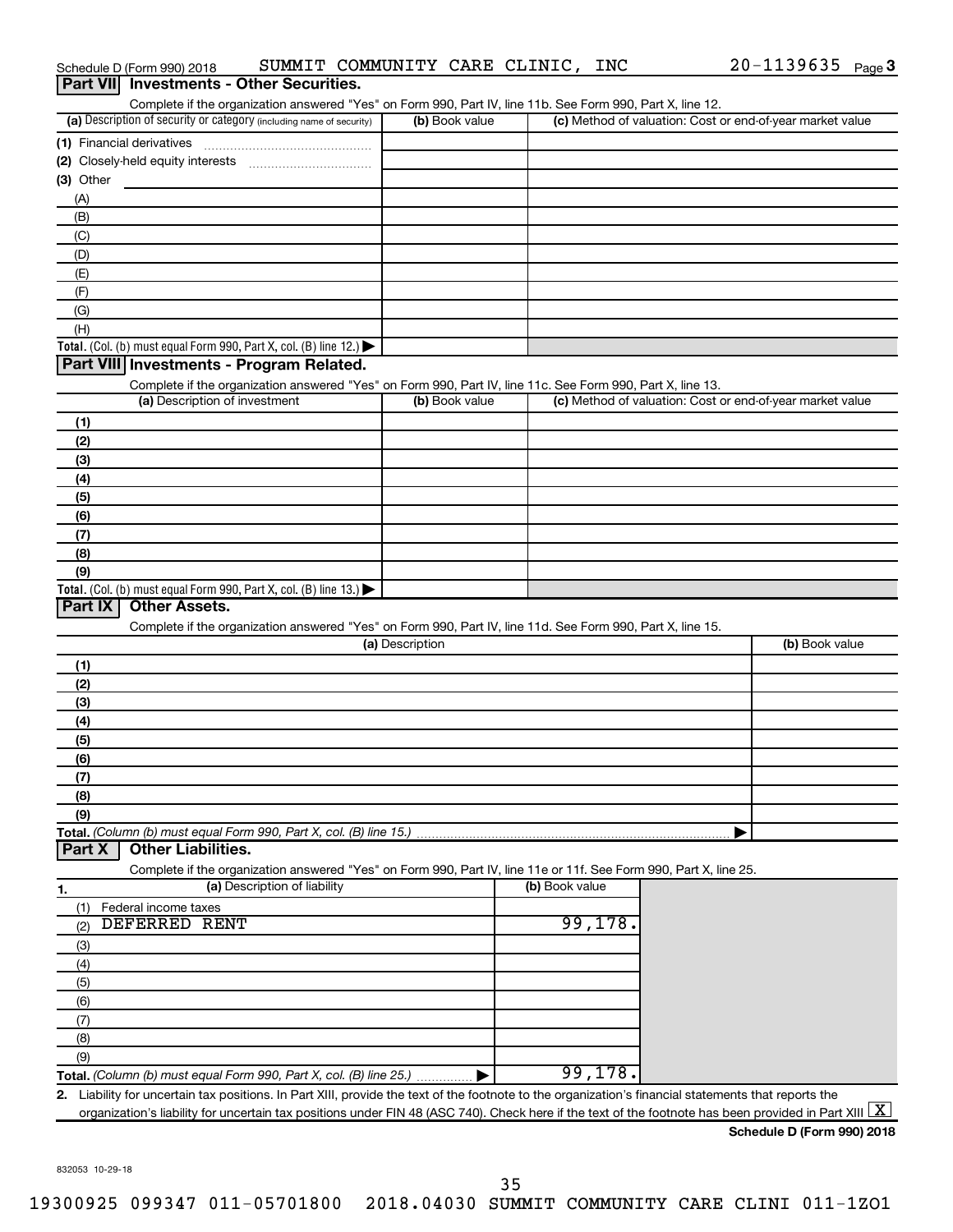|            | Schedule D (Form 990) 2018                                                                                                                                                                   | SUMMIT COMMUNITY CARE CLINIC, INC |                | $20 - 1139635$ Page 3                                     |
|------------|----------------------------------------------------------------------------------------------------------------------------------------------------------------------------------------------|-----------------------------------|----------------|-----------------------------------------------------------|
|            | Part VII Investments - Other Securities.                                                                                                                                                     |                                   |                |                                                           |
|            | Complete if the organization answered "Yes" on Form 990, Part IV, line 11b. See Form 990, Part X, line 12.                                                                                   |                                   |                |                                                           |
|            | (a) Description of security or category (including name of security)                                                                                                                         | (b) Book value                    |                | (c) Method of valuation: Cost or end-of-year market value |
|            | (1) Financial derivatives                                                                                                                                                                    |                                   |                |                                                           |
|            |                                                                                                                                                                                              |                                   |                |                                                           |
| (3) Other  |                                                                                                                                                                                              |                                   |                |                                                           |
| (A)<br>(B) |                                                                                                                                                                                              |                                   |                |                                                           |
| (C)        |                                                                                                                                                                                              |                                   |                |                                                           |
| (D)        |                                                                                                                                                                                              |                                   |                |                                                           |
| (E)        |                                                                                                                                                                                              |                                   |                |                                                           |
| (F)        |                                                                                                                                                                                              |                                   |                |                                                           |
| (G)        |                                                                                                                                                                                              |                                   |                |                                                           |
| (H)        |                                                                                                                                                                                              |                                   |                |                                                           |
|            | Total. (Col. (b) must equal Form 990, Part X, col. (B) line 12.) $\blacktriangleright$                                                                                                       |                                   |                |                                                           |
|            | Part VIII Investments - Program Related.                                                                                                                                                     |                                   |                |                                                           |
|            | Complete if the organization answered "Yes" on Form 990, Part IV, line 11c. See Form 990, Part X, line 13.                                                                                   |                                   |                |                                                           |
|            | (a) Description of investment                                                                                                                                                                | (b) Book value                    |                | (c) Method of valuation: Cost or end-of-year market value |
| (1)        |                                                                                                                                                                                              |                                   |                |                                                           |
| (2)        |                                                                                                                                                                                              |                                   |                |                                                           |
| (3)        |                                                                                                                                                                                              |                                   |                |                                                           |
| (4)        |                                                                                                                                                                                              |                                   |                |                                                           |
| (5)        |                                                                                                                                                                                              |                                   |                |                                                           |
| (6)<br>(7) |                                                                                                                                                                                              |                                   |                |                                                           |
| (8)        |                                                                                                                                                                                              |                                   |                |                                                           |
| (9)        |                                                                                                                                                                                              |                                   |                |                                                           |
|            | Total. (Col. (b) must equal Form 990, Part X, col. (B) line 13.) $\blacktriangleright$                                                                                                       |                                   |                |                                                           |
| Part IX    | <b>Other Assets.</b>                                                                                                                                                                         |                                   |                |                                                           |
|            | Complete if the organization answered "Yes" on Form 990, Part IV, line 11d. See Form 990, Part X, line 15.                                                                                   |                                   |                |                                                           |
|            |                                                                                                                                                                                              | (a) Description                   |                | (b) Book value                                            |
| (1)        |                                                                                                                                                                                              |                                   |                |                                                           |
| (2)        |                                                                                                                                                                                              |                                   |                |                                                           |
| (3)        |                                                                                                                                                                                              |                                   |                |                                                           |
| (4)        |                                                                                                                                                                                              |                                   |                |                                                           |
| (5)        |                                                                                                                                                                                              |                                   |                |                                                           |
| (6)        |                                                                                                                                                                                              |                                   |                |                                                           |
| (7)        |                                                                                                                                                                                              |                                   |                |                                                           |
| (8)<br>(9) |                                                                                                                                                                                              |                                   |                |                                                           |
|            | Total. (Column (b) must equal Form 990, Part X, col. (B) line 15.)                                                                                                                           |                                   |                |                                                           |
| Part X     | <b>Other Liabilities.</b>                                                                                                                                                                    |                                   |                |                                                           |
|            | Complete if the organization answered "Yes" on Form 990, Part IV, line 11e or 11f. See Form 990, Part X, line 25.                                                                            |                                   |                |                                                           |
| 1.         | (a) Description of liability                                                                                                                                                                 |                                   | (b) Book value |                                                           |
| (1)        | Federal income taxes                                                                                                                                                                         |                                   |                |                                                           |
| (2)        | DEFERRED RENT                                                                                                                                                                                |                                   | 99,178.        |                                                           |
| (3)        |                                                                                                                                                                                              |                                   |                |                                                           |
| (4)        |                                                                                                                                                                                              |                                   |                |                                                           |
| (5)        |                                                                                                                                                                                              |                                   |                |                                                           |
| (6)        |                                                                                                                                                                                              |                                   |                |                                                           |
| (7)        |                                                                                                                                                                                              |                                   |                |                                                           |
| (8)        |                                                                                                                                                                                              |                                   |                |                                                           |
| (9)        |                                                                                                                                                                                              |                                   | 99,178.        |                                                           |
|            | Total. (Column (b) must equal Form 990, Part X, col. (B) line 25.)                                                                                                                           |                                   |                |                                                           |
|            | 2. Liability for uncertain tax positions. In Part XIII, provide the text of the footnote to the organization's financial statements that reports the                                         |                                   |                |                                                           |
|            | organization's liability for uncertain tax positions under FIN 48 (ASC 740). Check here if the text of the footnote has been provided in Part XIII $\lfloor \textnormal{\textbf{X}} \rfloor$ |                                   |                | Schedule D (Form 990) 2018                                |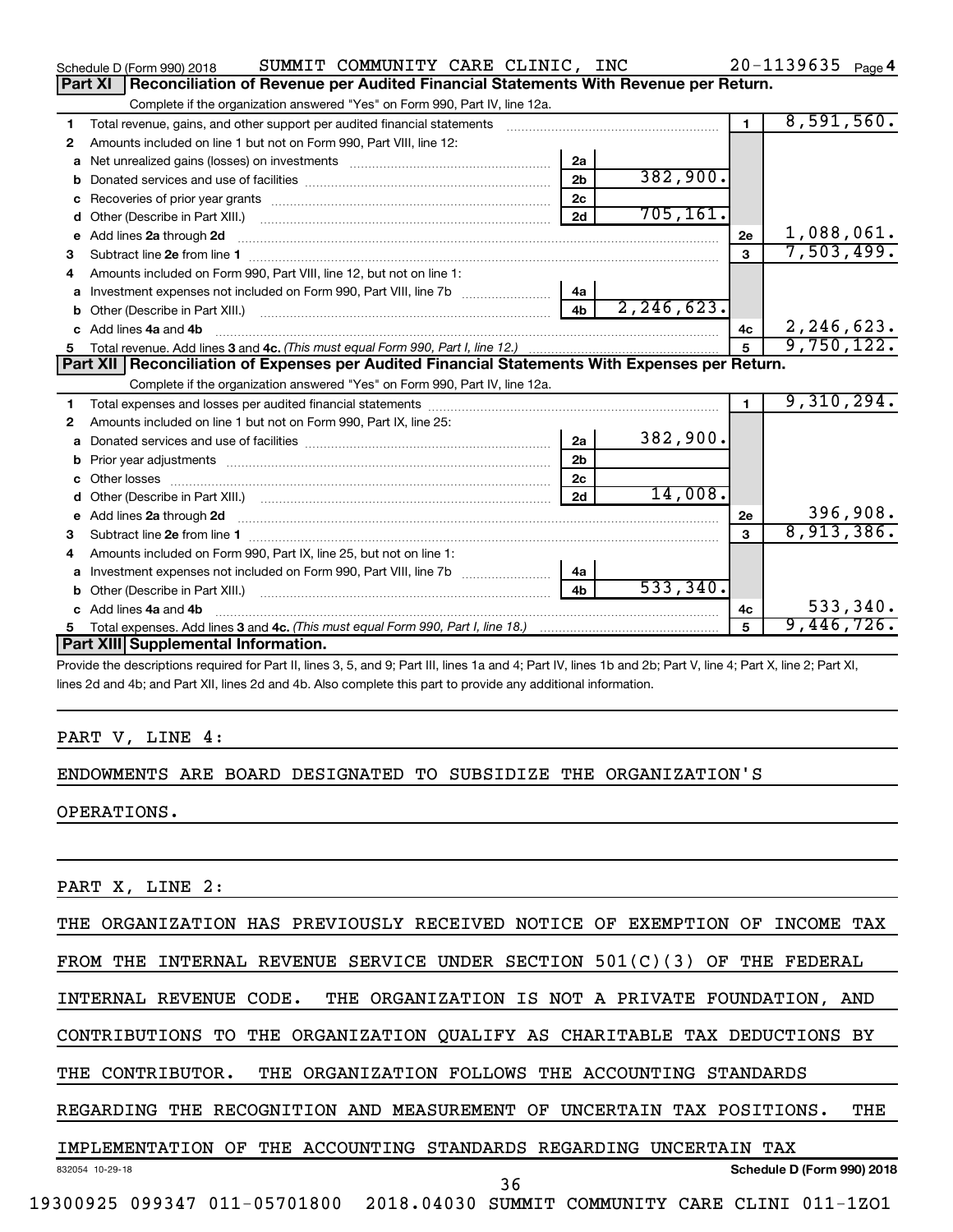|    | SUMMIT COMMUNITY CARE CLINIC, INC<br>Schedule D (Form 990) 2018                                                                                                                                                                     |                |              |                | $20 - 1139635$ Page 4 |
|----|-------------------------------------------------------------------------------------------------------------------------------------------------------------------------------------------------------------------------------------|----------------|--------------|----------------|-----------------------|
|    | Reconciliation of Revenue per Audited Financial Statements With Revenue per Return.<br>Part XI                                                                                                                                      |                |              |                |                       |
|    | Complete if the organization answered "Yes" on Form 990, Part IV, line 12a.                                                                                                                                                         |                |              |                |                       |
| 1  | Total revenue, gains, and other support per audited financial statements                                                                                                                                                            |                |              | $\blacksquare$ | 8,591,560.            |
| 2  | Amounts included on line 1 but not on Form 990, Part VIII, line 12:                                                                                                                                                                 |                |              |                |                       |
| a  | Net unrealized gains (losses) on investments [111] Net unrealized mains (losses) on investments [11] Metamanian                                                                                                                     | 2a             |              |                |                       |
|    |                                                                                                                                                                                                                                     | 2 <sub>b</sub> | 382,900.     |                |                       |
|    |                                                                                                                                                                                                                                     | 2c             |              |                |                       |
| d  |                                                                                                                                                                                                                                     | 2d             | 705, 161.    |                |                       |
| e  | Add lines 2a through 2d                                                                                                                                                                                                             |                |              | <b>2e</b>      | 1,088,061.            |
| З  |                                                                                                                                                                                                                                     |                |              | 3              | 7,503,499.            |
| 4  | Amounts included on Form 990. Part VIII. line 12, but not on line 1:                                                                                                                                                                |                |              |                |                       |
|    |                                                                                                                                                                                                                                     | 4a             |              |                |                       |
|    |                                                                                                                                                                                                                                     | 4 <sub>b</sub> | 2, 246, 623. |                |                       |
|    | c Add lines 4a and 4b                                                                                                                                                                                                               |                |              | 4c             | 2,246,623.            |
|    |                                                                                                                                                                                                                                     |                |              | 5              | 9,750,122.            |
|    | Part XII   Reconciliation of Expenses per Audited Financial Statements With Expenses per Return.                                                                                                                                    |                |              |                |                       |
|    |                                                                                                                                                                                                                                     |                |              |                |                       |
|    | Complete if the organization answered "Yes" on Form 990, Part IV, line 12a.                                                                                                                                                         |                |              |                |                       |
| 1. |                                                                                                                                                                                                                                     |                |              | $\blacksquare$ | 9,310,294.            |
| 2  | Amounts included on line 1 but not on Form 990, Part IX, line 25:                                                                                                                                                                   |                |              |                |                       |
| a  |                                                                                                                                                                                                                                     | 2a             | 382,900.     |                |                       |
| b  |                                                                                                                                                                                                                                     | 2 <sub>b</sub> |              |                |                       |
|    |                                                                                                                                                                                                                                     | 2 <sub>c</sub> |              |                |                       |
| d  |                                                                                                                                                                                                                                     | 2d             | 14,008.      |                |                       |
|    | e Add lines 2a through 2d <b>contract and a contract and a contract a</b> contract a contract and a contract a contract a contract a contract a contract a contract a contract a contract a contract a contract a contract a contra |                |              | 2e             | 396,908.              |
| з  |                                                                                                                                                                                                                                     |                |              | $\mathbf{a}$   | 8,913,386.            |
| 4  | Amounts included on Form 990, Part IX, line 25, but not on line 1:                                                                                                                                                                  |                |              |                |                       |
| a  |                                                                                                                                                                                                                                     | 4a             |              |                |                       |
| b  |                                                                                                                                                                                                                                     | 4 <sub>h</sub> | 533,340.     |                |                       |
|    | c Add lines 4a and 4b                                                                                                                                                                                                               |                |              | 4c             | 533,340.              |
|    | Part XIII Supplemental Information.                                                                                                                                                                                                 |                |              |                | $9,446,726$ .         |

Provide the descriptions required for Part II, lines 3, 5, and 9; Part III, lines 1a and 4; Part IV, lines 1b and 2b; Part V, line 4; Part X, line 2; Part XI, lines 2d and 4b; and Part XII, lines 2d and 4b. Also complete this part to provide any additional information.

### PART V, LINE 4:

### ENDOWMENTS ARE BOARD DESIGNATED TO SUBSIDIZE THE ORGANIZATION'S

OPERATIONS.

PART X, LINE 2:

THE ORGANIZATION HAS PREVIOUSLY RECEIVED NOTICE OF EXEMPTION OF INCOME TAX

FROM THE INTERNAL REVENUE SERVICE UNDER SECTION 501(C)(3) OF THE FEDERAL

INTERNAL REVENUE CODE. THE ORGANIZATION IS NOT A PRIVATE FOUNDATION, AND

CONTRIBUTIONS TO THE ORGANIZATION QUALIFY AS CHARITABLE TAX DEDUCTIONS BY

THE CONTRIBUTOR. THE ORGANIZATION FOLLOWS THE ACCOUNTING STANDARDS

REGARDING THE RECOGNITION AND MEASUREMENT OF UNCERTAIN TAX POSITIONS. THE

36

IMPLEMENTATION OF THE ACCOUNTING STANDARDS REGARDING UNCERTAIN TAX

832054 10-29-18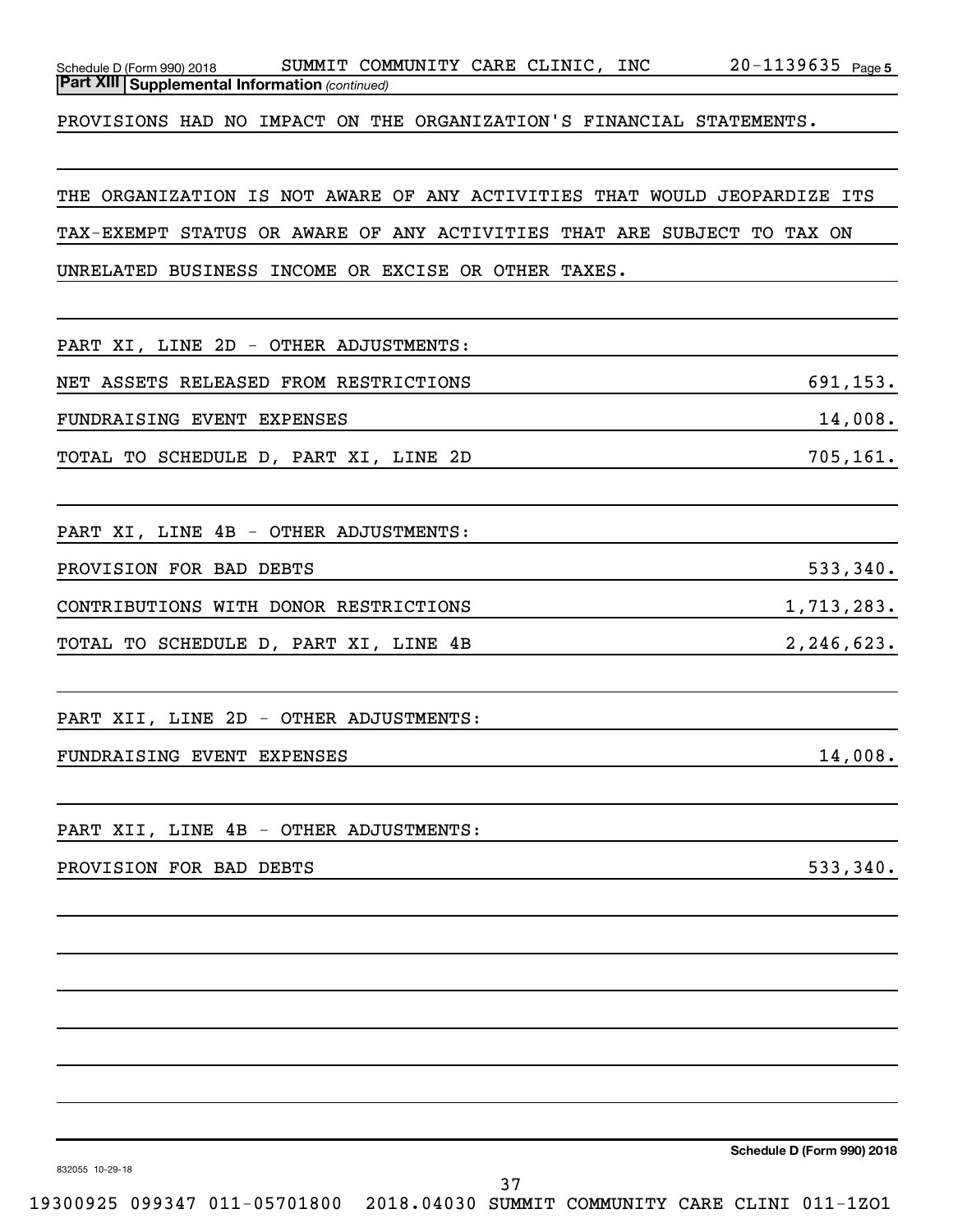| PROVISIONS HAD NO IMPACT ON THE ORGANIZATION'S FINANCIAL STATEMENTS.      |            |
|---------------------------------------------------------------------------|------------|
|                                                                           |            |
| THE ORGANIZATION IS NOT AWARE OF ANY ACTIVITIES THAT WOULD JEOPARDIZE ITS |            |
| TAX-EXEMPT STATUS OR AWARE OF ANY ACTIVITIES THAT ARE SUBJECT TO TAX ON   |            |
| UNRELATED BUSINESS INCOME OR EXCISE OR OTHER TAXES.                       |            |
|                                                                           |            |
| PART XI, LINE 2D - OTHER ADJUSTMENTS:                                     |            |
| NET ASSETS RELEASED FROM RESTRICTIONS                                     | 691,153.   |
| FUNDRAISING EVENT EXPENSES                                                | 14,008.    |
| TOTAL TO SCHEDULE D, PART XI, LINE 2D                                     | 705, 161.  |
|                                                                           |            |
| PART XI, LINE 4B - OTHER ADJUSTMENTS:                                     |            |
| PROVISION FOR BAD DEBTS                                                   | 533,340.   |
| CONTRIBUTIONS WITH DONOR RESTRICTIONS                                     | 1,713,283. |
| TOTAL TO SCHEDULE D, PART XI, LINE 4B                                     | 2,246,623. |
|                                                                           |            |
| PART XII, LINE 2D - OTHER ADJUSTMENTS:                                    |            |
| FUNDRAISING EVENT EXPENSES                                                | 14,008.    |
|                                                                           |            |
| PART XII, LINE 4B - OTHER ADJUSTMENTS:                                    |            |
| PROVISION FOR BAD DEBTS                                                   | 533,340.   |
|                                                                           |            |
|                                                                           |            |
|                                                                           |            |
|                                                                           |            |
|                                                                           |            |
|                                                                           |            |
|                                                                           |            |

Schedule D (Form 990) 2018  $\;$  SUMMIT COMMUNITY CARE CLINIC, INC  $\;$  20-1139635  $\;$  Page

*(continued)* **Part XIII Supplemental Information** 

**Schedule D (Form 990) 2018**

20-1139635 Page 5

832055 10-29-18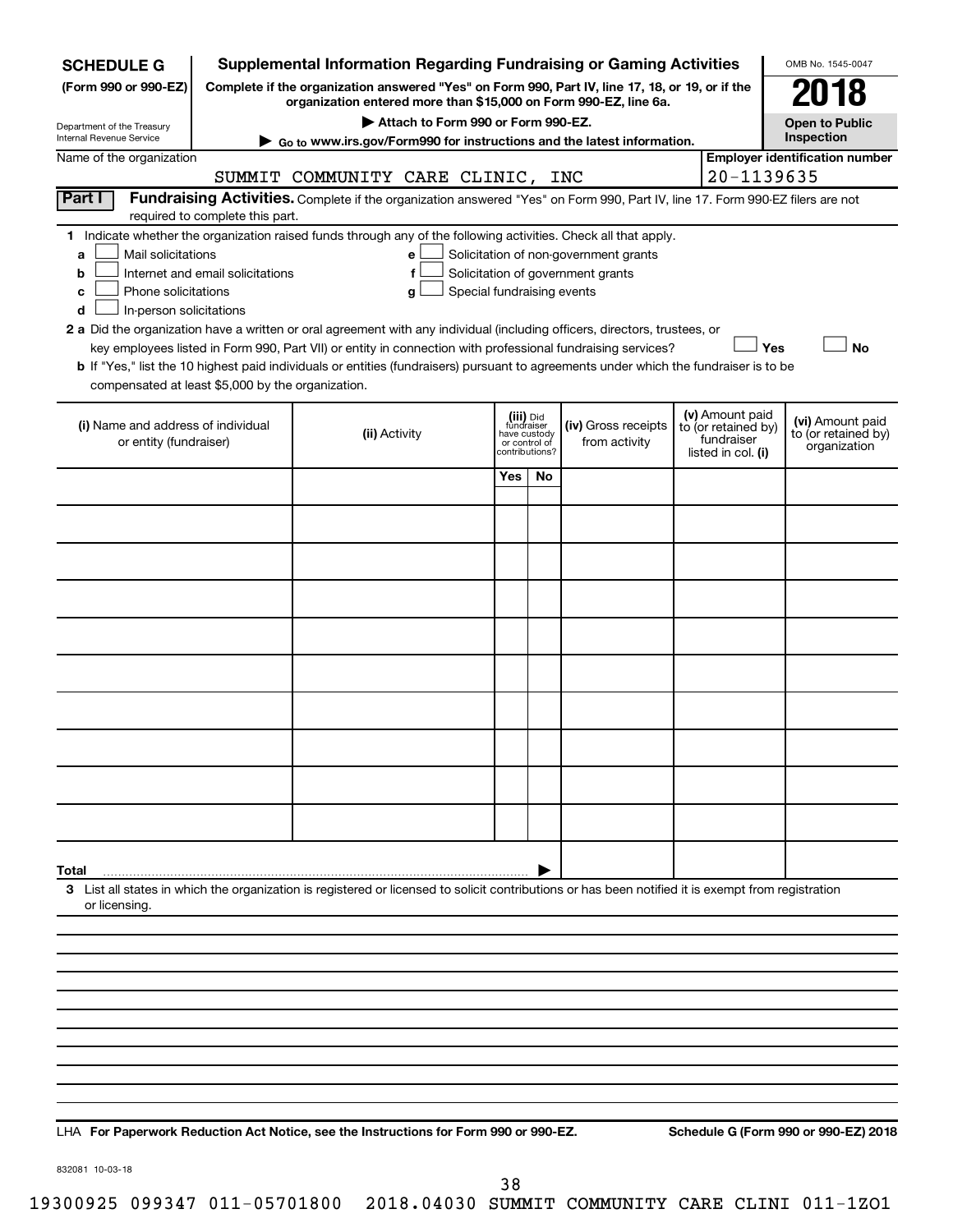|                                                                                                                                                                                                                                                                                                                                                                                                                                                             |     |    |                                                                            |                                                                                                                                             |  | OMB No. 1545-0047                                                                                                                                                                                                                                                                                                                                                                                                                                                                                                    |  |  |
|-------------------------------------------------------------------------------------------------------------------------------------------------------------------------------------------------------------------------------------------------------------------------------------------------------------------------------------------------------------------------------------------------------------------------------------------------------------|-----|----|----------------------------------------------------------------------------|---------------------------------------------------------------------------------------------------------------------------------------------|--|----------------------------------------------------------------------------------------------------------------------------------------------------------------------------------------------------------------------------------------------------------------------------------------------------------------------------------------------------------------------------------------------------------------------------------------------------------------------------------------------------------------------|--|--|
| (Form 990 or 990-EZ)<br>Complete if the organization answered "Yes" on Form 990, Part IV, line 17, 18, or 19, or if the                                                                                                                                                                                                                                                                                                                                     |     |    |                                                                            |                                                                                                                                             |  |                                                                                                                                                                                                                                                                                                                                                                                                                                                                                                                      |  |  |
|                                                                                                                                                                                                                                                                                                                                                                                                                                                             |     |    |                                                                            |                                                                                                                                             |  | 78<br><b>Open to Public</b>                                                                                                                                                                                                                                                                                                                                                                                                                                                                                          |  |  |
| Department of the Treasury<br>Internal Revenue Service<br>► Go to www.irs.gov/Form990 for instructions and the latest information.                                                                                                                                                                                                                                                                                                                          |     |    |                                                                            |                                                                                                                                             |  |                                                                                                                                                                                                                                                                                                                                                                                                                                                                                                                      |  |  |
| Name of the organization                                                                                                                                                                                                                                                                                                                                                                                                                                    |     |    |                                                                            |                                                                                                                                             |  |                                                                                                                                                                                                                                                                                                                                                                                                                                                                                                                      |  |  |
|                                                                                                                                                                                                                                                                                                                                                                                                                                                             |     |    |                                                                            |                                                                                                                                             |  |                                                                                                                                                                                                                                                                                                                                                                                                                                                                                                                      |  |  |
| Part I<br>required to complete this part.                                                                                                                                                                                                                                                                                                                                                                                                                   |     |    |                                                                            |                                                                                                                                             |  |                                                                                                                                                                                                                                                                                                                                                                                                                                                                                                                      |  |  |
| 1 Indicate whether the organization raised funds through any of the following activities. Check all that apply.<br>Mail solicitations<br>Solicitation of non-government grants<br>a<br>e<br>Internet and email solicitations<br>Solicitation of government grants<br>b<br>Phone solicitations<br>Special fundraising events<br>c<br>g<br>In-person solicitations<br>d                                                                                       |     |    |                                                                            |                                                                                                                                             |  |                                                                                                                                                                                                                                                                                                                                                                                                                                                                                                                      |  |  |
| 2 a Did the organization have a written or oral agreement with any individual (including officers, directors, trustees, or<br>Yes<br><b>No</b><br>key employees listed in Form 990, Part VII) or entity in connection with professional fundraising services?<br>b If "Yes," list the 10 highest paid individuals or entities (fundraisers) pursuant to agreements under which the fundraiser is to be<br>compensated at least \$5,000 by the organization. |     |    |                                                                            |                                                                                                                                             |  |                                                                                                                                                                                                                                                                                                                                                                                                                                                                                                                      |  |  |
| (ii) Activity                                                                                                                                                                                                                                                                                                                                                                                                                                               |     |    | (iv) Gross receipts<br>from activity                                       |                                                                                                                                             |  | (vi) Amount paid<br>to (or retained by)<br>organization                                                                                                                                                                                                                                                                                                                                                                                                                                                              |  |  |
|                                                                                                                                                                                                                                                                                                                                                                                                                                                             | Yes | No |                                                                            |                                                                                                                                             |  |                                                                                                                                                                                                                                                                                                                                                                                                                                                                                                                      |  |  |
|                                                                                                                                                                                                                                                                                                                                                                                                                                                             |     |    |                                                                            |                                                                                                                                             |  |                                                                                                                                                                                                                                                                                                                                                                                                                                                                                                                      |  |  |
|                                                                                                                                                                                                                                                                                                                                                                                                                                                             |     |    |                                                                            |                                                                                                                                             |  |                                                                                                                                                                                                                                                                                                                                                                                                                                                                                                                      |  |  |
|                                                                                                                                                                                                                                                                                                                                                                                                                                                             |     |    |                                                                            |                                                                                                                                             |  |                                                                                                                                                                                                                                                                                                                                                                                                                                                                                                                      |  |  |
|                                                                                                                                                                                                                                                                                                                                                                                                                                                             |     |    |                                                                            |                                                                                                                                             |  |                                                                                                                                                                                                                                                                                                                                                                                                                                                                                                                      |  |  |
|                                                                                                                                                                                                                                                                                                                                                                                                                                                             |     |    |                                                                            |                                                                                                                                             |  |                                                                                                                                                                                                                                                                                                                                                                                                                                                                                                                      |  |  |
|                                                                                                                                                                                                                                                                                                                                                                                                                                                             |     |    |                                                                            |                                                                                                                                             |  |                                                                                                                                                                                                                                                                                                                                                                                                                                                                                                                      |  |  |
|                                                                                                                                                                                                                                                                                                                                                                                                                                                             |     |    |                                                                            |                                                                                                                                             |  |                                                                                                                                                                                                                                                                                                                                                                                                                                                                                                                      |  |  |
|                                                                                                                                                                                                                                                                                                                                                                                                                                                             |     |    |                                                                            |                                                                                                                                             |  |                                                                                                                                                                                                                                                                                                                                                                                                                                                                                                                      |  |  |
|                                                                                                                                                                                                                                                                                                                                                                                                                                                             |     |    |                                                                            |                                                                                                                                             |  |                                                                                                                                                                                                                                                                                                                                                                                                                                                                                                                      |  |  |
|                                                                                                                                                                                                                                                                                                                                                                                                                                                             |     |    |                                                                            |                                                                                                                                             |  |                                                                                                                                                                                                                                                                                                                                                                                                                                                                                                                      |  |  |
|                                                                                                                                                                                                                                                                                                                                                                                                                                                             |     |    |                                                                            |                                                                                                                                             |  |                                                                                                                                                                                                                                                                                                                                                                                                                                                                                                                      |  |  |
|                                                                                                                                                                                                                                                                                                                                                                                                                                                             |     |    |                                                                            |                                                                                                                                             |  |                                                                                                                                                                                                                                                                                                                                                                                                                                                                                                                      |  |  |
|                                                                                                                                                                                                                                                                                                                                                                                                                                                             |     |    |                                                                            |                                                                                                                                             |  |                                                                                                                                                                                                                                                                                                                                                                                                                                                                                                                      |  |  |
|                                                                                                                                                                                                                                                                                                                                                                                                                                                             |     |    |                                                                            |                                                                                                                                             |  |                                                                                                                                                                                                                                                                                                                                                                                                                                                                                                                      |  |  |
|                                                                                                                                                                                                                                                                                                                                                                                                                                                             |     |    |                                                                            |                                                                                                                                             |  |                                                                                                                                                                                                                                                                                                                                                                                                                                                                                                                      |  |  |
|                                                                                                                                                                                                                                                                                                                                                                                                                                                             |     |    |                                                                            |                                                                                                                                             |  |                                                                                                                                                                                                                                                                                                                                                                                                                                                                                                                      |  |  |
|                                                                                                                                                                                                                                                                                                                                                                                                                                                             |     |    |                                                                            |                                                                                                                                             |  |                                                                                                                                                                                                                                                                                                                                                                                                                                                                                                                      |  |  |
|                                                                                                                                                                                                                                                                                                                                                                                                                                                             |     |    |                                                                            |                                                                                                                                             |  |                                                                                                                                                                                                                                                                                                                                                                                                                                                                                                                      |  |  |
|                                                                                                                                                                                                                                                                                                                                                                                                                                                             |     |    |                                                                            |                                                                                                                                             |  |                                                                                                                                                                                                                                                                                                                                                                                                                                                                                                                      |  |  |
|                                                                                                                                                                                                                                                                                                                                                                                                                                                             |     |    |                                                                            |                                                                                                                                             |  |                                                                                                                                                                                                                                                                                                                                                                                                                                                                                                                      |  |  |
|                                                                                                                                                                                                                                                                                                                                                                                                                                                             |     |    |                                                                            |                                                                                                                                             |  |                                                                                                                                                                                                                                                                                                                                                                                                                                                                                                                      |  |  |
|                                                                                                                                                                                                                                                                                                                                                                                                                                                             |     |    | (iii) Did<br>fundraiser<br>have custody<br>or control of<br>contributions? | organization entered more than \$15,000 on Form 990-EZ, line 6a.<br>Attach to Form 990 or Form 990-EZ.<br>SUMMIT COMMUNITY CARE CLINIC, INC |  | <b>Supplemental Information Regarding Fundraising or Gaming Activities</b><br>Inspection<br><b>Employer identification number</b><br>20-1139635<br>Fundraising Activities. Complete if the organization answered "Yes" on Form 990, Part IV, line 17. Form 990-EZ filers are not<br>(v) Amount paid<br>to (or retained by)<br>fundraiser<br>listed in col. (i)<br>3 List all states in which the organization is registered or licensed to solicit contributions or has been notified it is exempt from registration |  |  |

**For Paperwork Reduction Act Notice, see the Instructions for Form 990 or 990-EZ. Schedule G (Form 990 or 990-EZ) 2018** LHA

832081 10-03-18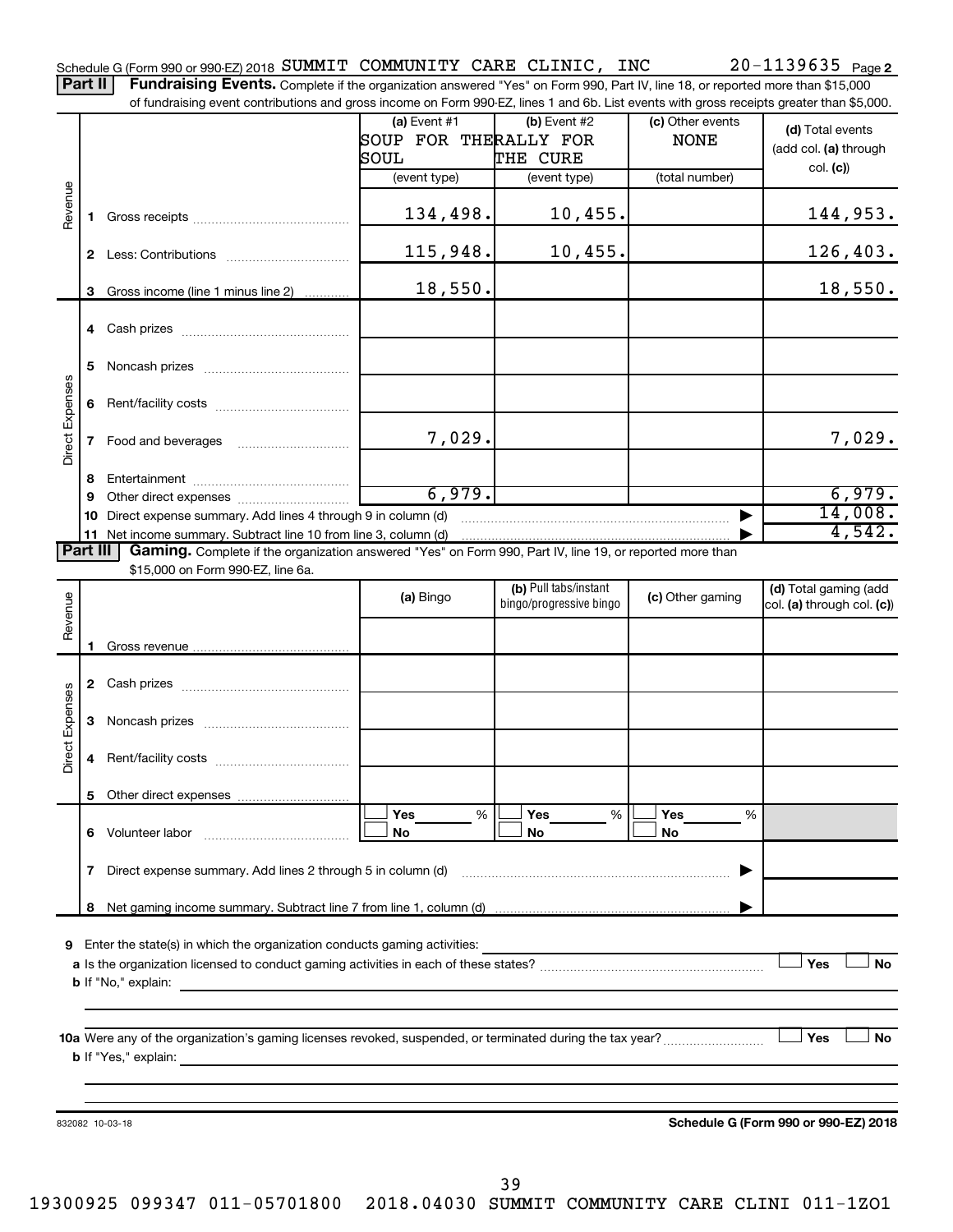Part II | Fundraising Events. Complete if the organization answered "Yes" on Form 990, Part IV, line 18, or reported more than \$15,000 of fundraising event contributions and gross income on Form 990-EZ, lines 1 and 6b. List events with gross receipts greater than \$5,000.

|                 |              |                                                                                                           | (a) Event $#1$        | (b) Event #2            | (c) Other events | (d) Total events                     |
|-----------------|--------------|-----------------------------------------------------------------------------------------------------------|-----------------------|-------------------------|------------------|--------------------------------------|
|                 |              |                                                                                                           | SOUP FOR THERALLY FOR |                         | <b>NONE</b>      |                                      |
|                 |              |                                                                                                           | SOUL                  | THE CURE                |                  | (add col. (a) through                |
|                 |              |                                                                                                           | (event type)          | (event type)            | (total number)   | col. (c)                             |
|                 |              |                                                                                                           |                       |                         |                  |                                      |
| Revenue         | 1.           |                                                                                                           | 134,498.              | $10,455$ .              |                  | 144,953.                             |
|                 |              |                                                                                                           |                       |                         |                  |                                      |
|                 |              |                                                                                                           | 115,948.              | $10,455$ .              |                  | 126,403.                             |
|                 |              |                                                                                                           |                       |                         |                  |                                      |
|                 | 3            | Gross income (line 1 minus line 2)                                                                        | 18,550.               |                         |                  | 18,550.                              |
|                 |              |                                                                                                           |                       |                         |                  |                                      |
|                 |              |                                                                                                           |                       |                         |                  |                                      |
|                 |              |                                                                                                           |                       |                         |                  |                                      |
|                 | 5            |                                                                                                           |                       |                         |                  |                                      |
| Direct Expenses |              |                                                                                                           |                       |                         |                  |                                      |
|                 | 6            |                                                                                                           |                       |                         |                  |                                      |
|                 |              |                                                                                                           |                       |                         |                  |                                      |
|                 | $\mathbf{7}$ |                                                                                                           | 7,029.                |                         |                  | 7,029.                               |
|                 |              |                                                                                                           |                       |                         |                  |                                      |
|                 | 8            |                                                                                                           |                       |                         |                  |                                      |
|                 | 9            |                                                                                                           | 6,979.                |                         |                  | 6,979.                               |
|                 | 10           | Direct expense summary. Add lines 4 through 9 in column (d)                                               |                       |                         |                  | 14,008.                              |
|                 |              | 11 Net income summary. Subtract line 10 from line 3, column (d)                                           |                       |                         |                  | 4,542.                               |
| <b>Part III</b> |              | Gaming. Complete if the organization answered "Yes" on Form 990, Part IV, line 19, or reported more than  |                       |                         |                  |                                      |
|                 |              | \$15,000 on Form 990-EZ, line 6a.                                                                         |                       |                         |                  |                                      |
|                 |              |                                                                                                           | (a) Bingo             | (b) Pull tabs/instant   | (c) Other gaming | (d) Total gaming (add                |
| Revenue         |              |                                                                                                           |                       | bingo/progressive bingo |                  | col. (a) through col. (c))           |
|                 |              |                                                                                                           |                       |                         |                  |                                      |
|                 | 1.           |                                                                                                           |                       |                         |                  |                                      |
|                 |              |                                                                                                           |                       |                         |                  |                                      |
|                 |              |                                                                                                           |                       |                         |                  |                                      |
|                 |              |                                                                                                           |                       |                         |                  |                                      |
|                 | 3            |                                                                                                           |                       |                         |                  |                                      |
| Direct Expenses |              |                                                                                                           |                       |                         |                  |                                      |
|                 | 4            |                                                                                                           |                       |                         |                  |                                      |
|                 |              |                                                                                                           |                       |                         |                  |                                      |
|                 |              |                                                                                                           |                       |                         |                  |                                      |
|                 |              |                                                                                                           | Yes<br>%              | Yes<br>%                | Yes<br>%         |                                      |
|                 | 6            | Volunteer labor                                                                                           | No                    | No                      | No               |                                      |
|                 |              |                                                                                                           |                       |                         |                  |                                      |
|                 | 7            | Direct expense summary. Add lines 2 through 5 in column (d)                                               |                       |                         |                  |                                      |
|                 |              |                                                                                                           |                       |                         |                  |                                      |
|                 | 8            |                                                                                                           |                       |                         |                  |                                      |
|                 |              |                                                                                                           |                       |                         |                  |                                      |
| 9               |              | Enter the state(s) in which the organization conducts gaming activities:                                  |                       |                         |                  |                                      |
|                 |              |                                                                                                           |                       |                         |                  | Yes<br><b>No</b>                     |
|                 |              | <b>b</b> If "No," explain:                                                                                |                       |                         |                  |                                      |
|                 |              |                                                                                                           |                       |                         |                  |                                      |
|                 |              |                                                                                                           |                       |                         |                  |                                      |
|                 |              | 10a Were any of the organization's gaming licenses revoked, suspended, or terminated during the tax year? |                       |                         |                  | Yes<br>No                            |
|                 |              | <b>b</b> If "Yes," explain:                                                                               |                       |                         |                  |                                      |
|                 |              |                                                                                                           |                       |                         |                  |                                      |
|                 |              |                                                                                                           |                       |                         |                  |                                      |
|                 |              | 832082 10-03-18                                                                                           |                       |                         |                  | Schedule G (Form 990 or 990-EZ) 2018 |
|                 |              |                                                                                                           |                       |                         |                  |                                      |
|                 |              |                                                                                                           |                       |                         |                  |                                      |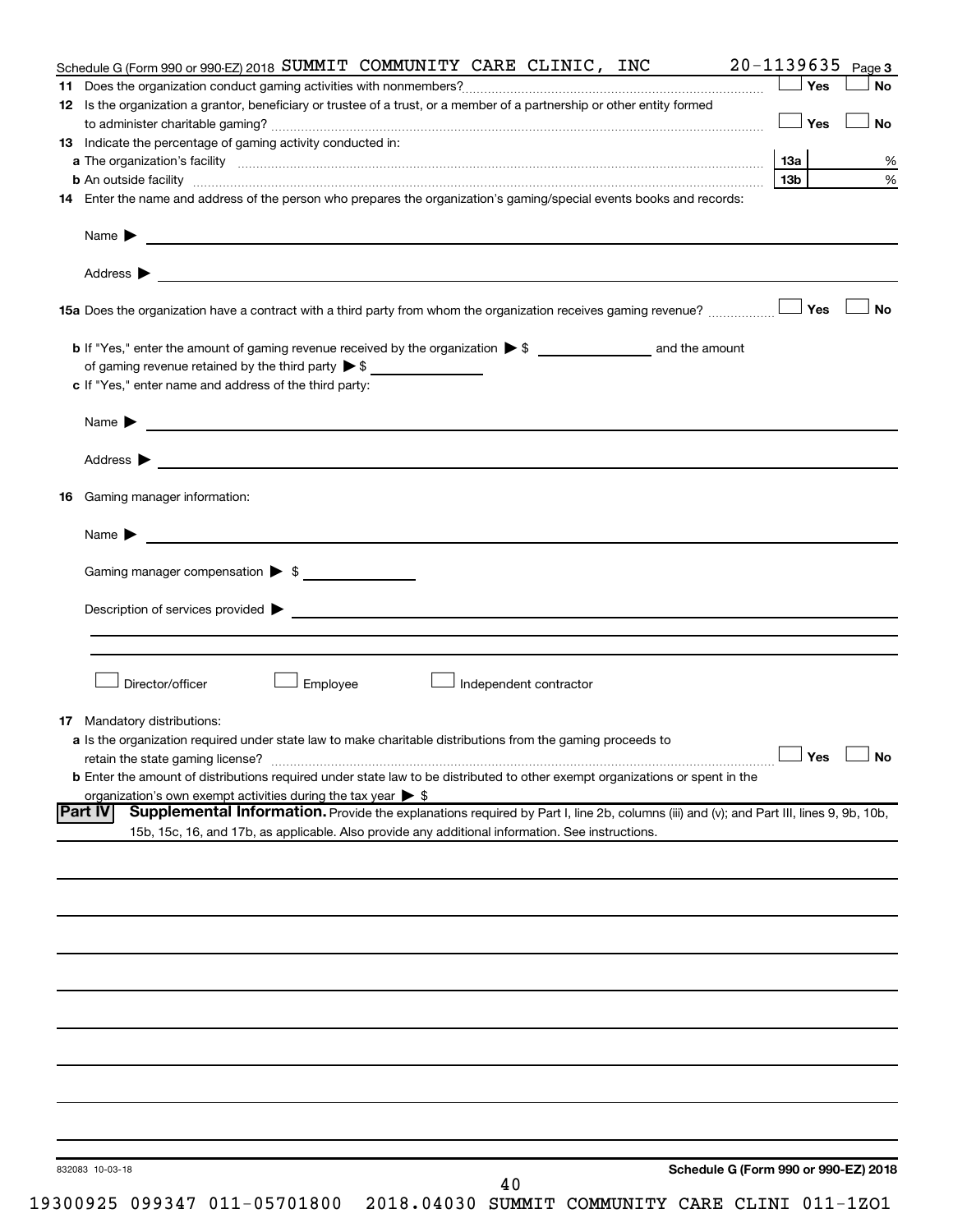|    | Schedule G (Form 990 or 990-EZ) 2018 SUMMIT COMMUNITY CARE CLINIC, INC                                                                                                                                                             | 20-1139635           | Page 3    |
|----|------------------------------------------------------------------------------------------------------------------------------------------------------------------------------------------------------------------------------------|----------------------|-----------|
|    |                                                                                                                                                                                                                                    | Yes                  | <b>No</b> |
|    | 12 Is the organization a grantor, beneficiary or trustee of a trust, or a member of a partnership or other entity formed                                                                                                           |                      |           |
|    |                                                                                                                                                                                                                                    | │Yes                 | <b>No</b> |
|    | 13 Indicate the percentage of gaming activity conducted in:                                                                                                                                                                        |                      |           |
|    |                                                                                                                                                                                                                                    |                      | %         |
|    |                                                                                                                                                                                                                                    | 13b l                | %         |
|    | 14 Enter the name and address of the person who prepares the organization's gaming/special events books and records:                                                                                                               |                      |           |
|    |                                                                                                                                                                                                                                    |                      |           |
|    |                                                                                                                                                                                                                                    |                      |           |
|    |                                                                                                                                                                                                                                    |                      | No        |
|    |                                                                                                                                                                                                                                    |                      |           |
|    |                                                                                                                                                                                                                                    |                      |           |
|    | c If "Yes," enter name and address of the third party:                                                                                                                                                                             |                      |           |
|    |                                                                                                                                                                                                                                    |                      |           |
|    | Name $\blacktriangleright$                                                                                                                                                                                                         |                      |           |
|    |                                                                                                                                                                                                                                    |                      |           |
| 16 | Gaming manager information:                                                                                                                                                                                                        |                      |           |
|    |                                                                                                                                                                                                                                    |                      |           |
|    |                                                                                                                                                                                                                                    |                      |           |
|    | Gaming manager compensation > \$                                                                                                                                                                                                   |                      |           |
|    |                                                                                                                                                                                                                                    |                      |           |
|    |                                                                                                                                                                                                                                    |                      |           |
|    |                                                                                                                                                                                                                                    |                      |           |
|    | Director/officer<br>Employee<br>Independent contractor                                                                                                                                                                             |                      |           |
|    |                                                                                                                                                                                                                                    |                      |           |
|    | <b>17</b> Mandatory distributions:                                                                                                                                                                                                 |                      |           |
|    | a Is the organization required under state law to make charitable distributions from the gaming proceeds to                                                                                                                        |                      |           |
|    |                                                                                                                                                                                                                                    | $\Box$ Yes $\Box$ No |           |
|    | <b>b</b> Enter the amount of distributions required under state law to be distributed to other exempt organizations or spent in the                                                                                                |                      |           |
|    | organization's own exempt activities during the tax year $\triangleright$ \$<br>Supplemental Information. Provide the explanations required by Part I, line 2b, columns (iii) and (v); and Part III, lines 9, 9b, 10b,<br> Part IV |                      |           |
|    | 15b, 15c, 16, and 17b, as applicable. Also provide any additional information. See instructions.                                                                                                                                   |                      |           |
|    |                                                                                                                                                                                                                                    |                      |           |
|    |                                                                                                                                                                                                                                    |                      |           |
|    |                                                                                                                                                                                                                                    |                      |           |
|    |                                                                                                                                                                                                                                    |                      |           |
|    |                                                                                                                                                                                                                                    |                      |           |
|    |                                                                                                                                                                                                                                    |                      |           |
|    |                                                                                                                                                                                                                                    |                      |           |
|    |                                                                                                                                                                                                                                    |                      |           |
|    |                                                                                                                                                                                                                                    |                      |           |
|    |                                                                                                                                                                                                                                    |                      |           |
|    |                                                                                                                                                                                                                                    |                      |           |
|    |                                                                                                                                                                                                                                    |                      |           |
|    |                                                                                                                                                                                                                                    |                      |           |
|    |                                                                                                                                                                                                                                    |                      |           |
|    | Schedule G (Form 990 or 990-EZ) 2018<br>832083 10-03-18<br>40                                                                                                                                                                      |                      |           |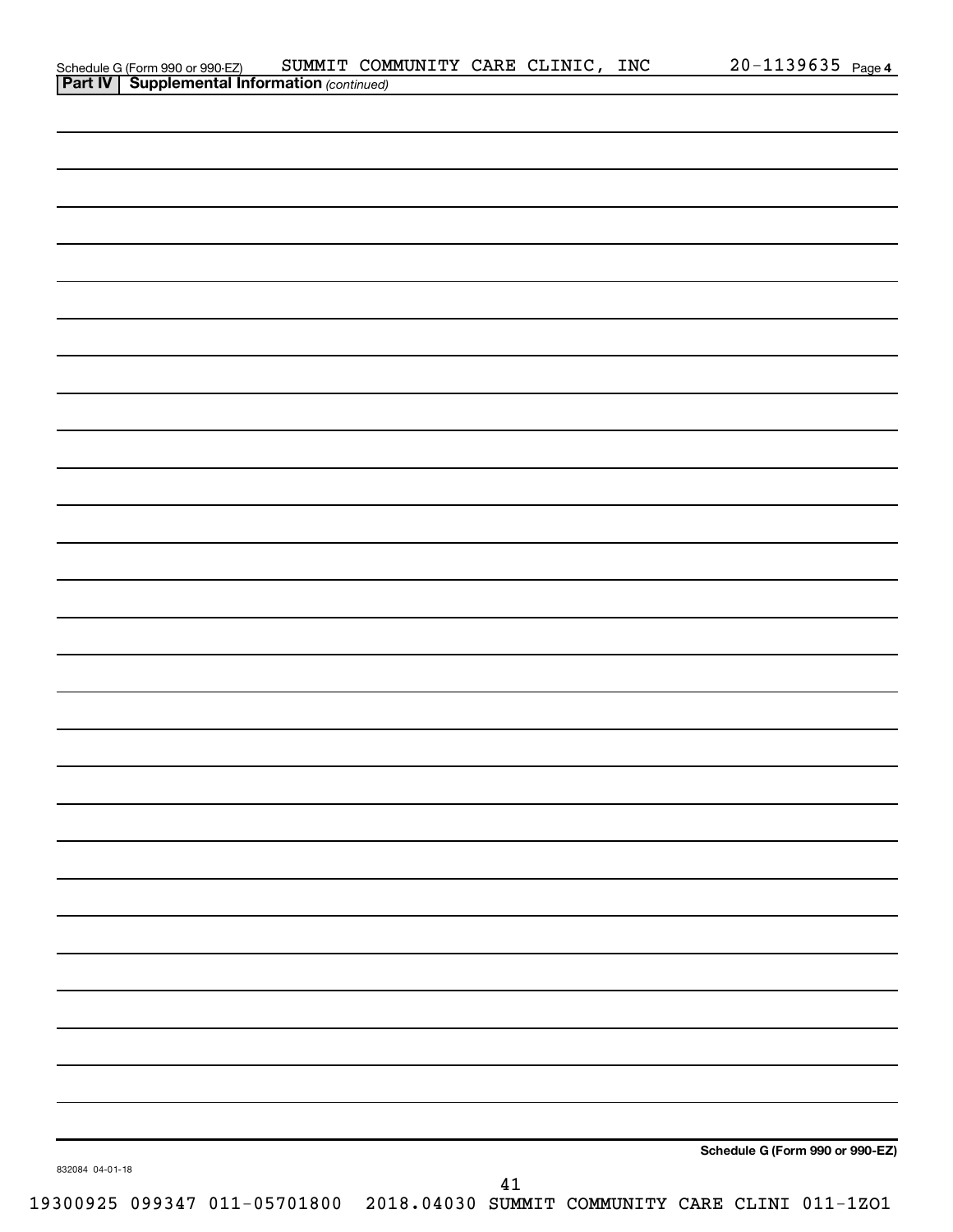|                 |  |        |                                                                              | Schedule G (Form 990 or 990-EZ) |  |
|-----------------|--|--------|------------------------------------------------------------------------------|---------------------------------|--|
| 832084 04-01-18 |  |        |                                                                              |                                 |  |
|                 |  | $41\,$ | 19300925 099347 011-05701800 2018.04030 SUMMIT COMMUNITY CARE CLINI 011-1ZO1 |                                 |  |

Schedule G (Form 990 or 990-EZ) SUMMIT COMMUNITY CARE CLINIC , INC  $20$  –  $1139635\,$  Page

20-1139635 Page 4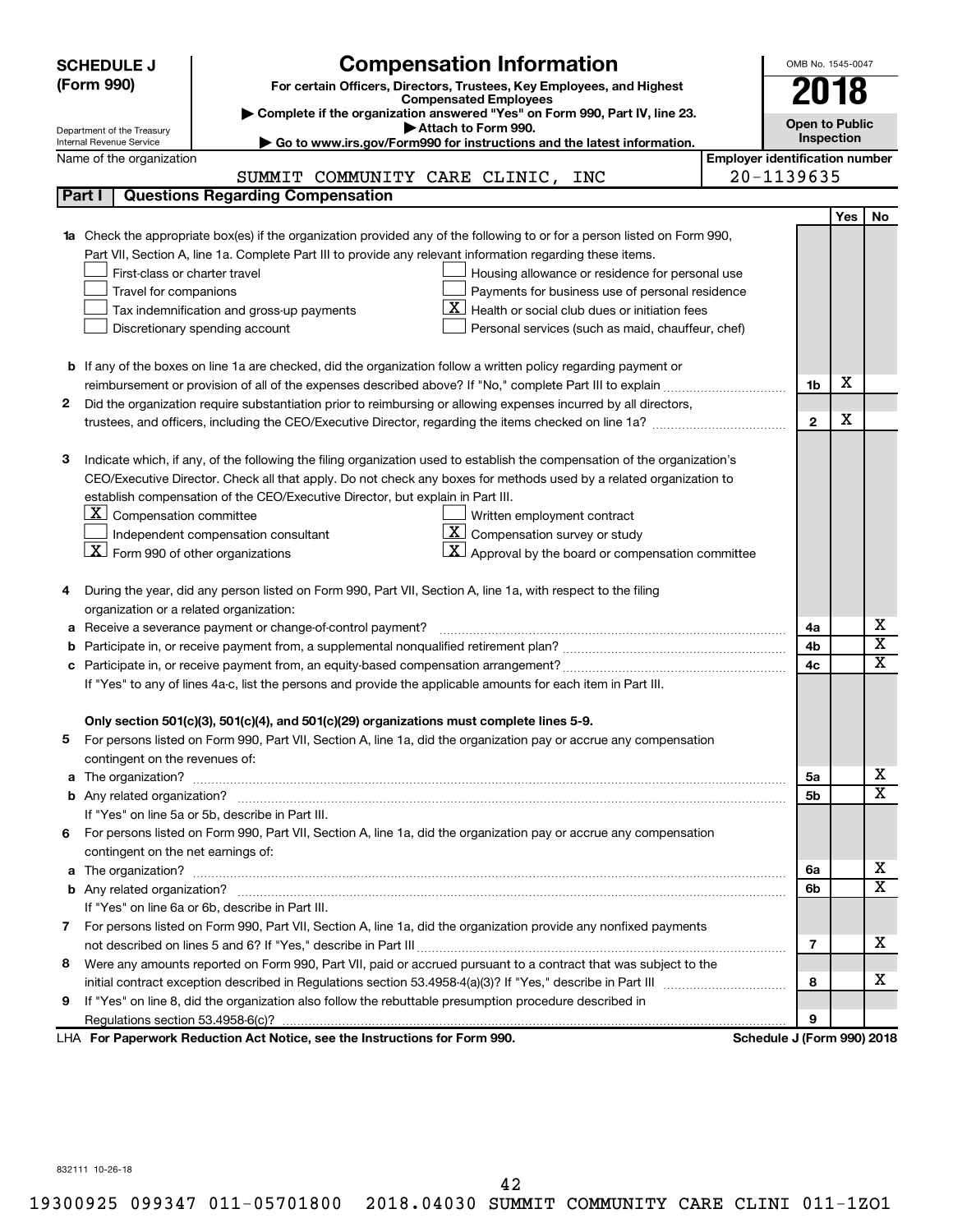| <b>Compensation Information</b><br><b>SCHEDULE J</b>                                                                             |                                       | OMB No. 1545-0047           |  |  |  |  |  |
|----------------------------------------------------------------------------------------------------------------------------------|---------------------------------------|-----------------------------|--|--|--|--|--|
| (Form 990)<br>For certain Officers, Directors, Trustees, Key Employees, and Highest                                              |                                       | 018                         |  |  |  |  |  |
| <b>Compensated Employees</b>                                                                                                     |                                       |                             |  |  |  |  |  |
| Complete if the organization answered "Yes" on Form 990, Part IV, line 23.<br>Attach to Form 990.                                |                                       | <b>Open to Public</b>       |  |  |  |  |  |
| Department of the Treasury<br>Go to www.irs.gov/Form990 for instructions and the latest information.<br>Internal Revenue Service |                                       | Inspection                  |  |  |  |  |  |
| Name of the organization                                                                                                         | <b>Employer identification number</b> |                             |  |  |  |  |  |
| SUMMIT COMMUNITY CARE CLINIC, INC                                                                                                | 20-1139635                            |                             |  |  |  |  |  |
| <b>Questions Regarding Compensation</b><br>Part I                                                                                |                                       |                             |  |  |  |  |  |
|                                                                                                                                  |                                       | <b>Yes</b><br>No            |  |  |  |  |  |
| Check the appropriate box(es) if the organization provided any of the following to or for a person listed on Form 990,           |                                       |                             |  |  |  |  |  |
| Part VII, Section A, line 1a. Complete Part III to provide any relevant information regarding these items.                       |                                       |                             |  |  |  |  |  |
| First-class or charter travel<br>Housing allowance or residence for personal use                                                 |                                       |                             |  |  |  |  |  |
| Payments for business use of personal residence<br>Travel for companions                                                         |                                       |                             |  |  |  |  |  |
| Health or social club dues or initiation fees<br>Tax indemnification and gross-up payments                                       |                                       |                             |  |  |  |  |  |
| Discretionary spending account<br>Personal services (such as maid, chauffeur, chef)                                              |                                       |                             |  |  |  |  |  |
|                                                                                                                                  |                                       |                             |  |  |  |  |  |
| <b>b</b> If any of the boxes on line 1a are checked, did the organization follow a written policy regarding payment or           |                                       | X                           |  |  |  |  |  |
|                                                                                                                                  | 1b                                    |                             |  |  |  |  |  |
| 2<br>Did the organization require substantiation prior to reimbursing or allowing expenses incurred by all directors,            |                                       | х                           |  |  |  |  |  |
|                                                                                                                                  | $\mathbf{2}$                          |                             |  |  |  |  |  |
| Indicate which, if any, of the following the filing organization used to establish the compensation of the organization's<br>з   |                                       |                             |  |  |  |  |  |
| CEO/Executive Director. Check all that apply. Do not check any boxes for methods used by a related organization to               |                                       |                             |  |  |  |  |  |
| establish compensation of the CEO/Executive Director, but explain in Part III.                                                   |                                       |                             |  |  |  |  |  |
| $\lfloor \underline{X} \rfloor$ Compensation committee<br>Written employment contract                                            |                                       |                             |  |  |  |  |  |
| $\boxed{\textbf{X}}$ Compensation survey or study<br>Independent compensation consultant                                         |                                       |                             |  |  |  |  |  |
| $\lfloor \underline{X} \rfloor$ Form 990 of other organizations<br>Approval by the board or compensation committee               |                                       |                             |  |  |  |  |  |
|                                                                                                                                  |                                       |                             |  |  |  |  |  |
| During the year, did any person listed on Form 990, Part VII, Section A, line 1a, with respect to the filing<br>4                |                                       |                             |  |  |  |  |  |
| organization or a related organization:                                                                                          |                                       |                             |  |  |  |  |  |
| Receive a severance payment or change-of-control payment?<br>а                                                                   | 4a                                    | х                           |  |  |  |  |  |
| b                                                                                                                                | 4b                                    | $\overline{\text{x}}$       |  |  |  |  |  |
| с                                                                                                                                | 4c                                    | $\overline{\textnormal{x}}$ |  |  |  |  |  |
| If "Yes" to any of lines 4a-c, list the persons and provide the applicable amounts for each item in Part III.                    |                                       |                             |  |  |  |  |  |
|                                                                                                                                  |                                       |                             |  |  |  |  |  |
| Only section 501(c)(3), 501(c)(4), and 501(c)(29) organizations must complete lines 5-9.                                         |                                       |                             |  |  |  |  |  |
| For persons listed on Form 990, Part VII, Section A, line 1a, did the organization pay or accrue any compensation                |                                       |                             |  |  |  |  |  |
| contingent on the revenues of:                                                                                                   |                                       |                             |  |  |  |  |  |
| a                                                                                                                                | 5a                                    | х                           |  |  |  |  |  |
|                                                                                                                                  | 5b                                    | $\overline{\mathbf{X}}$     |  |  |  |  |  |
| If "Yes" on line 5a or 5b, describe in Part III.                                                                                 |                                       |                             |  |  |  |  |  |
| For persons listed on Form 990, Part VII, Section A, line 1a, did the organization pay or accrue any compensation<br>6.          |                                       |                             |  |  |  |  |  |
| contingent on the net earnings of:                                                                                               |                                       |                             |  |  |  |  |  |
| a                                                                                                                                | 6а                                    | х                           |  |  |  |  |  |
|                                                                                                                                  | 6b                                    | $\overline{\mathbf{X}}$     |  |  |  |  |  |
| If "Yes" on line 6a or 6b, describe in Part III.                                                                                 |                                       |                             |  |  |  |  |  |
| 7 For persons listed on Form 990, Part VII, Section A, line 1a, did the organization provide any nonfixed payments               |                                       | x                           |  |  |  |  |  |
|                                                                                                                                  | 7                                     |                             |  |  |  |  |  |
| Were any amounts reported on Form 990, Part VII, paid or accrued pursuant to a contract that was subject to the<br>8             |                                       | х                           |  |  |  |  |  |
| If "Yes" on line 8, did the organization also follow the rebuttable presumption procedure described in                           | 8                                     |                             |  |  |  |  |  |
| 9                                                                                                                                | 9                                     |                             |  |  |  |  |  |
| LHA For Paperwork Reduction Act Notice, see the Instructions for Form 990.                                                       | Schedule J (Form 990) 2018            |                             |  |  |  |  |  |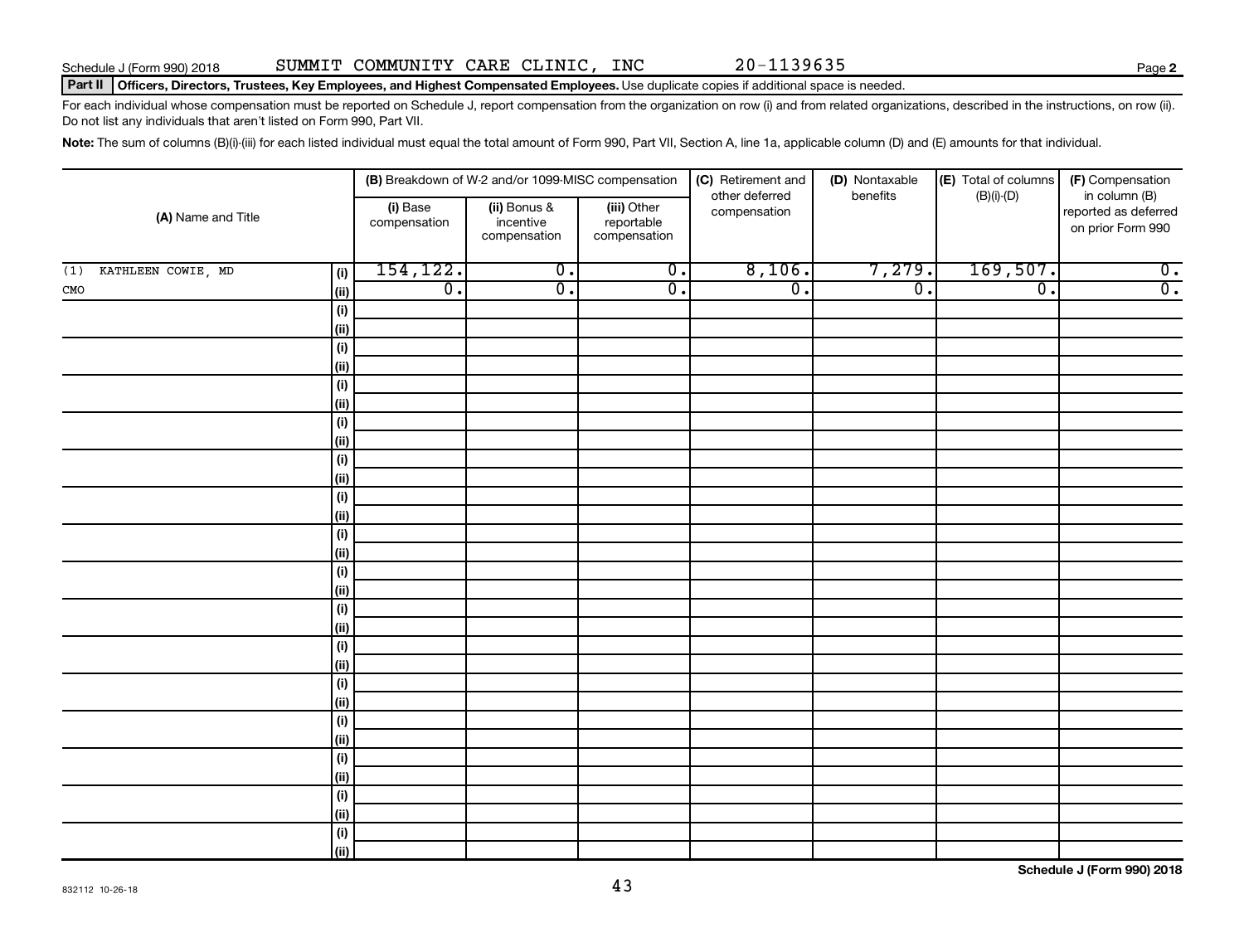### Part II | Officers, Directors, Trustees, Key Employees, and Highest Compensated Employees. Use duplicate copies if additional space is needed.

For each individual whose compensation must be reported on Schedule J, report compensation from the organization on row (i) and from related organizations, described in the instructions, on row (ii). Do not list any individuals that aren't listed on Form 990, Part VII.

Note: The sum of columns (B)(i)-(iii) for each listed individual must equal the total amount of Form 990, Part VII, Section A, line 1a, applicable column (D) and (E) amounts for that individual.

|                                  |                          | (B) Breakdown of W-2 and/or 1099-MISC compensation |                                           | (C) Retirement and             | (D) Nontaxable   | (E) Total of columns | (F) Compensation                                           |
|----------------------------------|--------------------------|----------------------------------------------------|-------------------------------------------|--------------------------------|------------------|----------------------|------------------------------------------------------------|
| (A) Name and Title               | (i) Base<br>compensation | (ii) Bonus &<br>incentive<br>compensation          | (iii) Other<br>reportable<br>compensation | other deferred<br>compensation | benefits         | $(B)(i)$ - $(D)$     | in column (B)<br>reported as deferred<br>on prior Form 990 |
| KATHLEEN COWIE, MD<br>(1)<br>(i) | 154,122.                 | $\overline{0}$ .                                   | $\overline{0}$ .                          | 8,106.                         | 7,279.           | 169,507.             | $\overline{0}$ .                                           |
| (ii)<br>${\tt CMO}$              | $\overline{0}$ .         | $\overline{0}$ .                                   | $\overline{0}$ .                          | $\overline{0}$ .               | $\overline{0}$ . | $\overline{0}$ .     | $\overline{0}$ .                                           |
| $\qquad \qquad \textbf{(i)}$     |                          |                                                    |                                           |                                |                  |                      |                                                            |
| (ii)                             |                          |                                                    |                                           |                                |                  |                      |                                                            |
| $(\sf{i})$                       |                          |                                                    |                                           |                                |                  |                      |                                                            |
| (ii)                             |                          |                                                    |                                           |                                |                  |                      |                                                            |
| $\qquad \qquad \textbf{(i)}$     |                          |                                                    |                                           |                                |                  |                      |                                                            |
| (ii)                             |                          |                                                    |                                           |                                |                  |                      |                                                            |
| $\qquad \qquad \textbf{(i)}$     |                          |                                                    |                                           |                                |                  |                      |                                                            |
| (ii)                             |                          |                                                    |                                           |                                |                  |                      |                                                            |
| $\qquad \qquad \textbf{(i)}$     |                          |                                                    |                                           |                                |                  |                      |                                                            |
| (ii)                             |                          |                                                    |                                           |                                |                  |                      |                                                            |
| $\qquad \qquad \textbf{(i)}$     |                          |                                                    |                                           |                                |                  |                      |                                                            |
| (ii)                             |                          |                                                    |                                           |                                |                  |                      |                                                            |
| $(\sf{i})$<br>(ii)               |                          |                                                    |                                           |                                |                  |                      |                                                            |
| $\qquad \qquad \textbf{(i)}$     |                          |                                                    |                                           |                                |                  |                      |                                                            |
| (ii)                             |                          |                                                    |                                           |                                |                  |                      |                                                            |
| $\qquad \qquad \textbf{(i)}$     |                          |                                                    |                                           |                                |                  |                      |                                                            |
| (ii)                             |                          |                                                    |                                           |                                |                  |                      |                                                            |
| $\qquad \qquad \textbf{(i)}$     |                          |                                                    |                                           |                                |                  |                      |                                                            |
| (ii)                             |                          |                                                    |                                           |                                |                  |                      |                                                            |
| $(\sf{i})$                       |                          |                                                    |                                           |                                |                  |                      |                                                            |
| (ii)                             |                          |                                                    |                                           |                                |                  |                      |                                                            |
| $(\sf{i})$                       |                          |                                                    |                                           |                                |                  |                      |                                                            |
| (ii)                             |                          |                                                    |                                           |                                |                  |                      |                                                            |
| $\qquad \qquad \textbf{(i)}$     |                          |                                                    |                                           |                                |                  |                      |                                                            |
| (ii)                             |                          |                                                    |                                           |                                |                  |                      |                                                            |
| $\qquad \qquad \textbf{(i)}$     |                          |                                                    |                                           |                                |                  |                      |                                                            |
| (ii)                             |                          |                                                    |                                           |                                |                  |                      |                                                            |
| $\qquad \qquad \textbf{(i)}$     |                          |                                                    |                                           |                                |                  |                      |                                                            |
| (ii)                             |                          |                                                    |                                           |                                |                  |                      |                                                            |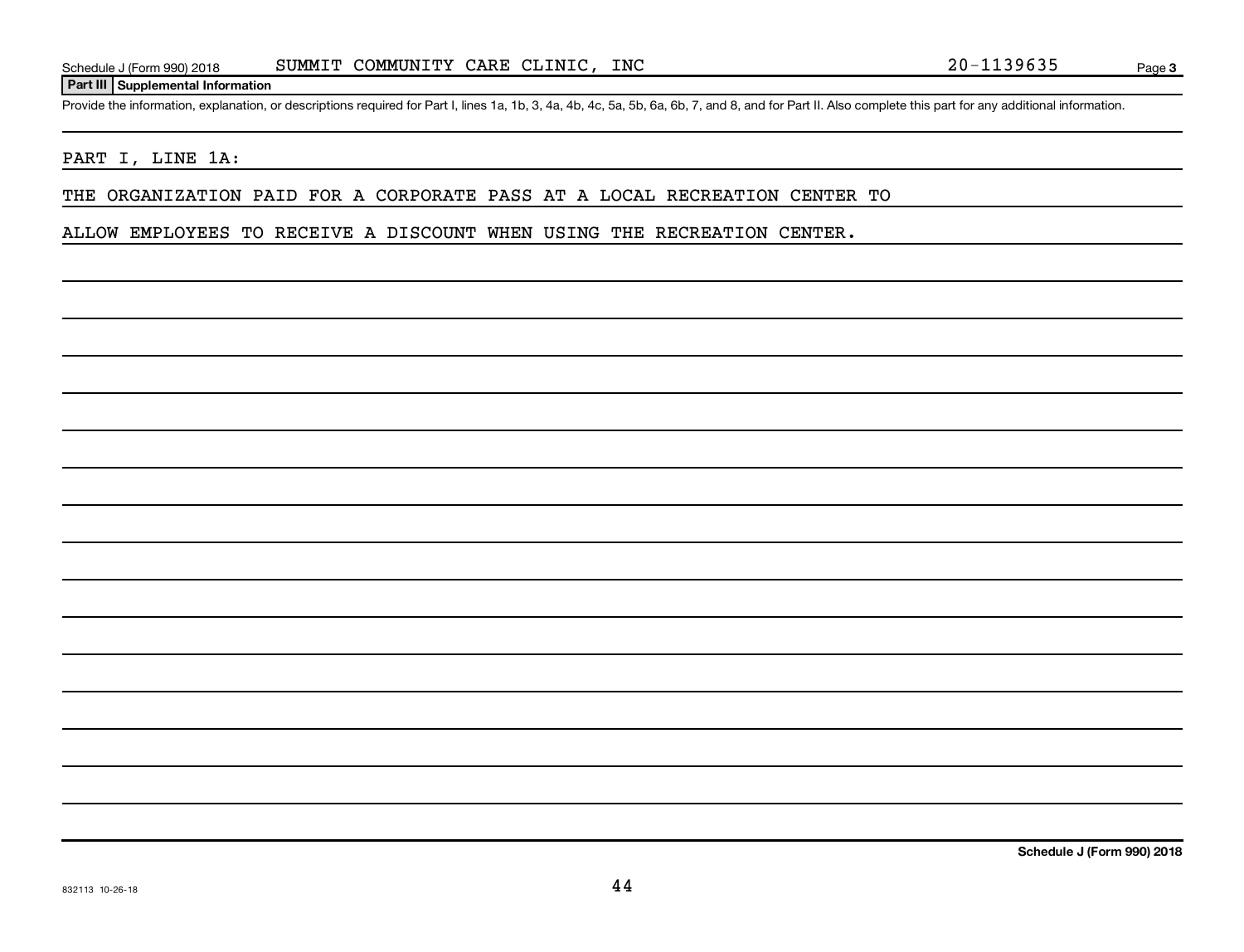### **Part III Supplemental Information**

Provide the information, explanation, or descriptions required for Part I, lines 1a, 1b, 3, 4a, 4b, 4c, 5a, 5b, 6a, 6b, 7, and 8, and for Part II. Also complete this part for any additional information.

### PART I, LINE 1A:

THE ORGANIZATION PAID FOR A CORPORATE PASS AT A LOCAL RECREATION CENTER TO

ALLOW EMPLOYEES TO RECEIVE A DISCOUNT WHEN USING THE RECREATION CENTER.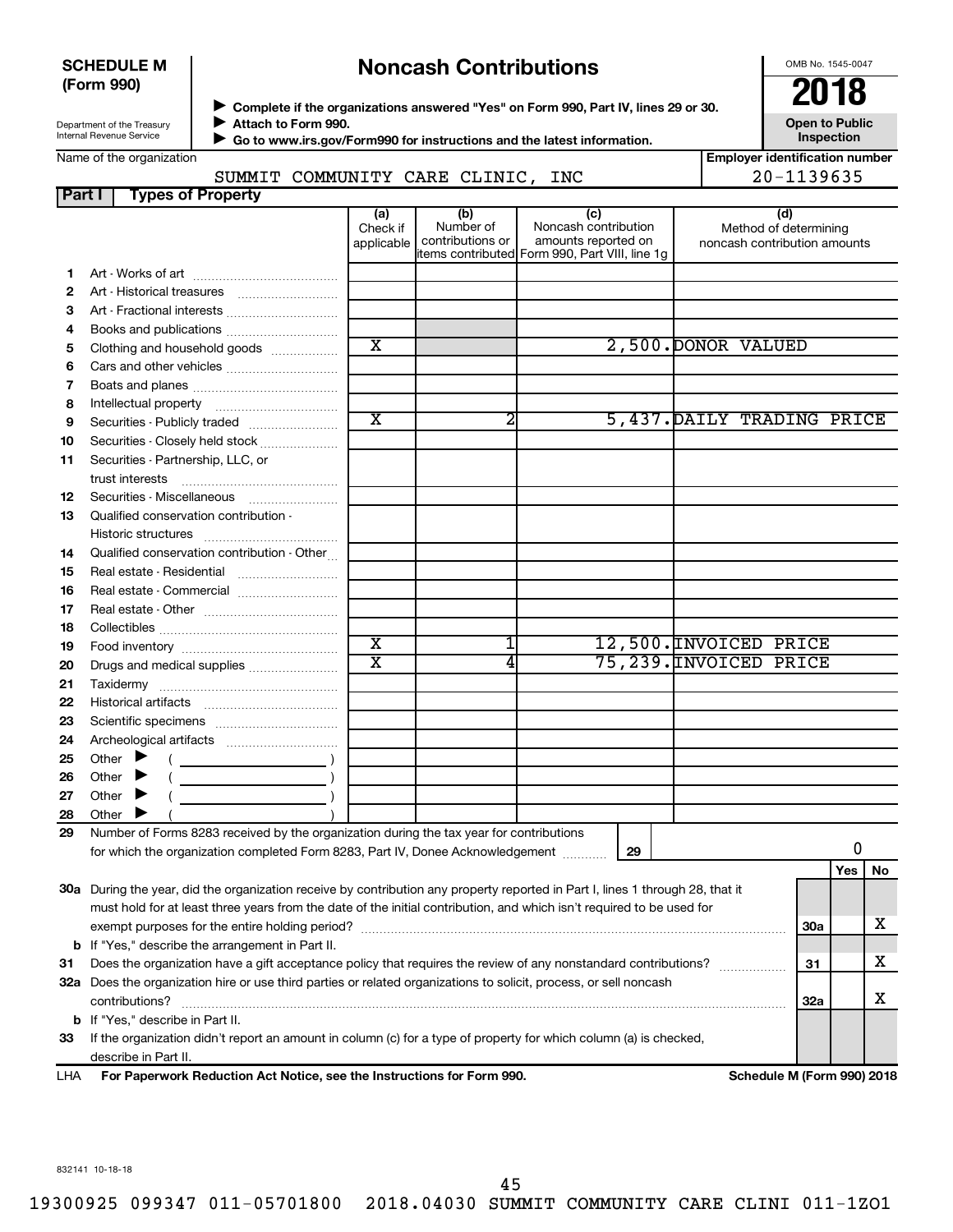### **SCHEDULE M (Form 990)**

## **Noncash Contributions**

OMB No. 1545-0047

| Department of the Treasury |  |
|----------------------------|--|
| Internal Revenue Service   |  |

Name of the organization

◆ Complete if the organizations answered "Yes" on Form 990, Part IV, lines 29 or 30.<br>▶ Complete if the organizations answered "Yes" on Form 990, Part IV, lines 29 or 30. **Attach to Form 990.** J

 **Go to www.irs.gov/Form990 for instructions and the latest information.** J

**Inspection Employer identification number**

**Open to Public**

|  | SUMMIT COMMUNITY CARE CLINIC, IN |  |  |
|--|----------------------------------|--|--|
|  |                                  |  |  |

|               | 20-1139635<br>SUMMIT COMMUNITY CARE CLINIC, INC                                                                                |                               |                                      |                                                                                                      |                                                              |     |     |    |  |  |  |
|---------------|--------------------------------------------------------------------------------------------------------------------------------|-------------------------------|--------------------------------------|------------------------------------------------------------------------------------------------------|--------------------------------------------------------------|-----|-----|----|--|--|--|
| <b>Part I</b> | <b>Types of Property</b>                                                                                                       |                               |                                      |                                                                                                      |                                                              |     |     |    |  |  |  |
|               |                                                                                                                                | (a)<br>Check if<br>applicable | (b)<br>Number of<br>contributions or | (c)<br>Noncash contribution<br>amounts reported on<br>items contributed Form 990, Part VIII, line 1g | (d)<br>Method of determining<br>noncash contribution amounts |     |     |    |  |  |  |
| 1.            |                                                                                                                                |                               |                                      |                                                                                                      |                                                              |     |     |    |  |  |  |
| 2             |                                                                                                                                |                               |                                      |                                                                                                      |                                                              |     |     |    |  |  |  |
| З             |                                                                                                                                |                               |                                      |                                                                                                      |                                                              |     |     |    |  |  |  |
| 4             |                                                                                                                                |                               |                                      |                                                                                                      |                                                              |     |     |    |  |  |  |
| 5             | Clothing and household goods                                                                                                   | $\overline{\text{x}}$         |                                      |                                                                                                      | 2,500. DONOR VALUED                                          |     |     |    |  |  |  |
| 6             |                                                                                                                                |                               |                                      |                                                                                                      |                                                              |     |     |    |  |  |  |
| 7             |                                                                                                                                |                               |                                      |                                                                                                      |                                                              |     |     |    |  |  |  |
| 8             |                                                                                                                                |                               |                                      |                                                                                                      |                                                              |     |     |    |  |  |  |
| 9             | Securities - Publicly traded                                                                                                   | $\overline{\text{x}}$         | 2                                    |                                                                                                      | 5,437. DAILY TRADING PRICE                                   |     |     |    |  |  |  |
| 10            | Securities - Closely held stock                                                                                                |                               |                                      |                                                                                                      |                                                              |     |     |    |  |  |  |
| 11            | Securities - Partnership, LLC, or                                                                                              |                               |                                      |                                                                                                      |                                                              |     |     |    |  |  |  |
| 12            | Securities - Miscellaneous                                                                                                     |                               |                                      |                                                                                                      |                                                              |     |     |    |  |  |  |
| 13            | Qualified conservation contribution -                                                                                          |                               |                                      |                                                                                                      |                                                              |     |     |    |  |  |  |
| 14            | Qualified conservation contribution - Other                                                                                    |                               |                                      |                                                                                                      |                                                              |     |     |    |  |  |  |
| 15            |                                                                                                                                |                               |                                      |                                                                                                      |                                                              |     |     |    |  |  |  |
| 16            | Real estate - Commercial                                                                                                       |                               |                                      |                                                                                                      |                                                              |     |     |    |  |  |  |
| 17            |                                                                                                                                |                               |                                      |                                                                                                      |                                                              |     |     |    |  |  |  |
| 18            |                                                                                                                                |                               |                                      |                                                                                                      |                                                              |     |     |    |  |  |  |
| 19            |                                                                                                                                | $\overline{\text{x}}$         | 1                                    |                                                                                                      | 12,500. INVOICED PRICE                                       |     |     |    |  |  |  |
| 20            | Drugs and medical supplies                                                                                                     | $\overline{\text{x}}$         | 4                                    |                                                                                                      | 75,239. INVOICED PRICE                                       |     |     |    |  |  |  |
| 21            |                                                                                                                                |                               |                                      |                                                                                                      |                                                              |     |     |    |  |  |  |
| 22            |                                                                                                                                |                               |                                      |                                                                                                      |                                                              |     |     |    |  |  |  |
| 23            |                                                                                                                                |                               |                                      |                                                                                                      |                                                              |     |     |    |  |  |  |
| 24            |                                                                                                                                |                               |                                      |                                                                                                      |                                                              |     |     |    |  |  |  |
| 25            | Other $\blacktriangleright$                                                                                                    |                               |                                      |                                                                                                      |                                                              |     |     |    |  |  |  |
| 26            | Other $\blacktriangleright$                                                                                                    |                               |                                      |                                                                                                      |                                                              |     |     |    |  |  |  |
| 27            | Other $\blacktriangleright$                                                                                                    |                               |                                      |                                                                                                      |                                                              |     |     |    |  |  |  |
| 28            | Other $\blacktriangleright$                                                                                                    |                               |                                      |                                                                                                      |                                                              |     |     |    |  |  |  |
| 29            | Number of Forms 8283 received by the organization during the tax year for contributions                                        |                               |                                      |                                                                                                      |                                                              |     |     |    |  |  |  |
|               | for which the organization completed Form 8283, Part IV, Donee Acknowledgement                                                 |                               |                                      | 29                                                                                                   |                                                              |     | 0   |    |  |  |  |
|               | 30a During the year, did the organization receive by contribution any property reported in Part I, lines 1 through 28, that it |                               |                                      |                                                                                                      |                                                              |     | Yes | No |  |  |  |
|               | must hold for at least three years from the date of the initial contribution, and which isn't required to be used for          |                               |                                      |                                                                                                      |                                                              |     |     |    |  |  |  |
|               |                                                                                                                                |                               |                                      |                                                                                                      |                                                              | 30a |     | х  |  |  |  |
|               | <b>b</b> If "Yes," describe the arrangement in Part II.                                                                        |                               |                                      |                                                                                                      |                                                              |     |     | х  |  |  |  |
| 31            | Does the organization have a gift acceptance policy that requires the review of any nonstandard contributions?<br>31           |                               |                                      |                                                                                                      |                                                              |     |     |    |  |  |  |
|               | 32a Does the organization hire or use third parties or related organizations to solicit, process, or sell noncash              |                               |                                      |                                                                                                      |                                                              |     |     |    |  |  |  |
|               | contributions?                                                                                                                 |                               |                                      |                                                                                                      |                                                              | 32a |     | х  |  |  |  |
|               | b If "Yes," describe in Part II.                                                                                               |                               |                                      |                                                                                                      |                                                              |     |     |    |  |  |  |
| 33            | If the organization didn't report an amount in column (c) for a type of property for which column (a) is checked,              |                               |                                      |                                                                                                      |                                                              |     |     |    |  |  |  |
|               | describe in Part II.                                                                                                           |                               |                                      |                                                                                                      |                                                              |     |     |    |  |  |  |
| LHA           | For Paperwork Reduction Act Notice, see the Instructions for Form 990.                                                         |                               |                                      |                                                                                                      | Schedule M (Form 990) 2018                                   |     |     |    |  |  |  |

832141 10-18-18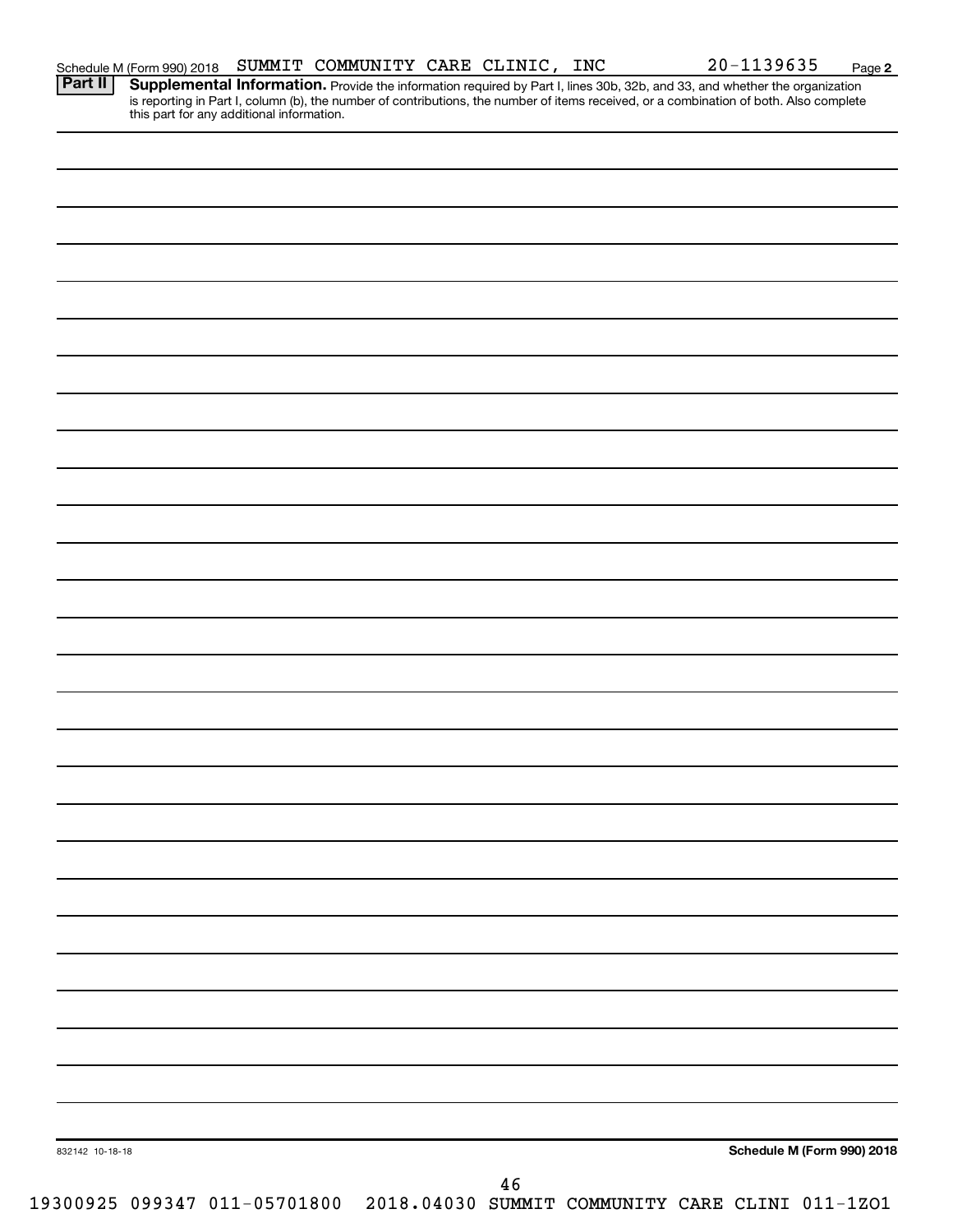| 832142 10-18-18 |  |  |          |                                                                              |  | Schedule M (Form 990) 2018 |
|-----------------|--|--|----------|------------------------------------------------------------------------------|--|----------------------------|
|                 |  |  |          |                                                                              |  |                            |
|                 |  |  | $4\,6\,$ | 19300925 099347 011-05701800 2018.04030 SUMMIT COMMUNITY CARE CLINI 011-1ZO1 |  |                            |

**2** Provide the information required by Part I, lines 30b, 32b, and 33, and whether the organization is reporting in Part I, column (b), the number of contributions, the number of items received, or a combination of both. Also complete **Part II Supplemental Information.**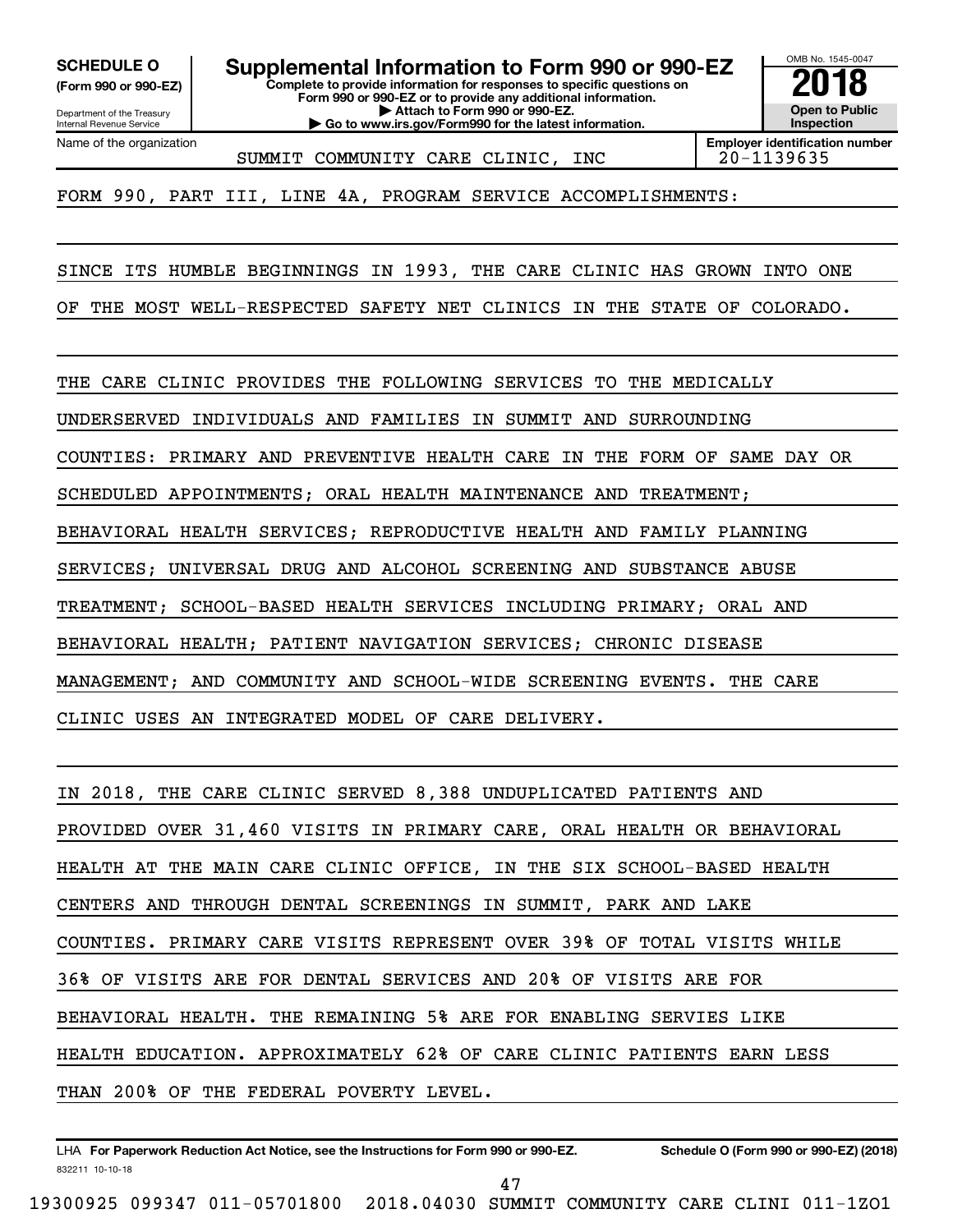**(Form 990 or 990-EZ)**

Department of the Treasury Internal Revenue Service Name of the organization

**Complete to provide information for responses to specific questions on Form 990 or 990-EZ or to provide any additional information. | Attach to Form 990 or 990-EZ.** SCHEDULE O **Supplemental Information to Form 990 or 990-EZ 2018**<br>(Form 990 or 990-EZ) Complete to provide information for responses to specific questions on

**| Go to www.irs.gov/Form990 for the latest information.**



SUMMIT COMMUNITY CARE CLINIC, INC | 20-1139635

FORM 990, PART III, LINE 4A, PROGRAM SERVICE ACCOMPLISHMENTS:

SINCE ITS HUMBLE BEGINNINGS IN 1993, THE CARE CLINIC HAS GROWN INTO ONE

OF THE MOST WELL-RESPECTED SAFETY NET CLINICS IN THE STATE OF COLORADO.

THE CARE CLINIC PROVIDES THE FOLLOWING SERVICES TO THE MEDICALLY

UNDERSERVED INDIVIDUALS AND FAMILIES IN SUMMIT AND SURROUNDING

COUNTIES: PRIMARY AND PREVENTIVE HEALTH CARE IN THE FORM OF SAME DAY OR

SCHEDULED APPOINTMENTS; ORAL HEALTH MAINTENANCE AND TREATMENT;

BEHAVIORAL HEALTH SERVICES; REPRODUCTIVE HEALTH AND FAMILY PLANNING

SERVICES; UNIVERSAL DRUG AND ALCOHOL SCREENING AND SUBSTANCE ABUSE

TREATMENT; SCHOOL-BASED HEALTH SERVICES INCLUDING PRIMARY; ORAL AND

BEHAVIORAL HEALTH; PATIENT NAVIGATION SERVICES; CHRONIC DISEASE

MANAGEMENT; AND COMMUNITY AND SCHOOL-WIDE SCREENING EVENTS. THE CARE

CLINIC USES AN INTEGRATED MODEL OF CARE DELIVERY.

IN 2018, THE CARE CLINIC SERVED 8,388 UNDUPLICATED PATIENTS AND PROVIDED OVER 31,460 VISITS IN PRIMARY CARE, ORAL HEALTH OR BEHAVIORAL HEALTH AT THE MAIN CARE CLINIC OFFICE, IN THE SIX SCHOOL-BASED HEALTH CENTERS AND THROUGH DENTAL SCREENINGS IN SUMMIT, PARK AND LAKE COUNTIES. PRIMARY CARE VISITS REPRESENT OVER 39% OF TOTAL VISITS WHILE 36% OF VISITS ARE FOR DENTAL SERVICES AND 20% OF VISITS ARE FOR BEHAVIORAL HEALTH. THE REMAINING 5% ARE FOR ENABLING SERVIES LIKE HEALTH EDUCATION. APPROXIMATELY 62% OF CARE CLINIC PATIENTS EARN LESS THAN 200% OF THE FEDERAL POVERTY LEVEL.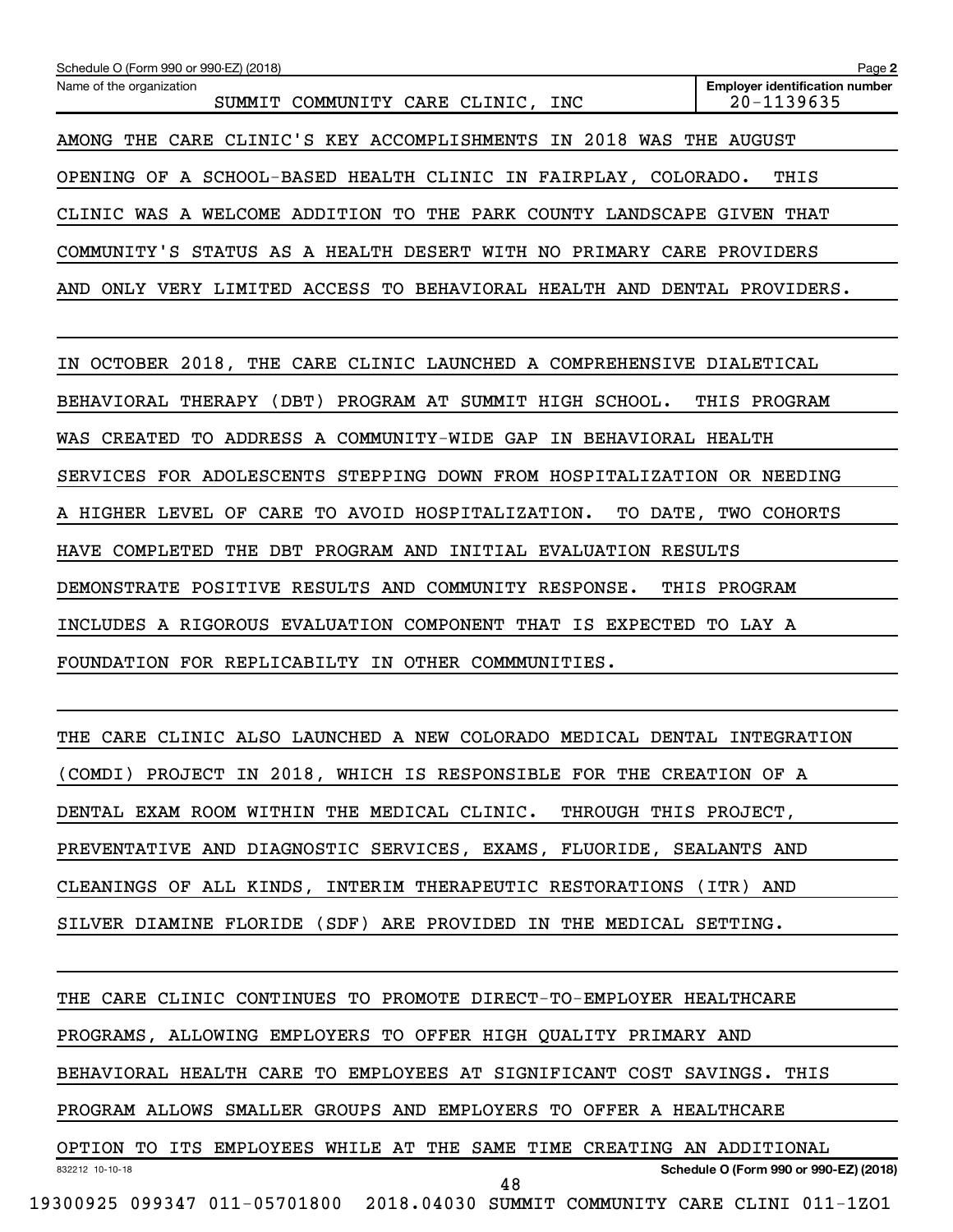| Schedule O (Form 990 or 990-EZ) (2018)                                  | Page 2                                              |  |  |  |  |  |  |  |
|-------------------------------------------------------------------------|-----------------------------------------------------|--|--|--|--|--|--|--|
| Name of the organization<br>SUMMIT COMMUNITY CARE CLINIC, INC           | <b>Employer identification number</b><br>20-1139635 |  |  |  |  |  |  |  |
| AMONG THE CARE CLINIC'S KEY ACCOMPLISHMENTS IN 2018 WAS THE AUGUST      |                                                     |  |  |  |  |  |  |  |
| OPENING OF A SCHOOL-BASED HEALTH CLINIC IN FAIRPLAY, COLORADO.          | THIS                                                |  |  |  |  |  |  |  |
| CLINIC WAS A WELCOME ADDITION TO THE PARK COUNTY LANDSCAPE GIVEN THAT   |                                                     |  |  |  |  |  |  |  |
| COMMUNITY'S STATUS AS A HEALTH DESERT WITH NO PRIMARY CARE PROVIDERS    |                                                     |  |  |  |  |  |  |  |
| AND ONLY VERY LIMITED ACCESS TO BEHAVIORAL HEALTH AND DENTAL PROVIDERS. |                                                     |  |  |  |  |  |  |  |
|                                                                         |                                                     |  |  |  |  |  |  |  |
| OCTOBER 2018, THE CARE CLINIC LAUNCHED A COMPREHENSIVE DIALETICAL<br>IΝ |                                                     |  |  |  |  |  |  |  |
| BEHAVIORAL THERAPY (DBT) PROGRAM AT SUMMIT HIGH SCHOOL.                 | THIS PROGRAM                                        |  |  |  |  |  |  |  |
| WAS CREATED TO ADDRESS A COMMUNITY-WIDE GAP IN BEHAVIORAL HEALTH        |                                                     |  |  |  |  |  |  |  |
| SERVICES FOR ADOLESCENTS STEPPING DOWN FROM HOSPITALIZATION OR NEEDING  |                                                     |  |  |  |  |  |  |  |
| A HIGHER LEVEL OF CARE TO AVOID HOSPITALIZATION.                        | TO DATE, TWO COHORTS                                |  |  |  |  |  |  |  |
| HAVE COMPLETED THE DBT PROGRAM AND INITIAL EVALUATION RESULTS           |                                                     |  |  |  |  |  |  |  |
| DEMONSTRATE POSITIVE RESULTS AND COMMUNITY RESPONSE.                    | THIS PROGRAM                                        |  |  |  |  |  |  |  |
| INCLUDES A RIGOROUS EVALUATION COMPONENT THAT IS EXPECTED TO LAY A      |                                                     |  |  |  |  |  |  |  |
| FOUNDATION FOR REPLICABILTY IN OTHER COMMMUNITIES.                      |                                                     |  |  |  |  |  |  |  |
|                                                                         |                                                     |  |  |  |  |  |  |  |
| THE CARE CLINIC ALSO LAUNCHED A NEW COLORADO MEDICAL DENTAL INTEGRATION |                                                     |  |  |  |  |  |  |  |
| (COMDI) PROJECT IN 2018, WHICH IS RESPONSIBLE FOR THE CREATION OF A     |                                                     |  |  |  |  |  |  |  |

DENTAL EXAM ROOM WITHIN THE MEDICAL CLINIC. THROUGH THIS PROJECT, PREVENTATIVE AND DIAGNOSTIC SERVICES, EXAMS, FLUORIDE, SEALANTS AND CLEANINGS OF ALL KINDS, INTERIM THERAPEUTIC RESTORATIONS (ITR) AND

SILVER DIAMINE FLORIDE (SDF) ARE PROVIDED IN THE MEDICAL SETTING.

832212 10-10-18 **Schedule O (Form 990 or 990-EZ) (2018)** THE CARE CLINIC CONTINUES TO PROMOTE DIRECT-TO-EMPLOYER HEALTHCARE PROGRAMS, ALLOWING EMPLOYERS TO OFFER HIGH QUALITY PRIMARY AND BEHAVIORAL HEALTH CARE TO EMPLOYEES AT SIGNIFICANT COST SAVINGS. THIS PROGRAM ALLOWS SMALLER GROUPS AND EMPLOYERS TO OFFER A HEALTHCARE OPTION TO ITS EMPLOYEES WHILE AT THE SAME TIME CREATING AN ADDITIONAL 19300925 099347 011-05701800 2018.04030 SUMMIT COMMUNITY CARE CLINI 011-1ZO1 48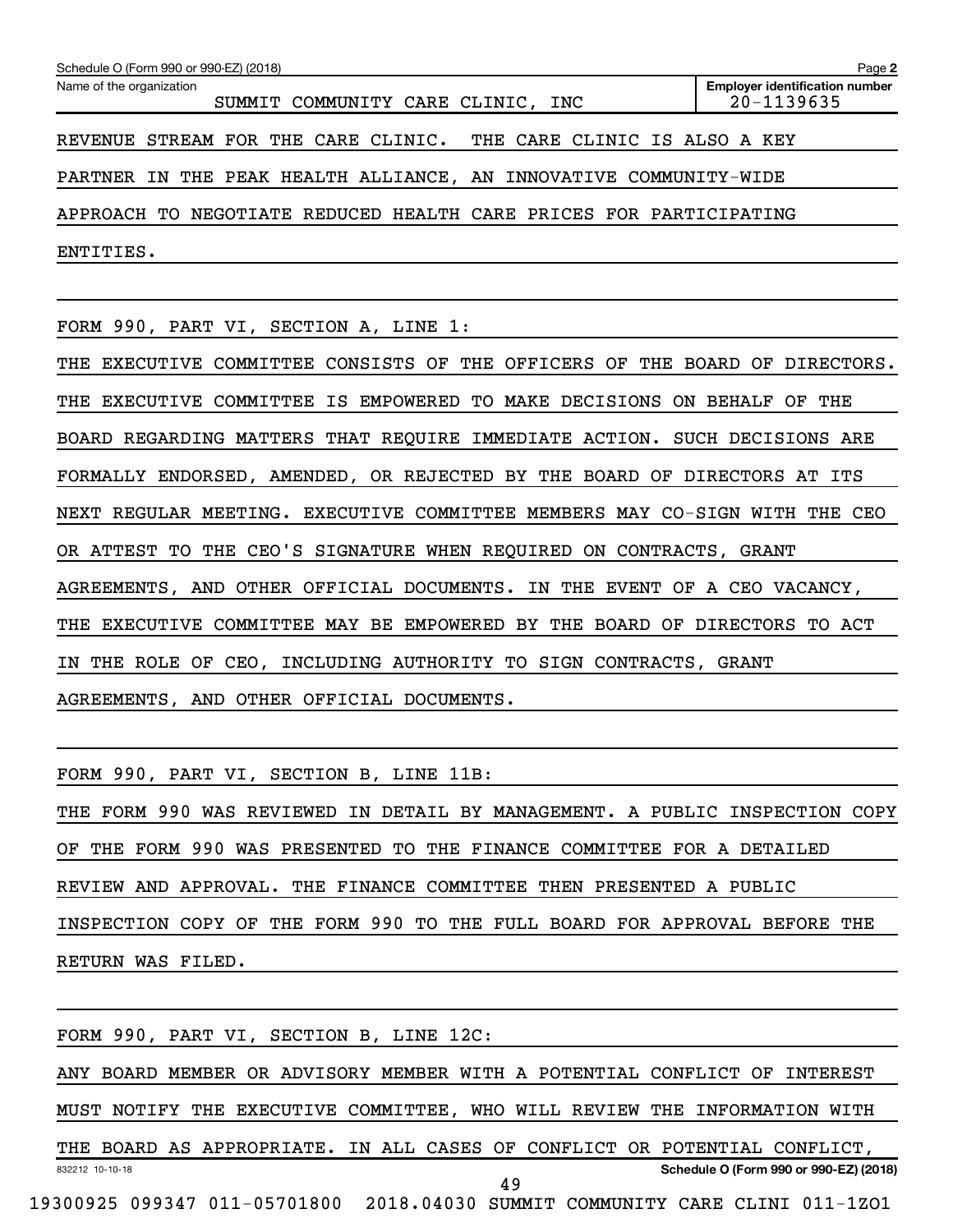| Schedule O (Form 990 or 990-EZ) (2018)                                      | Page 2                                              |
|-----------------------------------------------------------------------------|-----------------------------------------------------|
| Name of the organization<br>SUMMIT COMMUNITY CARE CLINIC, INC               | <b>Employer identification number</b><br>20-1139635 |
| REVENUE STREAM FOR THE CARE CLINIC. THE CARE CLINIC IS ALSO A KEY           |                                                     |
| PARTNER IN THE PEAK HEALTH ALLIANCE, AN INNOVATIVE COMMUNITY-WIDE           |                                                     |
| APPROACH TO NEGOTIATE REDUCED HEALTH CARE PRICES FOR PARTICIPATING          |                                                     |
| ENTITIES.                                                                   |                                                     |
|                                                                             |                                                     |
| FORM 990, PART VI, SECTION A, LINE 1:                                       |                                                     |
| THE EXECUTIVE COMMITTEE CONSISTS OF THE OFFICERS OF THE BOARD OF DIRECTORS. |                                                     |
| THE EXECUTIVE COMMITTEE IS EMPOWERED TO MAKE DECISIONS ON BEHALF OF THE     |                                                     |
| BOARD REGARDING MATTERS THAT REQUIRE IMMEDIATE ACTION. SUCH DECISIONS ARE   |                                                     |
| FORMALLY ENDORSED, AMENDED, OR REJECTED BY THE BOARD OF DIRECTORS AT ITS    |                                                     |
| NEXT REGULAR MEETING. EXECUTIVE COMMITTEE MEMBERS MAY CO-SIGN WITH THE CEO  |                                                     |
| OR ATTEST TO THE CEO'S SIGNATURE WHEN REQUIRED ON CONTRACTS, GRANT          |                                                     |
| AGREEMENTS, AND OTHER OFFICIAL DOCUMENTS. IN THE EVENT OF A CEO VACANCY,    |                                                     |
| THE EXECUTIVE COMMITTEE MAY BE EMPOWERED BY THE BOARD OF DIRECTORS TO ACT   |                                                     |
| THE ROLE OF CEO, INCLUDING AUTHORITY TO SIGN CONTRACTS, GRANT<br>IN         |                                                     |
|                                                                             |                                                     |

AGREEMENTS, AND OTHER OFFICIAL DOCUMENTS.

FORM 990, PART VI, SECTION B, LINE 11B:

THE FORM 990 WAS REVIEWED IN DETAIL BY MANAGEMENT. A PUBLIC INSPECTION COPY OF THE FORM 990 WAS PRESENTED TO THE FINANCE COMMITTEE FOR A DETAILED REVIEW AND APPROVAL. THE FINANCE COMMITTEE THEN PRESENTED A PUBLIC INSPECTION COPY OF THE FORM 990 TO THE FULL BOARD FOR APPROVAL BEFORE THE RETURN WAS FILED.

|                 |  |  | FORM 990, PART VI, SECTION B, LINE 12C:                                      |  |  |    |  |                                        |  |  |
|-----------------|--|--|------------------------------------------------------------------------------|--|--|----|--|----------------------------------------|--|--|
|                 |  |  | ANY BOARD MEMBER OR ADVISORY MEMBER WITH A POTENTIAL CONFLICT OF INTEREST    |  |  |    |  |                                        |  |  |
|                 |  |  | MUST NOTIFY THE EXECUTIVE COMMITTEE, WHO WILL REVIEW THE INFORMATION WITH    |  |  |    |  |                                        |  |  |
|                 |  |  | THE BOARD AS APPROPRIATE. IN ALL CASES OF CONFLICT OR POTENTIAL CONFLICT,    |  |  |    |  |                                        |  |  |
| 832212 10-10-18 |  |  |                                                                              |  |  | 49 |  | Schedule O (Form 990 or 990-EZ) (2018) |  |  |
|                 |  |  | 19300925 099347 011-05701800 2018.04030 SUMMIT COMMUNITY CARE CLINI 011-1ZO1 |  |  |    |  |                                        |  |  |